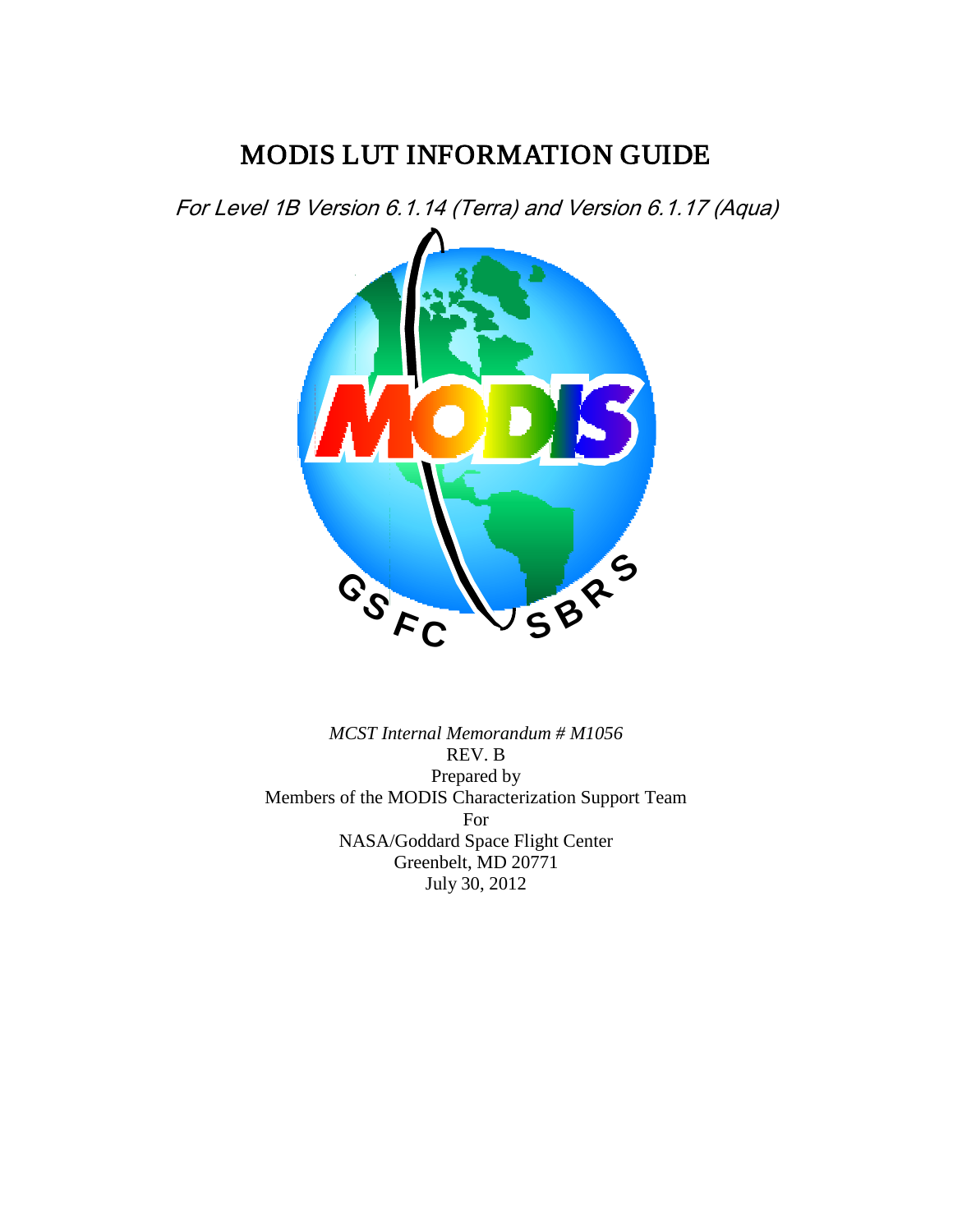# MODIS LUT INFORMATION GUIDE

For Level 1B Version 6.1.14 (Terra) and Version 6.1.17 (Aqua)



*MCST Internal Memorandum # M1056* REV. B Prepared by Members of the MODIS Characterization Support Team For NASA/Goddard Space Flight Center Greenbelt, MD 20771 July 30, 2012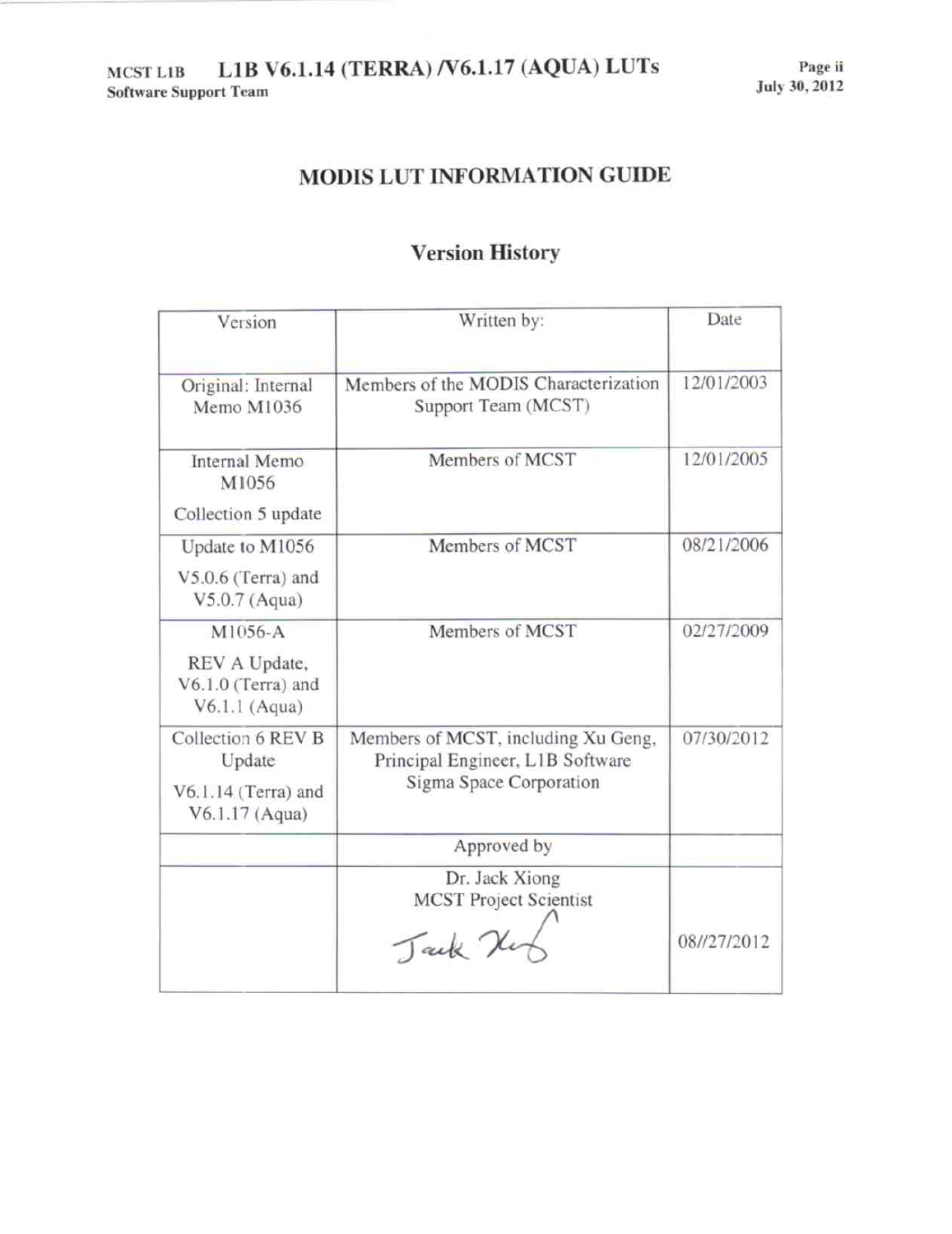## MODIS LUT INFORMATION GUIDE

# **Version History**

| Version                                                                 | Written by:                                                                                        | Date        |
|-------------------------------------------------------------------------|----------------------------------------------------------------------------------------------------|-------------|
| Original: Internal<br>Memo M1036                                        | Members of the MODIS Characterization<br>Support Team (MCST)                                       | 12/01/2003  |
| Internal Memo<br>M1056<br>Collection 5 update                           | Members of MCST                                                                                    | 12/01/2005  |
| Update to M1056<br>V5.0.6 (Terra) and<br>V5.0.7 (Aqua)                  | Members of MCST                                                                                    | 08/21/2006  |
| M1056-A<br>REV A Update,<br>V6.1.0 (Terra) and<br>$V6.1.1$ (Aqua)       | Members of MCST                                                                                    | 02/27/2009  |
| Collection 6 REV B<br>Update<br>$V6.1.14$ (Terra) and<br>V6.1.17 (Aqua) | Members of MCST, including Xu Geng,<br>Principal Engineer, L1B Software<br>Sigma Space Corporation | 07/30/2012  |
|                                                                         | Approved by                                                                                        |             |
|                                                                         | Dr. Jack Xiong<br><b>MCST Project Scientist</b><br>Tack K                                          | 08//27/2012 |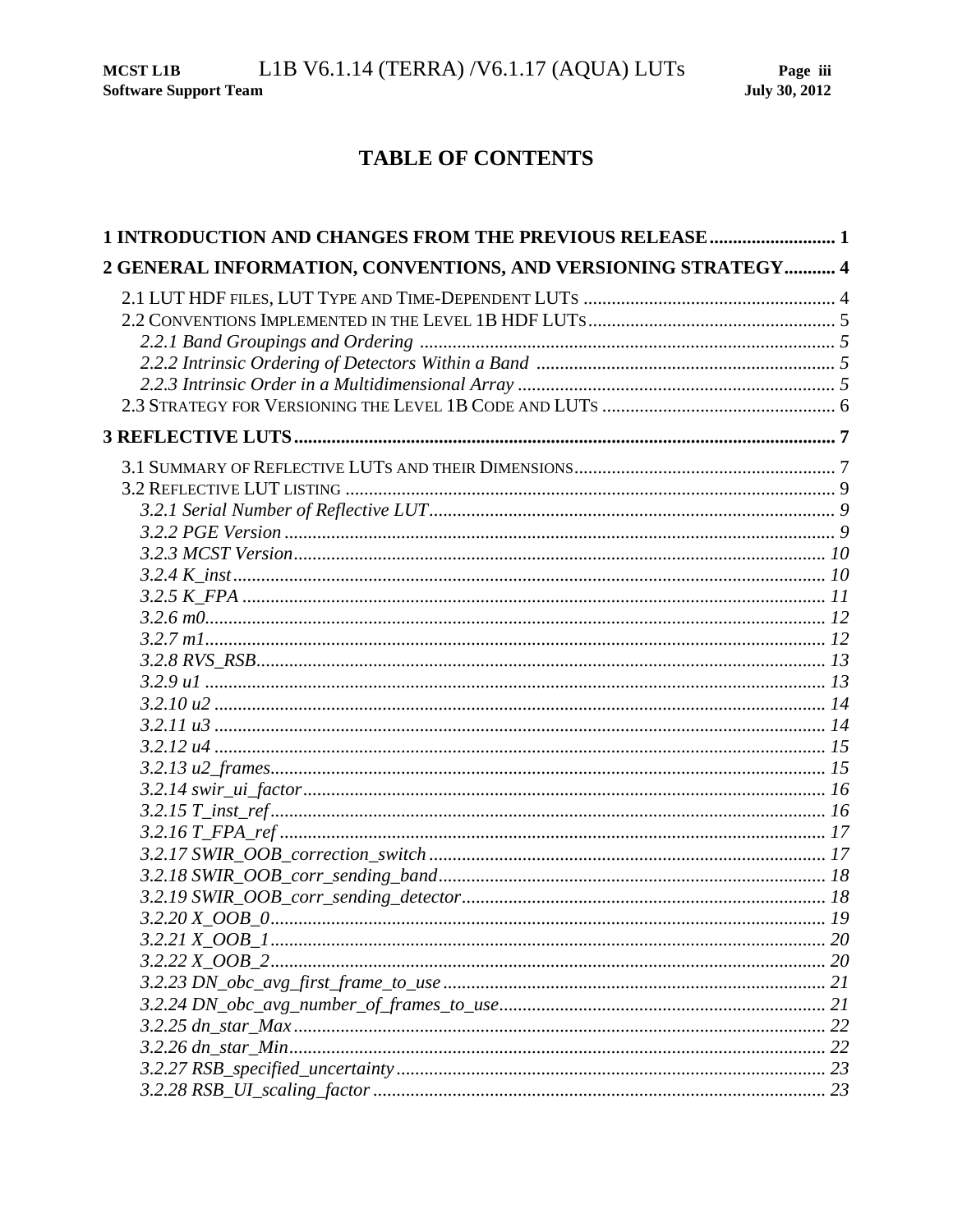## TABLE OF CONTENTS

| 1 INTRODUCTION AND CHANGES FROM THE PREVIOUS RELEASE 1         |  |
|----------------------------------------------------------------|--|
| 2 GENERAL INFORMATION, CONVENTIONS, AND VERSIONING STRATEGY  4 |  |
|                                                                |  |
|                                                                |  |
|                                                                |  |
|                                                                |  |
|                                                                |  |
|                                                                |  |
|                                                                |  |
|                                                                |  |
|                                                                |  |
|                                                                |  |
|                                                                |  |
|                                                                |  |
|                                                                |  |
|                                                                |  |
|                                                                |  |
|                                                                |  |
|                                                                |  |
|                                                                |  |
|                                                                |  |
|                                                                |  |
|                                                                |  |
|                                                                |  |
|                                                                |  |
|                                                                |  |
|                                                                |  |
|                                                                |  |
|                                                                |  |
|                                                                |  |
|                                                                |  |
|                                                                |  |
|                                                                |  |
|                                                                |  |
|                                                                |  |
|                                                                |  |
|                                                                |  |
|                                                                |  |
|                                                                |  |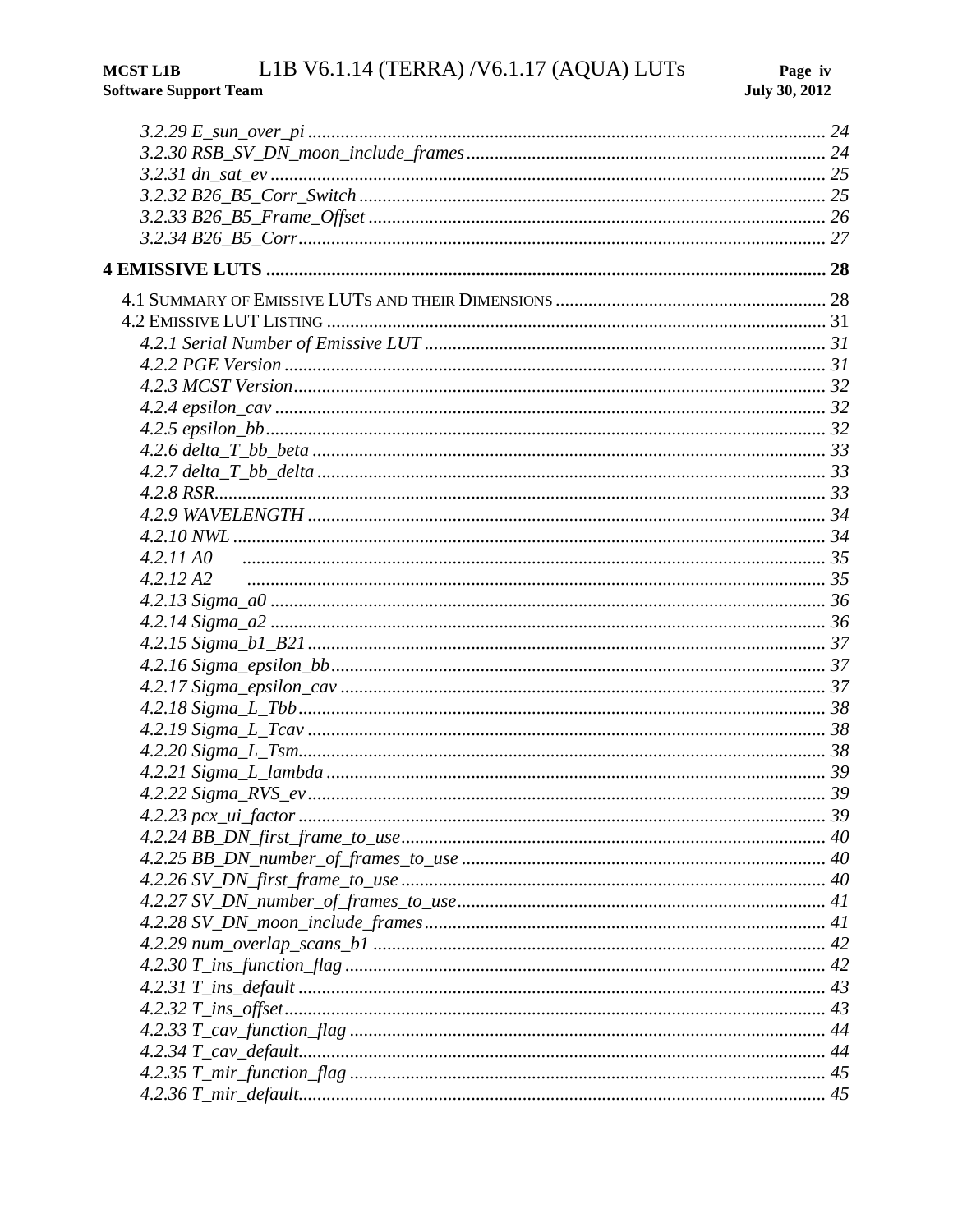#### $L1B$  V6.1.14 (TERRA) /V6.1.17 (AQUA) LUTs **MCST L1B Software Support Team**

| 4.2.11A0               |             |
|------------------------|-------------|
| 4.2.12A2               |             |
|                        |             |
|                        |             |
|                        |             |
|                        |             |
|                        |             |
|                        |             |
|                        |             |
|                        |             |
|                        |             |
|                        |             |
| $4.2.23$ pcx_ui_factor | $\cdots$ 39 |
|                        |             |
|                        |             |
|                        |             |
|                        |             |
|                        |             |
|                        |             |
|                        |             |
|                        |             |
|                        |             |
|                        |             |
|                        |             |
|                        |             |
|                        |             |
|                        |             |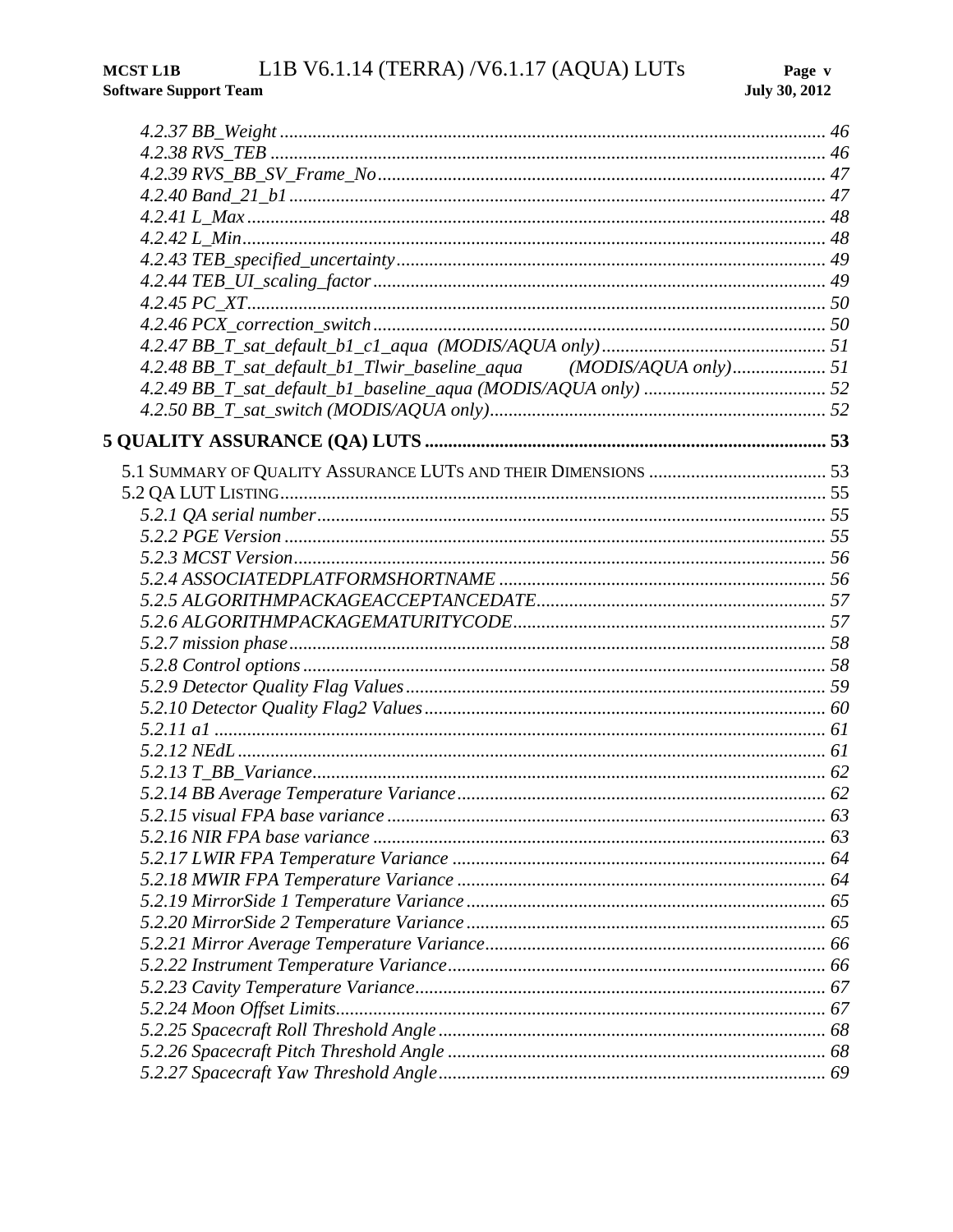| 4.2.48 BB_T_sat_default_b1_Tlwir_baseline_aqua (MODIS/AQUA only) 51 |  |
|---------------------------------------------------------------------|--|
|                                                                     |  |
|                                                                     |  |
|                                                                     |  |
|                                                                     |  |
|                                                                     |  |
|                                                                     |  |
|                                                                     |  |
|                                                                     |  |
|                                                                     |  |
|                                                                     |  |
|                                                                     |  |
|                                                                     |  |
|                                                                     |  |
|                                                                     |  |
|                                                                     |  |
|                                                                     |  |
|                                                                     |  |
|                                                                     |  |
|                                                                     |  |
| 5.2.15 visual FPA hase variance                                     |  |
|                                                                     |  |
|                                                                     |  |
|                                                                     |  |
|                                                                     |  |
|                                                                     |  |
|                                                                     |  |
|                                                                     |  |
|                                                                     |  |
|                                                                     |  |
|                                                                     |  |
|                                                                     |  |
|                                                                     |  |
|                                                                     |  |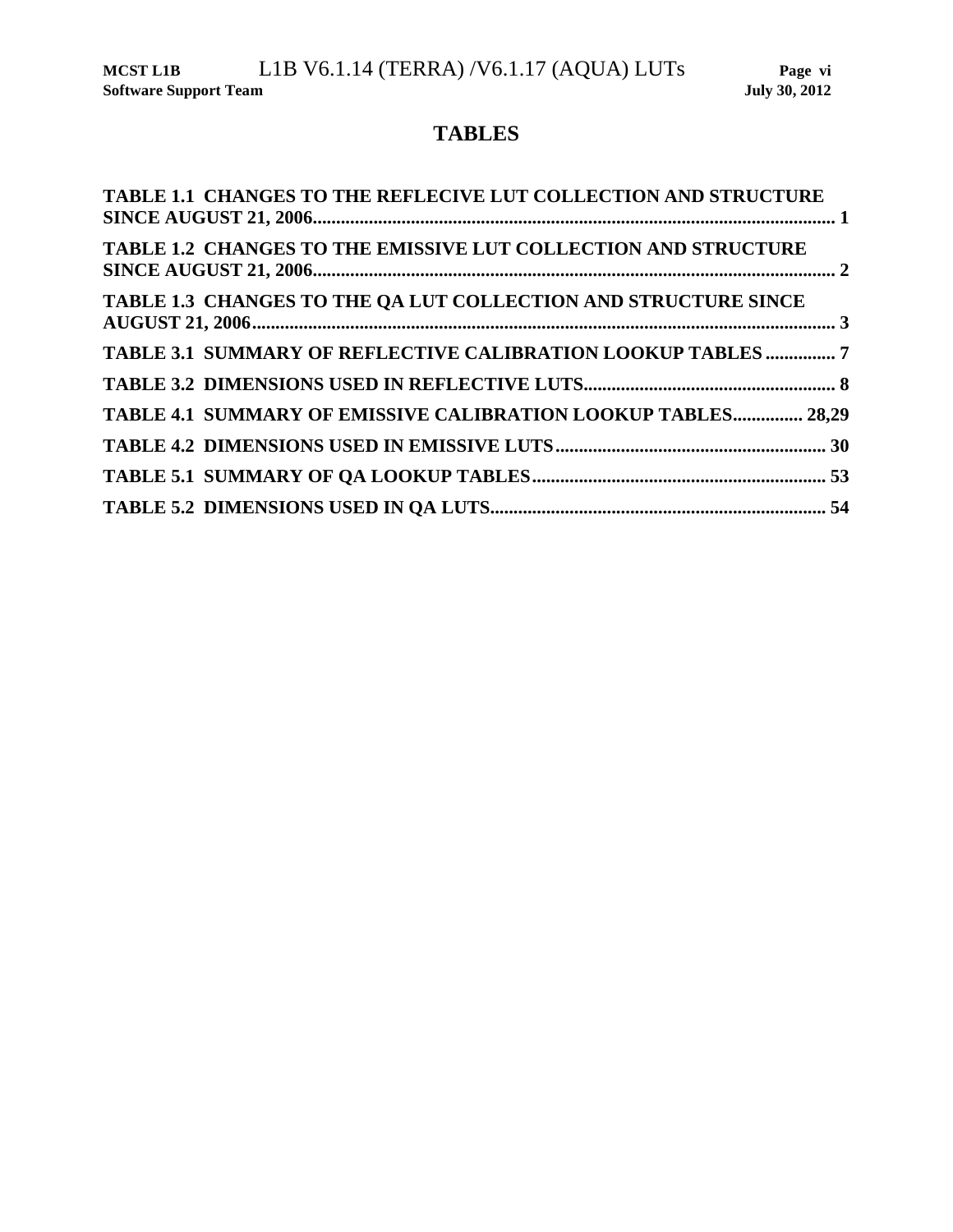## **TABLES**

| TABLE 1.1 CHANGES TO THE REFLECIVE LUT COLLECTION AND STRUCTURE |
|-----------------------------------------------------------------|
| TABLE 1.2 CHANGES TO THE EMISSIVE LUT COLLECTION AND STRUCTURE  |
| TABLE 1.3 CHANGES TO THE QA LUT COLLECTION AND STRUCTURE SINCE  |
| TABLE 3.1 SUMMARY OF REFLECTIVE CALIBRATION LOOKUP TABLES  7    |
|                                                                 |
| TABLE 4.1 SUMMARY OF EMISSIVE CALIBRATION LOOKUP TABLES 28,29   |
|                                                                 |
|                                                                 |
|                                                                 |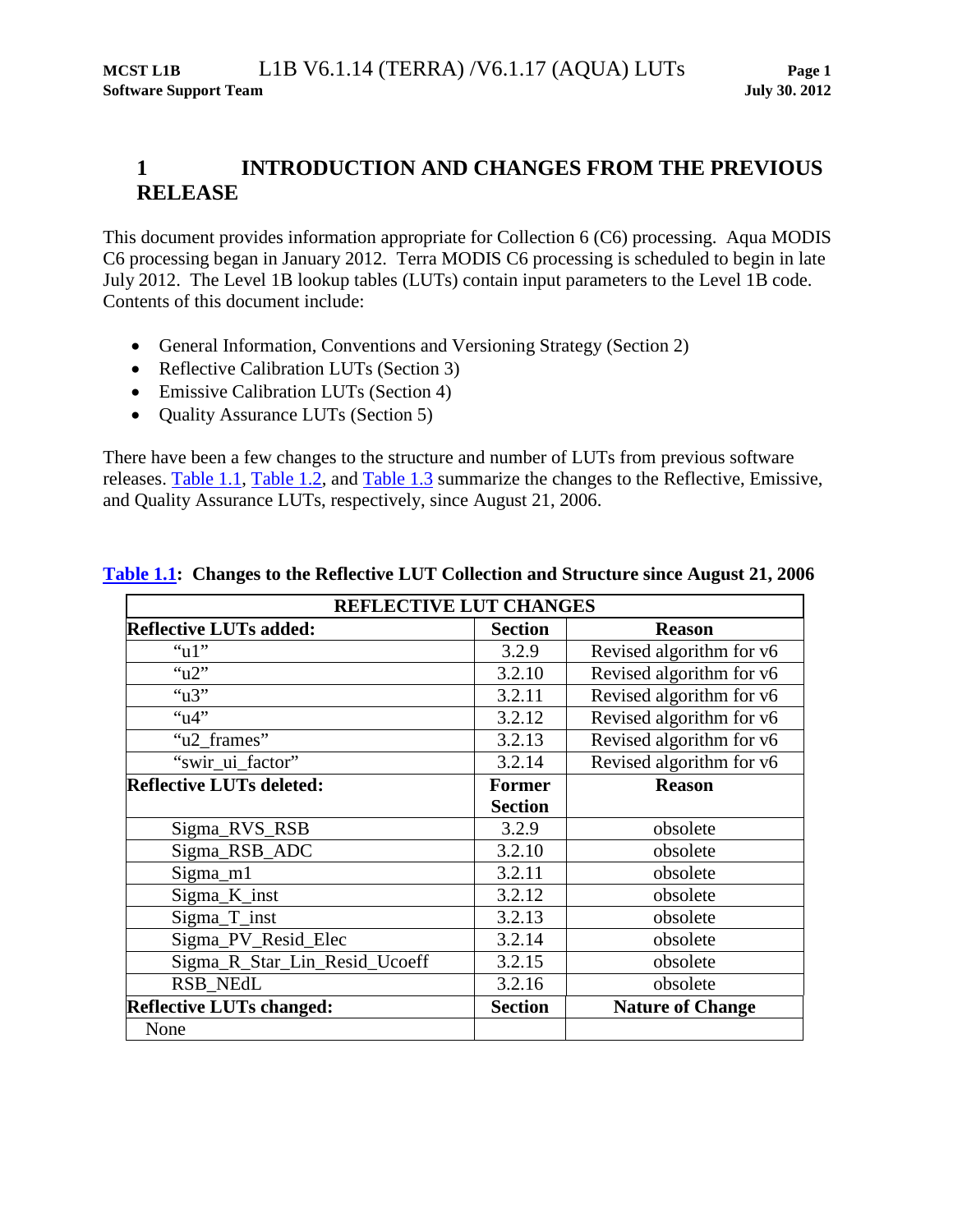## **1 INTRODUCTION AND CHANGES FROM THE PREVIOUS RELEASE**

This document provides information appropriate for Collection 6 (C6) processing. Aqua MODIS C6 processing began in January 2012. Terra MODIS C6 processing is scheduled to begin in late July 2012. The Level 1B lookup tables (LUTs) contain input parameters to the Level 1B code. Contents of this document include:

- General Information, Conventions and Versioning Strategy (Section [2\)](#page-9-0)
- Reflective Calibration LUTs (Section [3\)](#page-12-0)
- Emissive Calibration LUTs (Section [4\)](#page-33-0)
- Ouality Assurance LUTs (Section [5\)](#page-58-0)

<span id="page-6-0"></span>There have been a few changes to the structure and number of LUTs from previous software releases. [Table 1.1,](#page-6-0) [Table 1.2,](#page-7-0) and [Table 1.3](#page-8-0) summarize the changes to the Reflective, Emissive, and Quality Assurance LUTs, respectively, since August 21, 2006.

| REFLECTIVE LUT CHANGES          |                |                          |  |
|---------------------------------|----------------|--------------------------|--|
| <b>Reflective LUTs added:</b>   | <b>Section</b> | <b>Reason</b>            |  |
| " $u1$ "                        | 3.2.9          | Revised algorithm for v6 |  |
| ``u2"                           | 3.2.10         | Revised algorithm for v6 |  |
| " $u3$ "                        | 3.2.11         | Revised algorithm for v6 |  |
| " $u4$ "                        | 3.2.12         | Revised algorithm for v6 |  |
| "u2_frames"                     | 3.2.13         | Revised algorithm for v6 |  |
| "swir_ui_factor"                | 3.2.14         | Revised algorithm for v6 |  |
| <b>Reflective LUTs deleted:</b> | <b>Former</b>  | <b>Reason</b>            |  |
|                                 | <b>Section</b> |                          |  |
| Sigma_RVS_RSB                   | 3.2.9          | obsolete                 |  |
| Sigma_RSB_ADC                   | 3.2.10         | obsolete                 |  |
| $Sigma_m1$                      | 3.2.11         | obsolete                 |  |
| Sigma <sub>_K_inst</sub>        | 3.2.12         | obsolete                 |  |
| Sigma_T_inst                    | 3.2.13         | obsolete                 |  |
| Sigma_PV_Resid_Elec             | 3.2.14         | obsolete                 |  |
| Sigma_R_Star_Lin_Resid_Ucoeff   | 3.2.15         | obsolete                 |  |
| RSB_NEdL                        | 3.2.16         | obsolete                 |  |
| <b>Reflective LUTs changed:</b> | <b>Section</b> | <b>Nature of Change</b>  |  |
| None                            |                |                          |  |

#### **[Table 1.1:](#page-6-0) Changes to the Reflective LUT Collection and Structure since August 21, 2006**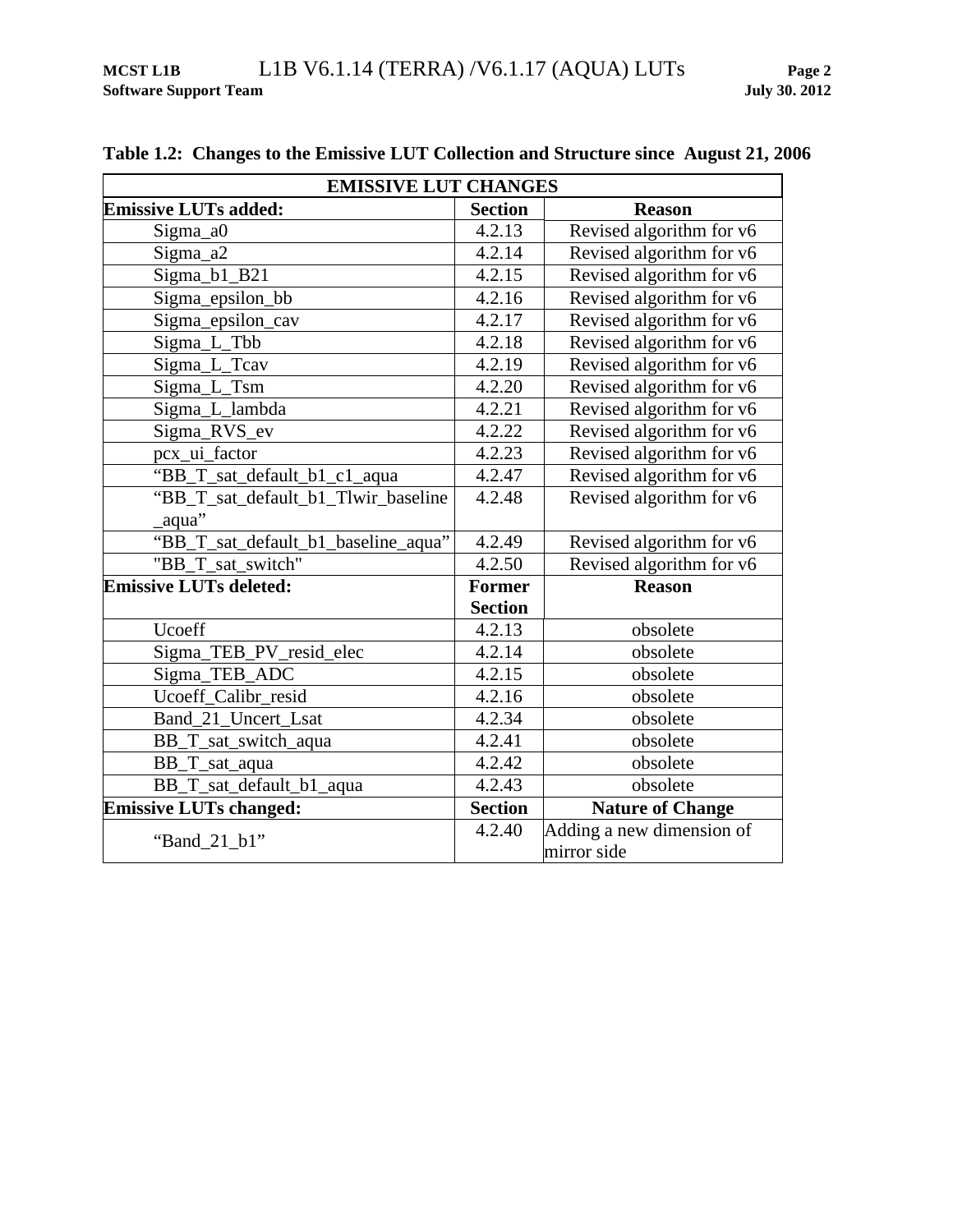| <b>EMISSIVE LUT CHANGES</b>         |                |                           |  |
|-------------------------------------|----------------|---------------------------|--|
| <b>Emissive LUTs added:</b>         | <b>Section</b> | <b>Reason</b>             |  |
| Sigma_a0                            | 4.2.13         | Revised algorithm for v6  |  |
| Sigma_a2                            | 4.2.14         | Revised algorithm for v6  |  |
| Sigma_b1_B21                        | 4.2.15         | Revised algorithm for v6  |  |
| Sigma_epsilon_bb                    | 4.2.16         | Revised algorithm for v6  |  |
| Sigma_epsilon_cav                   | 4.2.17         | Revised algorithm for v6  |  |
| Sigma_L_Tbb                         | 4.2.18         | Revised algorithm for v6  |  |
| Sigma_L_Tcav                        | 4.2.19         | Revised algorithm for v6  |  |
| Sigma_L_Tsm                         | 4.2.20         | Revised algorithm for v6  |  |
| Sigma_L_lambda                      | 4.2.21         | Revised algorithm for v6  |  |
| Sigma_RVS_ev                        | 4.2.22         | Revised algorithm for v6  |  |
| pcx_ui_factor                       | 4.2.23         | Revised algorithm for v6  |  |
| "BB_T_sat_default_b1_c1_aqua        | 4.2.47         | Revised algorithm for v6  |  |
| "BB_T_sat_default_b1_Tlwir_baseline | 4.2.48         | Revised algorithm for v6  |  |
| aqua"                               |                |                           |  |
| "BB_T_sat_default_b1_baseline_aqua" | 4.2.49         | Revised algorithm for v6  |  |
| "BB_T_sat_switch"                   | 4.2.50         | Revised algorithm for v6  |  |
| <b>Emissive LUTs deleted:</b>       | <b>Former</b>  | <b>Reason</b>             |  |
|                                     | <b>Section</b> |                           |  |
| Ucoeff                              | 4.2.13         | obsolete                  |  |
| Sigma_TEB_PV_resid_elec             | 4.2.14         | obsolete                  |  |
| Sigma_TEB_ADC                       | 4.2.15         | obsolete                  |  |
| Ucoeff_Calibr_resid                 | 4.2.16         | obsolete                  |  |
| Band_21_Uncert_Lsat                 | 4.2.34         | obsolete                  |  |
| BB_T_sat_switch_aqua                | 4.2.41         | obsolete                  |  |
| BB_T_sat_aqua                       | 4.2.42         | obsolete                  |  |
| BB_T_sat_default_b1_aqua            | 4.2.43         | obsolete                  |  |
| <b>Emissive LUTs changed:</b>       | <b>Section</b> | Nature of Change          |  |
| "Band_21_b1"                        | 4.2.40         | Adding a new dimension of |  |
|                                     |                | mirror side               |  |

## <span id="page-7-0"></span>**Table 1.2: Changes to the Emissive LUT Collection and Structure since August 21, 2006**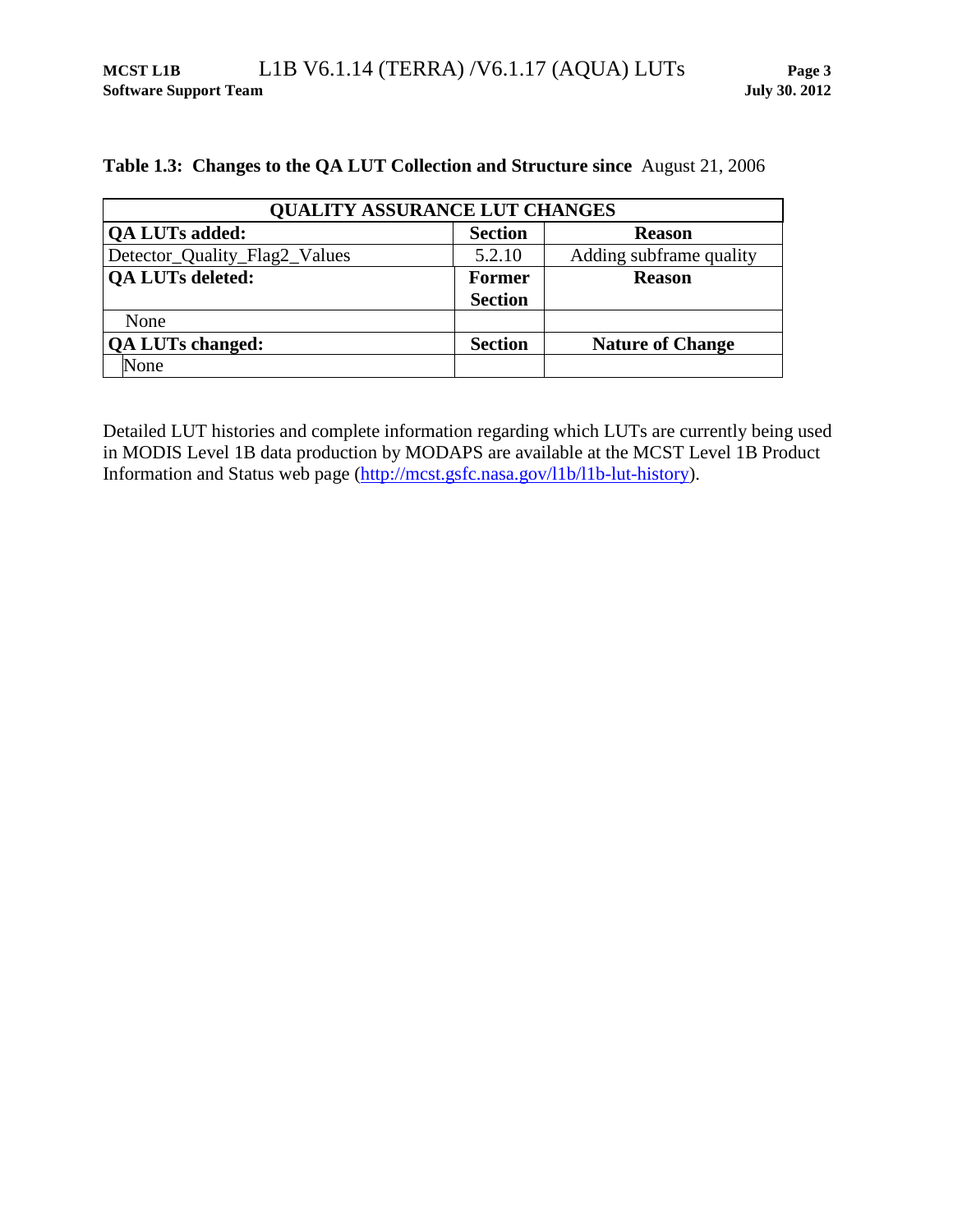<span id="page-8-0"></span>

|  |  |  |  | Table 1.3: Changes to the QA LUT Collection and Structure since August 21, 2006 |  |  |
|--|--|--|--|---------------------------------------------------------------------------------|--|--|
|--|--|--|--|---------------------------------------------------------------------------------|--|--|

| <b>OUALITY ASSURANCE LUT CHANGES</b> |                |                         |  |
|--------------------------------------|----------------|-------------------------|--|
| <b>QA LUTs added:</b>                | <b>Section</b> | <b>Reason</b>           |  |
| Detector_Quality_Flag2_Values        | 5.2.10         | Adding subframe quality |  |
| <b>QA LUTs deleted:</b>              | <b>Former</b>  | <b>Reason</b>           |  |
|                                      | <b>Section</b> |                         |  |
| None                                 |                |                         |  |
| <b>QA LUTs changed:</b>              | <b>Section</b> | <b>Nature of Change</b> |  |
| None                                 |                |                         |  |

Detailed LUT histories and complete information regarding which LUTs are currently being used in MODIS Level 1B data production by MODAPS are available at the MCST Level 1B Product Information and Status web page [\(http://mcst.gsfc.nasa.gov/l1b/l1b-lut-history\)](http://mcst.gsfc.nasa.gov/l1b/l1b-lut-history).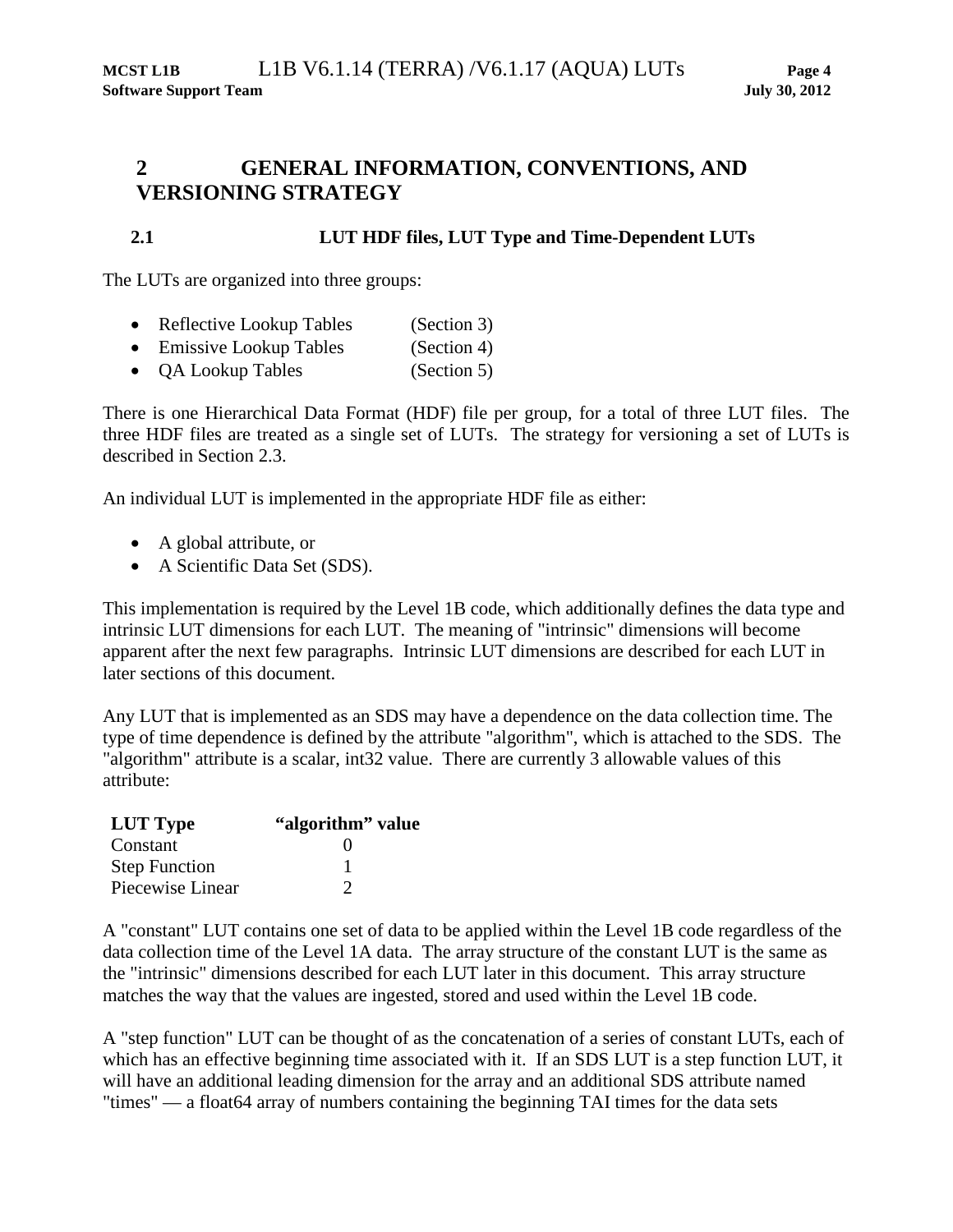## <span id="page-9-0"></span>**2 GENERAL INFORMATION, CONVENTIONS, AND VERSIONING STRATEGY**

#### **2.1 LUT HDF files, LUT Type and Time-Dependent LUTs**

The LUTs are organized into three groups:

- Reflective Lookup Tables (Section [3\)](#page-12-0)
- Emissive Lookup Tables (Section [4\)](#page-33-0)
- QA Lookup Tables (Section [5\)](#page-58-0)

There is one Hierarchical Data Format (HDF) file per group, for a total of three LUT files. The three HDF files are treated as a single set of LUTs. The strategy for versioning a set of LUTs is described in Section [2.3.](#page-11-0)

An individual LUT is implemented in the appropriate HDF file as either:

- A global attribute, or
- A Scientific Data Set (SDS).

This implementation is required by the Level 1B code, which additionally defines the data type and intrinsic LUT dimensions for each LUT. The meaning of "intrinsic" dimensions will become apparent after the next few paragraphs. Intrinsic LUT dimensions are described for each LUT in later sections of this document.

Any LUT that is implemented as an SDS may have a dependence on the data collection time. The type of time dependence is defined by the attribute "algorithm", which is attached to the SDS. The "algorithm" attribute is a scalar, int32 value. There are currently 3 allowable values of this attribute:

| <b>LUT</b> Type      | "algorithm" value |
|----------------------|-------------------|
| Constant             |                   |
| <b>Step Function</b> |                   |
| Piecewise Linear     |                   |

A "constant" LUT contains one set of data to be applied within the Level 1B code regardless of the data collection time of the Level 1A data. The array structure of the constant LUT is the same as the "intrinsic" dimensions described for each LUT later in this document. This array structure matches the way that the values are ingested, stored and used within the Level 1B code.

A "step function" LUT can be thought of as the concatenation of a series of constant LUTs, each of which has an effective beginning time associated with it. If an SDS LUT is a step function LUT, it will have an additional leading dimension for the array and an additional SDS attribute named "times" — a float64 array of numbers containing the beginning TAI times for the data sets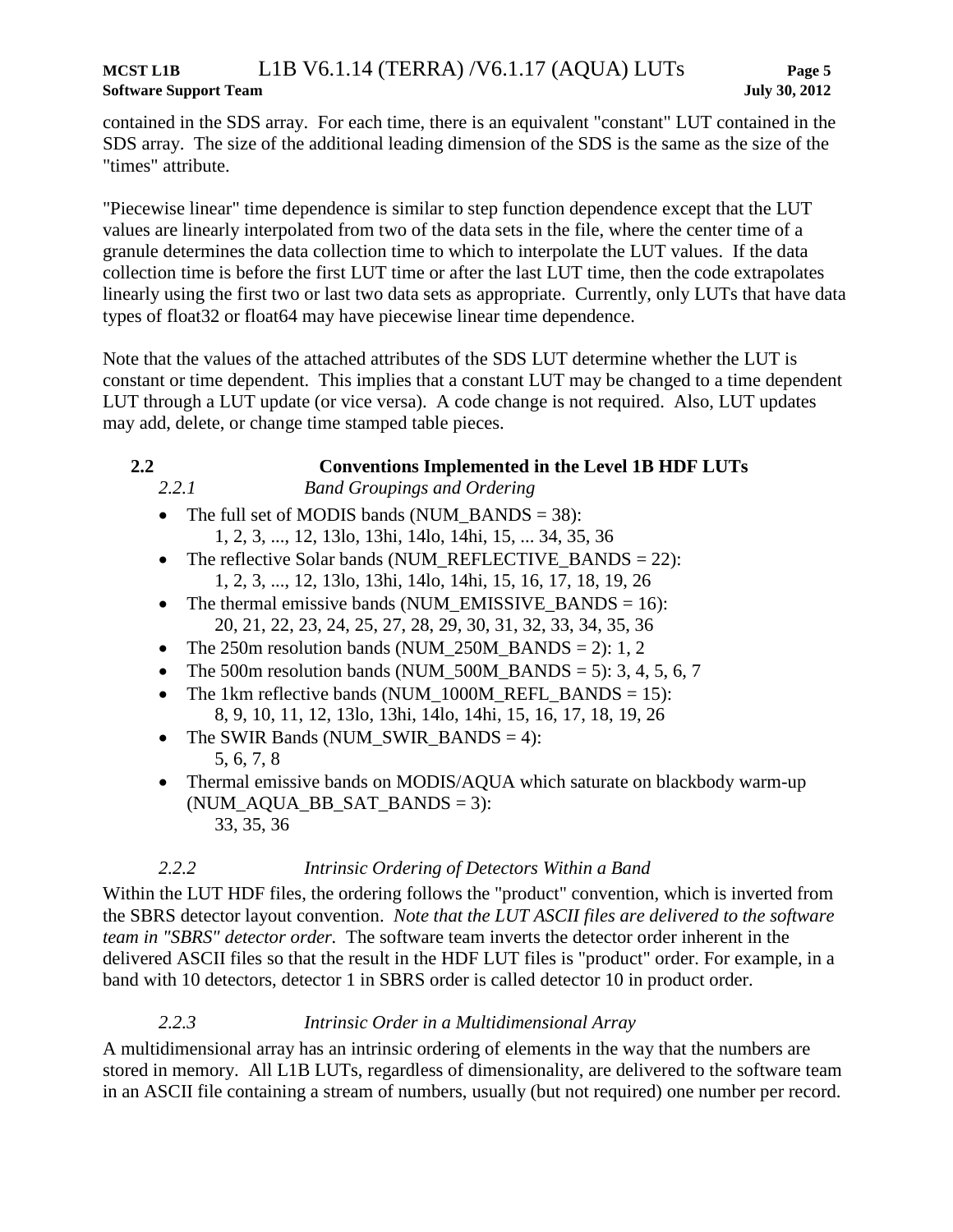contained in the SDS array. For each time, there is an equivalent "constant" LUT contained in the SDS array. The size of the additional leading dimension of the SDS is the same as the size of the "times" attribute.

"Piecewise linear" time dependence is similar to step function dependence except that the LUT values are linearly interpolated from two of the data sets in the file, where the center time of a granule determines the data collection time to which to interpolate the LUT values. If the data collection time is before the first LUT time or after the last LUT time, then the code extrapolates linearly using the first two or last two data sets as appropriate. Currently, only LUTs that have data types of float32 or float64 may have piecewise linear time dependence.

Note that the values of the attached attributes of the SDS LUT determine whether the LUT is constant or time dependent. This implies that a constant LUT may be changed to a time dependent LUT through a LUT update (or vice versa). A code change is not required. Also, LUT updates may add, delete, or change time stamped table pieces.

#### **2.2 Conventions Implemented in the Level 1B HDF LUTs**

- *2.2.1 Band Groupings and Ordering*
- The full set of MODIS bands (NUM\_BANDS = 38): 1, 2, 3, ..., 12, 13lo, 13hi, 14lo, 14hi, 15, ... 34, 35, 36
- The reflective Solar bands (NUM\_REFLECTIVE\_BANDS = 22): 1, 2, 3, ..., 12, 13lo, 13hi, 14lo, 14hi, 15, 16, 17, 18, 19, 26
- The thermal emissive bands (NUM\_EMISSIVE\_BANDS =  $16$ ): 20, 21, 22, 23, 24, 25, 27, 28, 29, 30, 31, 32, 33, 34, 35, 36
- The 250m resolution bands (NUM\_250M\_BANDS = 2): 1, 2
- The 500m resolution bands (NUM\_500M\_BANDS = 5): 3, 4, 5, 6, 7
- The 1km reflective bands (NUM\_1000M\_REFL\_BANDS = 15): 8, 9, 10, 11, 12, 13lo, 13hi, 14lo, 14hi, 15, 16, 17, 18, 19, 26
- The SWIR Bands (NUM\_SWIR\_BANDS = 4): 5, 6, 7, 8
- Thermal emissive bands on MODIS/AQUA which saturate on blackbody warm-up  $(NUM_AQUA_BB_SAT_BANDS = 3):$ 33, 35, 36

#### *2.2.2 Intrinsic Ordering of Detectors Within a Band*

Within the LUT HDF files, the ordering follows the "product" convention, which is inverted from the SBRS detector layout convention. *Note that the LUT ASCII files are delivered to the software team in "SBRS" detector order.* The software team inverts the detector order inherent in the delivered ASCII files so that the result in the HDF LUT files is "product" order. For example, in a band with 10 detectors, detector 1 in SBRS order is called detector 10 in product order.

## *2.2.3 Intrinsic Order in a Multidimensional Array*

A multidimensional array has an intrinsic ordering of elements in the way that the numbers are stored in memory. All L1B LUTs, regardless of dimensionality, are delivered to the software team in an ASCII file containing a stream of numbers, usually (but not required) one number per record.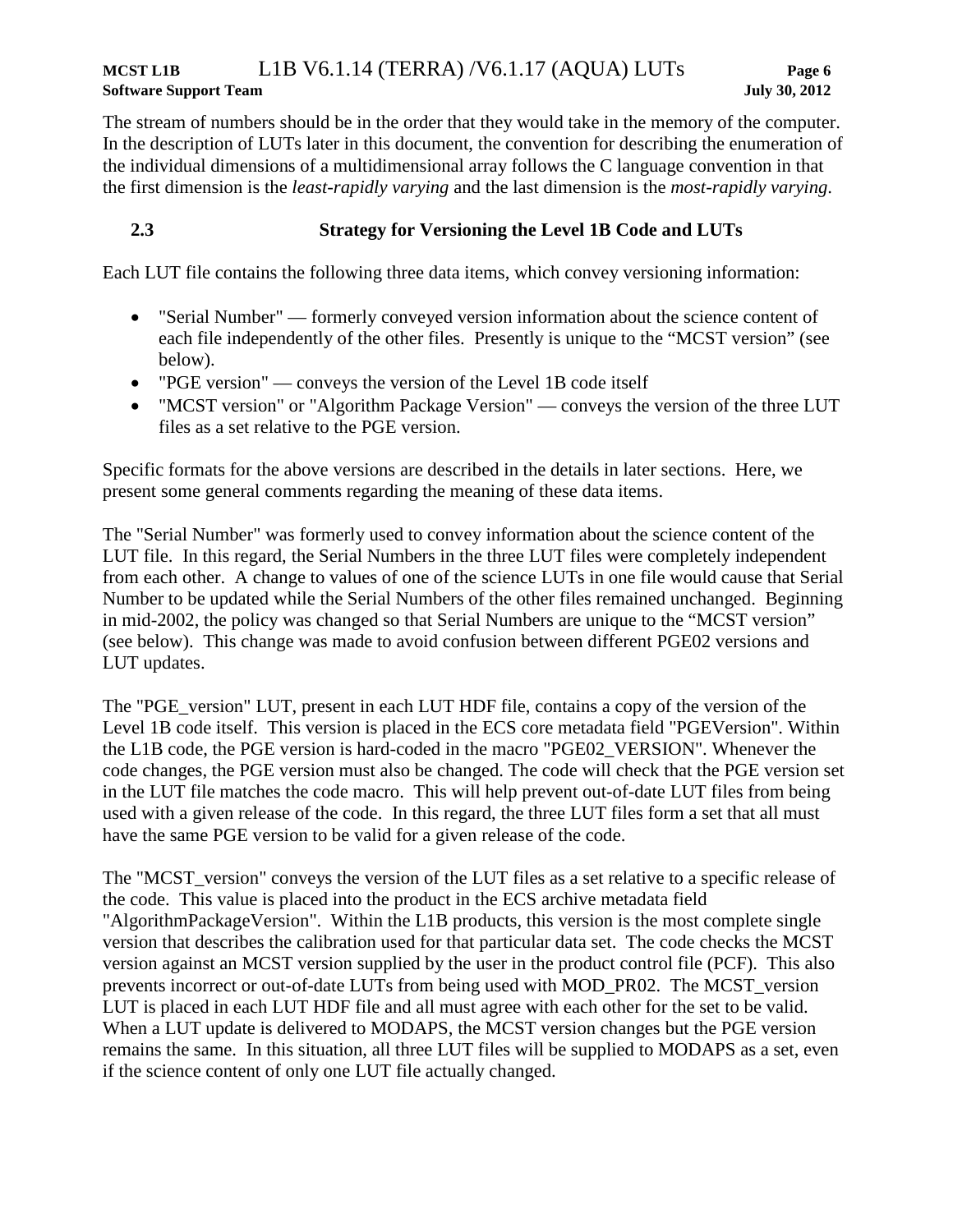## **MCST L1B** L1B V6.1.14 (TERRA) /V6.1.17 (AQUA) LUTs **Page 6 Software Support Team July 30, 2012**

The stream of numbers should be in the order that they would take in the memory of the computer. In the description of LUTs later in this document, the convention for describing the enumeration of the individual dimensions of a multidimensional array follows the C language convention in that the first dimension is the *least-rapidly varying* and the last dimension is the *most-rapidly varying*.

## <span id="page-11-0"></span>**2.3 Strategy for Versioning the Level 1B Code and LUTs**

Each LUT file contains the following three data items, which convey versioning information:

- "Serial Number" formerly conveyed version information about the science content of each file independently of the other files. Presently is unique to the "MCST version" (see below).
- "PGE version" conveys the version of the Level 1B code itself
- "MCST version" or "Algorithm Package Version" conveys the version of the three LUT files as a set relative to the PGE version.

Specific formats for the above versions are described in the details in later sections. Here, we present some general comments regarding the meaning of these data items.

The "Serial Number" was formerly used to convey information about the science content of the LUT file. In this regard, the Serial Numbers in the three LUT files were completely independent from each other. A change to values of one of the science LUTs in one file would cause that Serial Number to be updated while the Serial Numbers of the other files remained unchanged. Beginning in mid-2002, the policy was changed so that Serial Numbers are unique to the "MCST version" (see below). This change was made to avoid confusion between different PGE02 versions and LUT updates.

The "PGE\_version" LUT, present in each LUT HDF file, contains a copy of the version of the Level 1B code itself. This version is placed in the ECS core metadata field "PGEVersion". Within the L1B code, the PGE version is hard-coded in the macro "PGE02\_VERSION". Whenever the code changes, the PGE version must also be changed. The code will check that the PGE version set in the LUT file matches the code macro. This will help prevent out-of-date LUT files from being used with a given release of the code. In this regard, the three LUT files form a set that all must have the same PGE version to be valid for a given release of the code.

The "MCST version" conveys the version of the LUT files as a set relative to a specific release of the code. This value is placed into the product in the ECS archive metadata field "AlgorithmPackageVersion". Within the L1B products, this version is the most complete single version that describes the calibration used for that particular data set. The code checks the MCST version against an MCST version supplied by the user in the product control file (PCF). This also prevents incorrect or out-of-date LUTs from being used with MOD\_PR02. The MCST\_version LUT is placed in each LUT HDF file and all must agree with each other for the set to be valid. When a LUT update is delivered to MODAPS, the MCST version changes but the PGE version remains the same. In this situation, all three LUT files will be supplied to MODAPS as a set, even if the science content of only one LUT file actually changed.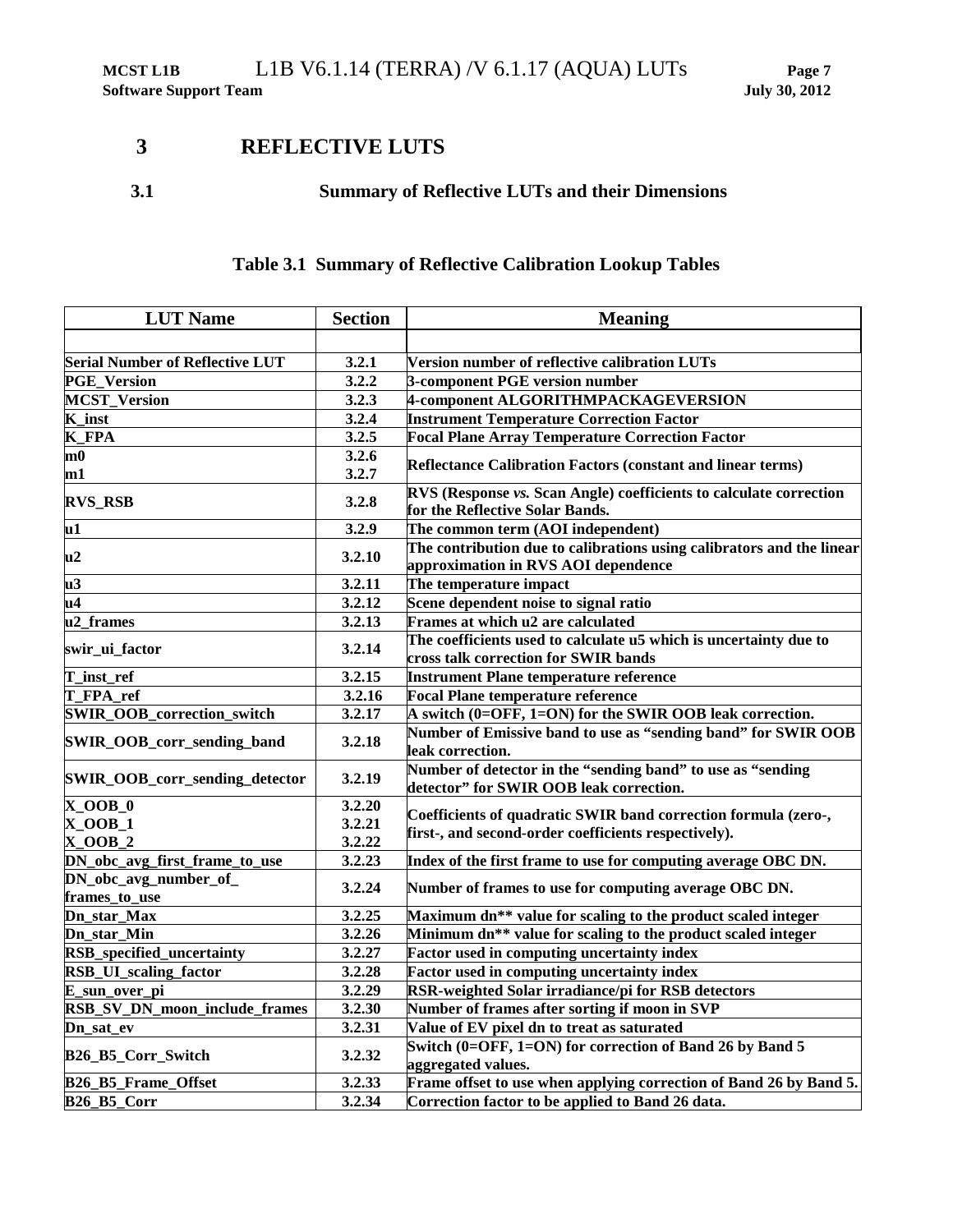## <span id="page-12-0"></span>**3 REFLECTIVE LUTS**

## **3.1 Summary of Reflective LUTs and their Dimensions**

## **Table 3.1 Summary of Reflective Calibration Lookup Tables**

| <b>LUT Name</b>                        | <b>Section</b> | <b>Meaning</b>                                                                                               |
|----------------------------------------|----------------|--------------------------------------------------------------------------------------------------------------|
|                                        |                |                                                                                                              |
| <b>Serial Number of Reflective LUT</b> | 3.2.1          | Version number of reflective calibration LUTs                                                                |
| <b>PGE_Version</b>                     | 3.2.2          | 3-component PGE version number                                                                               |
| <b>MCST Version</b>                    | 3.2.3          | 4-component ALGORITHMPACKAGEVERSION                                                                          |
| K_inst                                 | 3.2.4          | <b>Instrument Temperature Correction Factor</b>                                                              |
| <b>K_FPA</b>                           | 3.2.5          | <b>Focal Plane Array Temperature Correction Factor</b>                                                       |
| m0                                     | 3.2.6          |                                                                                                              |
| m1                                     | 3.2.7          | <b>Reflectance Calibration Factors (constant and linear terms)</b>                                           |
| <b>RVS_RSB</b>                         | 3.2.8          | RVS (Response vs. Scan Angle) coefficients to calculate correction<br>for the Reflective Solar Bands.        |
| $\overline{u1}$                        | 3.2.9          | The common term (AOI independent)                                                                            |
| u2                                     | 3.2.10         | The contribution due to calibrations using calibrators and the linear<br>approximation in RVS AOI dependence |
| u <sub>3</sub>                         | 3.2.11         | The temperature impact                                                                                       |
| u4                                     | 3.2.12         | Scene dependent noise to signal ratio                                                                        |
| u2_frames                              | 3.2.13         | Frames at which u2 are calculated                                                                            |
| swir_ui_factor                         | 3.2.14         | The coefficients used to calculate u5 which is uncertainty due to<br>cross talk correction for SWIR bands    |
| T_inst_ref                             | 3.2.15         | <b>Instrument Plane temperature reference</b>                                                                |
| T_FPA_ref                              | 3.2.16         | <b>Focal Plane temperature reference</b>                                                                     |
| <b>SWIR_OOB_correction_switch</b>      | 3.2.17         | A switch (0=OFF, 1=ON) for the SWIR OOB leak correction.                                                     |
| SWIR_OOB_corr_sending_band             | 3.2.18         | Number of Emissive band to use as "sending band" for SWIR OOB<br>leak correction.                            |
| SWIR_OOB_corr_sending_detector         | 3.2.19         | Number of detector in the "sending band" to use as "sending<br>detector" for SWIR OOB leak correction.       |
| $X$ _OOB_0                             | 3.2.20         |                                                                                                              |
| $X_0OB_1$                              | 3.2.21         | Coefficients of quadratic SWIR band correction formula (zero-,                                               |
| $X_0OB_2$                              | 3.2.22         | first-, and second-order coefficients respectively).                                                         |
| DN_obc_avg_first_frame_to_use          | 3.2.23         | Index of the first frame to use for computing average OBC DN.                                                |
| DN_obc_avg_number_of_<br>frames_to_use | 3.2.24         | Number of frames to use for computing average OBC DN.                                                        |
| Dn_star_Max                            | 3.2.25         | Maximum dn** value for scaling to the product scaled integer                                                 |
| Dn_star_Min                            | 3.2.26         | Minimum dn** value for scaling to the product scaled integer                                                 |
| RSB_specified_uncertainty              | 3.2.27         | <b>Factor used in computing uncertainty index</b>                                                            |
| RSB_UI_scaling_factor                  | 3.2.28         | <b>Factor used in computing uncertainty index</b>                                                            |
| E_sun_over_pi                          | 3.2.29         | RSR-weighted Solar irradiance/pi for RSB detectors                                                           |
| RSB_SV_DN_moon_include_frames          | 3.2.30         | Number of frames after sorting if moon in SVP                                                                |
| Dn_sat_ev                              | 3.2.31         | Value of EV pixel dn to treat as saturated                                                                   |
| B26_B5_Corr_Switch                     | 3.2.32         | Switch (0=OFF, 1=ON) for correction of Band 26 by Band 5<br>aggregated values.                               |
| B26_B5_Frame_Offset                    | 3.2.33         | Frame offset to use when applying correction of Band 26 by Band 5.                                           |
| <b>B26_B5_Corr</b>                     | 3.2.34         | Correction factor to be applied to Band 26 data.                                                             |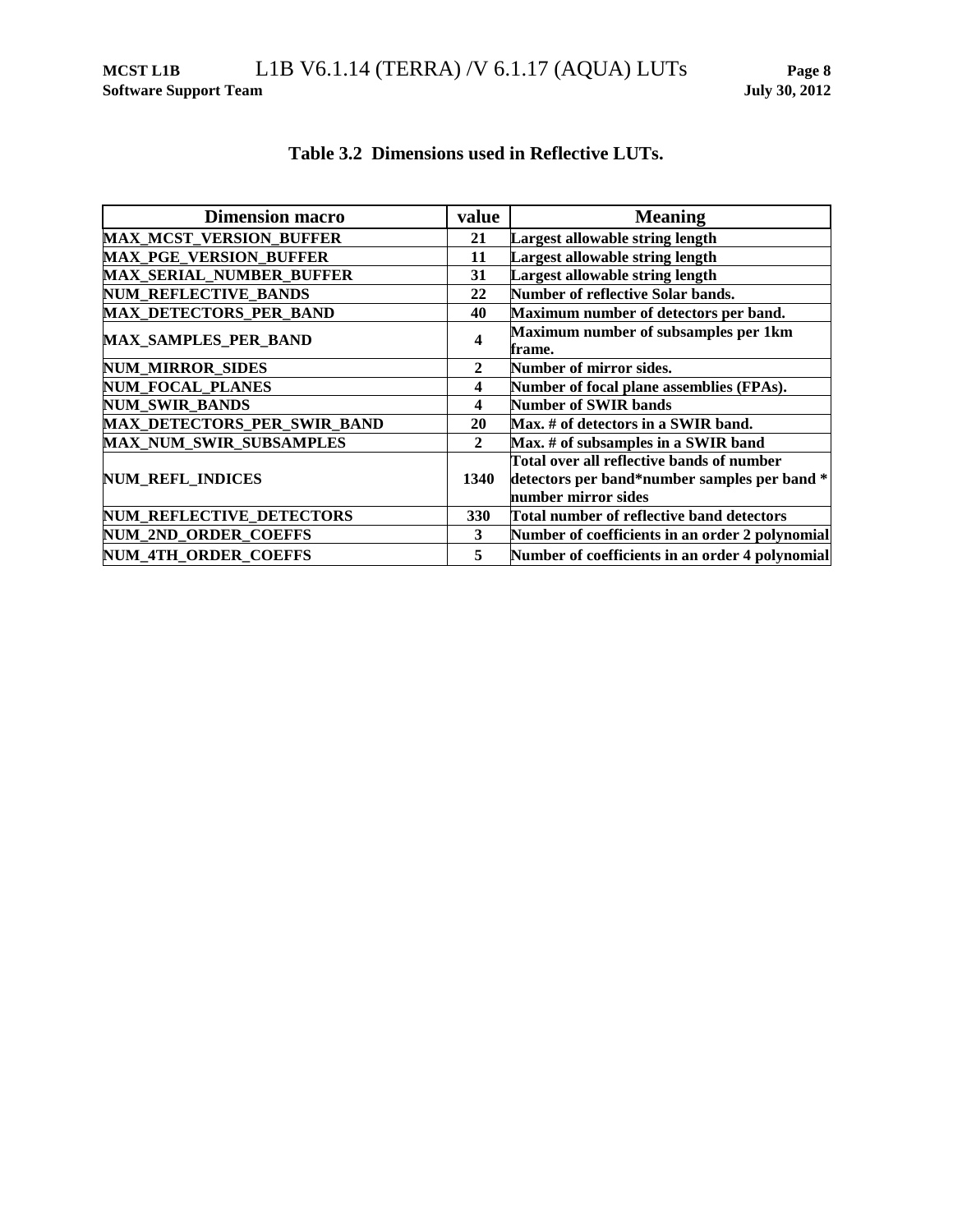| <b>Dimension macro</b>          | value        | <b>Meaning</b>                                  |
|---------------------------------|--------------|-------------------------------------------------|
| <b>MAX_MCST_VERSION_BUFFER</b>  | 21           | <b>Largest allowable string length</b>          |
| <b>MAX PGE VERSION BUFFER</b>   | 11           | Largest allowable string length                 |
| <b>MAX SERIAL NUMBER BUFFER</b> | 31           | Largest allowable string length                 |
| <b>NUM REFLECTIVE BANDS</b>     | 22           | <b>Number of reflective Solar bands.</b>        |
| <b>MAX_DETECTORS_PER_BAND</b>   | 40           | Maximum number of detectors per band.           |
| <b>MAX SAMPLES PER BAND</b>     | 4            | Maximum number of subsamples per 1km            |
|                                 |              | frame.                                          |
| <b>NUM MIRROR SIDES</b>         | $\mathbf{2}$ | Number of mirror sides.                         |
| <b>NUM FOCAL PLANES</b>         | 4            | Number of focal plane assemblies (FPAs).        |
| <b>NUM_SWIR_BANDS</b>           | 4            | <b>Number of SWIR bands</b>                     |
| MAX_DETECTORS_PER_SWIR_BAND     | 20           | Max. # of detectors in a SWIR band.             |
| <b>MAX_NUM_SWIR_SUBSAMPLES</b>  | $\mathbf{2}$ | Max. # of subsamples in a SWIR band             |
|                                 |              | Total over all reflective bands of number       |
| NUM_REFL_INDICES                | 1340         | detectors per band*number samples per band *    |
|                                 |              | number mirror sides                             |
| NUM_REFLECTIVE_DETECTORS        | 330          | Total number of reflective band detectors       |
| NUM_2ND_ORDER_COEFFS            | 3            | Number of coefficients in an order 2 polynomial |
| <b>NUM 4TH ORDER COEFFS</b>     | 5            | Number of coefficients in an order 4 polynomial |

## **Table 3.2 Dimensions used in Reflective LUTs.**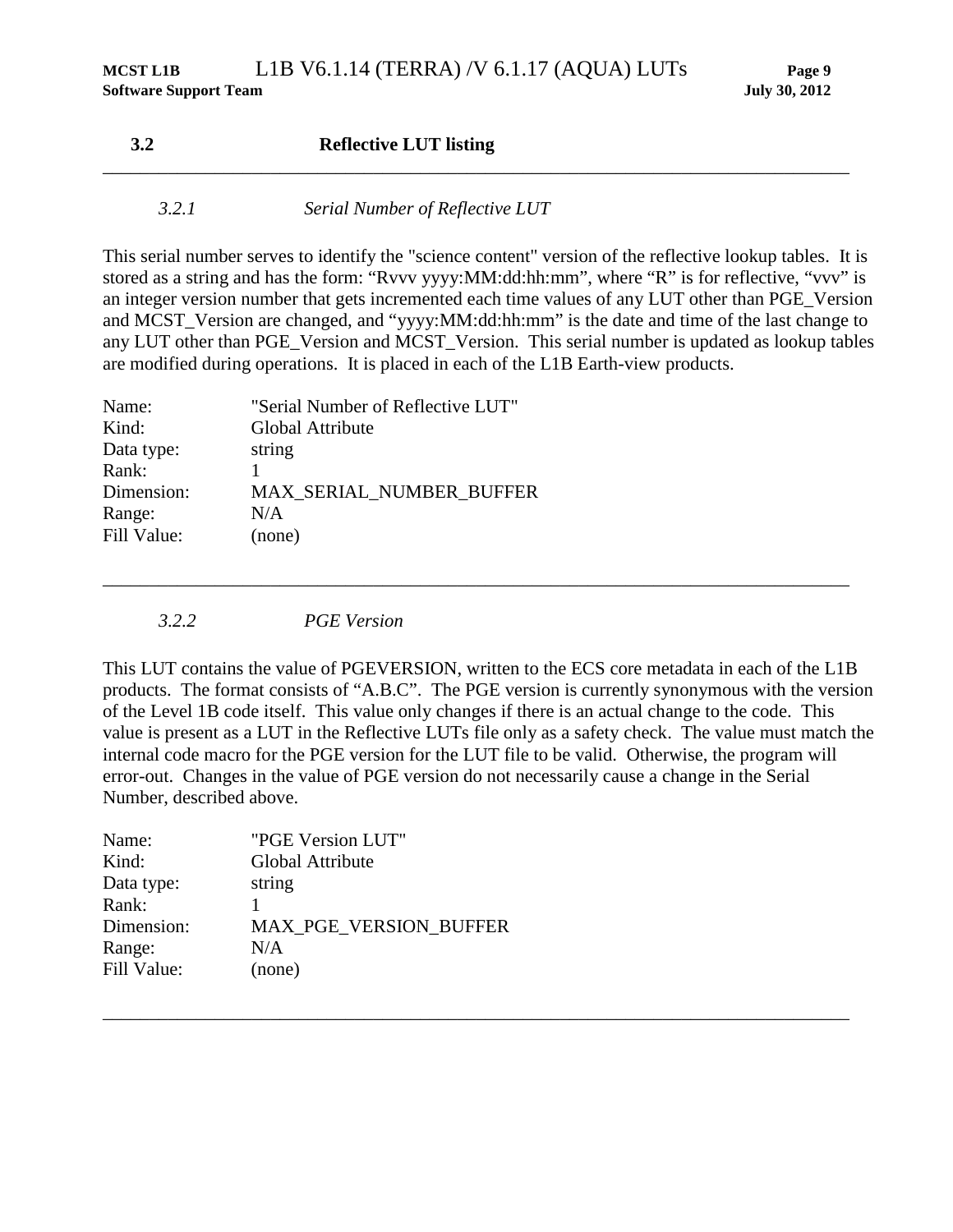#### **3.2 Reflective LUT listing** \_\_\_\_\_\_\_\_\_\_\_\_\_\_\_\_\_\_\_\_\_\_\_\_\_\_\_\_\_\_\_\_\_\_\_\_\_\_\_\_\_\_\_\_\_\_\_\_\_\_\_\_\_\_\_\_\_\_\_\_\_\_\_\_\_\_\_\_\_\_\_\_\_\_\_\_\_\_\_\_

#### *3.2.1 Serial Number of Reflective LUT*

This serial number serves to identify the "science content" version of the reflective lookup tables. It is stored as a string and has the form: "Rvvv yyyy:MM:dd:hh:mm", where "R" is for reflective, "vvv" is an integer version number that gets incremented each time values of any LUT other than PGE\_Version and MCST\_Version are changed, and "yyyy:MM:dd:hh:mm" is the date and time of the last change to any LUT other than PGE\_Version and MCST\_Version. This serial number is updated as lookup tables are modified during operations. It is placed in each of the L1B Earth-view products.

| Name:       | "Serial Number of Reflective LUT" |
|-------------|-----------------------------------|
| Kind:       | Global Attribute                  |
| Data type:  | string                            |
| Rank:       |                                   |
| Dimension:  | <b>MAX SERIAL NUMBER BUFFER</b>   |
| Range:      | N/A                               |
| Fill Value: | (none)                            |
|             |                                   |

*3.2.2 PGE Version*

This LUT contains the value of PGEVERSION, written to the ECS core metadata in each of the L1B products. The format consists of "A.B.C". The PGE version is currently synonymous with the version of the Level 1B code itself. This value only changes if there is an actual change to the code. This value is present as a LUT in the Reflective LUTs file only as a safety check. The value must match the internal code macro for the PGE version for the LUT file to be valid. Otherwise, the program will error-out. Changes in the value of PGE version do not necessarily cause a change in the Serial Number, described above.

\_\_\_\_\_\_\_\_\_\_\_\_\_\_\_\_\_\_\_\_\_\_\_\_\_\_\_\_\_\_\_\_\_\_\_\_\_\_\_\_\_\_\_\_\_\_\_\_\_\_\_\_\_\_\_\_\_\_\_\_\_\_\_\_\_\_\_\_\_\_\_\_\_\_\_\_\_\_\_\_

| "PGE Version LUT"             |
|-------------------------------|
| Global Attribute              |
| string                        |
|                               |
| <b>MAX PGE VERSION BUFFER</b> |
| N/A                           |
| (none)                        |
|                               |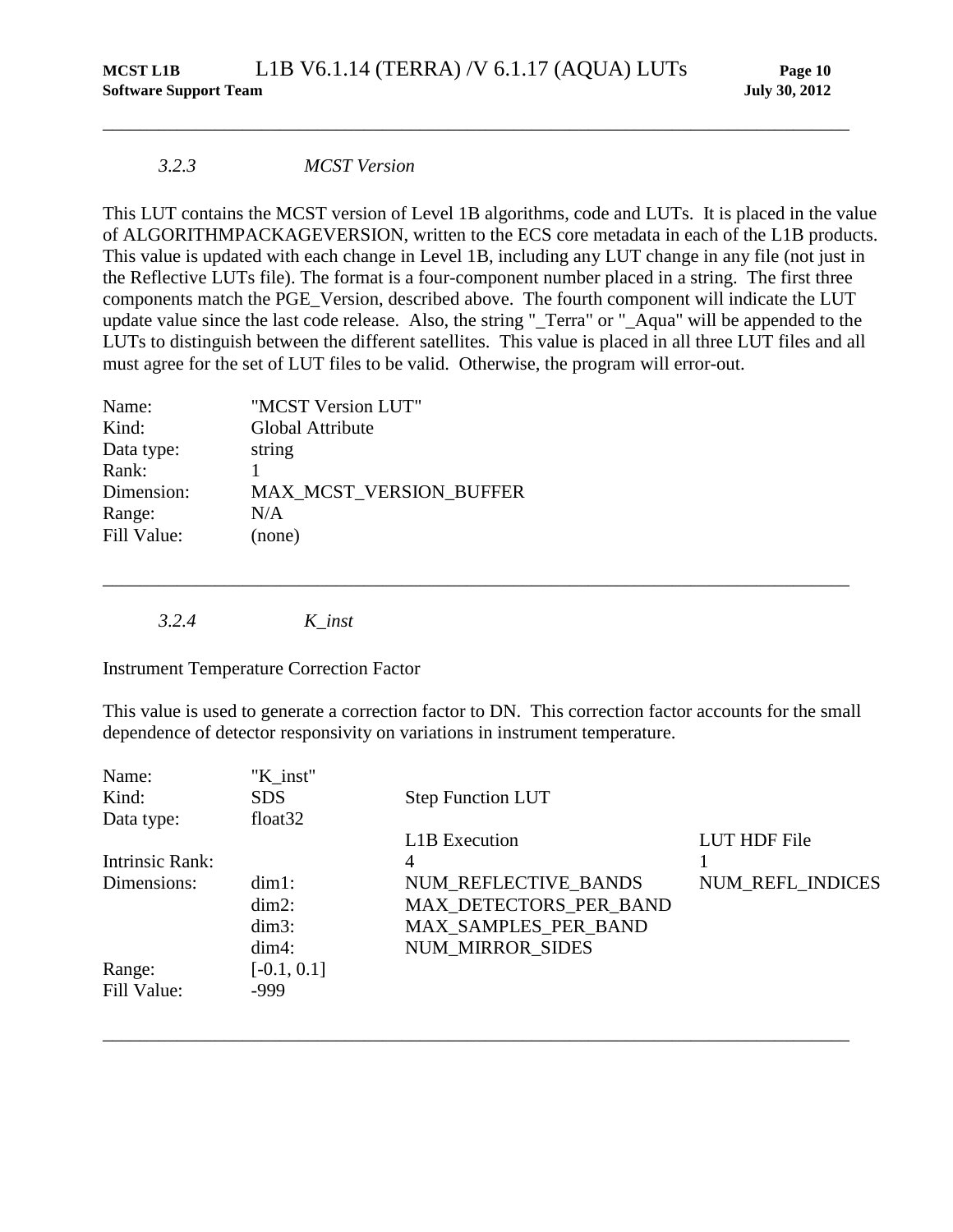#### *3.2.3 MCST Version*

This LUT contains the MCST version of Level 1B algorithms, code and LUTs. It is placed in the value of ALGORITHMPACKAGEVERSION, written to the ECS core metadata in each of the L1B products. This value is updated with each change in Level 1B, including any LUT change in any file (not just in the Reflective LUTs file). The format is a four-component number placed in a string. The first three components match the PGE\_Version, described above. The fourth component will indicate the LUT update value since the last code release. Also, the string "\_Terra" or "\_Aqua" will be appended to the LUTs to distinguish between the different satellites. This value is placed in all three LUT files and all must agree for the set of LUT files to be valid. Otherwise, the program will error-out.

\_\_\_\_\_\_\_\_\_\_\_\_\_\_\_\_\_\_\_\_\_\_\_\_\_\_\_\_\_\_\_\_\_\_\_\_\_\_\_\_\_\_\_\_\_\_\_\_\_\_\_\_\_\_\_\_\_\_\_\_\_\_\_\_\_\_\_\_\_\_\_\_\_\_\_\_\_\_\_\_

| Name:       | "MCST Version LUT"      |
|-------------|-------------------------|
| Kind:       | Global Attribute        |
| Data type:  | string                  |
| Rank:       |                         |
| Dimension:  | MAX MCST VERSION BUFFER |
| Range:      | N/A                     |
| Fill Value: | (none)                  |
|             |                         |

*3.2.4 K\_inst*

Instrument Temperature Correction Factor

This value is used to generate a correction factor to DN. This correction factor accounts for the small dependence of detector responsivity on variations in instrument temperature.

\_\_\_\_\_\_\_\_\_\_\_\_\_\_\_\_\_\_\_\_\_\_\_\_\_\_\_\_\_\_\_\_\_\_\_\_\_\_\_\_\_\_\_\_\_\_\_\_\_\_\_\_\_\_\_\_\_\_\_\_\_\_\_\_\_\_\_\_\_\_\_\_\_\_\_\_\_\_\_\_

| Name:           | "K inst"            |                          |                  |
|-----------------|---------------------|--------------------------|------------------|
| Kind:           | <b>SDS</b>          | <b>Step Function LUT</b> |                  |
| Data type:      | float <sub>32</sub> |                          |                  |
|                 |                     | <b>L1B</b> Execution     | LUT HDF File     |
| Intrinsic Rank: |                     | 4                        |                  |
| Dimensions:     | $dim1$ :            | NUM_REFLECTIVE_BANDS     | NUM_REFL_INDICES |
|                 | $dim2$ :            | MAX_DETECTORS_PER_BAND   |                  |
|                 | $dim3$ :            | MAX_SAMPLES_PER_BAND     |                  |
|                 | $dim4$ :            | <b>NUM MIRROR SIDES</b>  |                  |
| Range:          | $[-0.1, 0.1]$       |                          |                  |
| Fill Value:     | $-999$              |                          |                  |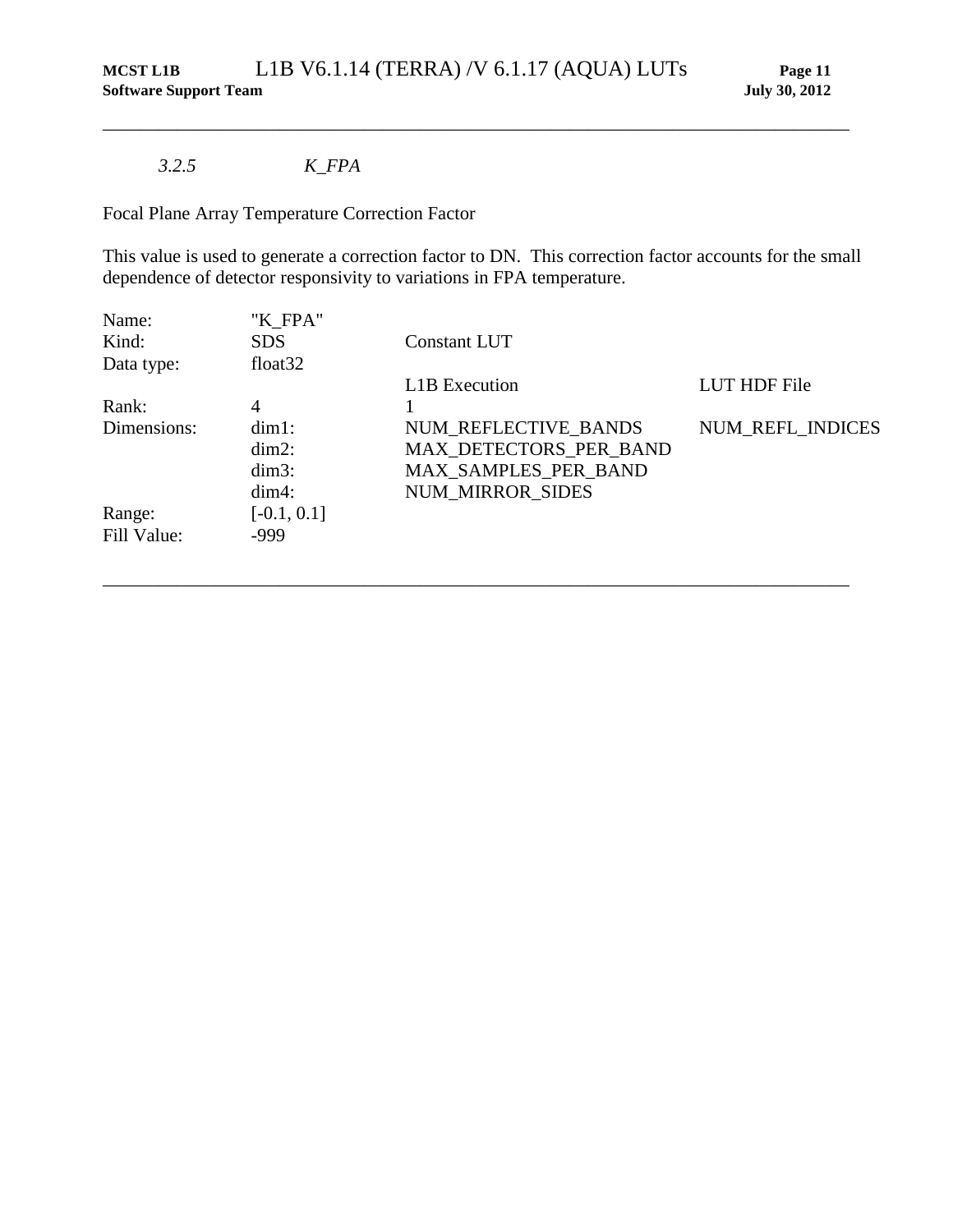## *3.2.5 K\_FPA*

Focal Plane Array Temperature Correction Factor

This value is used to generate a correction factor to DN. This correction factor accounts for the small dependence of detector responsivity to variations in FPA temperature.

\_\_\_\_\_\_\_\_\_\_\_\_\_\_\_\_\_\_\_\_\_\_\_\_\_\_\_\_\_\_\_\_\_\_\_\_\_\_\_\_\_\_\_\_\_\_\_\_\_\_\_\_\_\_\_\_\_\_\_\_\_\_\_\_\_\_\_\_\_\_\_\_\_\_\_\_\_\_\_\_

| "K_FPA"       |                         |                  |
|---------------|-------------------------|------------------|
| <b>SDS</b>    | Constant LUT            |                  |
| float $32$    |                         |                  |
|               | L1B Execution           | LUT HDF File     |
| 4             |                         |                  |
| $dim1$ :      | NUM REFLECTIVE BANDS    | NUM_REFL_INDICES |
| $dim2$ :      | MAX DETECTORS PER BAND  |                  |
| $dim3$ :      | MAX_SAMPLES_PER_BAND    |                  |
| $dim4$ :      | <b>NUM MIRROR SIDES</b> |                  |
| $[-0.1, 0.1]$ |                         |                  |
| $-999$        |                         |                  |
|               |                         |                  |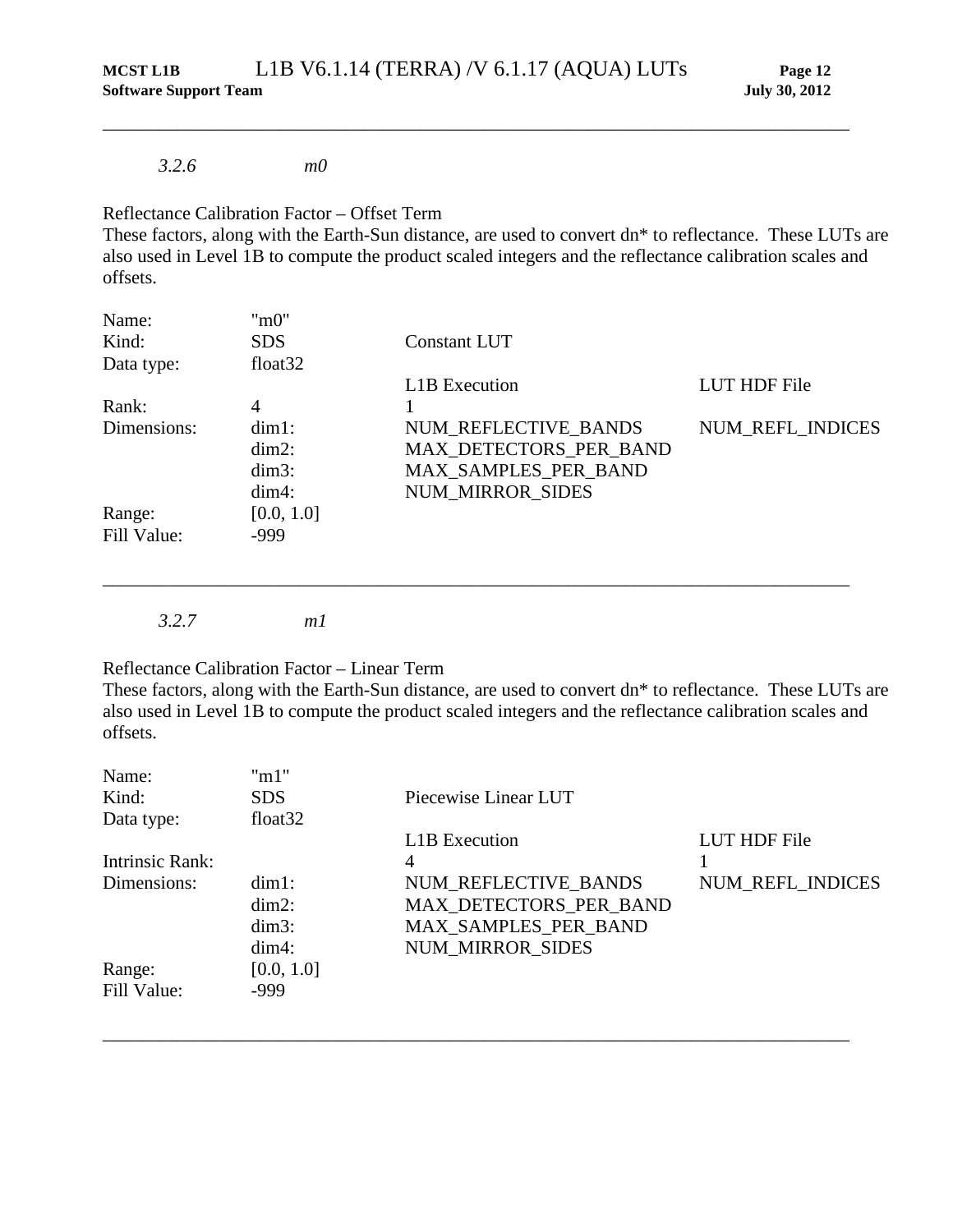#### *3.2.6 m0*

#### Reflectance Calibration Factor – Offset Term

These factors, along with the Earth-Sun distance, are used to convert dn\* to reflectance. These LUTs are also used in Level 1B to compute the product scaled integers and the reflectance calibration scales and offsets.

\_\_\_\_\_\_\_\_\_\_\_\_\_\_\_\_\_\_\_\_\_\_\_\_\_\_\_\_\_\_\_\_\_\_\_\_\_\_\_\_\_\_\_\_\_\_\_\_\_\_\_\_\_\_\_\_\_\_\_\_\_\_\_\_\_\_\_\_\_\_\_\_\_\_\_\_\_\_\_\_

| Name:       | "m0"                |                         |                  |
|-------------|---------------------|-------------------------|------------------|
| Kind:       | <b>SDS</b>          | <b>Constant LUT</b>     |                  |
| Data type:  | float <sub>32</sub> |                         |                  |
|             |                     | <b>L1B</b> Execution    | LUT HDF File     |
| Rank:       | 4                   |                         |                  |
| Dimensions: | $dim1$ :            | NUM_REFLECTIVE_BANDS    | NUM_REFL_INDICES |
|             | $dim2$ :            | MAX_DETECTORS_PER_BAND  |                  |
|             | $dim3$ :            | MAX_SAMPLES_PER_BAND    |                  |
|             | $dim4$ :            | <b>NUM MIRROR SIDES</b> |                  |
| Range:      | [0.0, 1.0]          |                         |                  |
| Fill Value: | $-999$              |                         |                  |

\_\_\_\_\_\_\_\_\_\_\_\_\_\_\_\_\_\_\_\_\_\_\_\_\_\_\_\_\_\_\_\_\_\_\_\_\_\_\_\_\_\_\_\_\_\_\_\_\_\_\_\_\_\_\_\_\_\_\_\_\_\_\_\_\_\_\_\_\_\_\_\_\_\_\_\_\_\_\_\_

*3.2.7 m1*

Reflectance Calibration Factor – Linear Term

These factors, along with the Earth-Sun distance, are used to convert dn\* to reflectance. These LUTs are also used in Level 1B to compute the product scaled integers and the reflectance calibration scales and offsets.

| Name:           | "m1"                |                         |                  |
|-----------------|---------------------|-------------------------|------------------|
| Kind:           | <b>SDS</b>          | Piecewise Linear LUT    |                  |
| Data type:      | float <sub>32</sub> |                         |                  |
|                 |                     | <b>L1B</b> Execution    | LUT HDF File     |
| Intrinsic Rank: |                     | 4                       |                  |
| Dimensions:     | $dim1$ :            | NUM REFLECTIVE BANDS    | NUM_REFL_INDICES |
|                 | $dim2$ :            | MAX DETECTORS PER BAND  |                  |
|                 | $dim3$ :            | MAX_SAMPLES_PER_BAND    |                  |
|                 | $dim4$ :            | <b>NUM MIRROR SIDES</b> |                  |
| Range:          | [0.0, 1.0]          |                         |                  |
| Fill Value:     | $-999$              |                         |                  |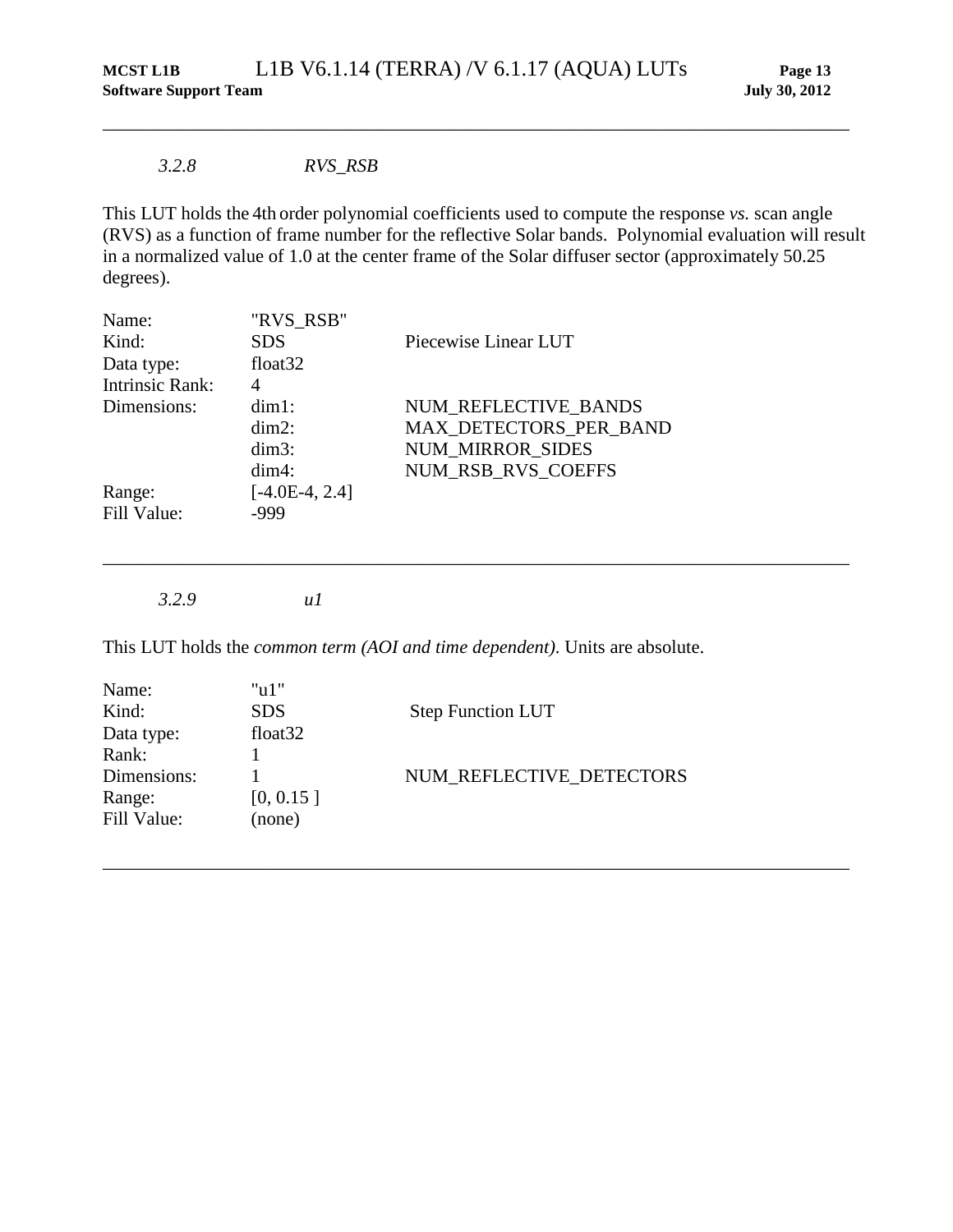#### *3.2.8 RVS\_RSB*

This LUT holds the 4th order polynomial coefficients used to compute the response *vs.* scan angle (RVS) as a function of frame number for the reflective Solar bands. Polynomial evaluation will result in a normalized value of 1.0 at the center frame of the Solar diffuser sector (approximately 50.25 degrees).

\_\_\_\_\_\_\_\_\_\_\_\_\_\_\_\_\_\_\_\_\_\_\_\_\_\_\_\_\_\_\_\_\_\_\_\_\_\_\_\_\_\_\_\_\_\_\_\_\_\_\_\_\_\_\_\_\_\_\_\_\_\_\_\_\_\_\_\_\_\_\_\_\_\_\_\_\_\_\_\_

\_\_\_\_\_\_\_\_\_\_\_\_\_\_\_\_\_\_\_\_\_\_\_\_\_\_\_\_\_\_\_\_\_\_\_\_\_\_\_\_\_\_\_\_\_\_\_\_\_\_\_\_\_\_\_\_\_\_\_\_\_\_\_\_\_\_\_\_\_\_\_\_\_\_\_\_\_\_\_\_

\_\_\_\_\_\_\_\_\_\_\_\_\_\_\_\_\_\_\_\_\_\_\_\_\_\_\_\_\_\_\_\_\_\_\_\_\_\_\_\_\_\_\_\_\_\_\_\_\_\_\_\_\_\_\_\_\_\_\_\_\_\_\_\_\_\_\_\_\_\_\_\_\_\_\_\_\_\_\_\_

| Name:                  | "RVS_RSB"           |                         |
|------------------------|---------------------|-------------------------|
| Kind:                  | <b>SDS</b>          | Piecewise Linear LUT    |
| Data type:             | float <sub>32</sub> |                         |
| <b>Intrinsic Rank:</b> |                     |                         |
| Dimensions:            | $dim1$ :            | NUM REFLECTIVE BANDS    |
|                        | $dim2$ :            | MAX DETECTORS_PER_BAND  |
|                        | $dim3$ :            | <b>NUM MIRROR SIDES</b> |
|                        | $dim4$ :            | NUM RSB RVS COEFFS      |
| Range:                 | $[-4.0E-4, 2.4]$    |                         |
| Fill Value:            | -999                |                         |

*3.2.9 u1*

This LUT holds the *common term (AOI and time dependent)*. Units are absolute.

| "u1"                |                          |
|---------------------|--------------------------|
| <b>SDS</b>          | <b>Step Function LUT</b> |
| float <sub>32</sub> |                          |
|                     |                          |
|                     | NUM REFLECTIVE DETECTORS |
| [0, 0.15]           |                          |
| (none)              |                          |
|                     |                          |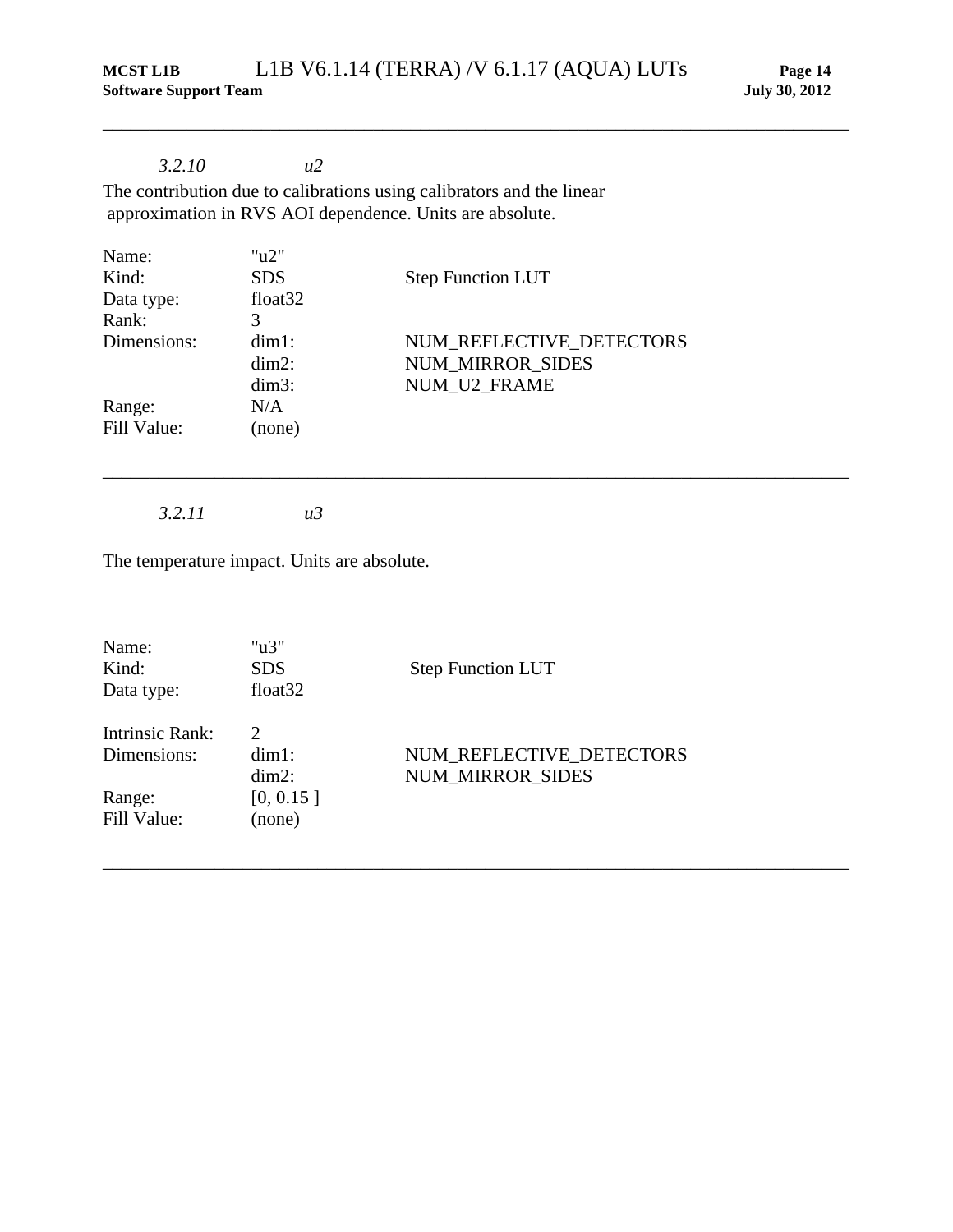\_\_\_\_\_\_\_\_\_\_\_\_\_\_\_\_\_\_\_\_\_\_\_\_\_\_\_\_\_\_\_\_\_\_\_\_\_\_\_\_\_\_\_\_\_\_\_\_\_\_\_\_\_\_\_\_\_\_\_\_\_\_\_\_\_\_\_\_\_\_\_\_\_\_\_\_\_\_\_\_

\_\_\_\_\_\_\_\_\_\_\_\_\_\_\_\_\_\_\_\_\_\_\_\_\_\_\_\_\_\_\_\_\_\_\_\_\_\_\_\_\_\_\_\_\_\_\_\_\_\_\_\_\_\_\_\_\_\_\_\_\_\_\_\_\_\_\_\_\_\_\_\_\_\_\_\_\_\_\_\_

\_\_\_\_\_\_\_\_\_\_\_\_\_\_\_\_\_\_\_\_\_\_\_\_\_\_\_\_\_\_\_\_\_\_\_\_\_\_\_\_\_\_\_\_\_\_\_\_\_\_\_\_\_\_\_\_\_\_\_\_\_\_\_\_\_\_\_\_\_\_\_\_\_\_\_\_\_\_\_\_

## *3.2.10 u2*

The contribution due to calibrations using calibrators and the linear approximation in RVS AOI dependence. Units are absolute.

| " $u2$ "            |                          |
|---------------------|--------------------------|
| <b>SDS</b>          | <b>Step Function LUT</b> |
| float <sub>32</sub> |                          |
| 3                   |                          |
| $dim1$ :            | NUM REFLECTIVE DETECTORS |
| $dim2$ :            | <b>NUM MIRROR SIDES</b>  |
| $dim3$ :            | NUM U2 FRAME             |
| N/A                 |                          |
| (none)              |                          |
|                     |                          |

*3.2.11 u3*

The temperature impact. Units are absolute.

| Name:<br>Kind:<br>Data type:          | " $u3$ "<br><b>SDS</b><br>float <sub>32</sub> | <b>Step Function LUT</b> |
|---------------------------------------|-----------------------------------------------|--------------------------|
| <b>Intrinsic Rank:</b><br>Dimensions: | $\mathcal{D}_{\mathcal{L}}$<br>$dim1$ :       | NUM REFLECTIVE DETECTORS |
|                                       | $dim2$ :<br>[0, 0.15]                         | <b>NUM MIRROR SIDES</b>  |
| Range:<br>Fill Value:                 | (none)                                        |                          |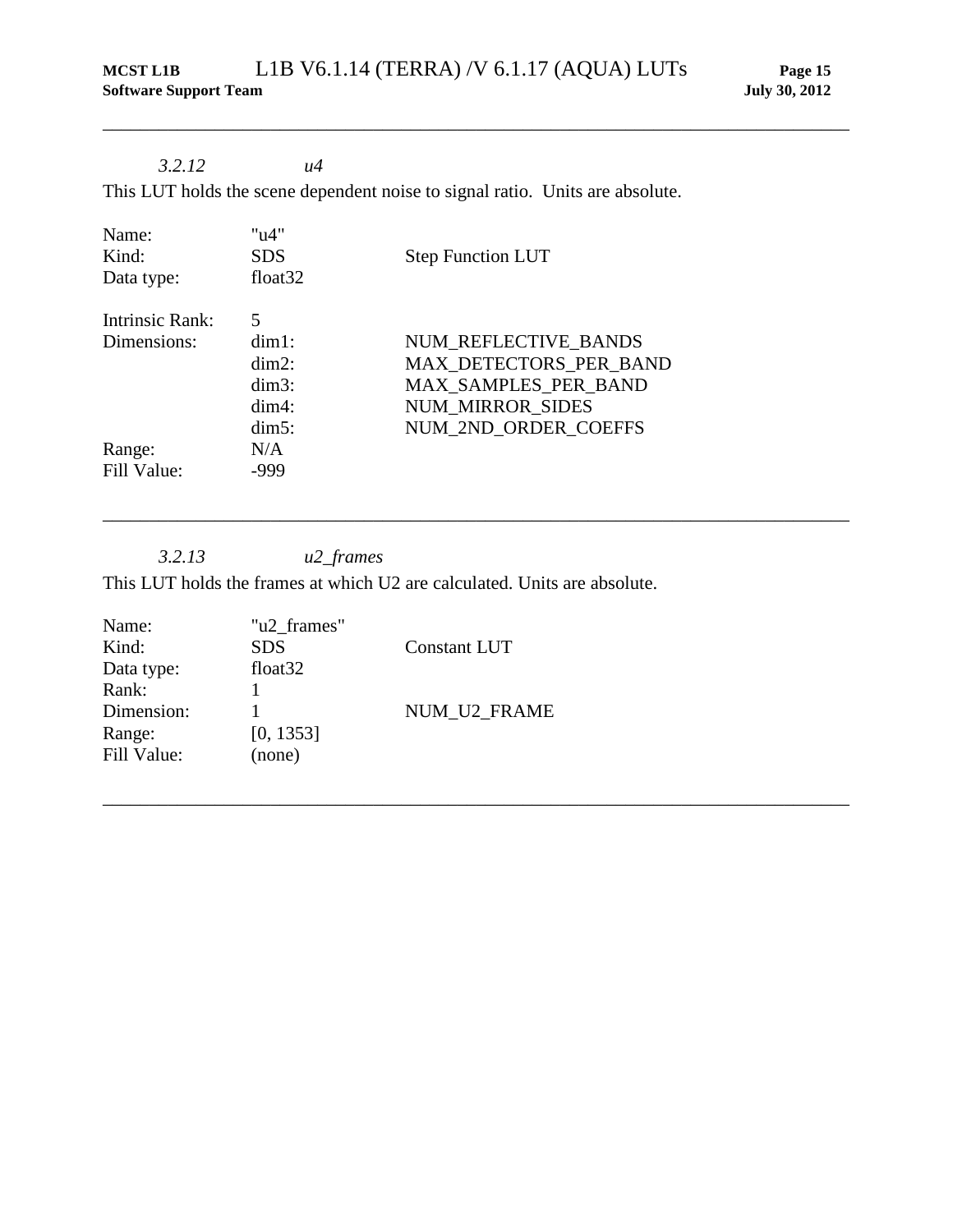\_\_\_\_\_\_\_\_\_\_\_\_\_\_\_\_\_\_\_\_\_\_\_\_\_\_\_\_\_\_\_\_\_\_\_\_\_\_\_\_\_\_\_\_\_\_\_\_\_\_\_\_\_\_\_\_\_\_\_\_\_\_\_\_\_\_\_\_\_\_\_\_\_\_\_\_\_\_\_\_

\_\_\_\_\_\_\_\_\_\_\_\_\_\_\_\_\_\_\_\_\_\_\_\_\_\_\_\_\_\_\_\_\_\_\_\_\_\_\_\_\_\_\_\_\_\_\_\_\_\_\_\_\_\_\_\_\_\_\_\_\_\_\_\_\_\_\_\_\_\_\_\_\_\_\_\_\_\_\_\_

\_\_\_\_\_\_\_\_\_\_\_\_\_\_\_\_\_\_\_\_\_\_\_\_\_\_\_\_\_\_\_\_\_\_\_\_\_\_\_\_\_\_\_\_\_\_\_\_\_\_\_\_\_\_\_\_\_\_\_\_\_\_\_\_\_\_\_\_\_\_\_\_\_\_\_\_\_\_\_\_

## *3.2.12 u4*

This LUT holds the scene dependent noise to signal ratio. Units are absolute.

| Name:<br>Kind:<br>Data type: | "u4"<br><b>SDS</b><br>float $32$ | <b>Step Function LUT</b> |
|------------------------------|----------------------------------|--------------------------|
| <b>Intrinsic Rank:</b>       | 5                                |                          |
| Dimensions:                  | $dim1$ :                         | NUM REFLECTIVE BANDS     |
|                              | $dim2$ :                         | MAX DETECTORS PER BAND   |
|                              | $dim3$ :                         | MAX_SAMPLES_PER_BAND     |
|                              | $dim4$ :                         | <b>NUM MIRROR SIDES</b>  |
|                              | $dim5$ :                         | NUM 2ND ORDER COEFFS     |
| Range:                       | N/A                              |                          |
| Fill Value:                  | -999                             |                          |

*3.2.13 u2\_frames*

This LUT holds the frames at which U2 are calculated. Units are absolute.

| "u2 frames"         |                     |
|---------------------|---------------------|
| <b>SDS</b>          | <b>Constant LUT</b> |
| float <sub>32</sub> |                     |
|                     |                     |
|                     | NUM U2 FRAME        |
| [0, 1353]           |                     |
| (none)              |                     |
|                     |                     |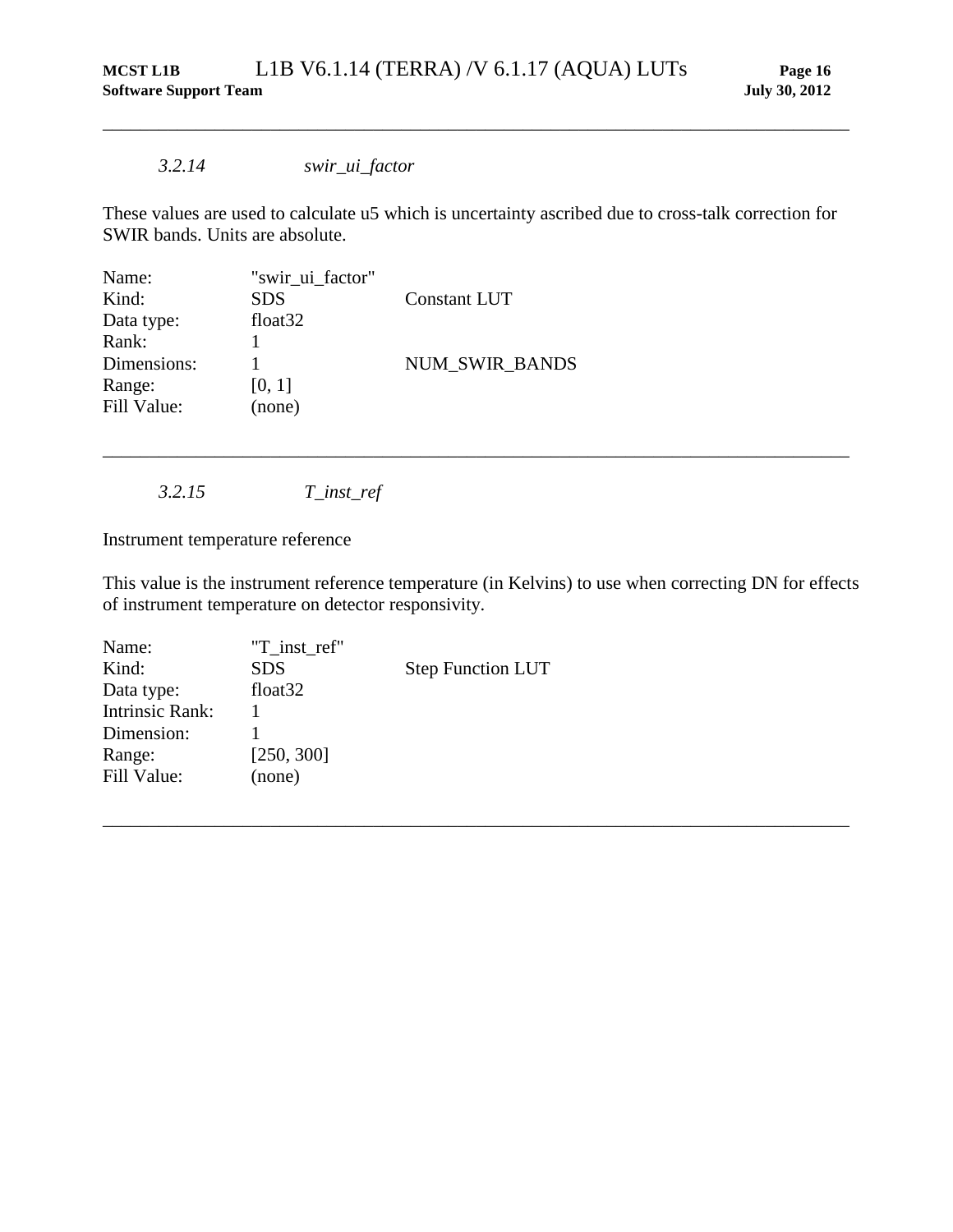#### *3.2.14 swir\_ui\_factor*

These values are used to calculate u5 which is uncertainty ascribed due to cross-talk correction for SWIR bands. Units are absolute.

\_\_\_\_\_\_\_\_\_\_\_\_\_\_\_\_\_\_\_\_\_\_\_\_\_\_\_\_\_\_\_\_\_\_\_\_\_\_\_\_\_\_\_\_\_\_\_\_\_\_\_\_\_\_\_\_\_\_\_\_\_\_\_\_\_\_\_\_\_\_\_\_\_\_\_\_\_\_\_\_

| Name:       | "swir_ui_factor"    |                       |
|-------------|---------------------|-----------------------|
| Kind:       | <b>SDS</b>          | Constant LUT          |
| Data type:  | float <sub>32</sub> |                       |
| Rank:       |                     |                       |
| Dimensions: |                     | <b>NUM SWIR BANDS</b> |
| Range:      | [0, 1]              |                       |
| Fill Value: | (none)              |                       |
|             |                     |                       |

*3.2.15 T\_inst\_ref*

Instrument temperature reference

This value is the instrument reference temperature (in Kelvins) to use when correcting DN for effects of instrument temperature on detector responsivity.

\_\_\_\_\_\_\_\_\_\_\_\_\_\_\_\_\_\_\_\_\_\_\_\_\_\_\_\_\_\_\_\_\_\_\_\_\_\_\_\_\_\_\_\_\_\_\_\_\_\_\_\_\_\_\_\_\_\_\_\_\_\_\_\_\_\_\_\_\_\_\_\_\_\_\_\_\_\_\_\_

| Name:                  | "T_inst_ref"        |                          |
|------------------------|---------------------|--------------------------|
| Kind:                  | <b>SDS</b>          | <b>Step Function LUT</b> |
| Data type:             | float <sub>32</sub> |                          |
| <b>Intrinsic Rank:</b> |                     |                          |
| Dimension:             |                     |                          |
| Range:                 | [250, 300]          |                          |
| Fill Value:            | (none)              |                          |
|                        |                     |                          |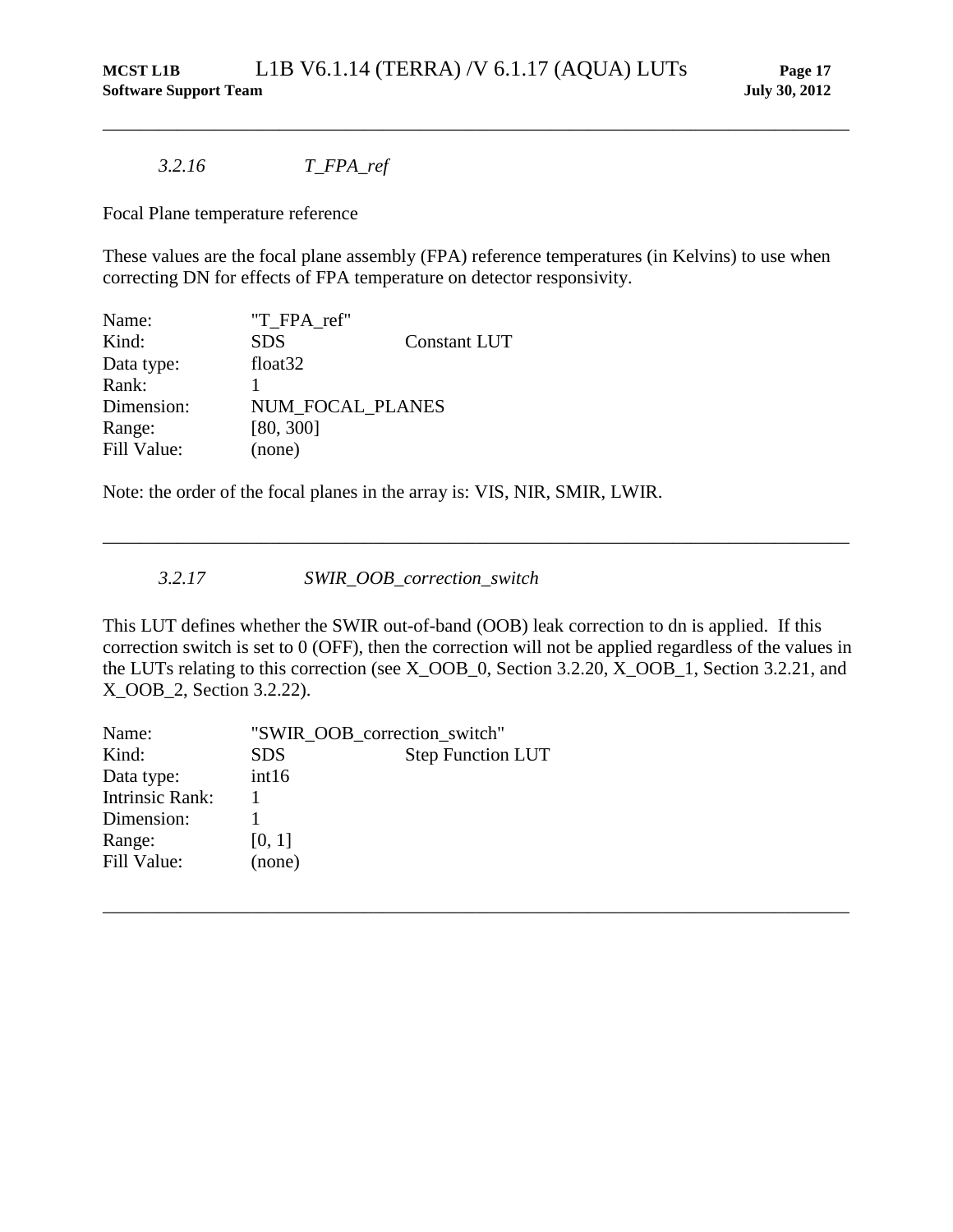#### *3.2.16 T\_FPA\_ref*

Focal Plane temperature reference

These values are the focal plane assembly (FPA) reference temperatures (in Kelvins) to use when correcting DN for effects of FPA temperature on detector responsivity.

\_\_\_\_\_\_\_\_\_\_\_\_\_\_\_\_\_\_\_\_\_\_\_\_\_\_\_\_\_\_\_\_\_\_\_\_\_\_\_\_\_\_\_\_\_\_\_\_\_\_\_\_\_\_\_\_\_\_\_\_\_\_\_\_\_\_\_\_\_\_\_\_\_\_\_\_\_\_\_\_

| Name:       | "T FPA ref"         |                     |
|-------------|---------------------|---------------------|
| Kind:       | <b>SDS</b>          | <b>Constant LUT</b> |
| Data type:  | float <sub>32</sub> |                     |
| Rank:       |                     |                     |
| Dimension:  | NUM FOCAL PLANES    |                     |
| Range:      | [80, 300]           |                     |
| Fill Value: | (none)              |                     |

Note: the order of the focal planes in the array is: VIS, NIR, SMIR, LWIR.

*3.2.17 SWIR\_OOB\_correction\_switch*

This LUT defines whether the SWIR out-of-band (OOB) leak correction to dn is applied. If this correction switch is set to 0 (OFF), then the correction will not be applied regardless of the values in the LUTs relating to this correction (see X\_OOB\_0, Section 3.2.20, X\_OOB\_1, Section 3.2.21, and X\_OOB\_2, Section 3.2.22).

\_\_\_\_\_\_\_\_\_\_\_\_\_\_\_\_\_\_\_\_\_\_\_\_\_\_\_\_\_\_\_\_\_\_\_\_\_\_\_\_\_\_\_\_\_\_\_\_\_\_\_\_\_\_\_\_\_\_\_\_\_\_\_\_\_\_\_\_\_\_\_\_\_\_\_\_\_\_\_\_

| Name:                  | "SWIR OOB_correction_switch" |                          |
|------------------------|------------------------------|--------------------------|
| Kind:                  | <b>SDS</b>                   | <b>Step Function LUT</b> |
| Data type:             | int16                        |                          |
| <b>Intrinsic Rank:</b> |                              |                          |
| Dimension:             |                              |                          |
| Range:                 | [0, 1]                       |                          |
| Fill Value:            | (none)                       |                          |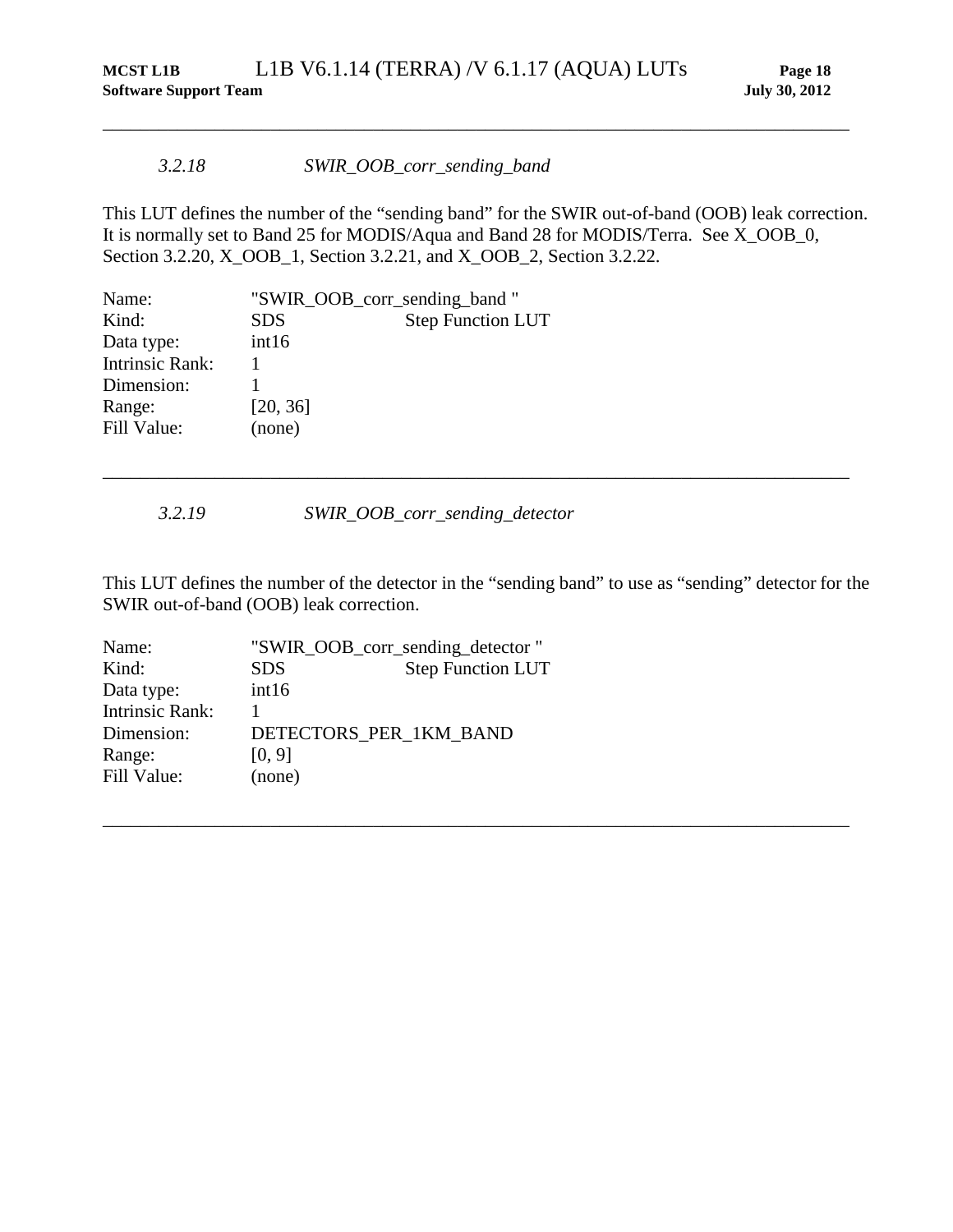#### *3.2.18 SWIR\_OOB\_corr\_sending\_band*

This LUT defines the number of the "sending band" for the SWIR out-of-band (OOB) leak correction. It is normally set to Band 25 for MODIS/Aqua and Band 28 for MODIS/Terra. See X\_OOB\_0, Section 3.2.20, X\_OOB\_1, Section 3.2.21, and X\_OOB\_2, Section 3.2.22.

\_\_\_\_\_\_\_\_\_\_\_\_\_\_\_\_\_\_\_\_\_\_\_\_\_\_\_\_\_\_\_\_\_\_\_\_\_\_\_\_\_\_\_\_\_\_\_\_\_\_\_\_\_\_\_\_\_\_\_\_\_\_\_\_\_\_\_\_\_\_\_\_\_\_\_\_\_\_\_\_

| Name:                  | "SWIR_OOB_corr_sending_band" |                          |
|------------------------|------------------------------|--------------------------|
| Kind:                  | <b>SDS</b>                   | <b>Step Function LUT</b> |
| Data type:             | int16                        |                          |
| <b>Intrinsic Rank:</b> |                              |                          |
| Dimension:             |                              |                          |
| Range:                 | [20, 36]                     |                          |
| Fill Value:            | (none)                       |                          |

*3.2.19 SWIR\_OOB\_corr\_sending\_detector*

This LUT defines the number of the detector in the "sending band" to use as "sending" detector for the SWIR out-of-band (OOB) leak correction.

\_\_\_\_\_\_\_\_\_\_\_\_\_\_\_\_\_\_\_\_\_\_\_\_\_\_\_\_\_\_\_\_\_\_\_\_\_\_\_\_\_\_\_\_\_\_\_\_\_\_\_\_\_\_\_\_\_\_\_\_\_\_\_\_\_\_\_\_\_\_\_\_\_\_\_\_\_\_\_\_

| Name:                  |                        | "SWIR_OOB_corr_sending_detector" |
|------------------------|------------------------|----------------------------------|
| Kind:                  | <b>SDS</b>             | <b>Step Function LUT</b>         |
| Data type:             | int16                  |                                  |
| <b>Intrinsic Rank:</b> |                        |                                  |
| Dimension:             | DETECTORS_PER_1KM_BAND |                                  |
| Range:                 | [0, 9]                 |                                  |
| Fill Value:            | (none)                 |                                  |
|                        |                        |                                  |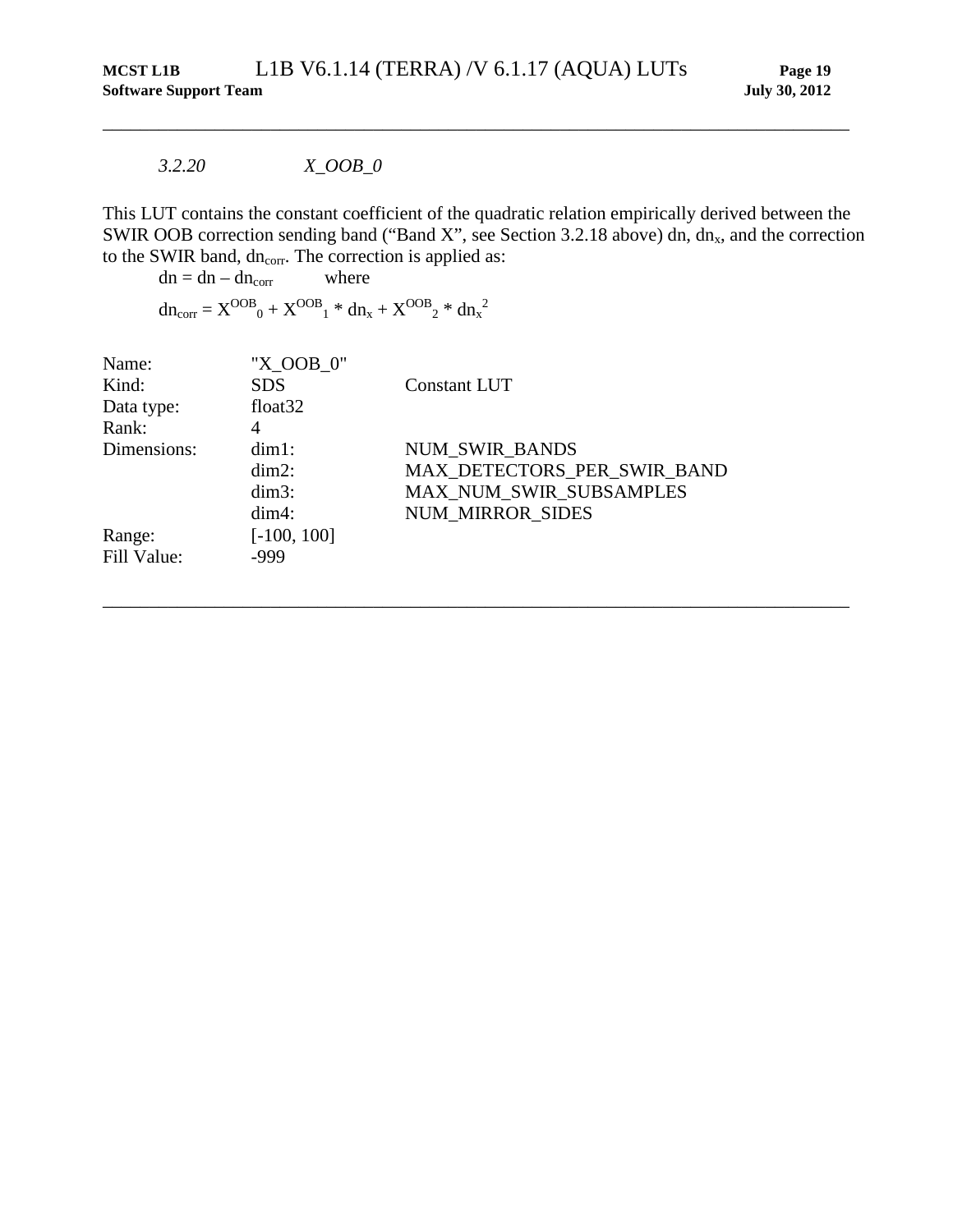*3.2.20 X\_OOB\_0*

This LUT contains the constant coefficient of the quadratic relation empirically derived between the SWIR OOB correction sending band ("Band X", see Section 3.2.18 above) dn,  $dn<sub>x</sub>$ , and the correction to the SWIR band, dn<sub>corr</sub>. The correction is applied as:

\_\_\_\_\_\_\_\_\_\_\_\_\_\_\_\_\_\_\_\_\_\_\_\_\_\_\_\_\_\_\_\_\_\_\_\_\_\_\_\_\_\_\_\_\_\_\_\_\_\_\_\_\_\_\_\_\_\_\_\_\_\_\_\_\_\_\_\_\_\_\_\_\_\_\_\_\_\_\_\_

<span id="page-24-0"></span>\_\_\_\_\_\_\_\_\_\_\_\_\_\_\_\_\_\_\_\_\_\_\_\_\_\_\_\_\_\_\_\_\_\_\_\_\_\_\_\_\_\_\_\_\_\_\_\_\_\_\_\_\_\_\_\_\_\_\_\_\_\_\_\_\_\_\_\_\_\_\_\_\_\_\_\_\_\_\_\_

 $dn = dn - dn_{corr}$  where

 $dn_{corr} = X^{OOB}{}_{0} + X^{OOB}{}_{1} * dn_{x} + X^{OOB}{}_{2} * dn_{x}{}^{2}$ 

| Name:<br>Kind:<br>Data type:<br>Rank: | "X OOB 0"<br><b>SDS</b><br>float <sub>32</sub><br>4 | <b>Constant LUT</b>                                                                                        |
|---------------------------------------|-----------------------------------------------------|------------------------------------------------------------------------------------------------------------|
| Dimensions:                           | $dim1$ :<br>$dim2$ :<br>$dim3$ :<br>$dim4$ :        | <b>NUM SWIR BANDS</b><br>MAX DETECTORS_PER_SWIR_BAND<br>MAX_NUM_SWIR_SUBSAMPLES<br><b>NUM MIRROR SIDES</b> |
| Range:<br>Fill Value:                 | $[-100, 100]$<br>$-999$                             |                                                                                                            |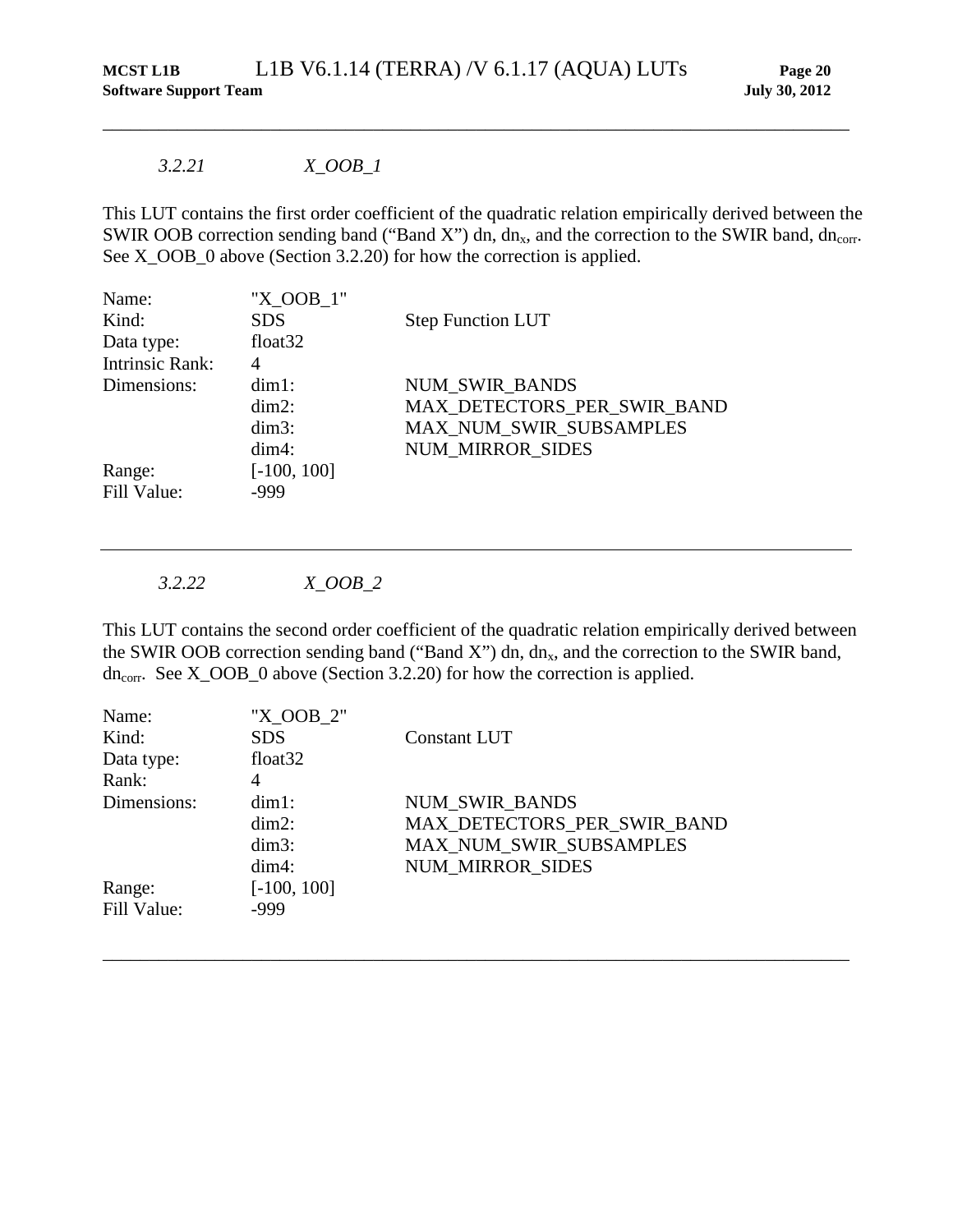## *3.2.21 X\_OOB\_1*

This LUT contains the first order coefficient of the quadratic relation empirically derived between the SWIR OOB correction sending band ("Band X") dn, dn<sub>x</sub>, and the correction to the SWIR band, dn<sub>corr</sub>. See X\_OOB\_0 above (Section [3.2.20\)](#page-24-0) for how the correction is applied.

\_\_\_\_\_\_\_\_\_\_\_\_\_\_\_\_\_\_\_\_\_\_\_\_\_\_\_\_\_\_\_\_\_\_\_\_\_\_\_\_\_\_\_\_\_\_\_\_\_\_\_\_\_\_\_\_\_\_\_\_\_\_\_\_\_\_\_\_\_\_\_\_\_\_\_\_\_\_\_\_

| Name:                  | "X OOB 1"           |                             |
|------------------------|---------------------|-----------------------------|
| Kind:                  | <b>SDS</b>          | <b>Step Function LUT</b>    |
| Data type:             | float <sub>32</sub> |                             |
| <b>Intrinsic Rank:</b> | 4                   |                             |
| Dimensions:            | $dim1$ :            | <b>NUM SWIR BANDS</b>       |
|                        | $dim2$ :            | MAX DETECTORS PER SWIR BAND |
|                        | $dim3$ :            | MAX_NUM_SWIR_SUBSAMPLES     |
|                        | $dim4$ :            | <b>NUM MIRROR SIDES</b>     |
| Range:                 | $[-100, 100]$       |                             |
| Fill Value:            | -999                |                             |

*3.2.22 X\_OOB\_2*

This LUT contains the second order coefficient of the quadratic relation empirically derived between the SWIR OOB correction sending band ("Band X") dn,  $dn<sub>x</sub>$ , and the correction to the SWIR band,  $dn_{\text{corr}}$ . See X\_OOB\_0 above (Section [3.2.20\)](#page-24-0) for how the correction is applied.

| Name:       | "X OOB 2"           |                             |
|-------------|---------------------|-----------------------------|
| Kind:       | <b>SDS</b>          | Constant LUT                |
| Data type:  | float <sub>32</sub> |                             |
| Rank:       | 4                   |                             |
| Dimensions: | $dim1$ :            | <b>NUM SWIR BANDS</b>       |
|             | $dim2$ :            | MAX_DETECTORS_PER_SWIR_BAND |
|             | $dim3$ :            | MAX_NUM_SWIR_SUBSAMPLES     |
|             | $dim4$ :            | <b>NUM MIRROR SIDES</b>     |
| Range:      | $[-100, 100]$       |                             |
| Fill Value: | -999                |                             |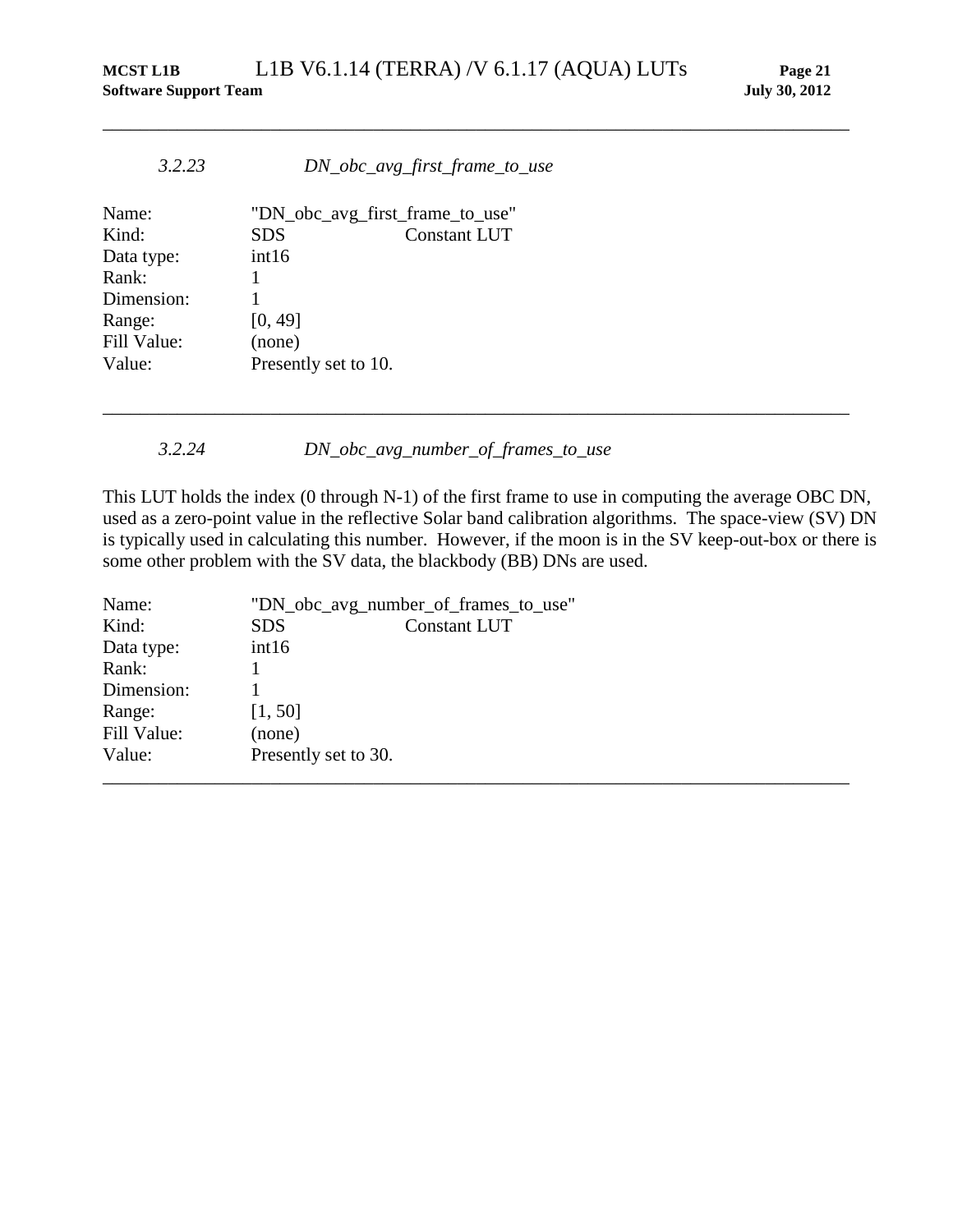\_\_\_\_\_\_\_\_\_\_\_\_\_\_\_\_\_\_\_\_\_\_\_\_\_\_\_\_\_\_\_\_\_\_\_\_\_\_\_\_\_\_\_\_\_\_\_\_\_\_\_\_\_\_\_\_\_\_\_\_\_\_\_\_\_\_\_\_\_\_\_\_\_\_\_\_\_\_\_\_

| 3.2.23      | DN_obc_avg_first_frame_to_use     |  |
|-------------|-----------------------------------|--|
| Name:       | "DN_obc_avg_first_frame_to_use"   |  |
| Kind:       | <b>Constant LUT</b><br><b>SDS</b> |  |
| Data type:  | int16                             |  |
| Rank:       |                                   |  |
| Dimension:  |                                   |  |
| Range:      | [0, 49]                           |  |
| Fill Value: | (none)                            |  |
| Value:      | Presently set to 10.              |  |

*3.2.24 DN\_obc\_avg\_number\_of\_frames\_to\_use*

This LUT holds the index (0 through N-1) of the first frame to use in computing the average OBC DN, used as a zero-point value in the reflective Solar band calibration algorithms. The space-view (SV) DN is typically used in calculating this number. However, if the moon is in the SV keep-out-box or there is some other problem with the SV data, the blackbody (BB) DNs are used.

| Name:       | "DN_obc_avg_number_of_frames_to_use" |                     |  |
|-------------|--------------------------------------|---------------------|--|
| Kind:       | <b>SDS</b>                           | <b>Constant LUT</b> |  |
| Data type:  | int16                                |                     |  |
| Rank:       |                                      |                     |  |
| Dimension:  |                                      |                     |  |
| Range:      | [1, 50]                              |                     |  |
| Fill Value: | (none)                               |                     |  |
| Value:      | Presently set to 30.                 |                     |  |
|             |                                      |                     |  |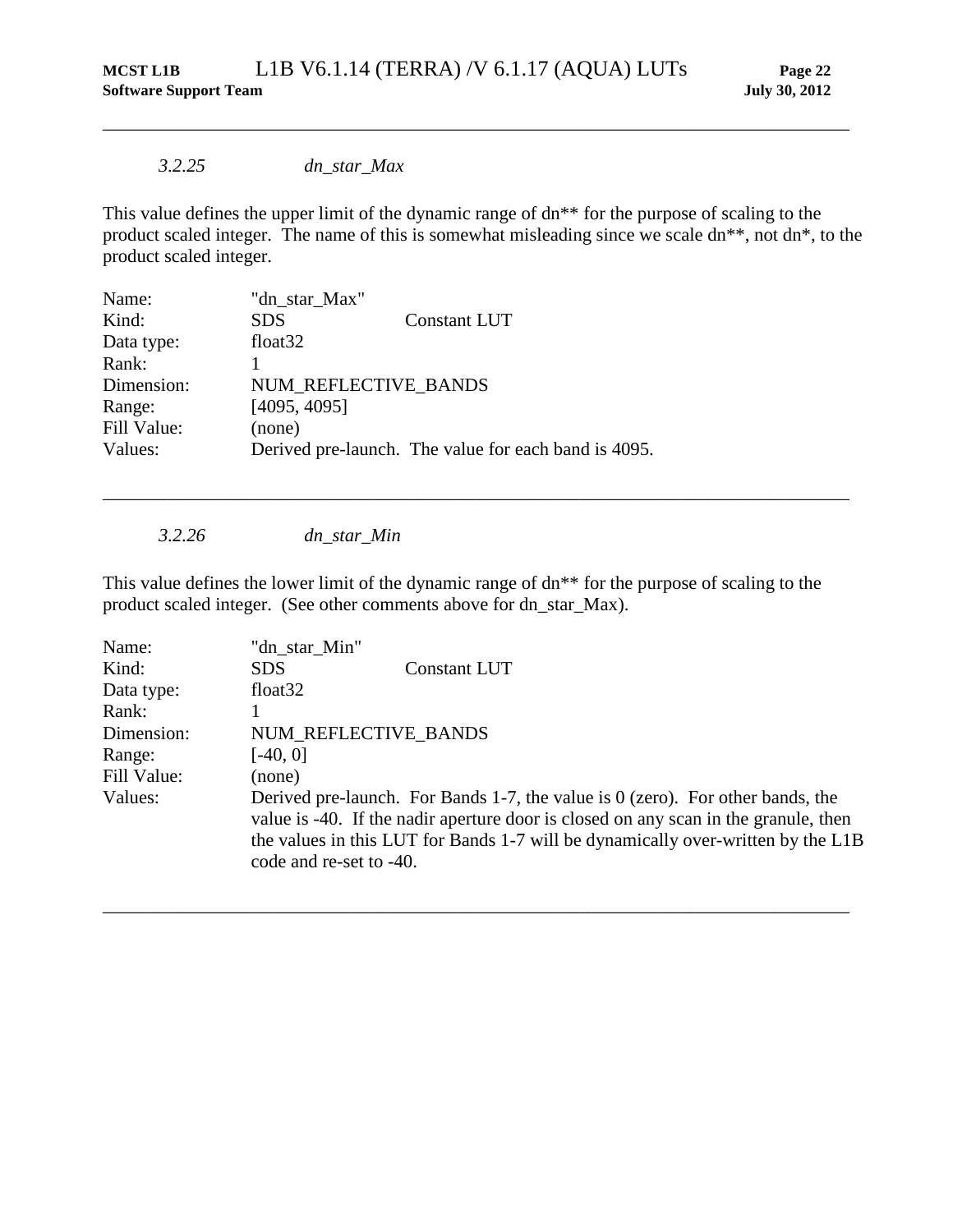#### *3.2.25 dn\_star\_Max*

This value defines the upper limit of the dynamic range of dn\*\* for the purpose of scaling to the product scaled integer. The name of this is somewhat misleading since we scale dn\*\*, not dn\*, to the product scaled integer.

\_\_\_\_\_\_\_\_\_\_\_\_\_\_\_\_\_\_\_\_\_\_\_\_\_\_\_\_\_\_\_\_\_\_\_\_\_\_\_\_\_\_\_\_\_\_\_\_\_\_\_\_\_\_\_\_\_\_\_\_\_\_\_\_\_\_\_\_\_\_\_\_\_\_\_\_\_\_\_\_

| Name:       | "dn_star_Max"        |                                                      |
|-------------|----------------------|------------------------------------------------------|
| Kind:       | <b>SDS</b>           | <b>Constant LUT</b>                                  |
| Data type:  | float <sub>32</sub>  |                                                      |
| Rank:       |                      |                                                      |
| Dimension:  | NUM REFLECTIVE BANDS |                                                      |
| Range:      | [4095, 4095]         |                                                      |
| Fill Value: | (none)               |                                                      |
| Values:     |                      | Derived pre-launch. The value for each band is 4095. |
|             |                      |                                                      |

*3.2.26 dn\_star\_Min*

This value defines the lower limit of the dynamic range of dn\*\* for the purpose of scaling to the product scaled integer. (See other comments above for dn\_star\_Max).

\_\_\_\_\_\_\_\_\_\_\_\_\_\_\_\_\_\_\_\_\_\_\_\_\_\_\_\_\_\_\_\_\_\_\_\_\_\_\_\_\_\_\_\_\_\_\_\_\_\_\_\_\_\_\_\_\_\_\_\_\_\_\_\_\_\_\_\_\_\_\_\_\_\_\_\_\_\_\_\_

| Name:       | "dn_star_Min"           |                                                                                                                                                                                                                                                             |
|-------------|-------------------------|-------------------------------------------------------------------------------------------------------------------------------------------------------------------------------------------------------------------------------------------------------------|
| Kind:       | <b>SDS</b>              | <b>Constant LUT</b>                                                                                                                                                                                                                                         |
| Data type:  | float $32$              |                                                                                                                                                                                                                                                             |
| Rank:       |                         |                                                                                                                                                                                                                                                             |
| Dimension:  | NUM REFLECTIVE BANDS    |                                                                                                                                                                                                                                                             |
| Range:      | $[-40, 0]$              |                                                                                                                                                                                                                                                             |
| Fill Value: | (none)                  |                                                                                                                                                                                                                                                             |
| Values:     | code and re-set to -40. | Derived pre-launch. For Bands 1-7, the value is $0$ (zero). For other bands, the<br>value is -40. If the nadir aperture door is closed on any scan in the granule, then<br>the values in this LUT for Bands 1-7 will be dynamically over-written by the L1B |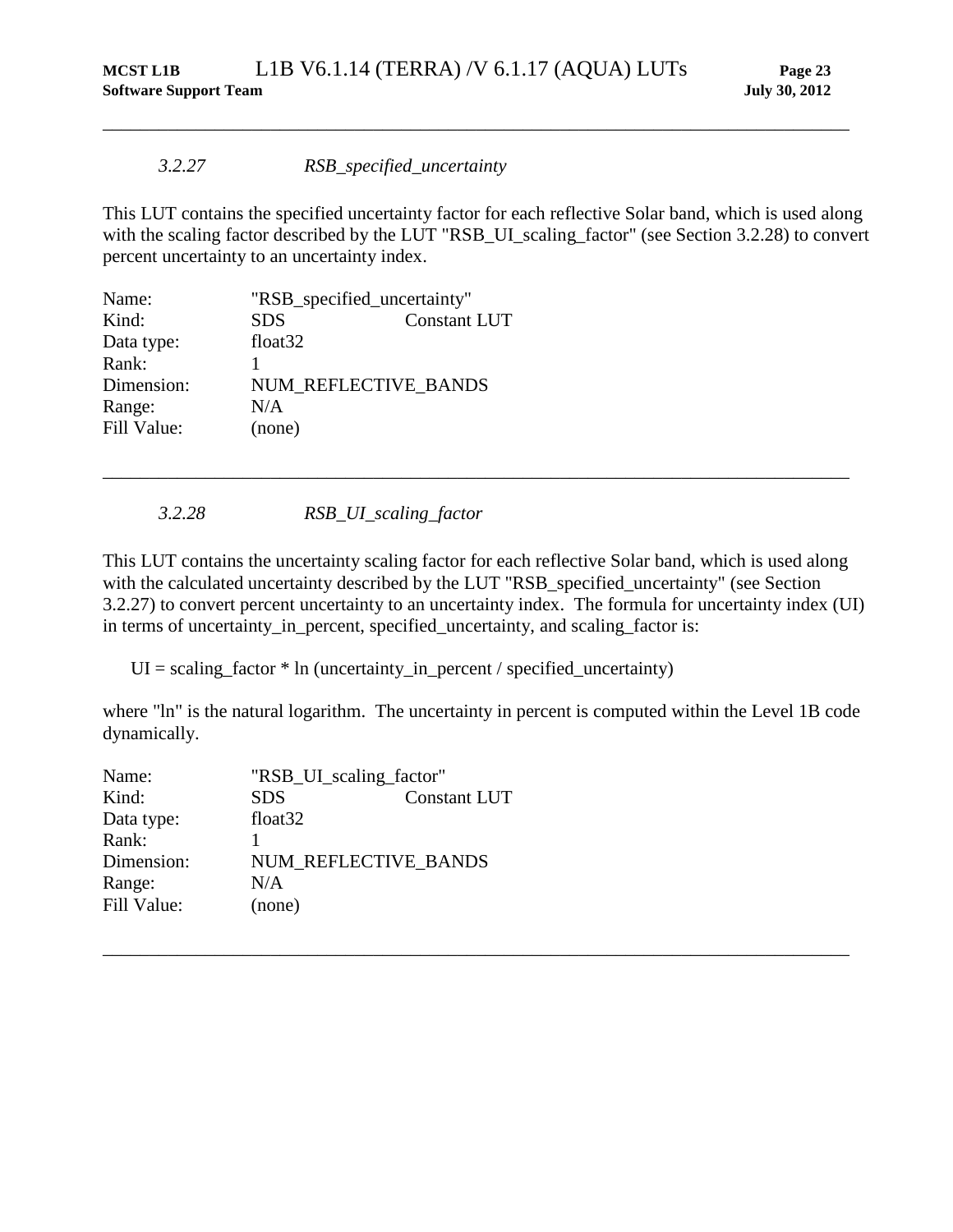#### *3.2.27 RSB\_specified\_uncertainty*

This LUT contains the specified uncertainty factor for each reflective Solar band, which is used along with the scaling factor described by the LUT "RSB\_UI\_scaling\_factor" (see Section [3.2.28\)](#page-28-0) to convert percent uncertainty to an uncertainty index.

<span id="page-28-1"></span>\_\_\_\_\_\_\_\_\_\_\_\_\_\_\_\_\_\_\_\_\_\_\_\_\_\_\_\_\_\_\_\_\_\_\_\_\_\_\_\_\_\_\_\_\_\_\_\_\_\_\_\_\_\_\_\_\_\_\_\_\_\_\_\_\_\_\_\_\_\_\_\_\_\_\_\_\_\_\_\_

| Name:       | "RSB_specified_uncertainty" |                     |
|-------------|-----------------------------|---------------------|
| Kind:       | <b>SDS</b>                  | <b>Constant LUT</b> |
| Data type:  | float <sub>32</sub>         |                     |
| Rank:       |                             |                     |
| Dimension:  | NUM REFLECTIVE BANDS        |                     |
| Range:      | N/A                         |                     |
| Fill Value: | (none)                      |                     |

*3.2.28 RSB\_UI\_scaling\_factor*

This LUT contains the uncertainty scaling factor for each reflective Solar band, which is used along with the calculated uncertainty described by the LUT "RSB\_specified\_uncertainty" (see Section [3.2.27\)](#page-28-1) to convert percent uncertainty to an uncertainty index. The formula for uncertainty index (UI) in terms of uncertainty\_in\_percent, specified\_uncertainty, and scaling\_factor is:

<span id="page-28-0"></span>\_\_\_\_\_\_\_\_\_\_\_\_\_\_\_\_\_\_\_\_\_\_\_\_\_\_\_\_\_\_\_\_\_\_\_\_\_\_\_\_\_\_\_\_\_\_\_\_\_\_\_\_\_\_\_\_\_\_\_\_\_\_\_\_\_\_\_\_\_\_\_\_\_\_\_\_\_\_\_\_

 $UI = scaling factor * In (uncertainty in percent / specified uncertainty)$ 

where "ln" is the natural logarithm. The uncertainty in percent is computed within the Level 1B code dynamically.

| Name:       | "RSB_UI_scaling_factor" |                     |
|-------------|-------------------------|---------------------|
| Kind:       | <b>SDS</b>              | <b>Constant LUT</b> |
| Data type:  | float <sub>32</sub>     |                     |
| Rank:       |                         |                     |
| Dimension:  | NUM REFLECTIVE_BANDS    |                     |
| Range:      | N/A                     |                     |
| Fill Value: | (none)                  |                     |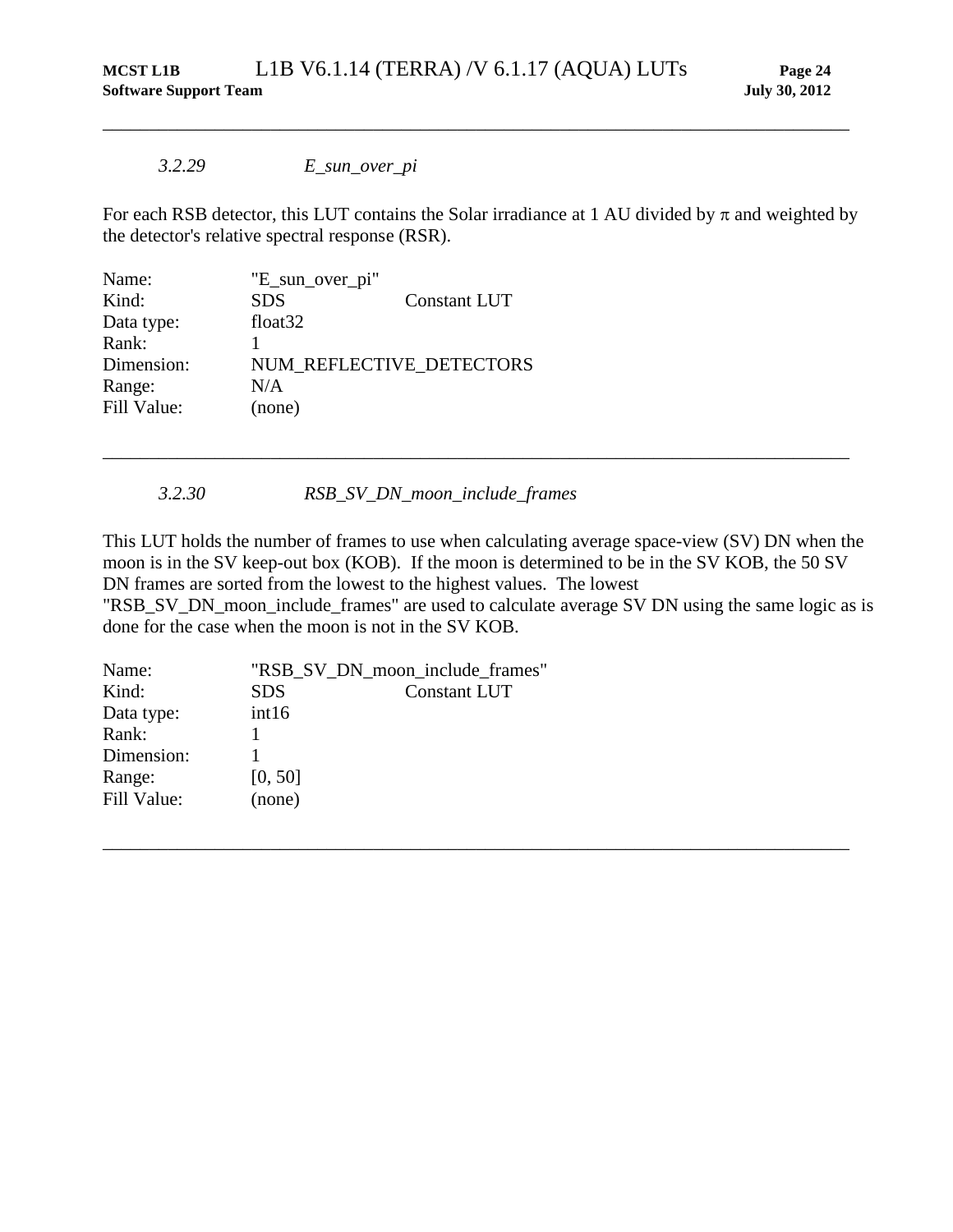#### *3.2.29 E\_sun\_over\_pi*

For each RSB detector, this LUT contains the Solar irradiance at 1 AU divided by  $\pi$  and weighted by the detector's relative spectral response (RSR).

\_\_\_\_\_\_\_\_\_\_\_\_\_\_\_\_\_\_\_\_\_\_\_\_\_\_\_\_\_\_\_\_\_\_\_\_\_\_\_\_\_\_\_\_\_\_\_\_\_\_\_\_\_\_\_\_\_\_\_\_\_\_\_\_\_\_\_\_\_\_\_\_\_\_\_\_\_\_\_\_

| Name:       | "E_sun_over_pi"     |                          |
|-------------|---------------------|--------------------------|
| Kind:       | <b>SDS</b>          | <b>Constant LUT</b>      |
| Data type:  | float <sub>32</sub> |                          |
| Rank:       |                     |                          |
| Dimension:  |                     | NUM REFLECTIVE DETECTORS |
| Range:      | N/A                 |                          |
| Fill Value: | (none)              |                          |
|             |                     |                          |

*3.2.30 RSB\_SV\_DN\_moon\_include\_frames*

This LUT holds the number of frames to use when calculating average space-view (SV) DN when the moon is in the SV keep-out box (KOB). If the moon is determined to be in the SV KOB, the 50 SV DN frames are sorted from the lowest to the highest values. The lowest

\_\_\_\_\_\_\_\_\_\_\_\_\_\_\_\_\_\_\_\_\_\_\_\_\_\_\_\_\_\_\_\_\_\_\_\_\_\_\_\_\_\_\_\_\_\_\_\_\_\_\_\_\_\_\_\_\_\_\_\_\_\_\_\_\_\_\_\_\_\_\_\_\_\_\_\_\_\_\_\_

"RSB\_SV\_DN\_moon\_include\_frames" are used to calculate average SV DN using the same logic as is done for the case when the moon is not in the SV KOB.

| Name:       |            | "RSB_SV_DN_moon_include_frames" |
|-------------|------------|---------------------------------|
| Kind:       | <b>SDS</b> | <b>Constant LUT</b>             |
| Data type:  | int16      |                                 |
| Rank:       |            |                                 |
| Dimension:  |            |                                 |
| Range:      | [0, 50]    |                                 |
| Fill Value: | (none)     |                                 |
|             |            |                                 |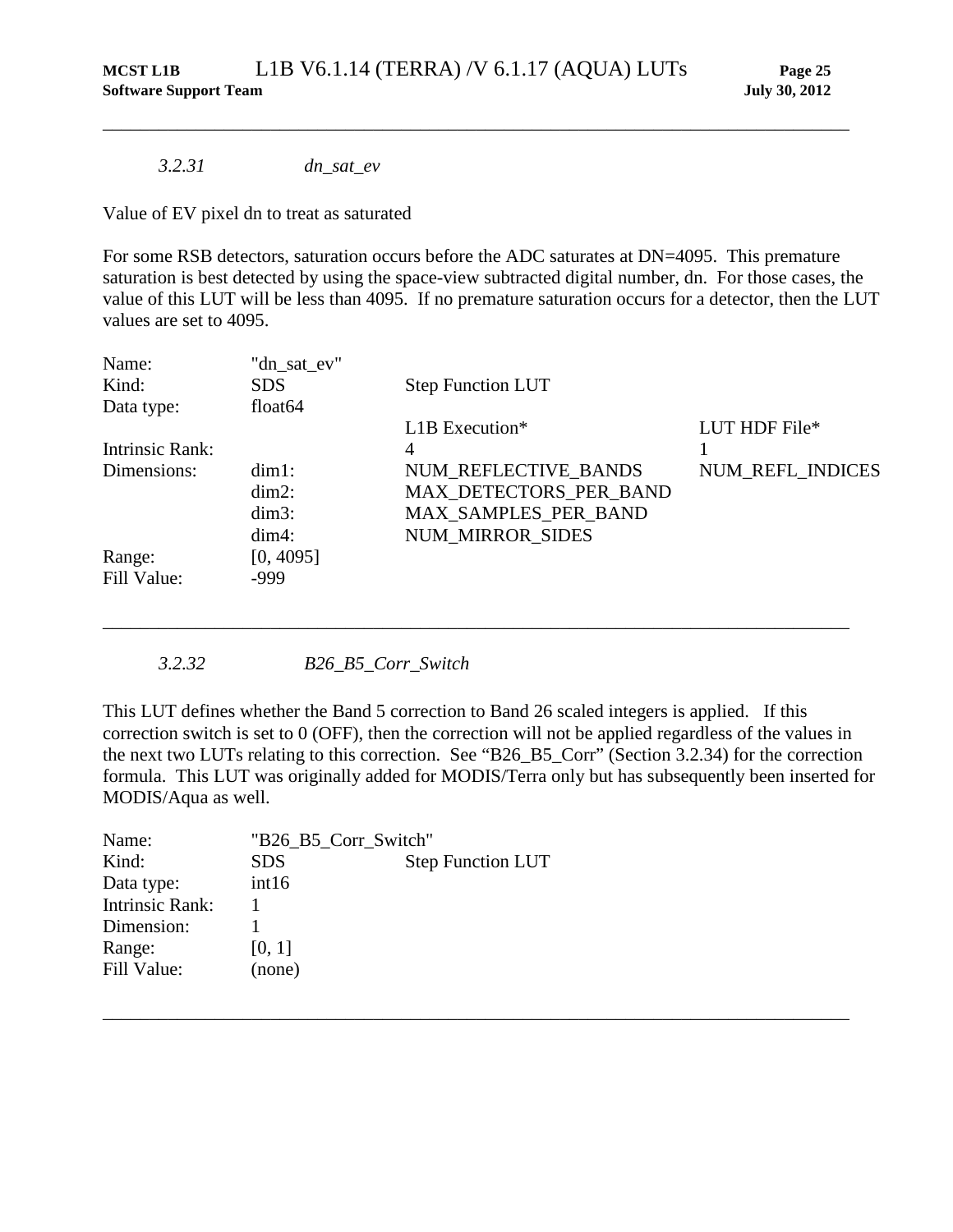*3.2.31 dn\_sat\_ev*

Value of EV pixel dn to treat as saturated

For some RSB detectors, saturation occurs before the ADC saturates at DN=4095. This premature saturation is best detected by using the space-view subtracted digital number, dn. For those cases, the value of this LUT will be less than 4095. If no premature saturation occurs for a detector, then the LUT values are set to 4095.

\_\_\_\_\_\_\_\_\_\_\_\_\_\_\_\_\_\_\_\_\_\_\_\_\_\_\_\_\_\_\_\_\_\_\_\_\_\_\_\_\_\_\_\_\_\_\_\_\_\_\_\_\_\_\_\_\_\_\_\_\_\_\_\_\_\_\_\_\_\_\_\_\_\_\_\_\_\_\_\_

| Name:           | "dn_sat_ev"         |                              |                  |
|-----------------|---------------------|------------------------------|------------------|
| Kind:           | <b>SDS</b>          | <b>Step Function LUT</b>     |                  |
| Data type:      | float <sub>64</sub> |                              |                  |
|                 |                     | $L1B$ Execution <sup>*</sup> | LUT HDF File*    |
| Intrinsic Rank: |                     | 4                            |                  |
| Dimensions:     | $dim1$ :            | NUM REFLECTIVE BANDS         | NUM_REFL_INDICES |
|                 | $dim2$ :            | MAX DETECTORS PER BAND       |                  |
|                 | $dim3$ :            | MAX_SAMPLES_PER_BAND         |                  |
|                 | $dim4$ :            | <b>NUM MIRROR SIDES</b>      |                  |
| Range:          | [0, 4095]           |                              |                  |
| Fill Value:     | $-999$              |                              |                  |

*3.2.32 B26\_B5\_Corr\_Switch*

This LUT defines whether the Band 5 correction to Band 26 scaled integers is applied. If this correction switch is set to 0 (OFF), then the correction will not be applied regardless of the values in the next two LUTs relating to this correction. See "B26\_B5\_Corr" (Section [3.2.34\)](#page-32-0) for the correction formula. This LUT was originally added for MODIS/Terra only but has subsequently been inserted for MODIS/Aqua as well.

\_\_\_\_\_\_\_\_\_\_\_\_\_\_\_\_\_\_\_\_\_\_\_\_\_\_\_\_\_\_\_\_\_\_\_\_\_\_\_\_\_\_\_\_\_\_\_\_\_\_\_\_\_\_\_\_\_\_\_\_\_\_\_\_\_\_\_\_\_\_\_\_\_\_\_\_\_\_\_\_

| Name:                  | "B26 B5 Corr Switch" |                          |
|------------------------|----------------------|--------------------------|
| Kind:                  | <b>SDS</b>           | <b>Step Function LUT</b> |
| Data type:             | int16                |                          |
| <b>Intrinsic Rank:</b> |                      |                          |
| Dimension:             |                      |                          |
| Range:                 | [0, 1]               |                          |
| Fill Value:            | (none)               |                          |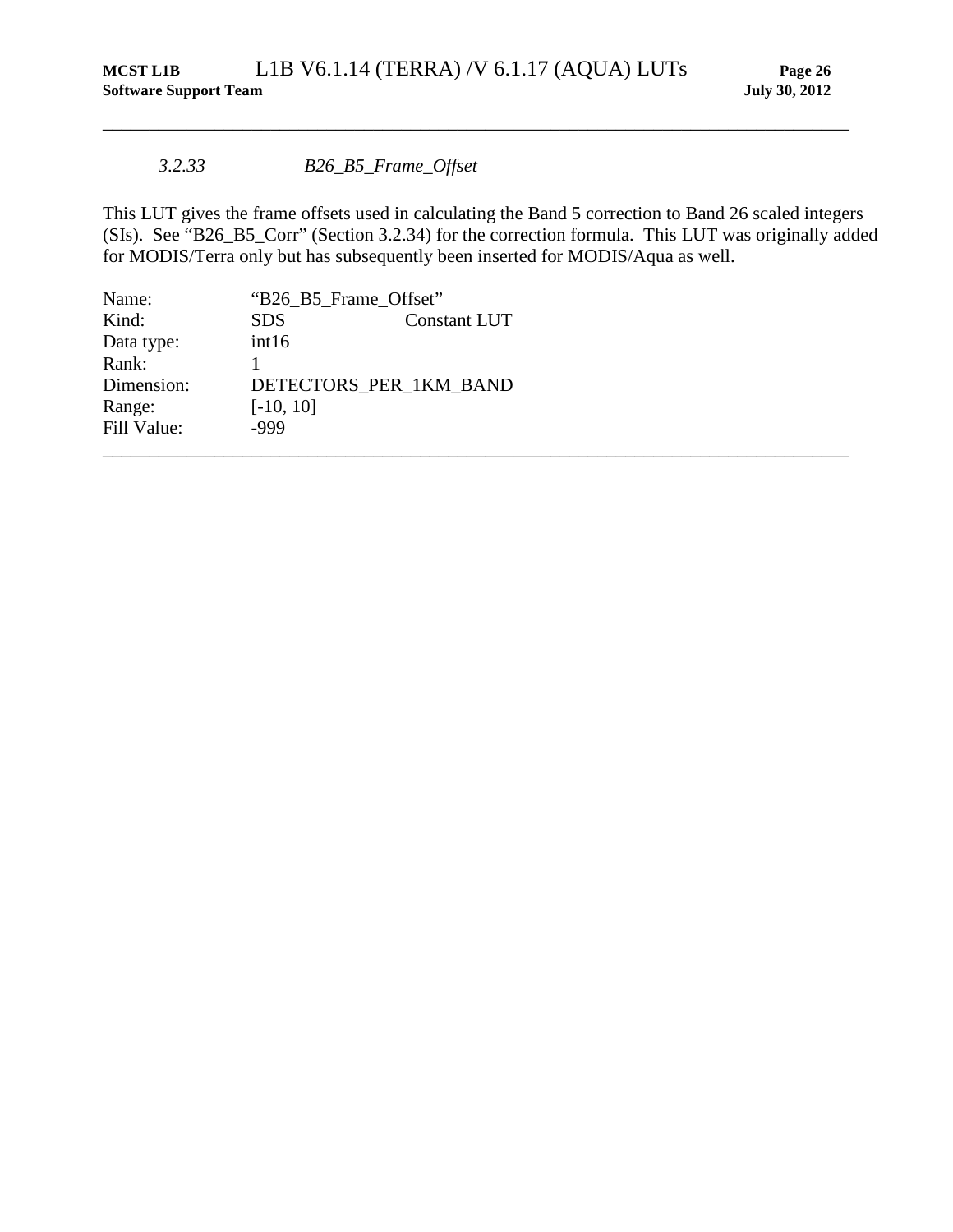#### *3.2.33 B26\_B5\_Frame\_Offset*

This LUT gives the frame offsets used in calculating the Band 5 correction to Band 26 scaled integers (SIs). See "B26\_B5\_Corr" (Section [3.2.34\)](#page-32-0) for the correction formula. This LUT was originally added for MODIS/Terra only but has subsequently been inserted for MODIS/Aqua as well.

| Name:       |             | "B26_B5_Frame_Offset"  |  |
|-------------|-------------|------------------------|--|
| Kind:       | <b>SDS</b>  | Constant LUT           |  |
| Data type:  | int16       |                        |  |
| Rank:       |             |                        |  |
| Dimension:  |             | DETECTORS PER 1KM BAND |  |
| Range:      | $[-10, 10]$ |                        |  |
| Fill Value: | -999        |                        |  |
|             |             |                        |  |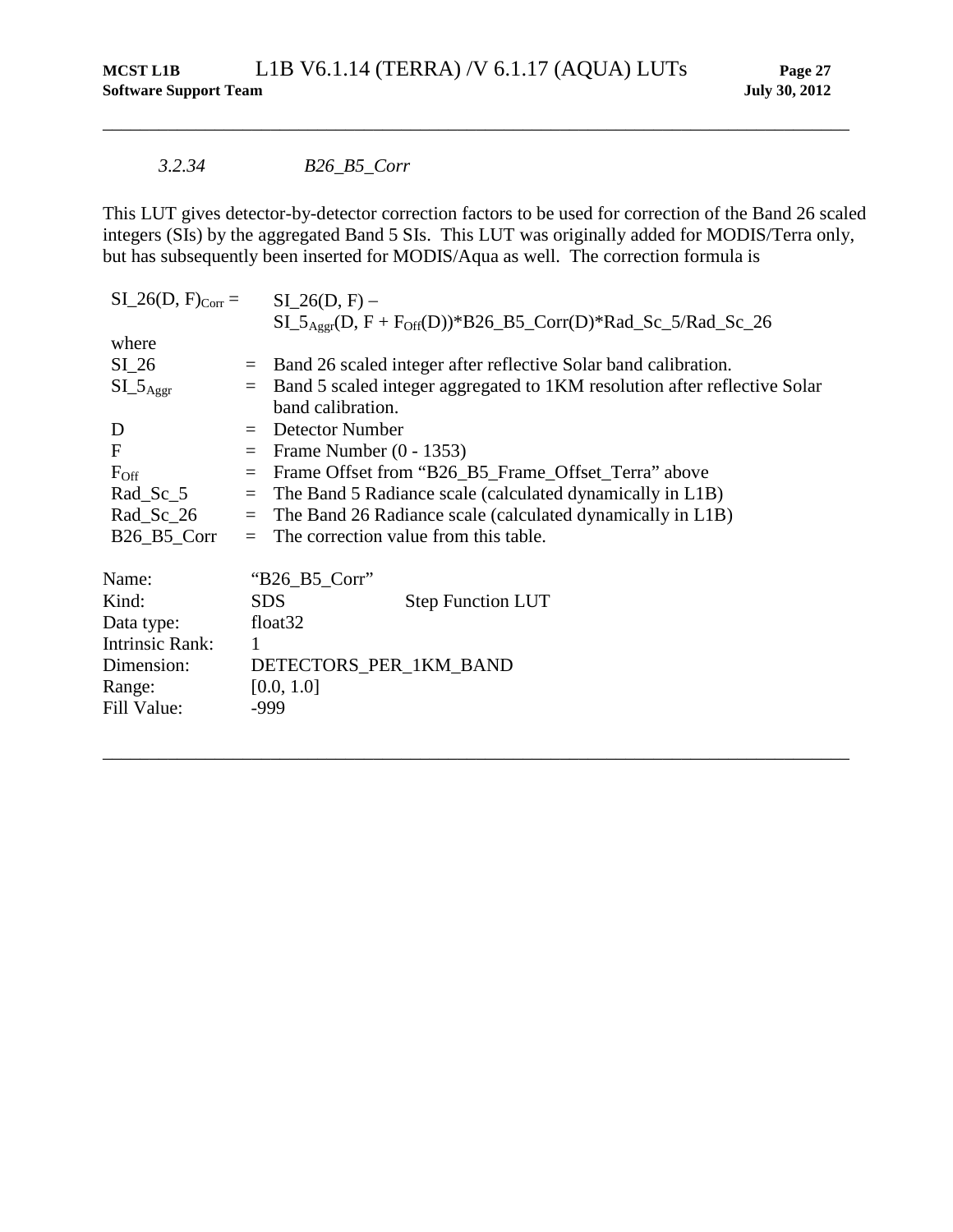#### *3.2.34 B26\_B5\_Corr*

<span id="page-32-0"></span>This LUT gives detector-by-detector correction factors to be used for correction of the Band 26 scaled integers (SIs) by the aggregated Band 5 SIs. This LUT was originally added for MODIS/Terra only, but has subsequently been inserted for MODIS/Aqua as well. The correction formula is

| $SI_26(D, F)_{Corr} = SI_26(D, F) -$   |                         |                                                                                        |  |  |
|----------------------------------------|-------------------------|----------------------------------------------------------------------------------------|--|--|
|                                        |                         | $SL_5$ <sub>Aggr</sub> (D, F + F <sub>Off</sub> (D))*B26_B5_Corr(D)*Rad_Sc_5/Rad_Sc_26 |  |  |
| where                                  |                         |                                                                                        |  |  |
| $SI_26$                                | $=$                     | Band 26 scaled integer after reflective Solar band calibration.                        |  |  |
| $SL_5$ <sub>Aggr</sub>                 | $\qquad \qquad =\qquad$ | Band 5 scaled integer aggregated to 1KM resolution after reflective Solar              |  |  |
|                                        |                         | band calibration.                                                                      |  |  |
| D                                      |                         | $=$ Detector Number                                                                    |  |  |
| $\mathbf F$                            |                         | Frame Number $(0 - 1353)$                                                              |  |  |
| $F_{\rm Off}$                          | $=$                     | Frame Offset from "B26_B5_Frame_Offset_Terra" above                                    |  |  |
| $Rad_Sc_5$                             |                         | $=$ The Band 5 Radiance scale (calculated dynamically in L1B)                          |  |  |
| $Rad_Sc_26$                            | $=$                     | The Band 26 Radiance scale (calculated dynamically in L1B)                             |  |  |
| $B26$ <sub>-B5</sub> <sup>-</sup> Corr | $=$                     | The correction value from this table.                                                  |  |  |
| Name:                                  |                         | " $B26\_B5_Corr$ "                                                                     |  |  |
| Kind:                                  |                         | <b>SDS</b><br><b>Step Function LUT</b>                                                 |  |  |
| Data type:                             |                         | float <sub>32</sub>                                                                    |  |  |
| Intrinsic Rank:                        | 1                       |                                                                                        |  |  |
| Dimension:                             |                         | DETECTORS_PER_1KM_BAND                                                                 |  |  |
| Range:                                 |                         | [0.0, 1.0]                                                                             |  |  |
| Fill Value:                            |                         | $-999$                                                                                 |  |  |
|                                        |                         |                                                                                        |  |  |
|                                        |                         |                                                                                        |  |  |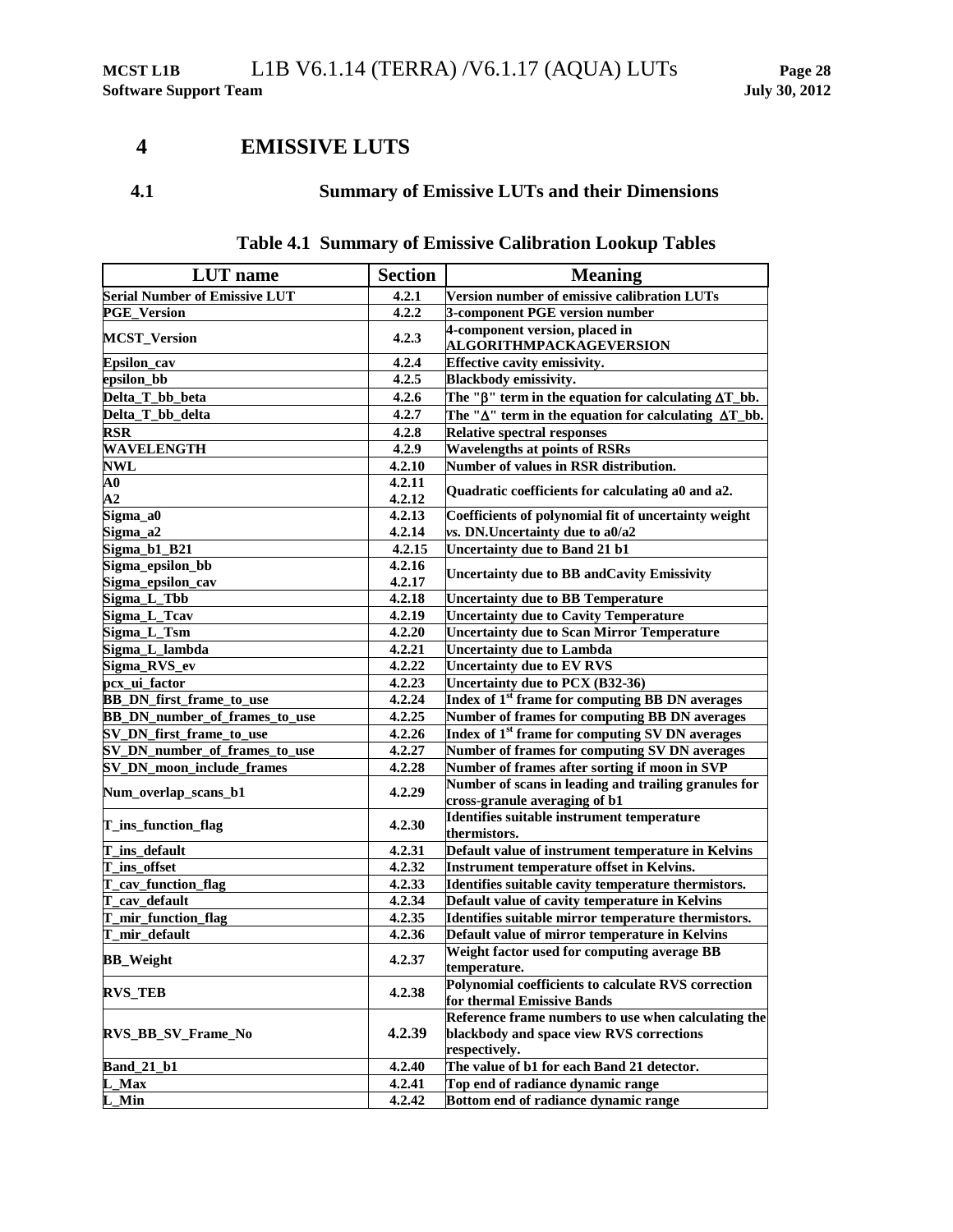## <span id="page-33-0"></span>**4 EMISSIVE LUTS**

## **4.1 Summary of Emissive LUTs and their Dimensions**

| <b>LUT</b> name                      | <b>Section</b> | <b>Meaning</b>                                                                    |
|--------------------------------------|----------------|-----------------------------------------------------------------------------------|
| <b>Serial Number of Emissive LUT</b> | 4.2.1          | Version number of emissive calibration LUTs                                       |
| <b>PGE_Version</b>                   | 4.2.2          | 3-component PGE version number                                                    |
|                                      |                | 4-component version, placed in                                                    |
| <b>MCST_Version</b>                  | 4.2.3          | ALGORITHMPACKAGEVERSION                                                           |
| Epsilon_cav                          | 4.2.4          | Effective cavity emissivity.                                                      |
| epsilon_bb                           | 4.2.5          | <b>Blackbody emissivity.</b>                                                      |
| Delta_T_bb_beta                      | 4.2.6          | The " $\beta$ " term in the equation for calculating $\Delta T_b$ bb.             |
| Delta_T_bb_delta                     | 4.2.7          | The " $\Delta$ " term in the equation for calculating $\Delta T_b$ bb.            |
| <b>RSR</b>                           | 4.2.8          | <b>Relative spectral responses</b>                                                |
| <b>WAVELENGTH</b>                    | 4.2.9          | <b>Wavelengths at points of RSRs</b>                                              |
| <b>NWL</b>                           | 4.2.10         | Number of values in RSR distribution.                                             |
| $\overline{\mathbf{A}}\mathbf{0}$    | 4.2.11         |                                                                                   |
| ${\bf A2}$                           | 4.2.12         | Quadratic coefficients for calculating a0 and a2.                                 |
| Sigma_a0                             | 4.2.13         | Coefficients of polynomial fit of uncertainty weight                              |
| Sigma_a2                             | 4.2.14         | vs. DN.Uncertainty due to a0/a2                                                   |
| $Sigma_b1_B21$                       | 4.2.15         | Uncertainty due to Band 21 b1                                                     |
| Sigma_epsilon_bb                     | 4.2.16         | Uncertainty due to BB and Cavity Emissivity                                       |
| Sigma_epsilon_cav                    | 4.2.17         |                                                                                   |
| Sigma_L_Tbb                          | 4.2.18         | <b>Uncertainty due to BB Temperature</b>                                          |
| Sigma_L_Tcav                         | 4.2.19         | <b>Uncertainty due to Cavity Temperature</b>                                      |
| Sigma_L_Tsm                          | 4.2.20         | <b>Uncertainty due to Scan Mirror Temperature</b>                                 |
| Sigma_L_lambda                       | 4.2.21         | <b>Uncertainty due to Lambda</b>                                                  |
| Sigma_RVS_ev                         | 4.2.22         | <b>Uncertainty due to EV RVS</b>                                                  |
| pcx_ui_factor                        | 4.2.23         | Uncertainty due to PCX (B32-36)                                                   |
| <b>BB_DN_first_frame_to_use</b>      | 4.2.24         | Index of 1 <sup>st</sup> frame for computing BB DN averages                       |
| BB_DN_number_of_frames_to_use        | 4.2.25         | Number of frames for computing BB DN averages                                     |
| SV_DN_first_frame_to_use             | 4.2.26         | Index of 1 <sup>st</sup> frame for computing SV DN averages                       |
| SV_DN_number_of_frames_to_use        | 4.2.27         | Number of frames for computing SV DN averages                                     |
| SV_DN_moon_include_frames            | 4.2.28         | Number of frames after sorting if moon in SVP                                     |
| Num_overlap_scans_b1                 | 4.2.29         | Number of scans in leading and trailing granules for                              |
|                                      |                | cross-granule averaging of b1                                                     |
| T_ins_function_flag                  | 4.2.30         | Identifies suitable instrument temperature                                        |
|                                      |                | thermistors.                                                                      |
| T_ins_default                        | 4.2.31         | Default value of instrument temperature in Kelvins                                |
| T_ins_offset                         | 4.2.32         | <b>Instrument temperature offset in Kelvins.</b>                                  |
| T_cav_function_flag                  | 4.2.33         | Identifies suitable cavity temperature thermistors.                               |
| T_cav_default                        | 4.2.34         | Default value of cavity temperature in Kelvins                                    |
| T_mir_function_flag                  | 4.2.35         | Identifies suitable mirror temperature thermistors.                               |
| T_mir_default                        | 4.2.36         | Default value of mirror temperature in Kelvins                                    |
| <b>BB_Weight</b>                     | 4.2.37         | Weight factor used for computing average BB                                       |
|                                      |                | temperature.<br>Polynomial coefficients to calculate RVS correction               |
| <b>RVS_TEB</b>                       | 4.2.38         |                                                                                   |
|                                      |                | for thermal Emissive Bands<br>Reference frame numbers to use when calculating the |
| <b>RVS BB SV Frame No</b>            |                | blackbody and space view RVS corrections                                          |
|                                      | 4.2.39         | respectively.                                                                     |
| <b>Band 21 b1</b>                    | 4.2.40         | The value of b1 for each Band 21 detector.                                        |
| L_Max                                | 4.2.41         | Top end of radiance dynamic range                                                 |
| L_Min                                | 4.2.42         | Bottom end of radiance dynamic range                                              |

## **Table 4.1 Summary of Emissive Calibration Lookup Tables**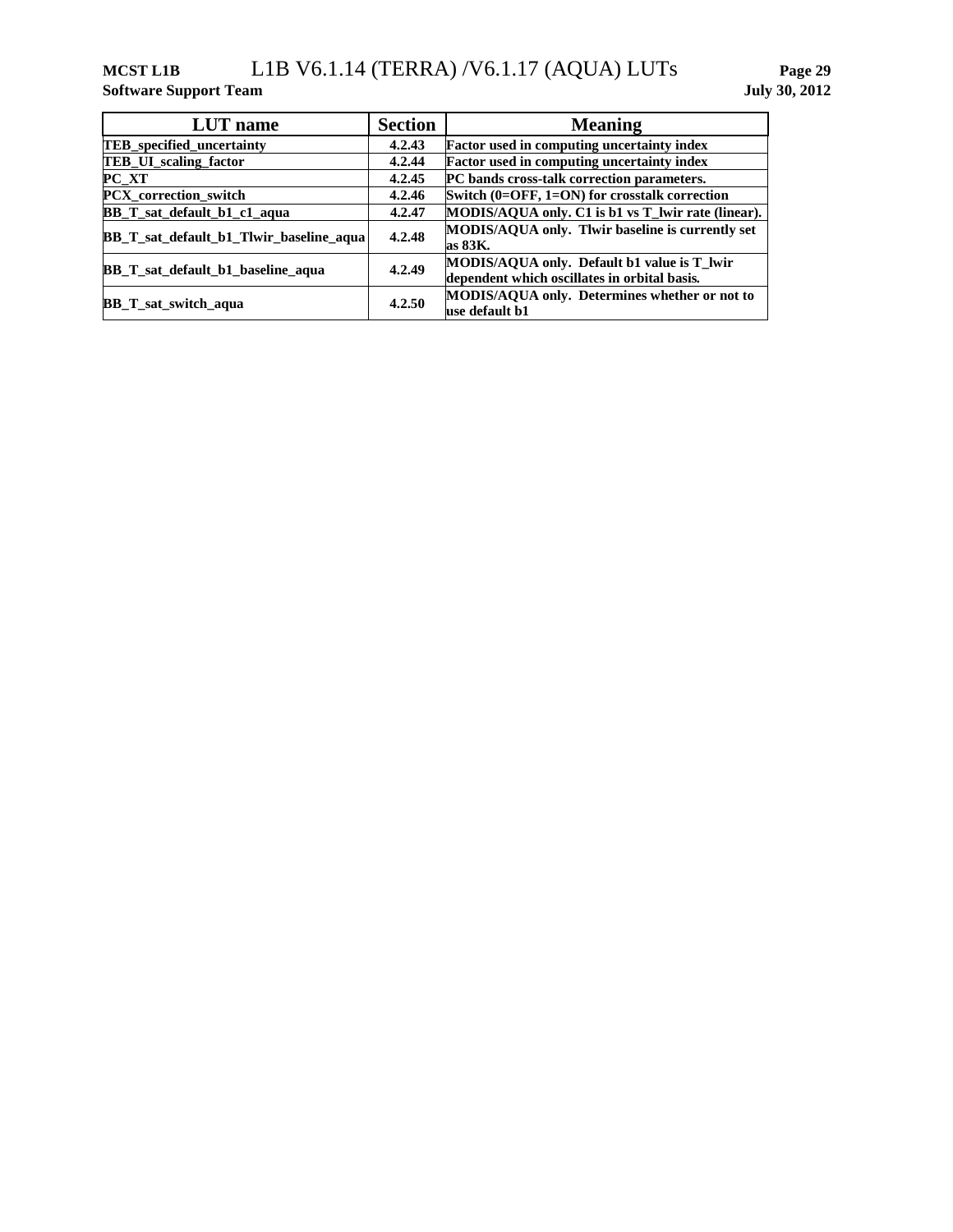## **MCST L1B** L1B V6.1.14 (TERRA) /V6.1.17 (AQUA) LUTs **Page 29**

**Software Support Team July 30, 2012**

| <b>LUT</b> name                         | <b>Section</b> | <b>Meaning</b>                                                                              |
|-----------------------------------------|----------------|---------------------------------------------------------------------------------------------|
| <b>TEB</b> specified uncertainty        | 4.2.43         | <b>Factor used in computing uncertainty index</b>                                           |
| TEB_UI_scaling_factor                   | 4.2.44         | Factor used in computing uncertainty index                                                  |
| $PC_XT$                                 | 4.2.45         | PC bands cross-talk correction parameters.                                                  |
| PCX_correction_switch                   | 4.2.46         | Switch $(0=OFF, 1=ON)$ for crosstalk correction                                             |
| BB_T_sat_default_b1_c1_aqua             | 4.2.47         | MODIS/AQUA only. C1 is b1 vs T_lwir rate (linear).                                          |
| BB_T_sat_default_b1_Tlwir_baseline_aqua | 4.2.48         | MODIS/AQUA only. Their baseline is currently set<br>as 83K.                                 |
| BB T sat default b1 baseline aqua       | 4.2.49         | MODIS/AQUA only. Default b1 value is T_lwir<br>dependent which oscillates in orbital basis. |
| <b>BB_T_sat_switch_aqua</b>             | 4.2.50         | <b>MODIS/AQUA only. Determines whether or not to</b><br>use default b1                      |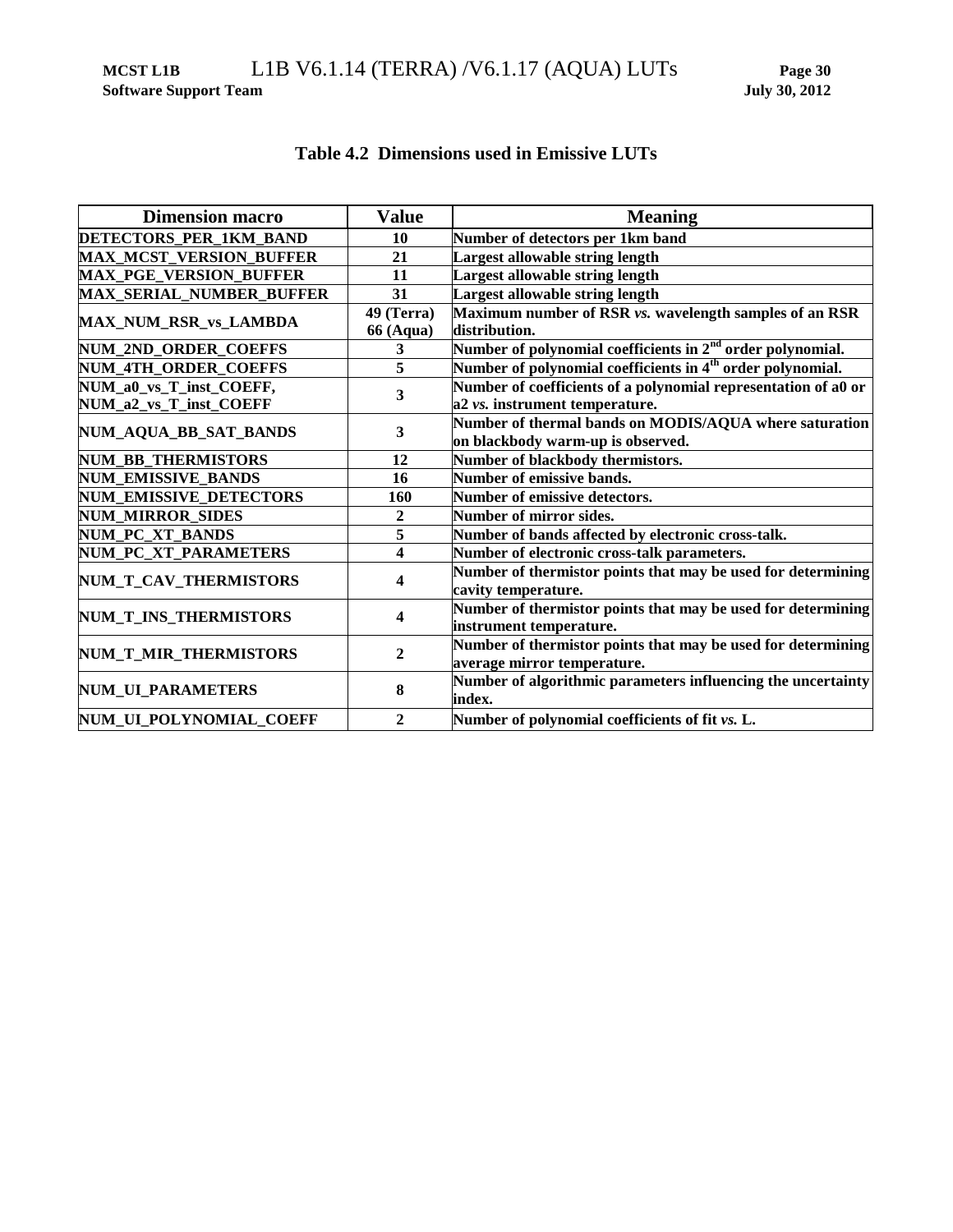**MCST L1B** L1B V6.1.14 (TERRA) /V6.1.17 (AQUA) LUTs **Page 30**

**Software Support Team July 30, 2012**

|  | Table 4.2 Dimensions used in Emissive LUTs |  |  |  |
|--|--------------------------------------------|--|--|--|
|--|--------------------------------------------|--|--|--|

| <b>Dimension macro</b>          | <b>Value</b>     | <b>Meaning</b>                                                         |  |  |
|---------------------------------|------------------|------------------------------------------------------------------------|--|--|
| DETECTORS_PER_1KM_BAND          | 10               | Number of detectors per 1km band                                       |  |  |
| <b>MAX_MCST_VERSION_BUFFER</b>  | 21               | <b>Largest allowable string length</b>                                 |  |  |
| <b>MAX_PGE_VERSION_BUFFER</b>   | 11               | <b>Largest allowable string length</b>                                 |  |  |
| <b>MAX_SERIAL_NUMBER_BUFFER</b> | 31               | <b>Largest allowable string length</b>                                 |  |  |
| MAX_NUM_RSR_vs_LAMBDA           | 49 (Terra)       | Maximum number of RSR vs. wavelength samples of an RSR                 |  |  |
|                                 | <b>66 (Aqua)</b> | distribution.                                                          |  |  |
| NUM_2ND_ORDER_COEFFS            | 3                | Number of polynomial coefficients in 2 <sup>nd</sup> order polynomial. |  |  |
| NUM_4TH_ORDER_COEFFS            | 5                | Number of polynomial coefficients in 4 <sup>th</sup> order polynomial. |  |  |
| NUM_a0_vs_T_inst_COEFF,         | 3                | Number of coefficients of a polynomial representation of a0 or         |  |  |
| NUM_a2_vs_T_inst_COEFF          |                  | a2 vs. instrument temperature.                                         |  |  |
| NUM_AQUA_BB_SAT_BANDS           | 3                | Number of thermal bands on MODIS/AQUA where saturation                 |  |  |
|                                 |                  | on blackbody warm-up is observed.                                      |  |  |
| NUM_BB_THERMISTORS              | 12               | Number of blackbody thermistors.                                       |  |  |
| <b>NUM_EMISSIVE_BANDS</b>       | 16               | Number of emissive bands.                                              |  |  |
| <b>NUM_EMISSIVE_DETECTORS</b>   | 160              | Number of emissive detectors.                                          |  |  |
| <b>NUM_MIRROR_SIDES</b>         | 2                | Number of mirror sides.                                                |  |  |
| NUM_PC_XT_BANDS                 | 5                | Number of bands affected by electronic cross-talk.                     |  |  |
| NUM_PC_XT_PARAMETERS            | 4                | Number of electronic cross-talk parameters.                            |  |  |
| NUM_T_CAV_THERMISTORS           | 4                | Number of thermistor points that may be used for determining           |  |  |
|                                 |                  | cavity temperature.                                                    |  |  |
| NUM_T_INS_THERMISTORS           | 4                | Number of thermistor points that may be used for determining           |  |  |
|                                 |                  | instrument temperature.                                                |  |  |
| NUM_T_MIR_THERMISTORS           | $\mathbf{2}$     | Number of thermistor points that may be used for determining           |  |  |
|                                 |                  | average mirror temperature.                                            |  |  |
| NUM_UI_PARAMETERS               | 8                | Number of algorithmic parameters influencing the uncertainty           |  |  |
|                                 |                  | index.                                                                 |  |  |
| NUM_UI_POLYNOMIAL_COEFF         | $\overline{2}$   | Number of polynomial coefficients of fit vs. L.                        |  |  |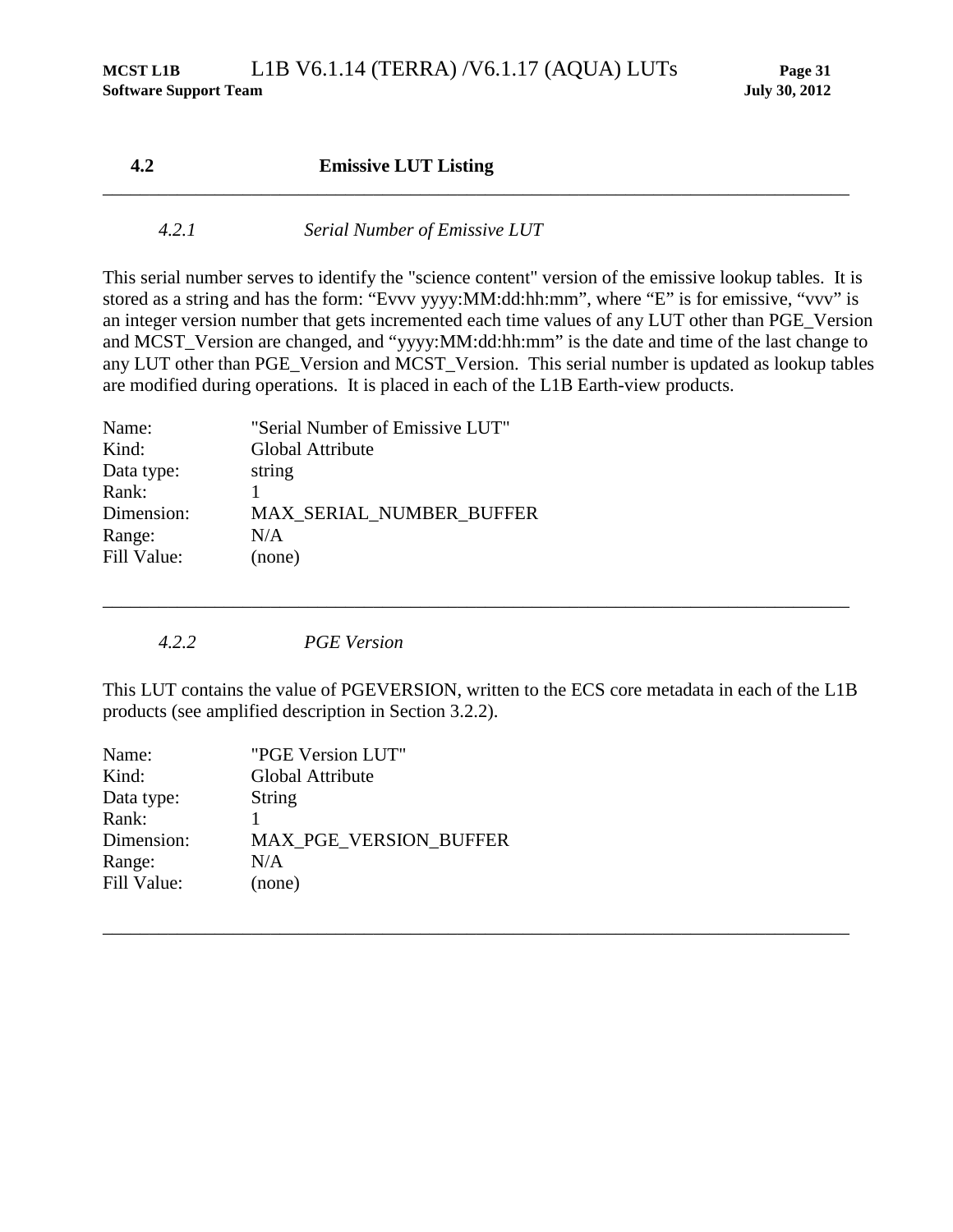| 4.2    | <b>Emissive LUT Listing</b>   |  |
|--------|-------------------------------|--|
| 4.2. I | Serial Number of Emissive LUT |  |

This serial number serves to identify the "science content" version of the emissive lookup tables. It is stored as a string and has the form: "Evvv yyyy:MM:dd:hh:mm", where "E" is for emissive, "vvv" is an integer version number that gets incremented each time values of any LUT other than PGE\_Version and MCST\_Version are changed, and "yyyy:MM:dd:hh:mm" is the date and time of the last change to any LUT other than PGE\_Version and MCST\_Version. This serial number is updated as lookup tables are modified during operations. It is placed in each of the L1B Earth-view products.

| Name:       | "Serial Number of Emissive LUT" |
|-------------|---------------------------------|
| Kind:       | Global Attribute                |
| Data type:  | string                          |
| Rank:       |                                 |
| Dimension:  | MAX_SERIAL_NUMBER_BUFFER        |
| Range:      | N/A                             |
| Fill Value: | (none)                          |
|             |                                 |

*4.2.2 PGE Version*

This LUT contains the value of PGEVERSION, written to the ECS core metadata in each of the L1B products (see amplified description in Section [3.2.2\)](#page-14-0).

\_\_\_\_\_\_\_\_\_\_\_\_\_\_\_\_\_\_\_\_\_\_\_\_\_\_\_\_\_\_\_\_\_\_\_\_\_\_\_\_\_\_\_\_\_\_\_\_\_\_\_\_\_\_\_\_\_\_\_\_\_\_\_\_\_\_\_\_\_\_\_\_\_\_\_\_\_\_\_\_

| Name:       | "PGE Version LUT"      |
|-------------|------------------------|
| Kind:       | Global Attribute       |
| Data type:  | <b>String</b>          |
| Rank:       |                        |
| Dimension:  | MAX_PGE_VERSION_BUFFER |
| Range:      | N/A                    |
| Fill Value: | (none)                 |
|             |                        |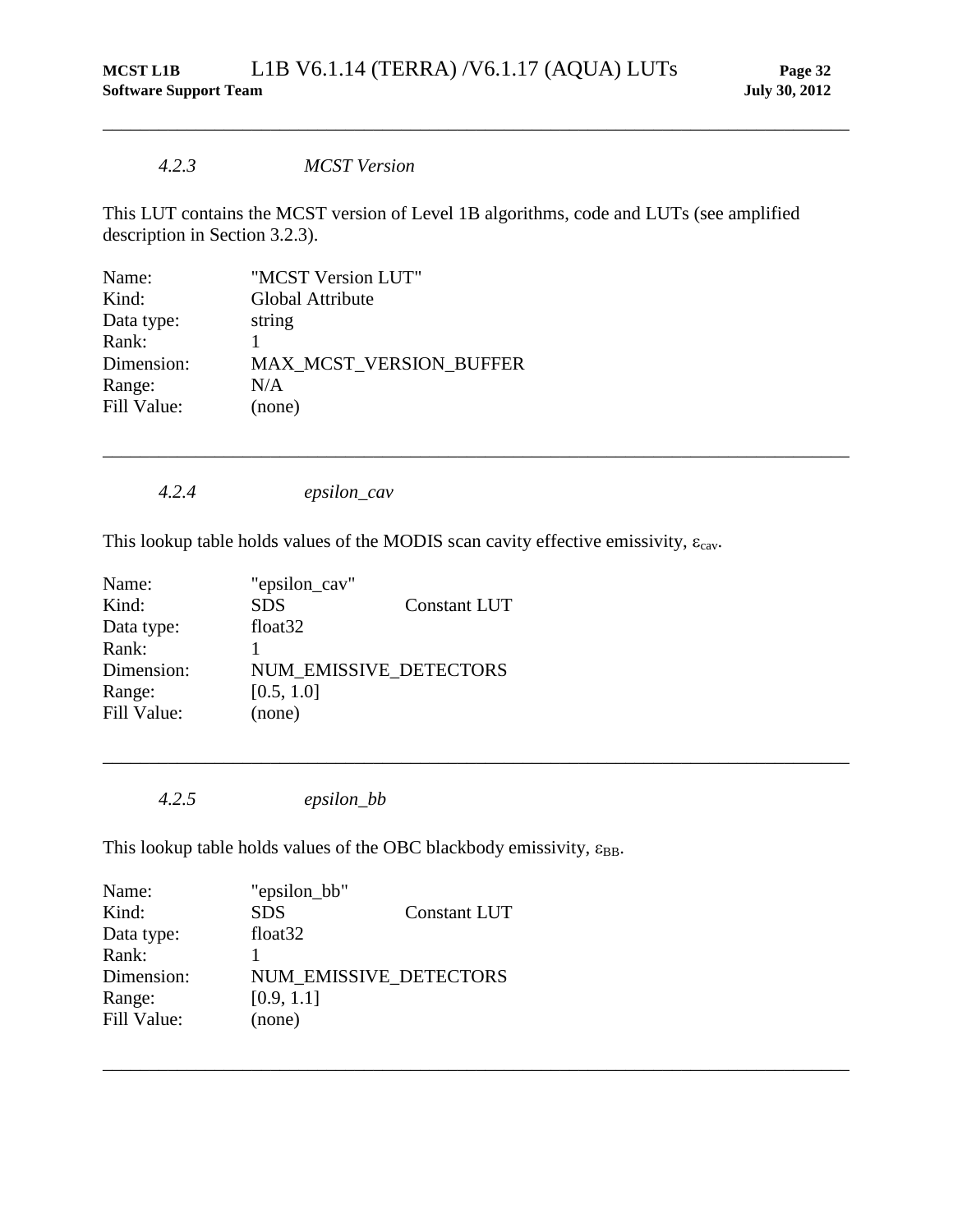### *4.2.3 MCST Version*

This LUT contains the MCST version of Level 1B algorithms, code and LUTs (see amplified description in Section [3.2.3\)](#page-15-0).

\_\_\_\_\_\_\_\_\_\_\_\_\_\_\_\_\_\_\_\_\_\_\_\_\_\_\_\_\_\_\_\_\_\_\_\_\_\_\_\_\_\_\_\_\_\_\_\_\_\_\_\_\_\_\_\_\_\_\_\_\_\_\_\_\_\_\_\_\_\_\_\_\_\_\_\_\_\_\_\_

\_\_\_\_\_\_\_\_\_\_\_\_\_\_\_\_\_\_\_\_\_\_\_\_\_\_\_\_\_\_\_\_\_\_\_\_\_\_\_\_\_\_\_\_\_\_\_\_\_\_\_\_\_\_\_\_\_\_\_\_\_\_\_\_\_\_\_\_\_\_\_\_\_\_\_\_\_\_\_\_

\_\_\_\_\_\_\_\_\_\_\_\_\_\_\_\_\_\_\_\_\_\_\_\_\_\_\_\_\_\_\_\_\_\_\_\_\_\_\_\_\_\_\_\_\_\_\_\_\_\_\_\_\_\_\_\_\_\_\_\_\_\_\_\_\_\_\_\_\_\_\_\_\_\_\_\_\_\_\_\_

\_\_\_\_\_\_\_\_\_\_\_\_\_\_\_\_\_\_\_\_\_\_\_\_\_\_\_\_\_\_\_\_\_\_\_\_\_\_\_\_\_\_\_\_\_\_\_\_\_\_\_\_\_\_\_\_\_\_\_\_\_\_\_\_\_\_\_\_\_\_\_\_\_\_\_\_\_\_\_\_

| Name:       | "MCST Version LUT"             |
|-------------|--------------------------------|
| Kind:       | Global Attribute               |
| Data type:  | string                         |
| Rank:       |                                |
| Dimension:  | <b>MAX MCST VERSION BUFFER</b> |
| Range:      | N/A                            |
| Fill Value: | (none)                         |
|             |                                |

*4.2.4 epsilon\_cav*

This lookup table holds values of the MODIS scan cavity effective emissivity,  $\varepsilon_{\text{cav}}$ .

| "epsilon_cav"          |                     |
|------------------------|---------------------|
| <b>SDS</b>             | <b>Constant LUT</b> |
| float <sub>32</sub>    |                     |
|                        |                     |
| NUM EMISSIVE DETECTORS |                     |
| [0.5, 1.0]             |                     |
| (none)                 |                     |
|                        |                     |

*4.2.5 epsilon\_bb*

This lookup table holds values of the OBC blackbody emissivity,  $\varepsilon_{\text{BB}}$ .

| Name:       | "epsilon_bb"                  |                     |
|-------------|-------------------------------|---------------------|
| Kind:       | <b>SDS</b>                    | <b>Constant LUT</b> |
| Data type:  | float <sub>32</sub>           |                     |
| Rank:       |                               |                     |
| Dimension:  | <b>NUM EMISSIVE DETECTORS</b> |                     |
| Range:      | [0.9, 1.1]                    |                     |
| Fill Value: | (none)                        |                     |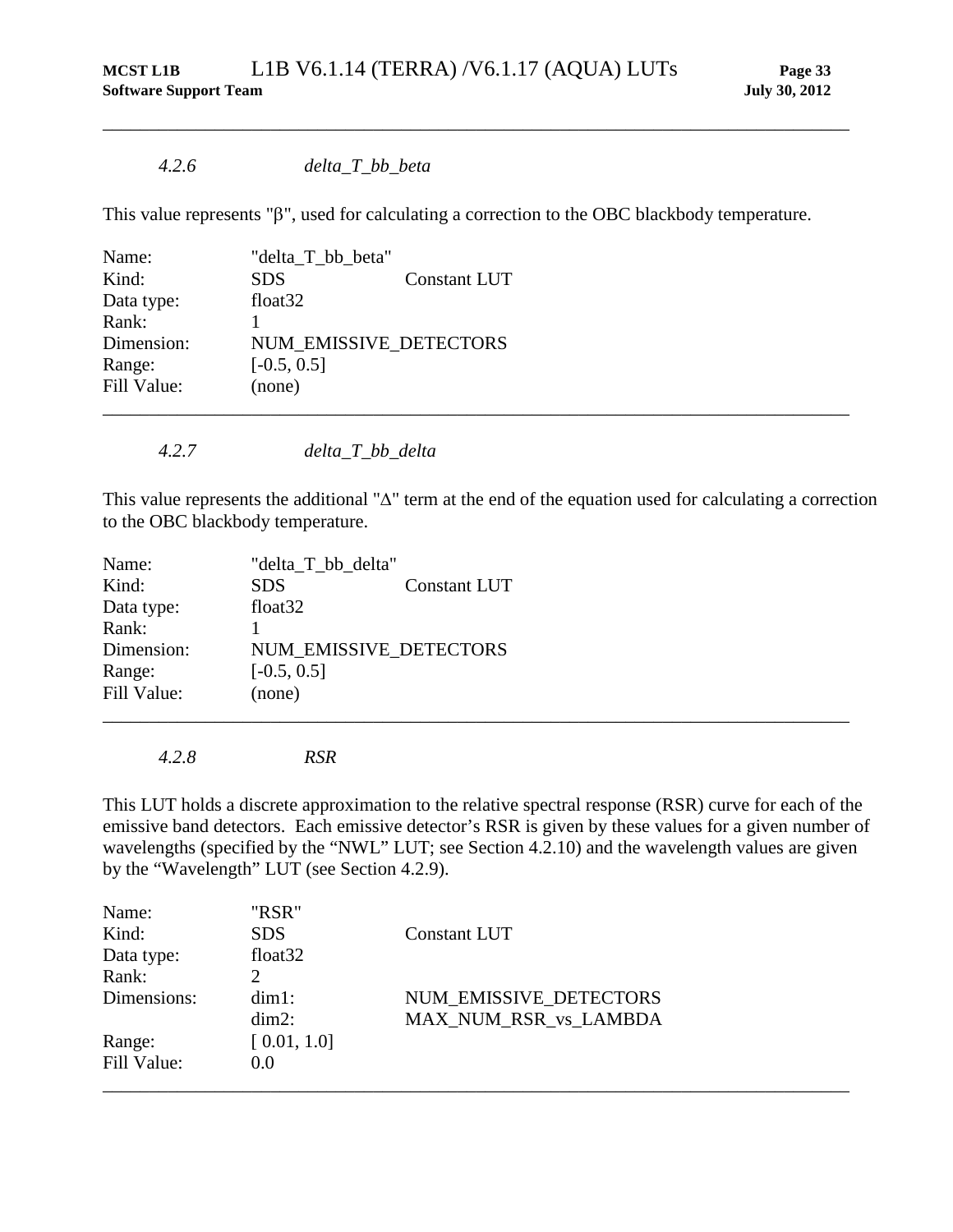## *4.2.6 delta\_T\_bb\_beta*

This value represents "β", used for calculating a correction to the OBC blackbody temperature.

\_\_\_\_\_\_\_\_\_\_\_\_\_\_\_\_\_\_\_\_\_\_\_\_\_\_\_\_\_\_\_\_\_\_\_\_\_\_\_\_\_\_\_\_\_\_\_\_\_\_\_\_\_\_\_\_\_\_\_\_\_\_\_\_\_\_\_\_\_\_\_\_\_\_\_\_\_\_\_\_

| Name:       | "delta_T_bb_beta"   |                        |  |
|-------------|---------------------|------------------------|--|
| Kind:       | <b>SDS</b>          | <b>Constant LUT</b>    |  |
| Data type:  | float <sub>32</sub> |                        |  |
| Rank:       |                     |                        |  |
| Dimension:  |                     | NUM EMISSIVE DETECTORS |  |
| Range:      | $[-0.5, 0.5]$       |                        |  |
| Fill Value: | (none)              |                        |  |
|             |                     |                        |  |

*4.2.7 delta\_T\_bb\_delta*

This value represents the additional "∆" term at the end of the equation used for calculating a correction to the OBC blackbody temperature.

| Name:       | "delta_T_bb_delta" |                        |  |
|-------------|--------------------|------------------------|--|
| Kind:       | <b>SDS</b>         | <b>Constant LUT</b>    |  |
| Data type:  | float $32$         |                        |  |
| Rank:       |                    |                        |  |
| Dimension:  |                    | NUM EMISSIVE DETECTORS |  |
| Range:      | $[-0.5, 0.5]$      |                        |  |
| Fill Value: | (none)             |                        |  |
|             |                    |                        |  |

*4.2.8 RSR*

<span id="page-38-0"></span>This LUT holds a discrete approximation to the relative spectral response (RSR) curve for each of the emissive band detectors. Each emissive detector's RSR is given by these values for a given number of wavelengths (specified by the "NWL" LUT; see Section [4.2.10\)](#page-39-0) and the wavelength values are given by the "Wavelength" LUT (see Section [4.2.9\)](#page-39-1).

| Name:       | "RSR"               |                        |  |
|-------------|---------------------|------------------------|--|
| Kind:       | <b>SDS</b>          | <b>Constant LUT</b>    |  |
| Data type:  | float <sub>32</sub> |                        |  |
| Rank:       |                     |                        |  |
| Dimensions: | $dim1$ :            | NUM EMISSIVE DETECTORS |  |
|             | $dim2$ :            | MAX_NUM_RSR_vs_LAMBDA  |  |
| Range:      | [0.01, 1.0]         |                        |  |
| Fill Value: | 0.0                 |                        |  |
|             |                     |                        |  |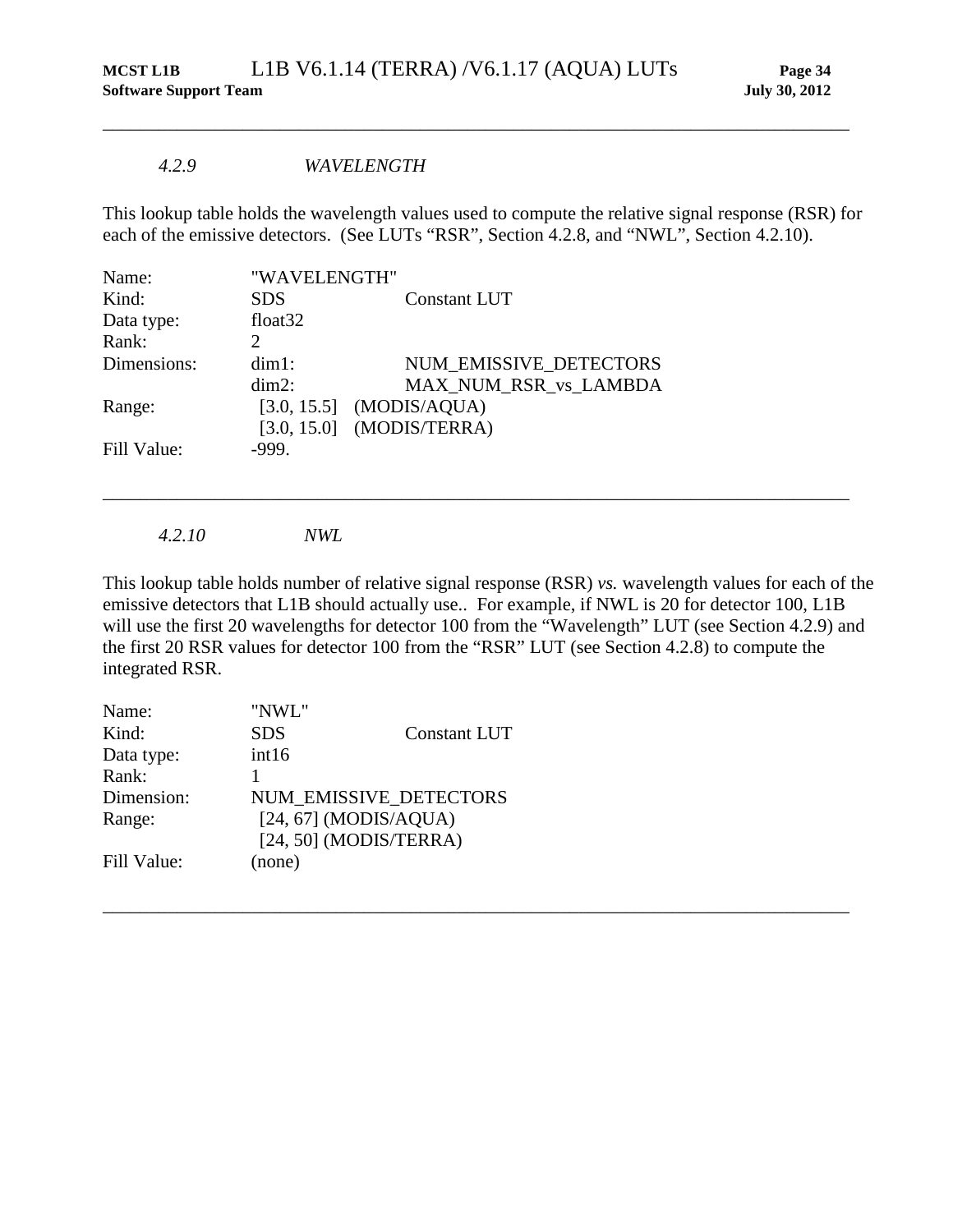#### *4.2.9 WAVELENGTH*

This lookup table holds the wavelength values used to compute the relative signal response (RSR) for each of the emissive detectors. (See LUTs "RSR", Section [4.2.8,](#page-38-0) and "NWL", Section [4.2.10\)](#page-39-0).

<span id="page-39-1"></span>\_\_\_\_\_\_\_\_\_\_\_\_\_\_\_\_\_\_\_\_\_\_\_\_\_\_\_\_\_\_\_\_\_\_\_\_\_\_\_\_\_\_\_\_\_\_\_\_\_\_\_\_\_\_\_\_\_\_\_\_\_\_\_\_\_\_\_\_\_\_\_\_\_\_\_\_\_\_\_\_

| Name:       | "WAVELENGTH"        |                             |
|-------------|---------------------|-----------------------------|
| Kind:       | <b>SDS</b>          | <b>Constant LUT</b>         |
| Data type:  | float <sub>32</sub> |                             |
| Rank:       | $\mathcal{D}$       |                             |
| Dimensions: | $dim1$ :            | NUM EMISSIVE DETECTORS      |
|             | $dim2$ :            | MAX NUM_RSR_vs_LAMBDA       |
| Range:      |                     | $[3.0, 15.5]$ (MODIS/AQUA)  |
|             |                     | $[3.0, 15.0]$ (MODIS/TERRA) |
| Fill Value: | $-999.$             |                             |
|             |                     |                             |

*4.2.10 NWL*

<span id="page-39-0"></span>This lookup table holds number of relative signal response (RSR) *vs.* wavelength values for each of the emissive detectors that L1B should actually use.. For example, if NWL is 20 for detector 100, L1B will use the first 20 wavelengths for detector 100 from the "Wavelength" LUT (see Section [4.2.9\)](#page-39-1) and the first 20 RSR values for detector 100 from the "RSR" LUT (see Section [4.2.8\)](#page-38-0) to compute the integrated RSR.

\_\_\_\_\_\_\_\_\_\_\_\_\_\_\_\_\_\_\_\_\_\_\_\_\_\_\_\_\_\_\_\_\_\_\_\_\_\_\_\_\_\_\_\_\_\_\_\_\_\_\_\_\_\_\_\_\_\_\_\_\_\_\_\_\_\_\_\_\_\_\_\_\_\_\_\_\_\_\_\_

| "NWL"                    |                     |
|--------------------------|---------------------|
| <b>SDS</b>               | <b>Constant LUT</b> |
| int16                    |                     |
|                          |                     |
| NUM EMISSIVE_DETECTORS   |                     |
| $[24, 67]$ (MODIS/AQUA)  |                     |
| $[24, 50]$ (MODIS/TERRA) |                     |
| (none)                   |                     |
|                          |                     |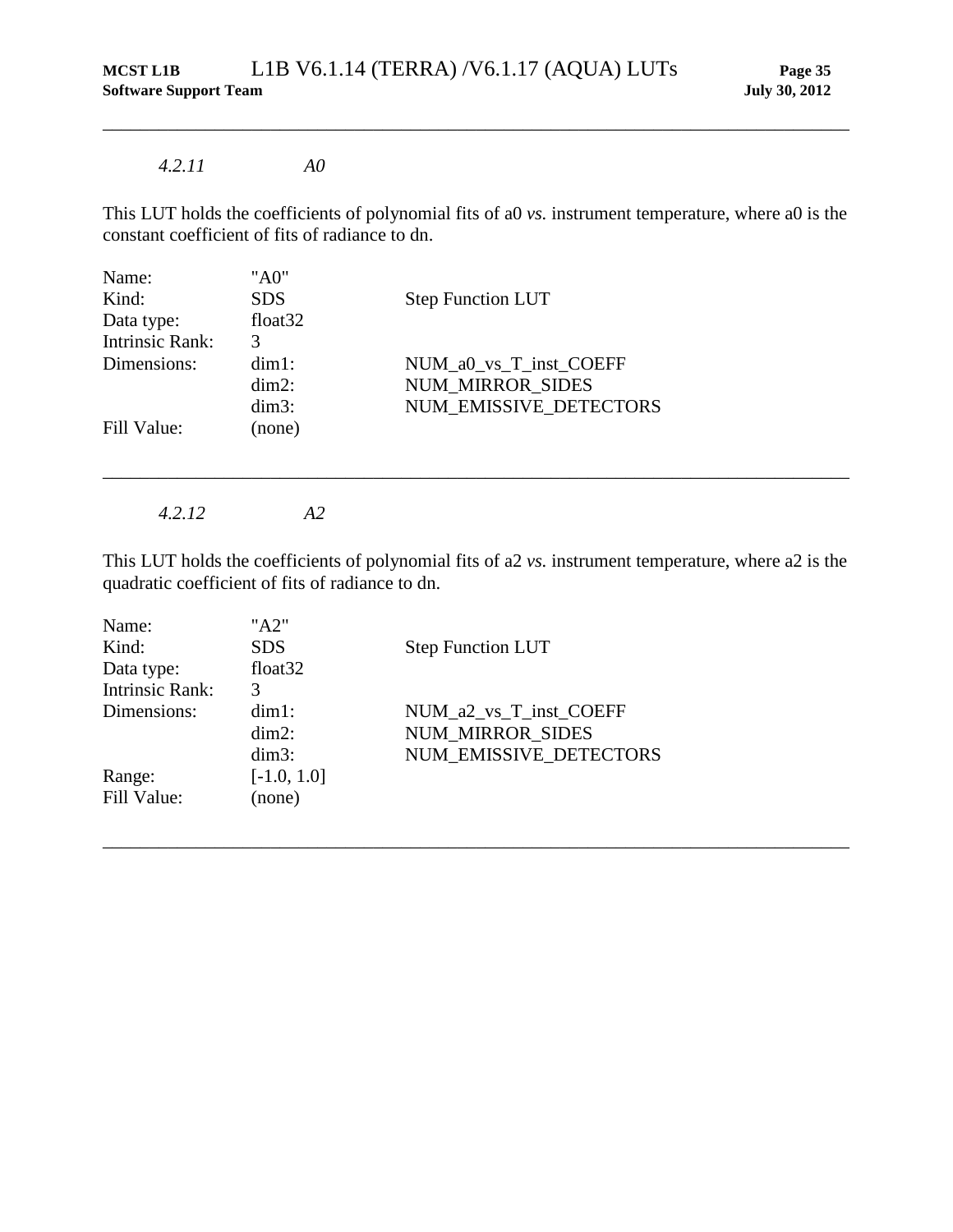### *4.2.11 A0*

This LUT holds the coefficients of polynomial fits of a0 *vs.* instrument temperature, where a0 is the constant coefficient of fits of radiance to dn.

\_\_\_\_\_\_\_\_\_\_\_\_\_\_\_\_\_\_\_\_\_\_\_\_\_\_\_\_\_\_\_\_\_\_\_\_\_\_\_\_\_\_\_\_\_\_\_\_\_\_\_\_\_\_\_\_\_\_\_\_\_\_\_\_\_\_\_\_\_\_\_\_\_\_\_\_\_\_\_\_

| Name:           | "A0"       |                          |
|-----------------|------------|--------------------------|
| Kind:           | <b>SDS</b> | <b>Step Function LUT</b> |
| Data type:      | float $32$ |                          |
| Intrinsic Rank: | 3          |                          |
| Dimensions:     | $dim1$ :   | NUM_a0_vs_T_inst_COEFF   |
|                 | $dim2$ :   | <b>NUM MIRROR SIDES</b>  |
|                 | $dim3$ :   | NUM EMISSIVE DETECTORS   |
| Fill Value:     | (none)     |                          |
|                 |            |                          |
|                 |            |                          |

*4.2.12 A2*

This LUT holds the coefficients of polynomial fits of a2 *vs.* instrument temperature, where a2 is the quadratic coefficient of fits of radiance to dn.

| Name:           | "A2"                |                          |
|-----------------|---------------------|--------------------------|
| Kind:           | <b>SDS</b>          | <b>Step Function LUT</b> |
| Data type:      | float <sub>32</sub> |                          |
| Intrinsic Rank: | 3                   |                          |
| Dimensions:     | $dim1$ :            | NUM_a2_vs_T_inst_COEFF   |
|                 | $dim2$ :            | <b>NUM MIRROR SIDES</b>  |
|                 | $dim3$ :            | NUM EMISSIVE DETECTORS   |
| Range:          | $[-1.0, 1.0]$       |                          |
| Fill Value:     | (none)              |                          |
|                 |                     |                          |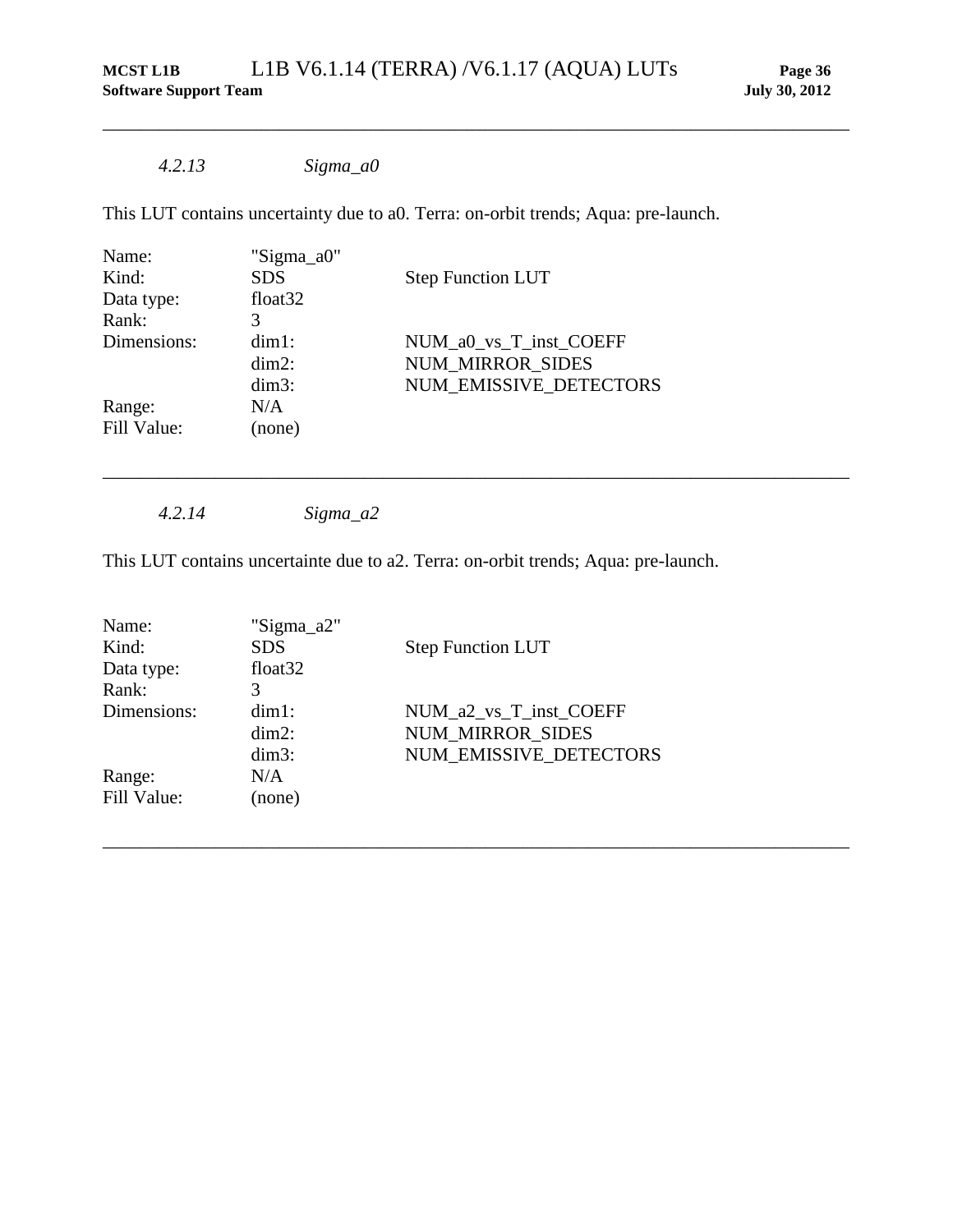## *4.2.13 Sigma\_a0*

This LUT contains uncertainty due to a0. Terra: on-orbit trends; Aqua: pre-launch.

\_\_\_\_\_\_\_\_\_\_\_\_\_\_\_\_\_\_\_\_\_\_\_\_\_\_\_\_\_\_\_\_\_\_\_\_\_\_\_\_\_\_\_\_\_\_\_\_\_\_\_\_\_\_\_\_\_\_\_\_\_\_\_\_\_\_\_\_\_\_\_\_\_\_\_\_\_\_\_\_

\_\_\_\_\_\_\_\_\_\_\_\_\_\_\_\_\_\_\_\_\_\_\_\_\_\_\_\_\_\_\_\_\_\_\_\_\_\_\_\_\_\_\_\_\_\_\_\_\_\_\_\_\_\_\_\_\_\_\_\_\_\_\_\_\_\_\_\_\_\_\_\_\_\_\_\_\_\_\_\_

| Name:       | "Sigma_a0"          |                          |
|-------------|---------------------|--------------------------|
| Kind:       | <b>SDS</b>          | <b>Step Function LUT</b> |
| Data type:  | float <sub>32</sub> |                          |
| Rank:       | 3                   |                          |
| Dimensions: | $dim1$ :            | NUM_a0_vs_T_inst_COEFF   |
|             | $dim2$ :            | <b>NUM MIRROR SIDES</b>  |
|             | $dim3$ :            | NUM EMISSIVE DETECTORS   |
| Range:      | N/A                 |                          |
| Fill Value: | (none)              |                          |
|             |                     |                          |

*4.2.14 Sigma\_a2*

This LUT contains uncertainte due to a2. Terra: on-orbit trends; Aqua: pre-launch.

| Name:       | "Sigma_a2"          |                          |
|-------------|---------------------|--------------------------|
| Kind:       | <b>SDS</b>          | <b>Step Function LUT</b> |
| Data type:  | float <sub>32</sub> |                          |
| Rank:       | 3                   |                          |
| Dimensions: | $dim1$ :            | NUM a2 vs T inst COEFF   |
|             | $dim2$ :            | NUM_MIRROR_SIDES         |
|             | $dim3$ :            | NUM EMISSIVE DETECTORS   |
| Range:      | N/A                 |                          |
| Fill Value: | (none)              |                          |
|             |                     |                          |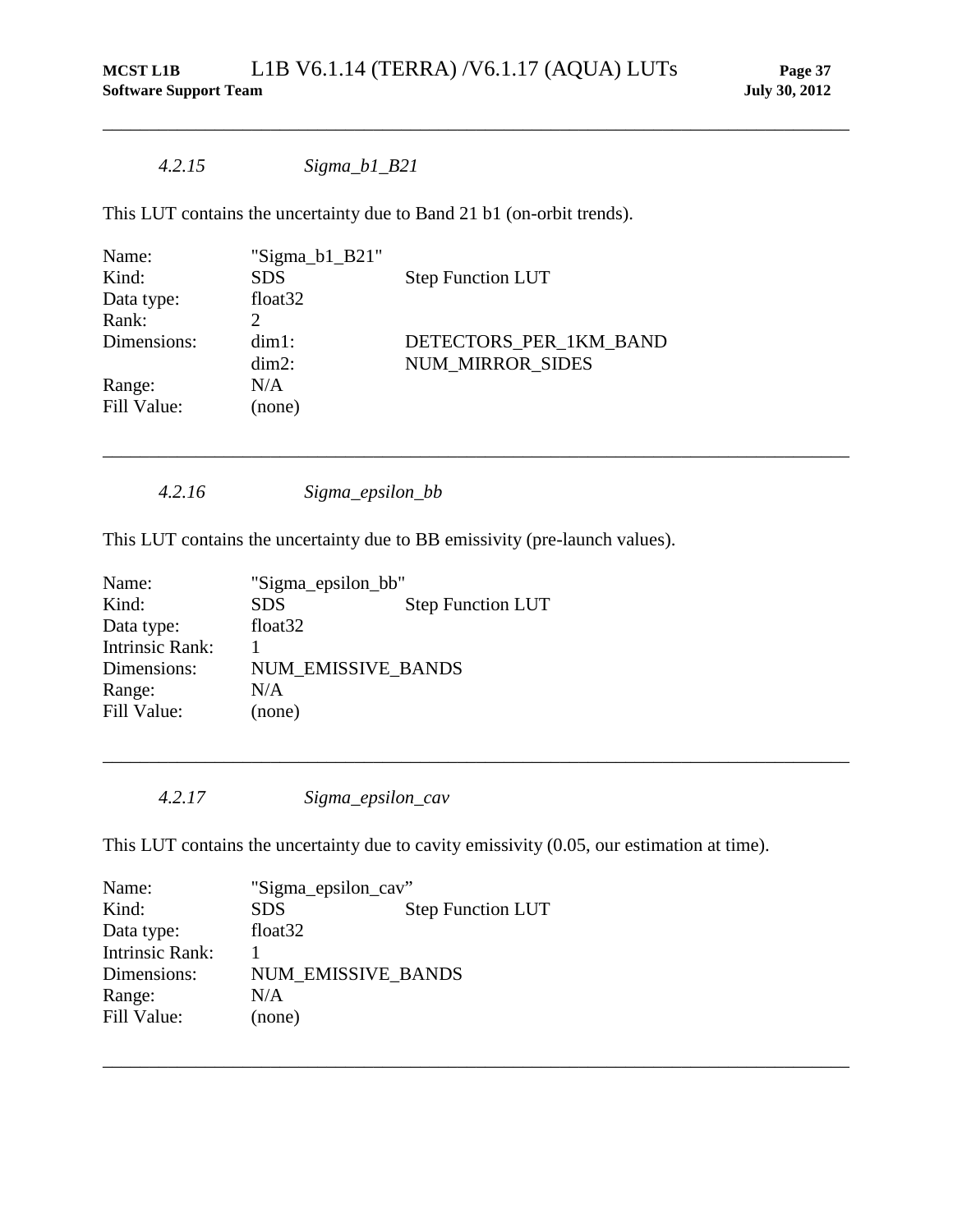\_\_\_\_\_\_\_\_\_\_\_\_\_\_\_\_\_\_\_\_\_\_\_\_\_\_\_\_\_\_\_\_\_\_\_\_\_\_\_\_\_\_\_\_\_\_\_\_\_\_\_\_\_\_\_\_\_\_\_\_\_\_\_\_\_\_\_\_\_\_\_\_\_\_\_\_\_\_\_\_

\_\_\_\_\_\_\_\_\_\_\_\_\_\_\_\_\_\_\_\_\_\_\_\_\_\_\_\_\_\_\_\_\_\_\_\_\_\_\_\_\_\_\_\_\_\_\_\_\_\_\_\_\_\_\_\_\_\_\_\_\_\_\_\_\_\_\_\_\_\_\_\_\_\_\_\_\_\_\_\_

## *4.2.15 Sigma\_b1\_B21*

This LUT contains the uncertainty due to Band 21 b1 (on-orbit trends).

| Name:       | "Sigma_b1_B21"      |                          |
|-------------|---------------------|--------------------------|
| Kind:       | <b>SDS</b>          | <b>Step Function LUT</b> |
| Data type:  | float <sub>32</sub> |                          |
| Rank:       |                     |                          |
| Dimensions: | $dim1$ :            | DETECTORS PER 1KM BAND   |
|             | $dim2$ :            | <b>NUM MIRROR SIDES</b>  |
| Range:      | N/A                 |                          |
| Fill Value: | (none)              |                          |
|             |                     |                          |

*4.2.16 Sigma\_epsilon\_bb*

This LUT contains the uncertainty due to BB emissivity (pre-launch values).

| "Sigma_epsilon_bb"        |                          |
|---------------------------|--------------------------|
| <b>SDS</b>                | <b>Step Function LUT</b> |
| float <sub>32</sub>       |                          |
|                           |                          |
| <b>NUM EMISSIVE BANDS</b> |                          |
| N/A                       |                          |
| (none)                    |                          |
|                           |                          |

*4.2.17 Sigma\_epsilon\_cav*

This LUT contains the uncertainty due to cavity emissivity (0.05, our estimation at time).

\_\_\_\_\_\_\_\_\_\_\_\_\_\_\_\_\_\_\_\_\_\_\_\_\_\_\_\_\_\_\_\_\_\_\_\_\_\_\_\_\_\_\_\_\_\_\_\_\_\_\_\_\_\_\_\_\_\_\_\_\_\_\_\_\_\_\_\_\_\_\_\_\_\_\_\_\_\_\_\_

| "Sigma_epsilon_cav"       |                          |
|---------------------------|--------------------------|
| <b>SDS</b>                | <b>Step Function LUT</b> |
| float <sub>32</sub>       |                          |
|                           |                          |
| <b>NUM EMISSIVE BANDS</b> |                          |
| N/A                       |                          |
| (none)                    |                          |
|                           |                          |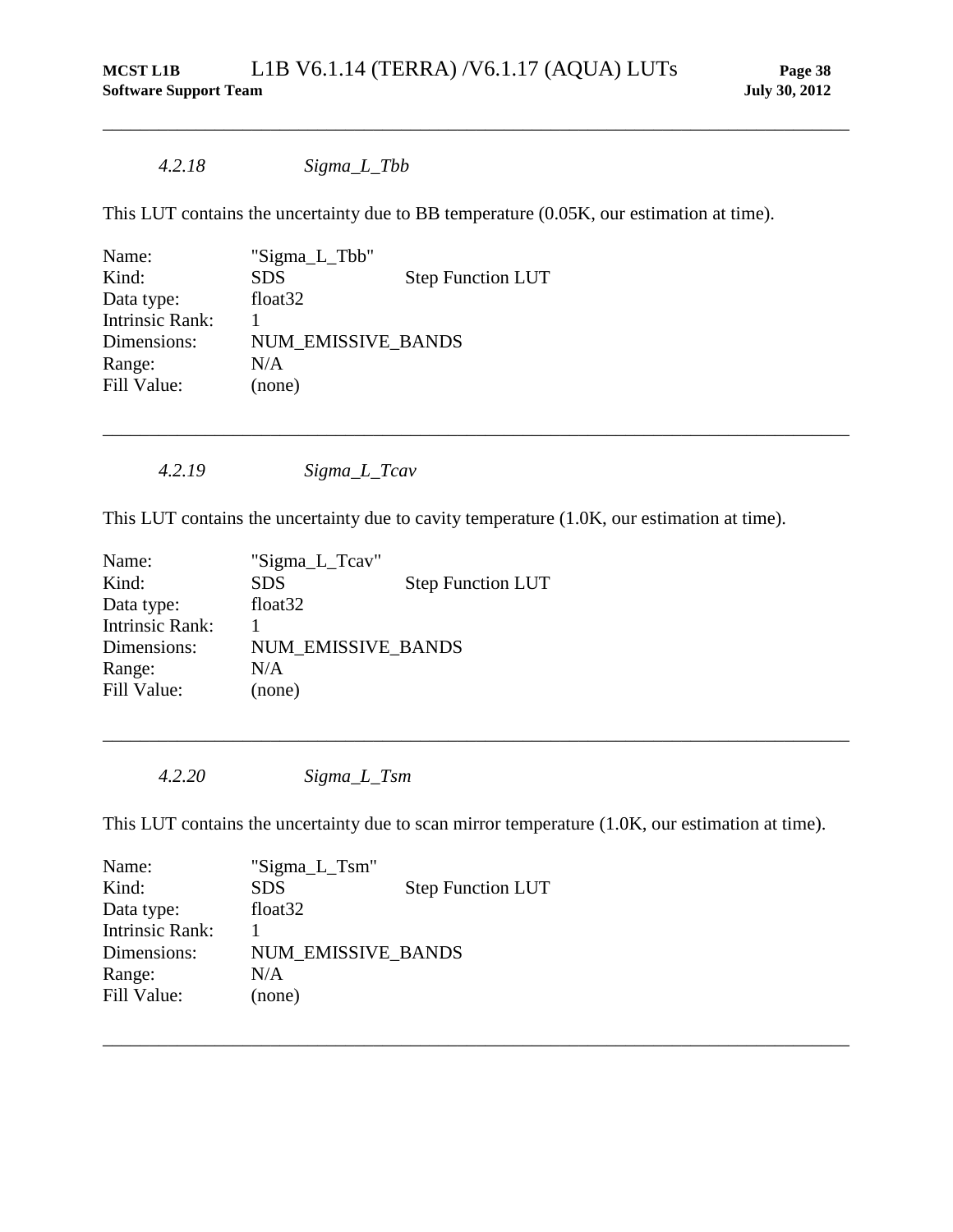*4.2.18 Sigma\_L\_Tbb*

This LUT contains the uncertainty due to BB temperature (0.05K, our estimation at time).

\_\_\_\_\_\_\_\_\_\_\_\_\_\_\_\_\_\_\_\_\_\_\_\_\_\_\_\_\_\_\_\_\_\_\_\_\_\_\_\_\_\_\_\_\_\_\_\_\_\_\_\_\_\_\_\_\_\_\_\_\_\_\_\_\_\_\_\_\_\_\_\_\_\_\_\_\_\_\_\_

| Name:                  | "Sigma_L_Tbb"             |                          |
|------------------------|---------------------------|--------------------------|
| Kind:                  | <b>SDS</b>                | <b>Step Function LUT</b> |
| Data type:             | float <sub>32</sub>       |                          |
| <b>Intrinsic Rank:</b> |                           |                          |
| Dimensions:            | <b>NUM EMISSIVE BANDS</b> |                          |
| Range:                 | N/A                       |                          |
| Fill Value:            | (none)                    |                          |

*4.2.19 Sigma\_L\_Tcav*

This LUT contains the uncertainty due to cavity temperature (1.0K, our estimation at time).

\_\_\_\_\_\_\_\_\_\_\_\_\_\_\_\_\_\_\_\_\_\_\_\_\_\_\_\_\_\_\_\_\_\_\_\_\_\_\_\_\_\_\_\_\_\_\_\_\_\_\_\_\_\_\_\_\_\_\_\_\_\_\_\_\_\_\_\_\_\_\_\_\_\_\_\_\_\_\_\_

| Name:                  | "Sigma_L_Tcav"      |                          |
|------------------------|---------------------|--------------------------|
| Kind:                  | <b>SDS</b>          | <b>Step Function LUT</b> |
| Data type:             | float <sub>32</sub> |                          |
| <b>Intrinsic Rank:</b> |                     |                          |
| Dimensions:            | NUM EMISSIVE BANDS  |                          |
| Range:                 | N/A                 |                          |
| Fill Value:            | (none)              |                          |

*4.2.20 Sigma\_L\_Tsm*

This LUT contains the uncertainty due to scan mirror temperature (1.0K, our estimation at time).

\_\_\_\_\_\_\_\_\_\_\_\_\_\_\_\_\_\_\_\_\_\_\_\_\_\_\_\_\_\_\_\_\_\_\_\_\_\_\_\_\_\_\_\_\_\_\_\_\_\_\_\_\_\_\_\_\_\_\_\_\_\_\_\_\_\_\_\_\_\_\_\_\_\_\_\_\_\_\_\_

| Name:                  | "Sigma_L_Tsm"             |                          |
|------------------------|---------------------------|--------------------------|
| Kind:                  | <b>SDS</b>                | <b>Step Function LUT</b> |
| Data type:             | float <sub>32</sub>       |                          |
| <b>Intrinsic Rank:</b> |                           |                          |
| Dimensions:            | <b>NUM EMISSIVE BANDS</b> |                          |
| Range:                 | N/A                       |                          |
| Fill Value:            | (none)                    |                          |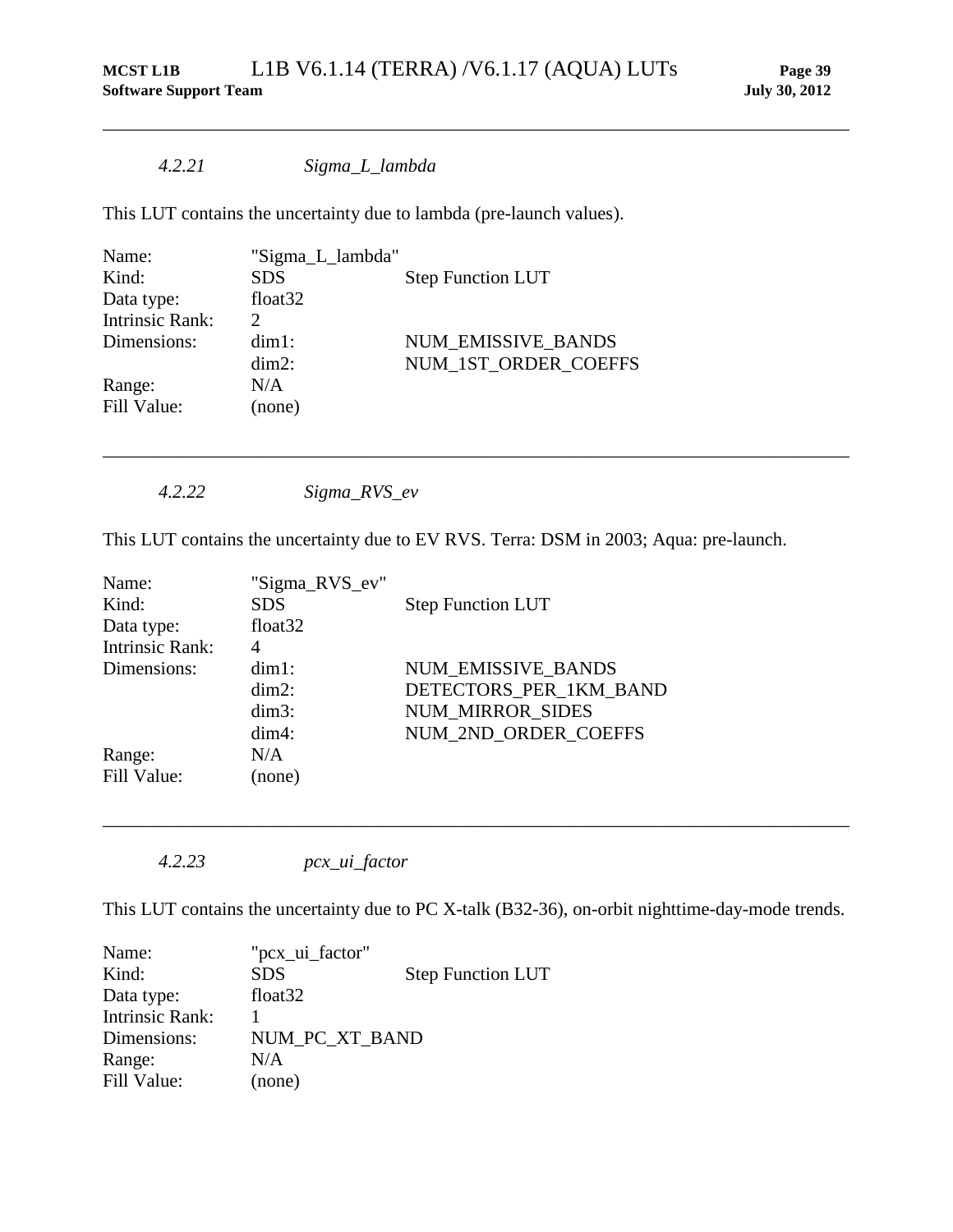\_\_\_\_\_\_\_\_\_\_\_\_\_\_\_\_\_\_\_\_\_\_\_\_\_\_\_\_\_\_\_\_\_\_\_\_\_\_\_\_\_\_\_\_\_\_\_\_\_\_\_\_\_\_\_\_\_\_\_\_\_\_\_\_\_\_\_\_\_\_\_\_\_\_\_\_\_\_\_\_

## *4.2.21 Sigma\_L\_lambda*

This LUT contains the uncertainty due to lambda (pre-launch values).

| Name:           | "Sigma_L_lambda"    |                           |
|-----------------|---------------------|---------------------------|
| Kind:           | <b>SDS</b>          | <b>Step Function LUT</b>  |
| Data type:      | float <sub>32</sub> |                           |
| Intrinsic Rank: | $\mathcal{D}$       |                           |
| Dimensions:     | $dim1$ :            | <b>NUM EMISSIVE BANDS</b> |
|                 | $dim2$ :            | NUM_1ST_ORDER_COEFFS      |
| Range:          | N/A                 |                           |
| Fill Value:     | (none)              |                           |
|                 |                     |                           |

*4.2.22 Sigma\_RVS\_ev*

This LUT contains the uncertainty due to EV RVS. Terra: DSM in 2003; Aqua: pre-launch.

\_\_\_\_\_\_\_\_\_\_\_\_\_\_\_\_\_\_\_\_\_\_\_\_\_\_\_\_\_\_\_\_\_\_\_\_\_\_\_\_\_\_\_\_\_\_\_\_\_\_\_\_\_\_\_\_\_\_\_\_\_\_\_\_\_\_\_\_\_\_\_\_\_\_\_\_\_\_\_\_

| Name:                  | "Sigma_RVS_ev"      |                           |
|------------------------|---------------------|---------------------------|
| Kind:                  | <b>SDS</b>          | <b>Step Function LUT</b>  |
| Data type:             | float <sub>32</sub> |                           |
| <b>Intrinsic Rank:</b> | 4                   |                           |
| Dimensions:            | $dim1$ :            | <b>NUM EMISSIVE BANDS</b> |
|                        | $dim2$ :            | DETECTORS PER 1KM BAND    |
|                        | $dim3$ :            | <b>NUM MIRROR SIDES</b>   |
|                        | $dim4$ :            | NUM 2ND ORDER COEFFS      |
| Range:                 | N/A                 |                           |
| Fill Value:            | (none)              |                           |

*<sup>4.2.23</sup> pcx\_ui\_factor*

This LUT contains the uncertainty due to PC X-talk (B32-36), on-orbit nighttime-day-mode trends.

| Name:                  | "pcx_ui_factor"     |                          |
|------------------------|---------------------|--------------------------|
| Kind:                  | <b>SDS</b>          | <b>Step Function LUT</b> |
| Data type:             | float <sub>32</sub> |                          |
| <b>Intrinsic Rank:</b> |                     |                          |
| Dimensions:            | NUM PC XT BAND      |                          |
| Range:                 | N/A                 |                          |
| Fill Value:            | (none)              |                          |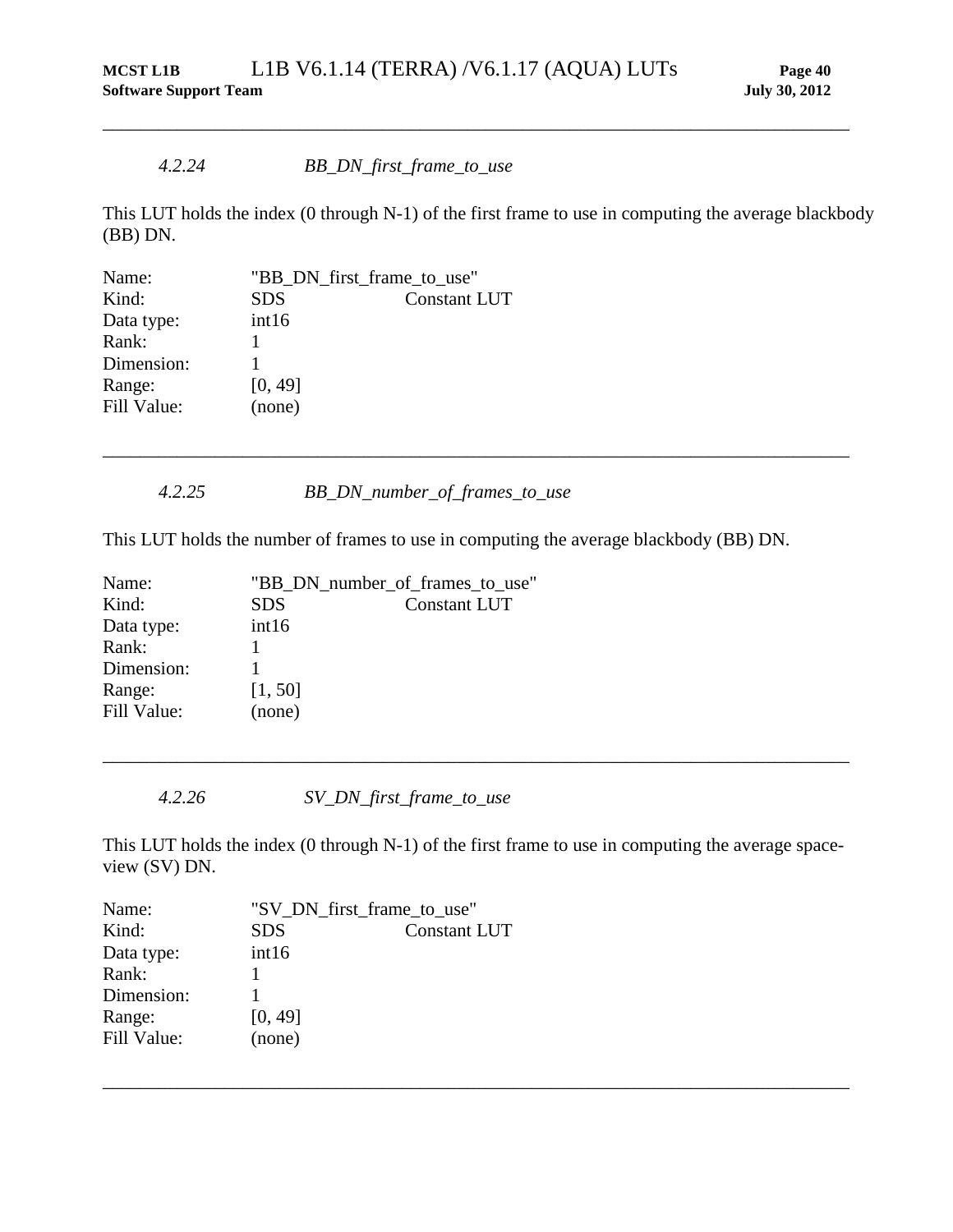### *4.2.24 BB\_DN\_first\_frame\_to\_use*

This LUT holds the index (0 through N-1) of the first frame to use in computing the average blackbody (BB) DN.

\_\_\_\_\_\_\_\_\_\_\_\_\_\_\_\_\_\_\_\_\_\_\_\_\_\_\_\_\_\_\_\_\_\_\_\_\_\_\_\_\_\_\_\_\_\_\_\_\_\_\_\_\_\_\_\_\_\_\_\_\_\_\_\_\_\_\_\_\_\_\_\_\_\_\_\_\_\_\_\_

| "BB_DN_first_frame_to_use" |                     |
|----------------------------|---------------------|
| <b>SDS</b>                 | <b>Constant LUT</b> |
| int16                      |                     |
|                            |                     |
|                            |                     |
| [0, 49]                    |                     |
| (none)                     |                     |
|                            |                     |

## *4.2.25 BB\_DN\_number\_of\_frames\_to\_use*

This LUT holds the number of frames to use in computing the average blackbody (BB) DN.

\_\_\_\_\_\_\_\_\_\_\_\_\_\_\_\_\_\_\_\_\_\_\_\_\_\_\_\_\_\_\_\_\_\_\_\_\_\_\_\_\_\_\_\_\_\_\_\_\_\_\_\_\_\_\_\_\_\_\_\_\_\_\_\_\_\_\_\_\_\_\_\_\_\_\_\_\_\_\_\_

| "BB_DN_number_of_frames_to_use" |                     |  |
|---------------------------------|---------------------|--|
| <b>SDS</b>                      | <b>Constant LUT</b> |  |
| int16                           |                     |  |
|                                 |                     |  |
|                                 |                     |  |
| [1, 50]                         |                     |  |
| (none)                          |                     |  |
|                                 |                     |  |

*4.2.26 SV\_DN\_first\_frame\_to\_use*

This LUT holds the index (0 through N-1) of the first frame to use in computing the average spaceview (SV) DN.

\_\_\_\_\_\_\_\_\_\_\_\_\_\_\_\_\_\_\_\_\_\_\_\_\_\_\_\_\_\_\_\_\_\_\_\_\_\_\_\_\_\_\_\_\_\_\_\_\_\_\_\_\_\_\_\_\_\_\_\_\_\_\_\_\_\_\_\_\_\_\_\_\_\_\_\_\_\_\_\_

| Name:       | "SV_DN_first_frame_to_use" |                     |
|-------------|----------------------------|---------------------|
| Kind:       | <b>SDS</b>                 | <b>Constant LUT</b> |
| Data type:  | int16                      |                     |
| Rank:       |                            |                     |
| Dimension:  |                            |                     |
| Range:      | [0, 49]                    |                     |
| Fill Value: | (none)                     |                     |
|             |                            |                     |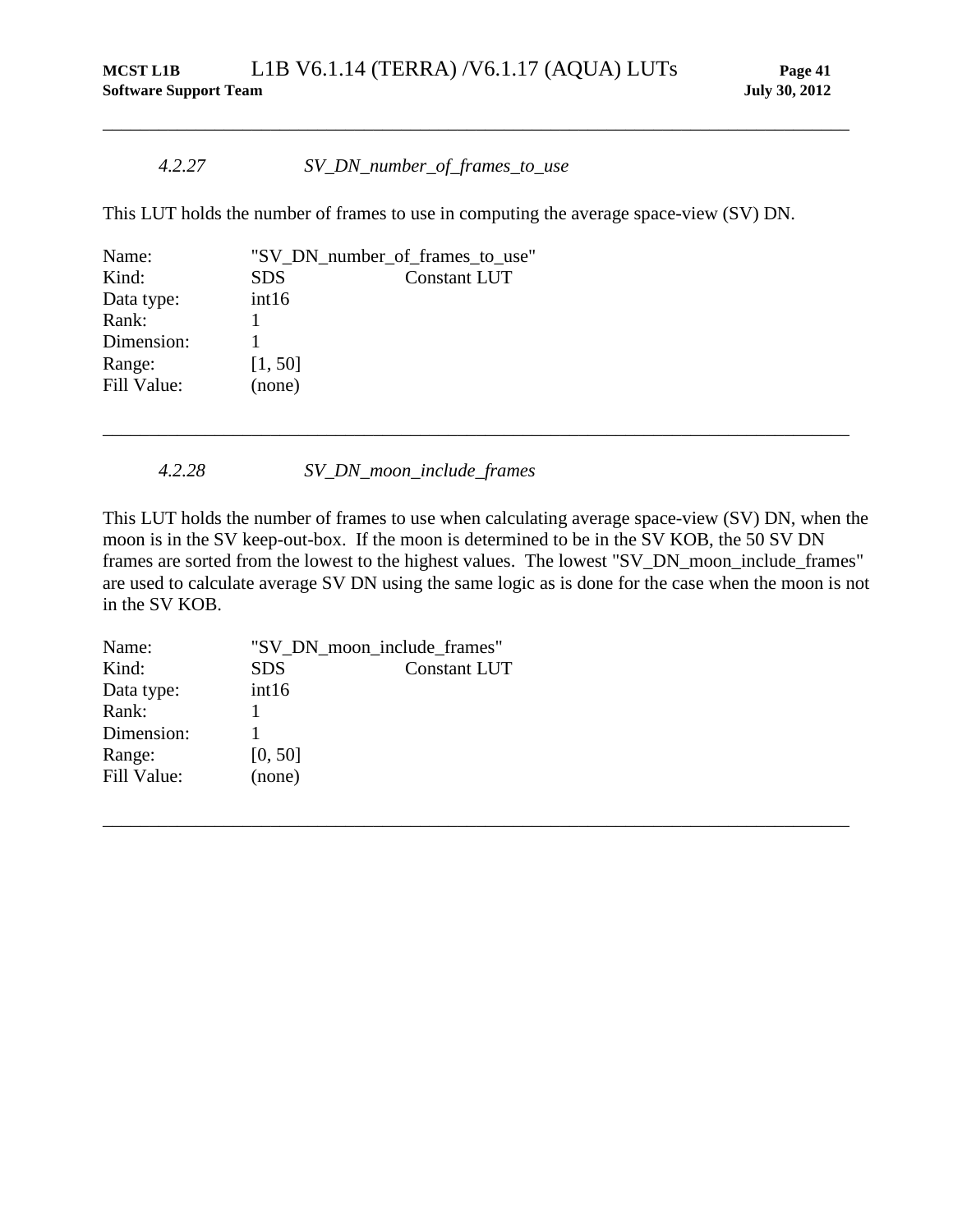### *4.2.27 SV\_DN\_number\_of\_frames\_to\_use*

This LUT holds the number of frames to use in computing the average space-view (SV) DN.

\_\_\_\_\_\_\_\_\_\_\_\_\_\_\_\_\_\_\_\_\_\_\_\_\_\_\_\_\_\_\_\_\_\_\_\_\_\_\_\_\_\_\_\_\_\_\_\_\_\_\_\_\_\_\_\_\_\_\_\_\_\_\_\_\_\_\_\_\_\_\_\_\_\_\_\_\_\_\_\_

| Name:       |            | "SV_DN_number_of_frames_to_use" |
|-------------|------------|---------------------------------|
| Kind:       | <b>SDS</b> | Constant LUT                    |
| Data type:  | int16      |                                 |
| Rank:       |            |                                 |
| Dimension:  |            |                                 |
| Range:      | [1, 50]    |                                 |
| Fill Value: | (none)     |                                 |
|             |            |                                 |

*4.2.28 SV\_DN\_moon\_include\_frames*

This LUT holds the number of frames to use when calculating average space-view (SV) DN, when the moon is in the SV keep-out-box. If the moon is determined to be in the SV KOB, the 50 SV DN frames are sorted from the lowest to the highest values. The lowest "SV\_DN\_moon\_include\_frames" are used to calculate average SV DN using the same logic as is done for the case when the moon is not in the SV KOB.

\_\_\_\_\_\_\_\_\_\_\_\_\_\_\_\_\_\_\_\_\_\_\_\_\_\_\_\_\_\_\_\_\_\_\_\_\_\_\_\_\_\_\_\_\_\_\_\_\_\_\_\_\_\_\_\_\_\_\_\_\_\_\_\_\_\_\_\_\_\_\_\_\_\_\_\_\_\_\_\_

| Name:       | "SV DN moon include frames" |                     |  |
|-------------|-----------------------------|---------------------|--|
| Kind:       | <b>SDS</b>                  | <b>Constant LUT</b> |  |
| Data type:  | int16                       |                     |  |
| Rank:       |                             |                     |  |
| Dimension:  |                             |                     |  |
| Range:      | [0, 50]                     |                     |  |
| Fill Value: | (none)                      |                     |  |
|             |                             |                     |  |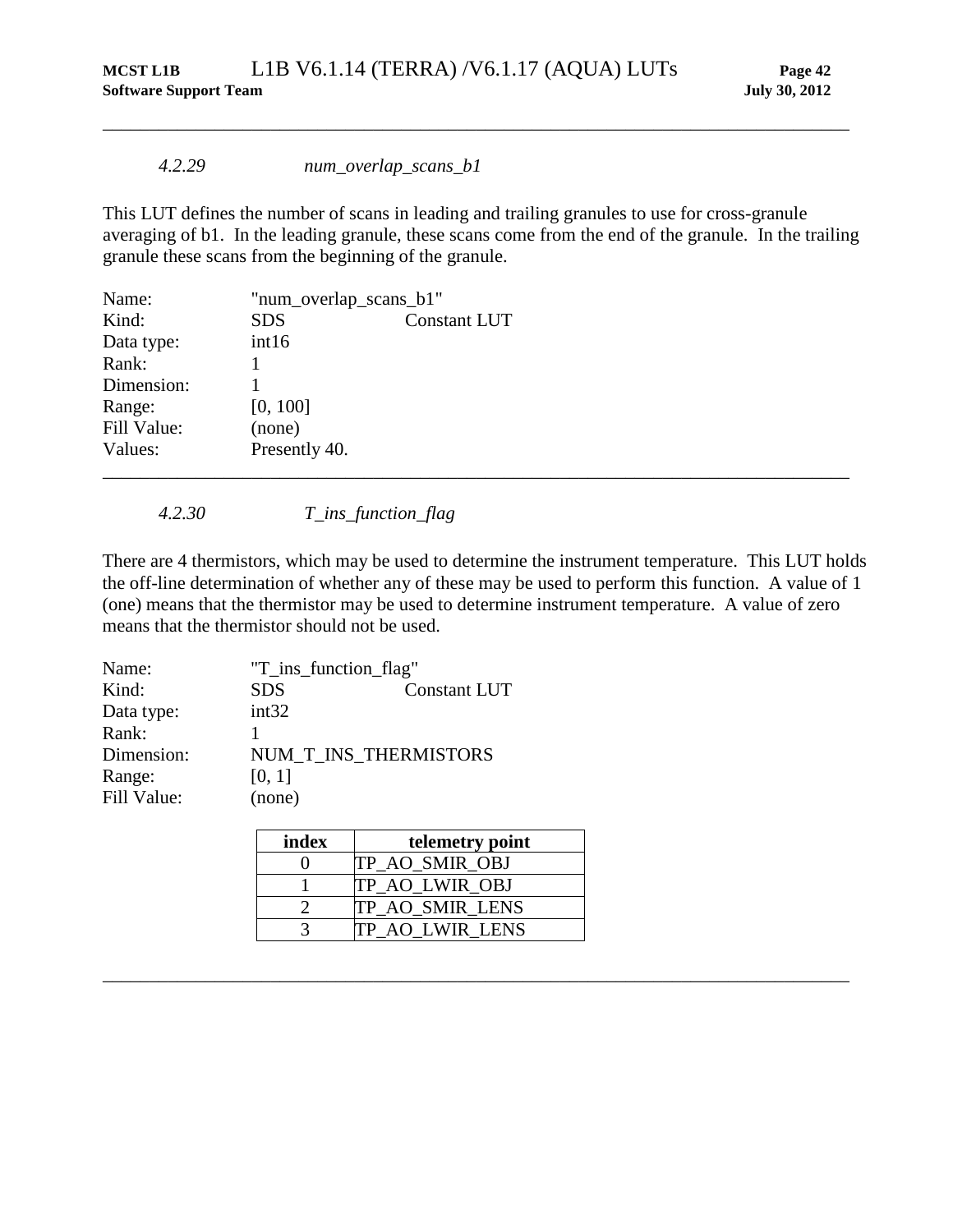### *4.2.29 num\_overlap\_scans\_b1*

This LUT defines the number of scans in leading and trailing granules to use for cross-granule averaging of b1. In the leading granule, these scans come from the end of the granule. In the trailing granule these scans from the beginning of the granule.

\_\_\_\_\_\_\_\_\_\_\_\_\_\_\_\_\_\_\_\_\_\_\_\_\_\_\_\_\_\_\_\_\_\_\_\_\_\_\_\_\_\_\_\_\_\_\_\_\_\_\_\_\_\_\_\_\_\_\_\_\_\_\_\_\_\_\_\_\_\_\_\_\_\_\_\_\_\_\_\_

| Name:       | "num_overlap_scans_b1" |                     |  |
|-------------|------------------------|---------------------|--|
| Kind:       | <b>SDS</b>             | <b>Constant LUT</b> |  |
| Data type:  | int16                  |                     |  |
| Rank:       |                        |                     |  |
| Dimension:  |                        |                     |  |
| Range:      | [0, 100]               |                     |  |
| Fill Value: | (none)                 |                     |  |
| Values:     | Presently 40.          |                     |  |
|             |                        |                     |  |

*4.2.30 T\_ins\_function\_flag*

<span id="page-47-0"></span>There are 4 thermistors, which may be used to determine the instrument temperature. This LUT holds the off-line determination of whether any of these may be used to perform this function. A value of 1 (one) means that the thermistor may be used to determine instrument temperature. A value of zero means that the thermistor should not be used.

| Name:       | "T_ins_function_flag" |                       |  |
|-------------|-----------------------|-----------------------|--|
| Kind:       | <b>SDS</b>            | <b>Constant LUT</b>   |  |
| Data type:  | int32                 |                       |  |
| Rank:       |                       |                       |  |
| Dimension:  |                       | NUM T INS THERMISTORS |  |
| Range:      | [0, 1]                |                       |  |
| Fill Value: | (none)                |                       |  |

| index | telemetry point        |
|-------|------------------------|
|       | TP AO SMIR OBJ         |
|       | TP AO LWIR OBJ         |
|       | TP AO SMIR LENS        |
|       | <b>TP AO LWIR LENS</b> |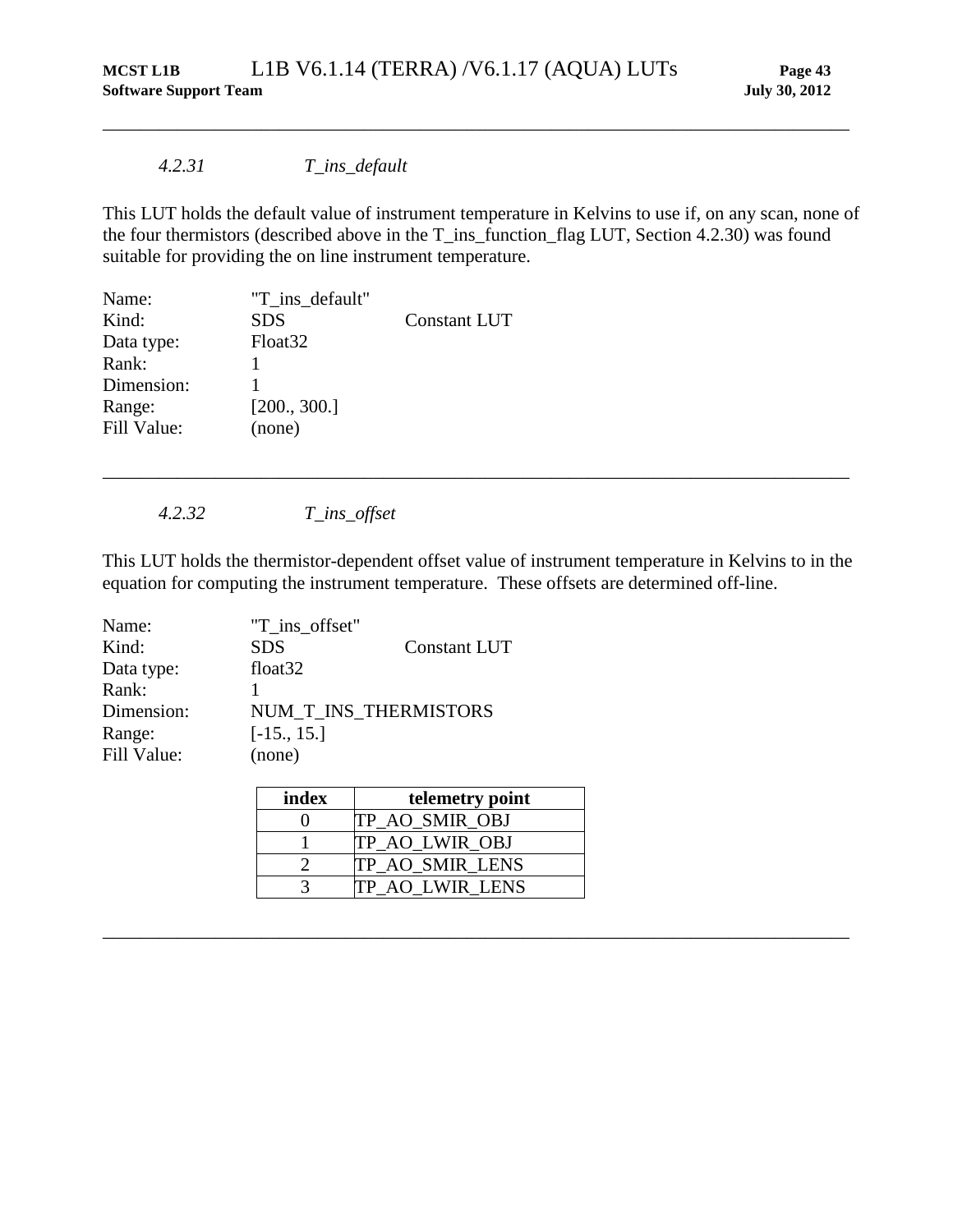## *4.2.31 T\_ins\_default*

This LUT holds the default value of instrument temperature in Kelvins to use if, on any scan, none of the four thermistors (described above in the T\_ins\_function\_flag LUT, Section [4.2.30\)](#page-47-0) was found suitable for providing the on line instrument temperature.

\_\_\_\_\_\_\_\_\_\_\_\_\_\_\_\_\_\_\_\_\_\_\_\_\_\_\_\_\_\_\_\_\_\_\_\_\_\_\_\_\_\_\_\_\_\_\_\_\_\_\_\_\_\_\_\_\_\_\_\_\_\_\_\_\_\_\_\_\_\_\_\_\_\_\_\_\_\_\_\_

| Name:       | "T ins default"     |                     |
|-------------|---------------------|---------------------|
| Kind:       | <b>SDS</b>          | <b>Constant LUT</b> |
| Data type:  | Float <sub>32</sub> |                     |
| Rank:       |                     |                     |
| Dimension:  |                     |                     |
| Range:      | [200., 300.]        |                     |
| Fill Value: | (none)              |                     |

*4.2.32 T\_ins\_offset*

This LUT holds the thermistor-dependent offset value of instrument temperature in Kelvins to in the equation for computing the instrument temperature. These offsets are determined off-line.

\_\_\_\_\_\_\_\_\_\_\_\_\_\_\_\_\_\_\_\_\_\_\_\_\_\_\_\_\_\_\_\_\_\_\_\_\_\_\_\_\_\_\_\_\_\_\_\_\_\_\_\_\_\_\_\_\_\_\_\_\_\_\_\_\_\_\_\_\_\_\_\_\_\_\_\_\_\_\_\_

| Name:       | "T ins offset"        |                     |
|-------------|-----------------------|---------------------|
| Kind:       | <b>SDS</b>            | <b>Constant LUT</b> |
| Data type:  | float <sub>32</sub>   |                     |
| Rank:       |                       |                     |
| Dimension:  | NUM T INS THERMISTORS |                     |
| Range:      | $[-15., 15.]$         |                     |
| Fill Value: | (none)                |                     |

| index | telemetry point |
|-------|-----------------|
|       | TP_AO_SMIR_OBJ  |
|       | TP AO LWIR OBJ  |
|       | TP_AO_SMIR_LENS |
|       | TP AO LWIR LENS |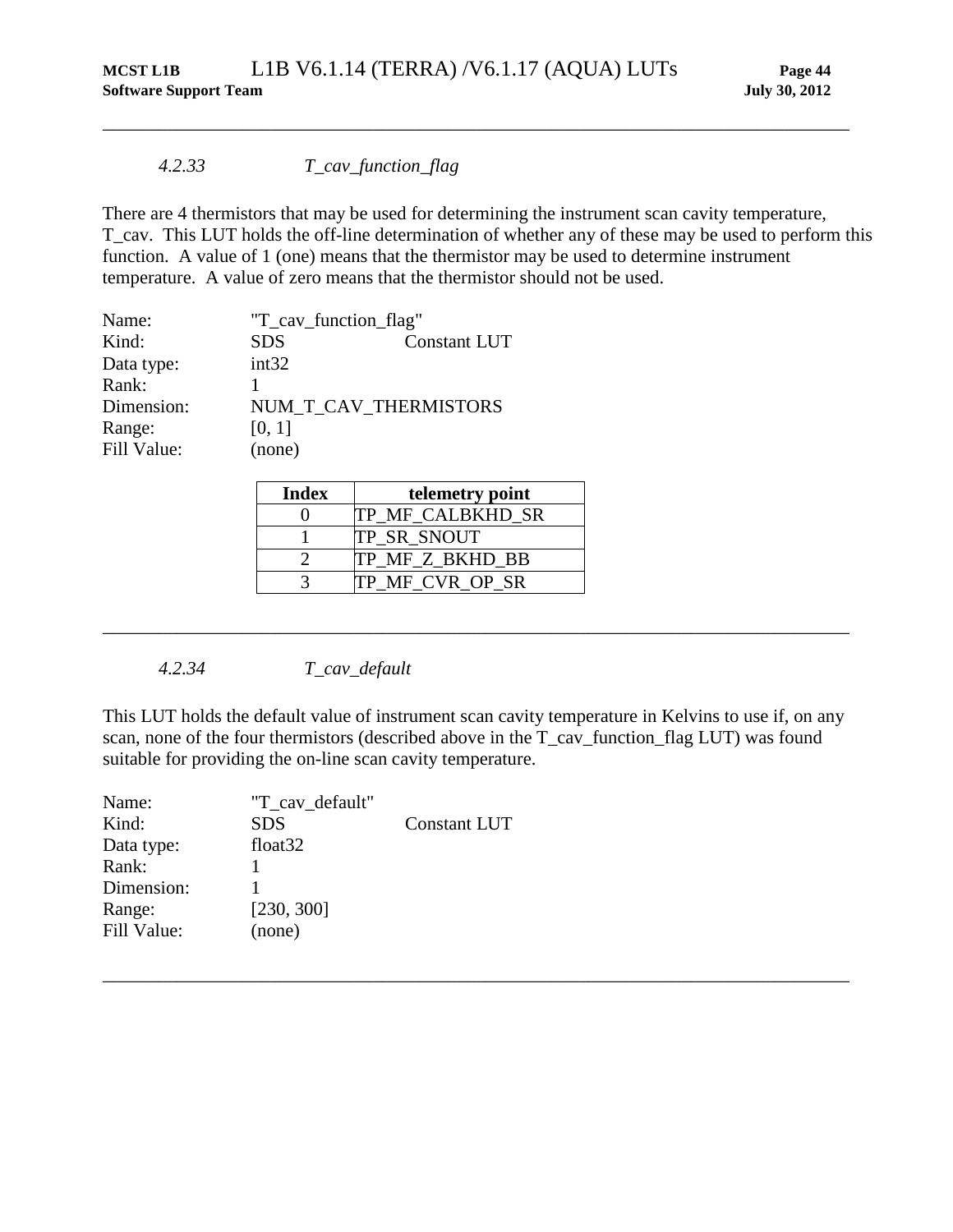### *4.2.33 T\_cav\_function\_flag*

There are 4 thermistors that may be used for determining the instrument scan cavity temperature, T\_cav. This LUT holds the off-line determination of whether any of these may be used to perform this function. A value of 1 (one) means that the thermistor may be used to determine instrument temperature. A value of zero means that the thermistor should not be used.

\_\_\_\_\_\_\_\_\_\_\_\_\_\_\_\_\_\_\_\_\_\_\_\_\_\_\_\_\_\_\_\_\_\_\_\_\_\_\_\_\_\_\_\_\_\_\_\_\_\_\_\_\_\_\_\_\_\_\_\_\_\_\_\_\_\_\_\_\_\_\_\_\_\_\_\_\_\_\_\_

| Name:       | "T_cav_function_flag" |                       |  |
|-------------|-----------------------|-----------------------|--|
| Kind:       | <b>SDS</b>            | <b>Constant LUT</b>   |  |
| Data type:  | int32                 |                       |  |
| Rank:       |                       |                       |  |
| Dimension:  |                       | NUM T CAV THERMISTORS |  |
| Range:      | [0, 1]                |                       |  |
| Fill Value: | (none)                |                       |  |

| <b>Index</b> | telemetry point         |
|--------------|-------------------------|
|              | <b>TP MF CALBKHD SR</b> |
|              | <b>TP SR SNOUT</b>      |
|              | <b>TP MF Z BKHD BB</b>  |
|              | TP MF CVR OP SR         |

*4.2.34 T\_cav\_default*

This LUT holds the default value of instrument scan cavity temperature in Kelvins to use if, on any scan, none of the four thermistors (described above in the T\_cav\_function\_flag LUT) was found suitable for providing the on-line scan cavity temperature.

\_\_\_\_\_\_\_\_\_\_\_\_\_\_\_\_\_\_\_\_\_\_\_\_\_\_\_\_\_\_\_\_\_\_\_\_\_\_\_\_\_\_\_\_\_\_\_\_\_\_\_\_\_\_\_\_\_\_\_\_\_\_\_\_\_\_\_\_\_\_\_\_\_\_\_\_\_\_\_\_

| "T cav default"     |                     |
|---------------------|---------------------|
| <b>SDS</b>          | <b>Constant LUT</b> |
| float <sub>32</sub> |                     |
|                     |                     |
|                     |                     |
| [230, 300]          |                     |
| (none)              |                     |
|                     |                     |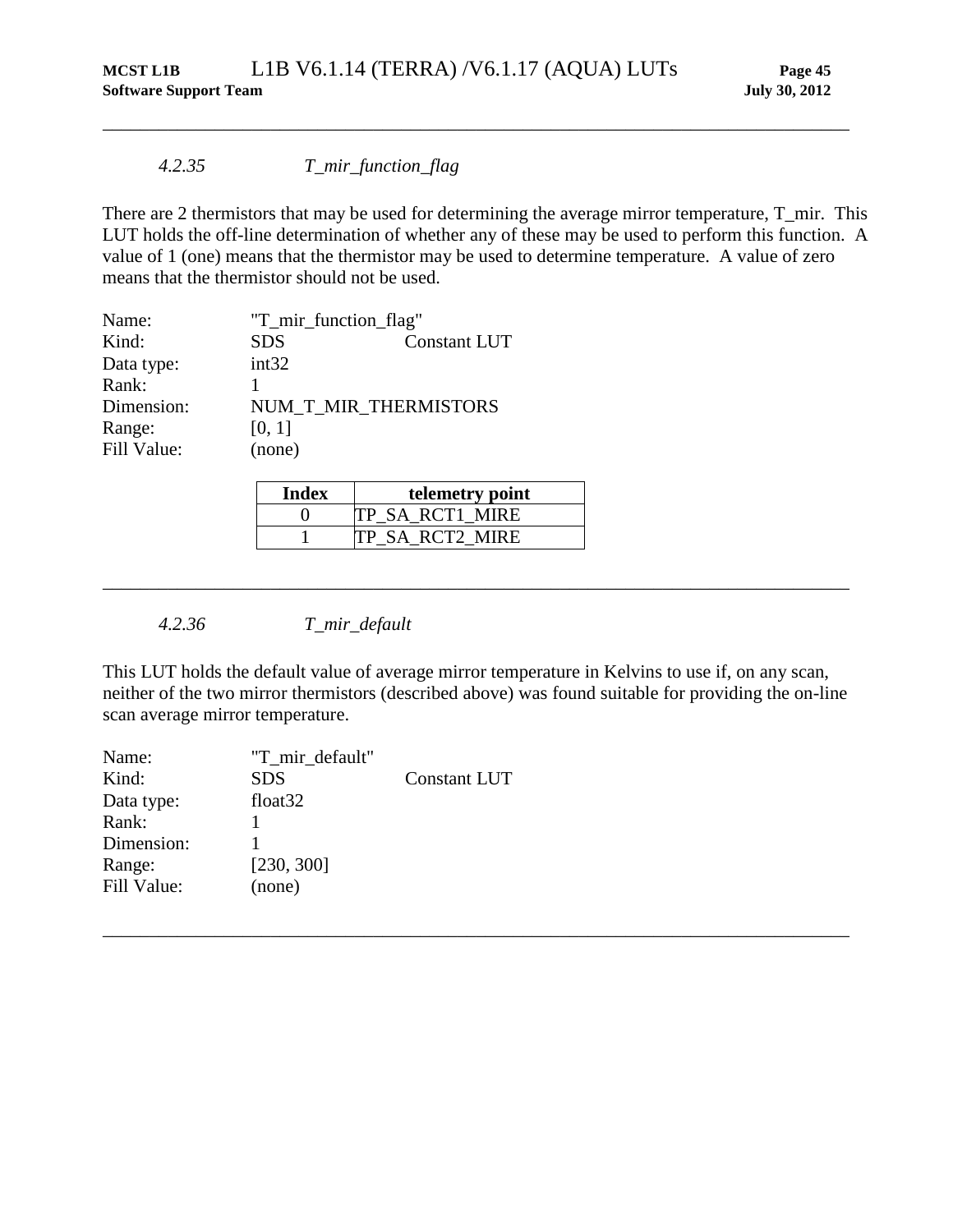### *4.2.35 T\_mir\_function\_flag*

There are 2 thermistors that may be used for determining the average mirror temperature, T\_mir. This LUT holds the off-line determination of whether any of these may be used to perform this function. A value of 1 (one) means that the thermistor may be used to determine temperature. A value of zero means that the thermistor should not be used.

\_\_\_\_\_\_\_\_\_\_\_\_\_\_\_\_\_\_\_\_\_\_\_\_\_\_\_\_\_\_\_\_\_\_\_\_\_\_\_\_\_\_\_\_\_\_\_\_\_\_\_\_\_\_\_\_\_\_\_\_\_\_\_\_\_\_\_\_\_\_\_\_\_\_\_\_\_\_\_\_

| Name:       | "T_mir_function_flag" |                     |  |
|-------------|-----------------------|---------------------|--|
| Kind:       | <b>SDS</b>            | <b>Constant LUT</b> |  |
| Data type:  | int32                 |                     |  |
| Rank:       |                       |                     |  |
| Dimension:  | NUM T MIR THERMISTORS |                     |  |
| Range:      | [0, 1]                |                     |  |
| Fill Value: | (none)                |                     |  |

| Index | telemetry point        |
|-------|------------------------|
|       | <b>TP SA RCT1 MIRE</b> |
|       | <b>TP SA RCT2 MIRE</b> |

*4.2.36 T\_mir\_default*

This LUT holds the default value of average mirror temperature in Kelvins to use if, on any scan, neither of the two mirror thermistors (described above) was found suitable for providing the on-line scan average mirror temperature.

\_\_\_\_\_\_\_\_\_\_\_\_\_\_\_\_\_\_\_\_\_\_\_\_\_\_\_\_\_\_\_\_\_\_\_\_\_\_\_\_\_\_\_\_\_\_\_\_\_\_\_\_\_\_\_\_\_\_\_\_\_\_\_\_\_\_\_\_\_\_\_\_\_\_\_\_\_\_\_\_

| Name:       | "T mir default"     |                     |
|-------------|---------------------|---------------------|
| Kind:       | <b>SDS</b>          | <b>Constant LUT</b> |
| Data type:  | float <sub>32</sub> |                     |
| Rank:       |                     |                     |
| Dimension:  |                     |                     |
| Range:      | [230, 300]          |                     |
| Fill Value: | (none)              |                     |
|             |                     |                     |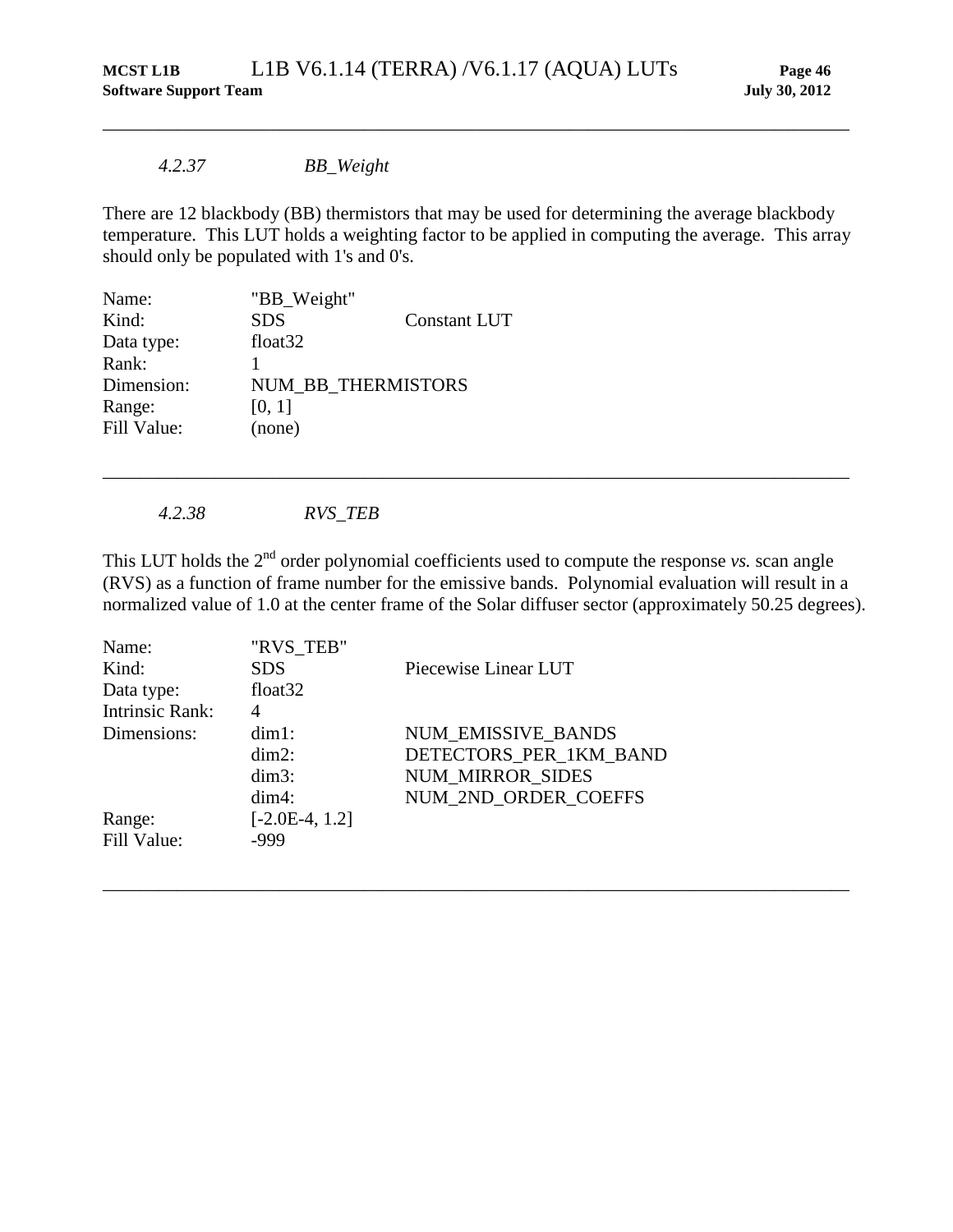## *4.2.37 BB\_Weight*

There are 12 blackbody (BB) thermistors that may be used for determining the average blackbody temperature. This LUT holds a weighting factor to be applied in computing the average. This array should only be populated with 1's and 0's.

\_\_\_\_\_\_\_\_\_\_\_\_\_\_\_\_\_\_\_\_\_\_\_\_\_\_\_\_\_\_\_\_\_\_\_\_\_\_\_\_\_\_\_\_\_\_\_\_\_\_\_\_\_\_\_\_\_\_\_\_\_\_\_\_\_\_\_\_\_\_\_\_\_\_\_\_\_\_\_\_

| Name:       | "BB_Weight"         |                     |
|-------------|---------------------|---------------------|
| Kind:       | <b>SDS</b>          | <b>Constant LUT</b> |
| Data type:  | float <sub>32</sub> |                     |
| Rank:       |                     |                     |
| Dimension:  | NUM BB THERMISTORS  |                     |
| Range:      | [0, 1]              |                     |
| Fill Value: | (none)              |                     |

*4.2.38 RVS\_TEB*

<span id="page-51-0"></span>This LUT holds the 2<sup>nd</sup> order polynomial coefficients used to compute the response *vs*. scan angle (RVS) as a function of frame number for the emissive bands. Polynomial evaluation will result in a normalized value of 1.0 at the center frame of the Solar diffuser sector (approximately 50.25 degrees).

\_\_\_\_\_\_\_\_\_\_\_\_\_\_\_\_\_\_\_\_\_\_\_\_\_\_\_\_\_\_\_\_\_\_\_\_\_\_\_\_\_\_\_\_\_\_\_\_\_\_\_\_\_\_\_\_\_\_\_\_\_\_\_\_\_\_\_\_\_\_\_\_\_\_\_\_\_\_\_\_

| Name:                  | "RVS TEB"           |                         |
|------------------------|---------------------|-------------------------|
| Kind:                  | <b>SDS</b>          | Piecewise Linear LUT    |
| Data type:             | float <sub>32</sub> |                         |
| <b>Intrinsic Rank:</b> | 4                   |                         |
| Dimensions:            | $dim1$ :            | NUM EMISSIVE BANDS      |
|                        | $dim2$ :            | DETECTORS PER 1KM BAND  |
|                        | $dim3$ :            | <b>NUM MIRROR SIDES</b> |
|                        | $dim4$ :            | NUM 2ND ORDER COEFFS    |
| Range:                 | $[-2.0E-4, 1.2]$    |                         |
| Fill Value:            | -999                |                         |
|                        |                     |                         |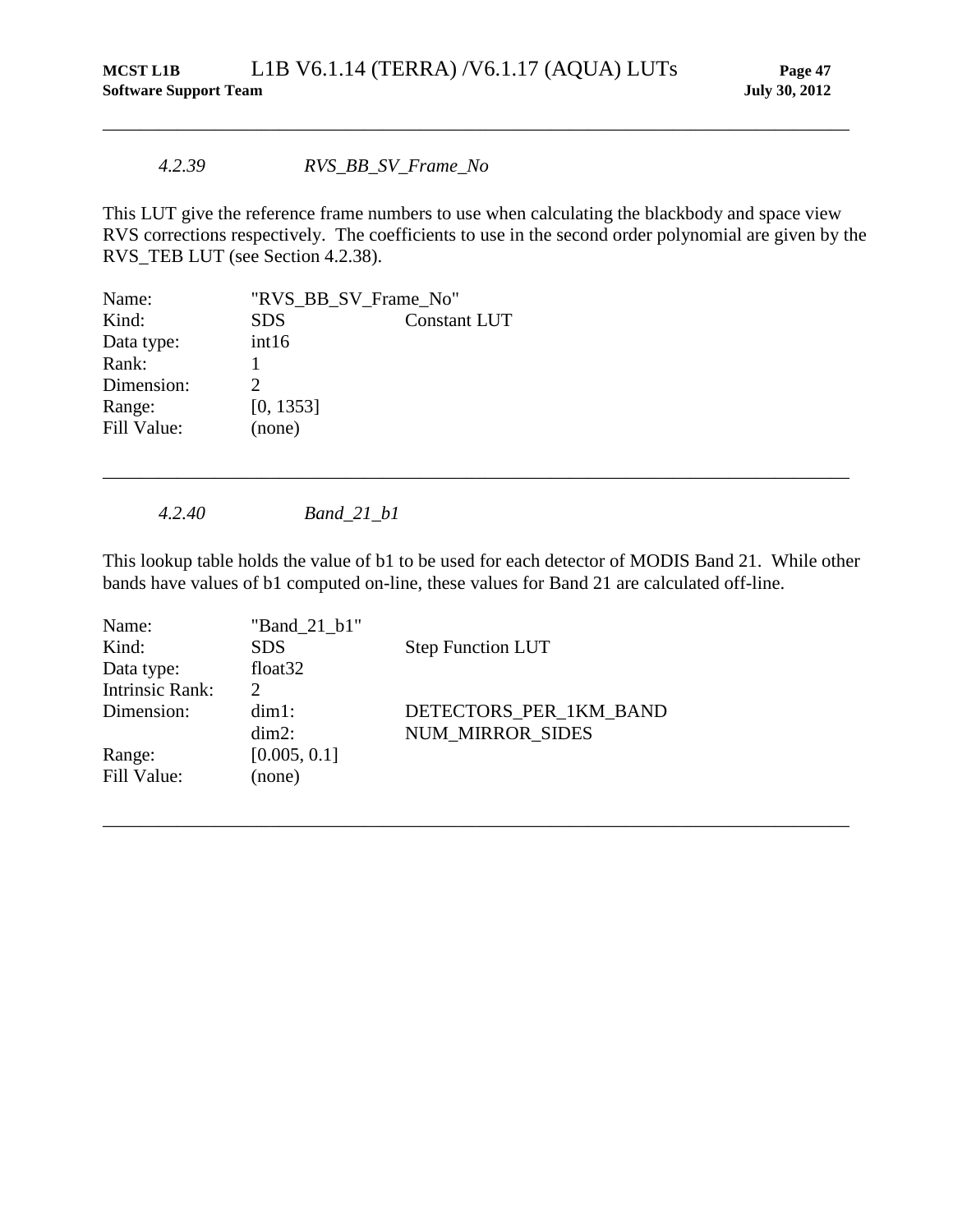### *4.2.39 RVS\_BB\_SV\_Frame\_No*

This LUT give the reference frame numbers to use when calculating the blackbody and space view RVS corrections respectively. The coefficients to use in the second order polynomial are given by the RVS\_TEB LUT (see Section [4.2.38\)](#page-51-0).

\_\_\_\_\_\_\_\_\_\_\_\_\_\_\_\_\_\_\_\_\_\_\_\_\_\_\_\_\_\_\_\_\_\_\_\_\_\_\_\_\_\_\_\_\_\_\_\_\_\_\_\_\_\_\_\_\_\_\_\_\_\_\_\_\_\_\_\_\_\_\_\_\_\_\_\_\_\_\_\_

| Name:       | "RVS_BB_SV_Frame_No"        |                     |  |
|-------------|-----------------------------|---------------------|--|
| Kind:       | <b>SDS</b>                  | <b>Constant LUT</b> |  |
| Data type:  | int16                       |                     |  |
| Rank:       |                             |                     |  |
| Dimension:  | $\mathcal{D}_{\mathcal{L}}$ |                     |  |
| Range:      | [0, 1353]                   |                     |  |
| Fill Value: | (none)                      |                     |  |

*4.2.40 Band\_21\_b1*

This lookup table holds the value of b1 to be used for each detector of MODIS Band 21. While other bands have values of b1 computed on-line, these values for Band 21 are calculated off-line.

\_\_\_\_\_\_\_\_\_\_\_\_\_\_\_\_\_\_\_\_\_\_\_\_\_\_\_\_\_\_\_\_\_\_\_\_\_\_\_\_\_\_\_\_\_\_\_\_\_\_\_\_\_\_\_\_\_\_\_\_\_\_\_\_\_\_\_\_\_\_\_\_\_\_\_\_\_\_\_\_

| Name:                  | "Band 21 b1"        |                          |
|------------------------|---------------------|--------------------------|
| Kind:                  | <b>SDS</b>          | <b>Step Function LUT</b> |
| Data type:             | float <sub>32</sub> |                          |
| <b>Intrinsic Rank:</b> | $\mathcal{D}$       |                          |
| Dimension:             | $dim1$ :            | DETECTORS PER 1KM BAND   |
|                        | $dim2$ :            | <b>NUM MIRROR SIDES</b>  |
| Range:                 | [0.005, 0.1]        |                          |
| Fill Value:            | (none)              |                          |
|                        |                     |                          |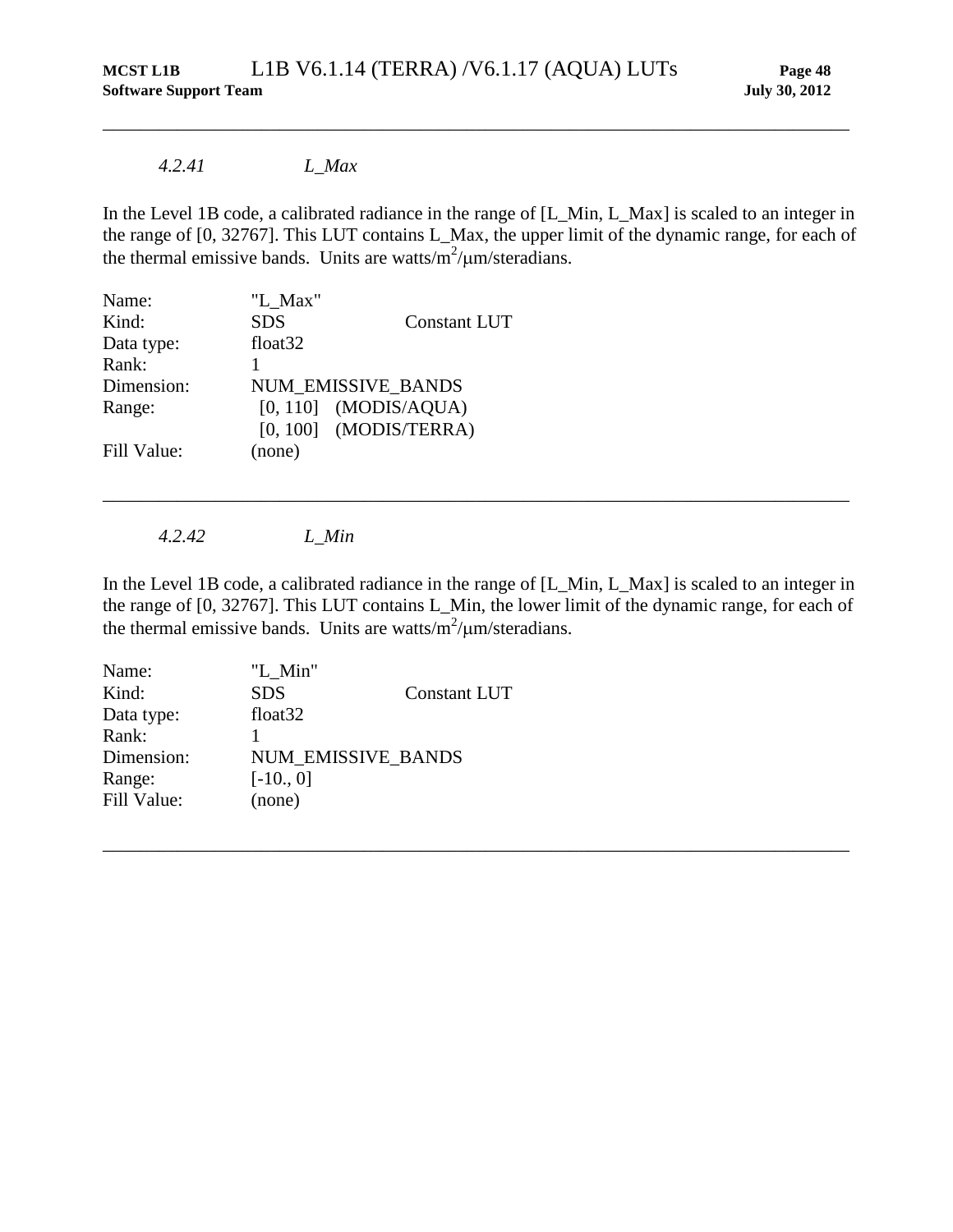## *4.2.41 L\_Max*

In the Level 1B code, a calibrated radiance in the range of [L\_Min, L\_Max] is scaled to an integer in the range of [0, 32767]. This LUT contains L\_Max, the upper limit of the dynamic range, for each of the thermal emissive bands. Units are watts/ $m^2/\mu m/s$ teradians.

\_\_\_\_\_\_\_\_\_\_\_\_\_\_\_\_\_\_\_\_\_\_\_\_\_\_\_\_\_\_\_\_\_\_\_\_\_\_\_\_\_\_\_\_\_\_\_\_\_\_\_\_\_\_\_\_\_\_\_\_\_\_\_\_\_\_\_\_\_\_\_\_\_\_\_\_\_\_\_\_

| Name:       | "L Max"             |                          |
|-------------|---------------------|--------------------------|
| Kind:       | <b>SDS</b>          | <b>Constant LUT</b>      |
| Data type:  | float <sub>32</sub> |                          |
| Rank:       |                     |                          |
| Dimension:  |                     | NUM EMISSIVE_BANDS       |
| Range:      |                     | $[0, 110]$ (MODIS/AQUA)  |
|             |                     | $[0, 100]$ (MODIS/TERRA) |
| Fill Value: | (none)              |                          |

*4.2.42 L\_Min*

In the Level 1B code, a calibrated radiance in the range of [L\_Min, L\_Max] is scaled to an integer in the range of [0, 32767]. This LUT contains L\_Min, the lower limit of the dynamic range, for each of the thermal emissive bands. Units are watts/ $m^2/\mu m/s$ teradians.

\_\_\_\_\_\_\_\_\_\_\_\_\_\_\_\_\_\_\_\_\_\_\_\_\_\_\_\_\_\_\_\_\_\_\_\_\_\_\_\_\_\_\_\_\_\_\_\_\_\_\_\_\_\_\_\_\_\_\_\_\_\_\_\_\_\_\_\_\_\_\_\_\_\_\_\_\_\_\_\_

| Name:       | "L_Min"             |                     |
|-------------|---------------------|---------------------|
| Kind:       | <b>SDS</b>          | <b>Constant LUT</b> |
| Data type:  | float <sub>32</sub> |                     |
| Rank:       |                     |                     |
| Dimension:  | NUM EMISSIVE BANDS  |                     |
| Range:      | $[-10., 0]$         |                     |
| Fill Value: | (none)              |                     |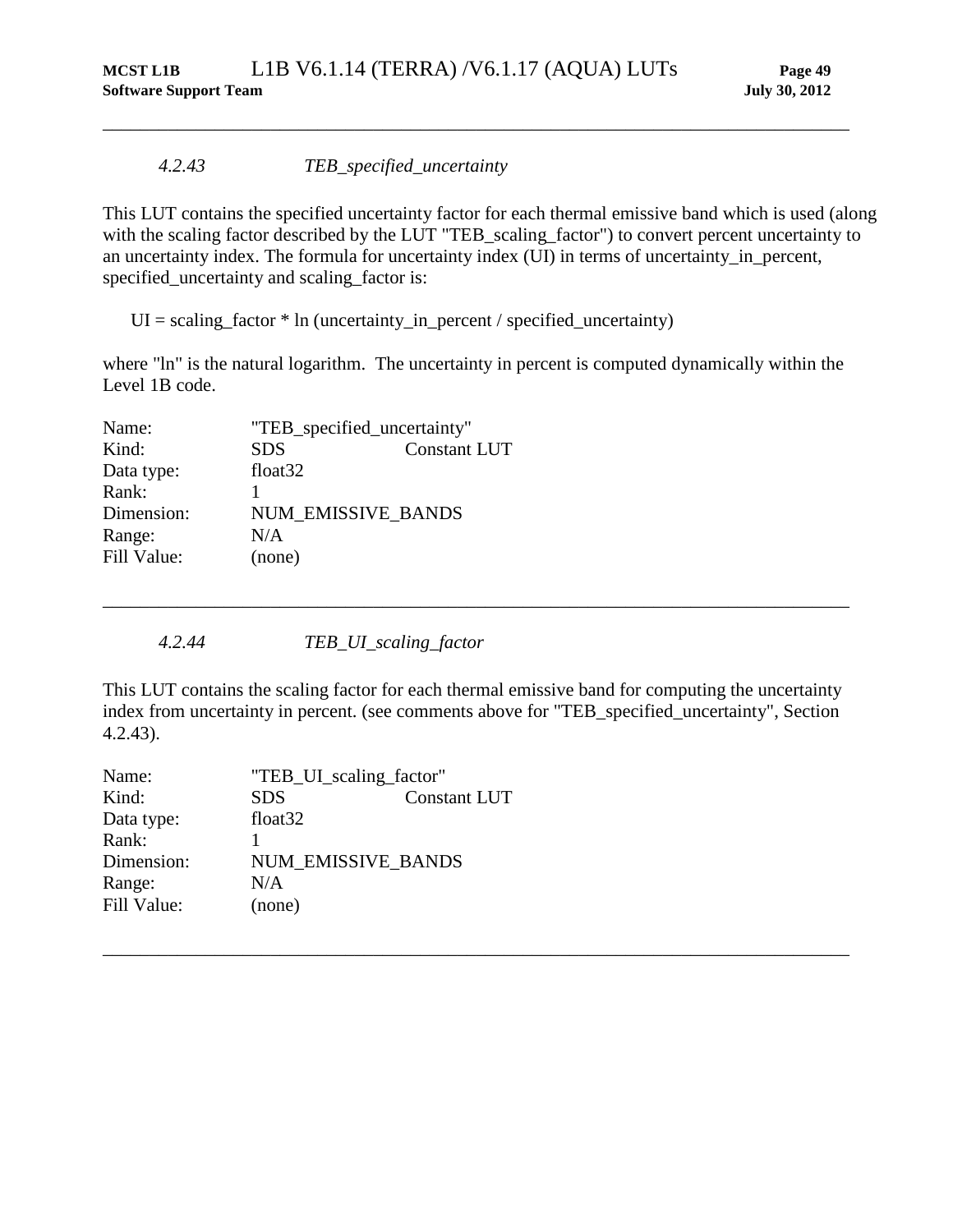### *4.2.43 TEB\_specified\_uncertainty*

This LUT contains the specified uncertainty factor for each thermal emissive band which is used (along with the scaling factor described by the LUT "TEB\_scaling\_factor") to convert percent uncertainty to an uncertainty index. The formula for uncertainty index (UI) in terms of uncertainty\_in\_percent, specified\_uncertainty and scaling\_factor is:

<span id="page-54-0"></span>\_\_\_\_\_\_\_\_\_\_\_\_\_\_\_\_\_\_\_\_\_\_\_\_\_\_\_\_\_\_\_\_\_\_\_\_\_\_\_\_\_\_\_\_\_\_\_\_\_\_\_\_\_\_\_\_\_\_\_\_\_\_\_\_\_\_\_\_\_\_\_\_\_\_\_\_\_\_\_\_

 $UI = scaling_factor * In (uncertainty_in_pereent / specified_uncertainty)$ 

where "ln" is the natural logarithm. The uncertainty in percent is computed dynamically within the Level 1B code.

| "TEB_specified_uncertainty" |                           |  |
|-----------------------------|---------------------------|--|
| <b>SDS</b>                  | <b>Constant LUT</b>       |  |
| float <sub>32</sub>         |                           |  |
|                             |                           |  |
|                             |                           |  |
| N/A                         |                           |  |
| (none)                      |                           |  |
|                             | <b>NUM EMISSIVE BANDS</b> |  |

*4.2.44 TEB\_UI\_scaling\_factor*

This LUT contains the scaling factor for each thermal emissive band for computing the uncertainty index from uncertainty in percent. (see comments above for "TEB\_specified\_uncertainty", Section [4.2.43\)](#page-54-0).

\_\_\_\_\_\_\_\_\_\_\_\_\_\_\_\_\_\_\_\_\_\_\_\_\_\_\_\_\_\_\_\_\_\_\_\_\_\_\_\_\_\_\_\_\_\_\_\_\_\_\_\_\_\_\_\_\_\_\_\_\_\_\_\_\_\_\_\_\_\_\_\_\_\_\_\_\_\_\_\_

| Name:       | "TEB_UI_scaling_factor"   |                     |
|-------------|---------------------------|---------------------|
| Kind:       | <b>SDS</b>                | <b>Constant LUT</b> |
| Data type:  | float <sub>32</sub>       |                     |
| Rank:       |                           |                     |
| Dimension:  | <b>NUM EMISSIVE BANDS</b> |                     |
| Range:      | N/A                       |                     |
| Fill Value: | (none)                    |                     |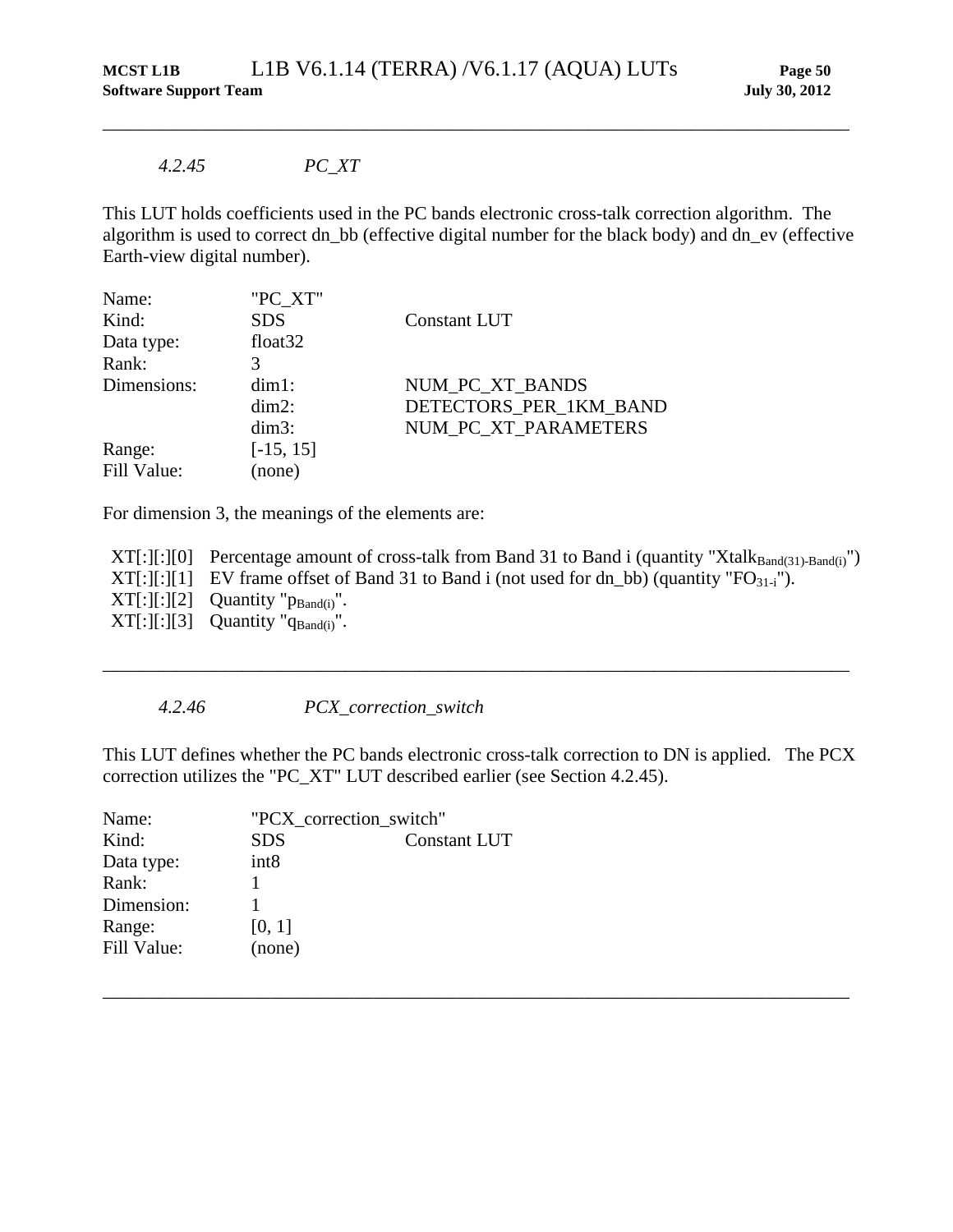### *4.2.45 PC\_XT*

This LUT holds coefficients used in the PC bands electronic cross-talk correction algorithm. The algorithm is used to correct dn\_bb (effective digital number for the black body) and dn\_ev (effective Earth-view digital number).

<span id="page-55-0"></span>\_\_\_\_\_\_\_\_\_\_\_\_\_\_\_\_\_\_\_\_\_\_\_\_\_\_\_\_\_\_\_\_\_\_\_\_\_\_\_\_\_\_\_\_\_\_\_\_\_\_\_\_\_\_\_\_\_\_\_\_\_\_\_\_\_\_\_\_\_\_\_\_\_\_\_\_\_\_\_\_

| Name:       | "PC XT"             |                        |
|-------------|---------------------|------------------------|
| Kind:       | <b>SDS</b>          | Constant LUT           |
| Data type:  | float <sub>32</sub> |                        |
| Rank:       |                     |                        |
| Dimensions: | $dim1$ :            | NUM_PC_XT_BANDS        |
|             | $dim2$ :            | DETECTORS PER 1KM BAND |
|             | $dim3$ :            | NUM PC XT PARAMETERS   |
| Range:      | $[-15, 15]$         |                        |
| Fill Value: | (none)              |                        |

For dimension 3, the meanings of the elements are:

 $XT[:][:][0]$  Percentage amount of cross-talk from Band 31 to Band i (quantity "Xtalk $_{Band(31)- Band(i)}$ ")  $XT[:][:][1]$  EV frame offset of Band 31 to Band i (not used for dn\_bb) (quantity "FO $_{31-i}$ ").  $XT[:][:][2]$  Quantity " $p_{Band(i)}$ ".  $XT[:][:][3]$  Quantity " $q_{Band(i)}$ ".

\_\_\_\_\_\_\_\_\_\_\_\_\_\_\_\_\_\_\_\_\_\_\_\_\_\_\_\_\_\_\_\_\_\_\_\_\_\_\_\_\_\_\_\_\_\_\_\_\_\_\_\_\_\_\_\_\_\_\_\_\_\_\_\_\_\_\_\_\_\_\_\_\_\_\_\_\_\_\_\_

#### *4.2.46 PCX\_correction\_switch*

This LUT defines whether the PC bands electronic cross-talk correction to DN is applied. The PCX correction utilizes the "PC\_XT" LUT described earlier (see Section [4.2.45\)](#page-55-0).

| Name:       | "PCX_correction_switch" |                     |
|-------------|-------------------------|---------------------|
| Kind:       | <b>SDS</b>              | <b>Constant LUT</b> |
| Data type:  | int <sub>8</sub>        |                     |
| Rank:       |                         |                     |
| Dimension:  |                         |                     |
| Range:      | [0, 1]                  |                     |
| Fill Value: | (none)                  |                     |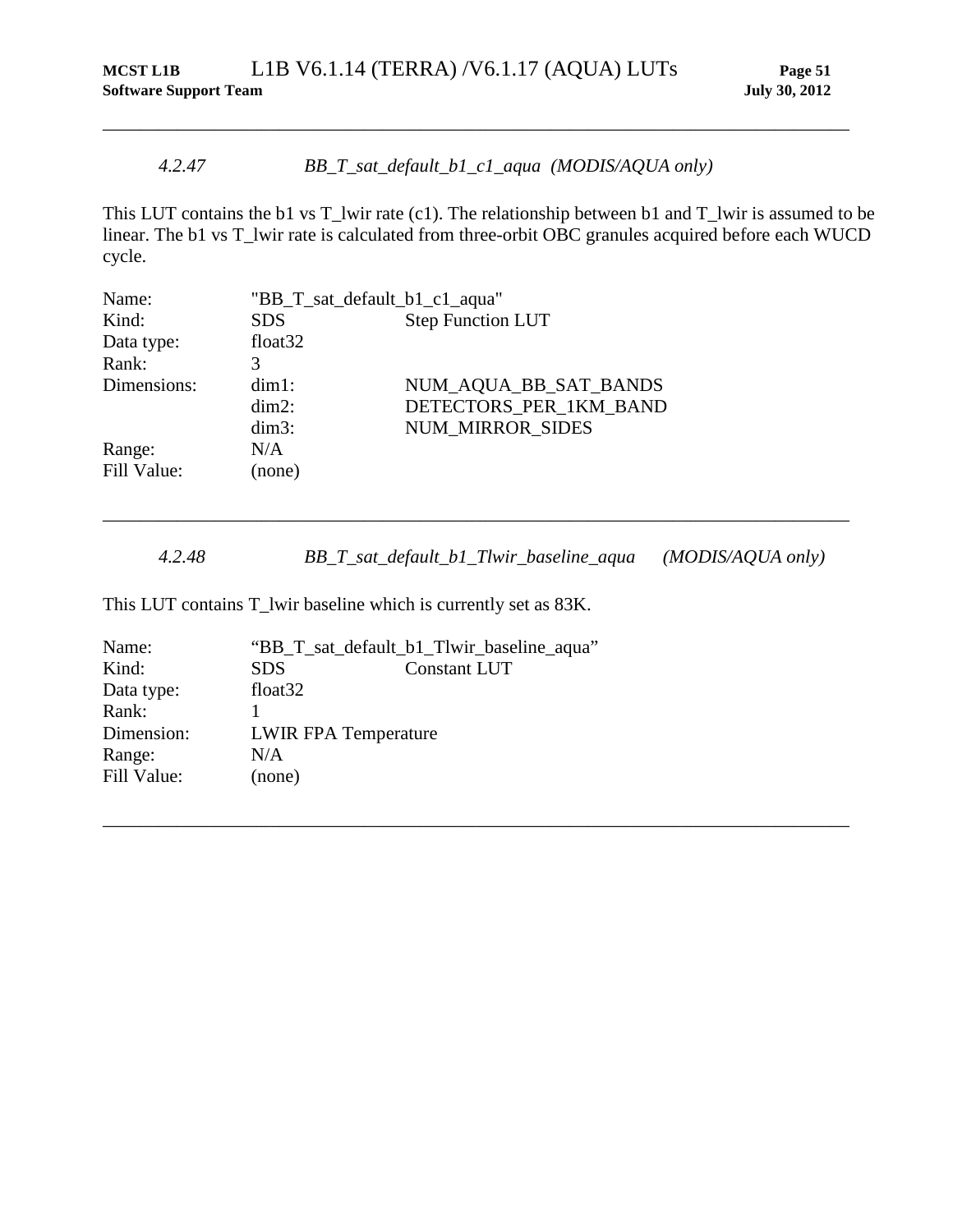# *4.2.47 BB\_T\_sat\_default\_b1\_c1\_aqua (MODIS/AQUA only)*

This LUT contains the b1 vs T\_lwir rate (c1). The relationship between b1 and T\_lwir is assumed to be linear. The b1 vs T\_lwir rate is calculated from three-orbit OBC granules acquired before each WUCD cycle.

\_\_\_\_\_\_\_\_\_\_\_\_\_\_\_\_\_\_\_\_\_\_\_\_\_\_\_\_\_\_\_\_\_\_\_\_\_\_\_\_\_\_\_\_\_\_\_\_\_\_\_\_\_\_\_\_\_\_\_\_\_\_\_\_\_\_\_\_\_\_\_\_\_\_\_\_\_\_\_\_

| Name:       | "BB_T_sat_default_b1_c1_aqua" |                          |
|-------------|-------------------------------|--------------------------|
| Kind:       | <b>SDS</b>                    | <b>Step Function LUT</b> |
| Data type:  | float <sub>32</sub>           |                          |
| Rank:       | 3                             |                          |
| Dimensions: | $dim1$ :                      | NUM_AQUA_BB_SAT_BANDS    |
|             | $dim2$ :                      | DETECTORS_PER_1KM_BAND   |
|             | $dim3$ :                      | <b>NUM MIRROR SIDES</b>  |
| Range:      | N/A                           |                          |
| Fill Value: | (none)                        |                          |
|             |                               |                          |

*4.2.48 BB\_T\_sat\_default\_b1\_Tlwir\_baseline\_aqua (MODIS/AQUA only)*

\_\_\_\_\_\_\_\_\_\_\_\_\_\_\_\_\_\_\_\_\_\_\_\_\_\_\_\_\_\_\_\_\_\_\_\_\_\_\_\_\_\_\_\_\_\_\_\_\_\_\_\_\_\_\_\_\_\_\_\_\_\_\_\_\_\_\_\_\_\_\_\_\_\_\_\_\_\_\_\_

\_\_\_\_\_\_\_\_\_\_\_\_\_\_\_\_\_\_\_\_\_\_\_\_\_\_\_\_\_\_\_\_\_\_\_\_\_\_\_\_\_\_\_\_\_\_\_\_\_\_\_\_\_\_\_\_\_\_\_\_\_\_\_\_\_\_\_\_\_\_\_\_\_\_\_\_\_\_\_\_

This LUT contains T\_lwir baseline which is currently set as 83K.

| Name:       | "BB_T_sat_default_b1_Tlwir_baseline_aqua" |                     |
|-------------|-------------------------------------------|---------------------|
| Kind:       | SDS.                                      | <b>Constant LUT</b> |
| Data type:  | float <sub>32</sub>                       |                     |
| Rank:       |                                           |                     |
| Dimension:  | <b>LWIR FPA Temperature</b>               |                     |
| Range:      | N/A                                       |                     |
| Fill Value: | (none)                                    |                     |
|             |                                           |                     |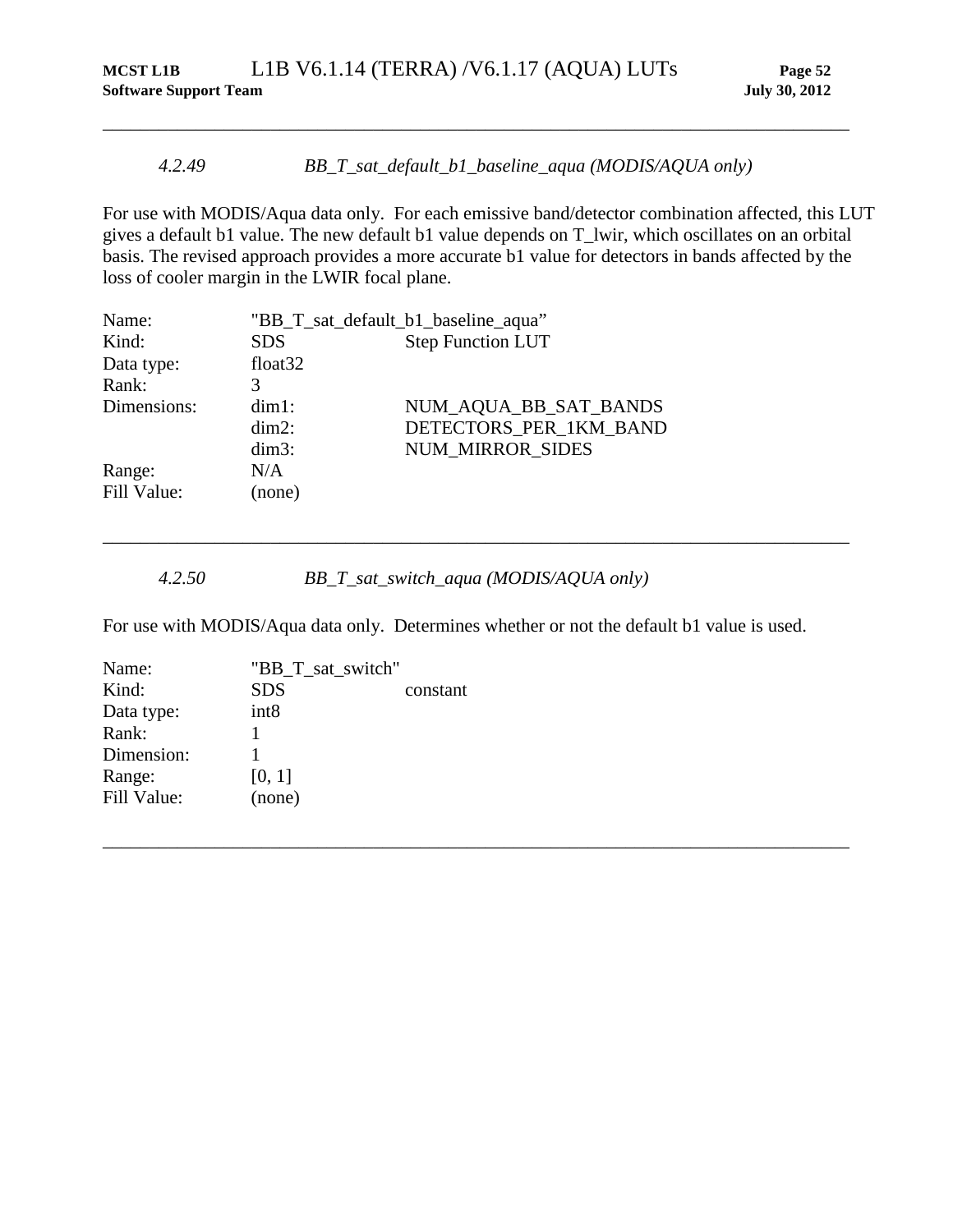### *4.2.49 BB\_T\_sat\_default\_b1\_baseline\_aqua (MODIS/AQUA only)*

\_\_\_\_\_\_\_\_\_\_\_\_\_\_\_\_\_\_\_\_\_\_\_\_\_\_\_\_\_\_\_\_\_\_\_\_\_\_\_\_\_\_\_\_\_\_\_\_\_\_\_\_\_\_\_\_\_\_\_\_\_\_\_\_\_\_\_\_\_\_\_\_\_\_\_\_\_\_\_\_

For use with MODIS/Aqua data only. For each emissive band/detector combination affected, this LUT gives a default b1 value. The new default b1 value depends on T\_lwir, which oscillates on an orbital basis. The revised approach provides a more accurate b1 value for detectors in bands affected by the loss of cooler margin in the LWIR focal plane.

| Name:       | "BB_T_sat_default_b1_baseline_aqua" |                          |
|-------------|-------------------------------------|--------------------------|
| Kind:       | <b>SDS</b>                          | <b>Step Function LUT</b> |
| Data type:  | float <sub>32</sub>                 |                          |
| Rank:       | 3                                   |                          |
| Dimensions: | $dim1$ :                            | NUM_AQUA_BB_SAT_BANDS    |
|             | $dim2$ :                            | DETECTORS_PER_1KM_BAND   |
|             | $dim3$ :                            | <b>NUM MIRROR SIDES</b>  |
| Range:      | N/A                                 |                          |
| Fill Value: | (none)                              |                          |

*4.2.50 BB\_T\_sat\_switch\_aqua (MODIS/AQUA only)*

For use with MODIS/Aqua data only. Determines whether or not the default b1 value is used.

\_\_\_\_\_\_\_\_\_\_\_\_\_\_\_\_\_\_\_\_\_\_\_\_\_\_\_\_\_\_\_\_\_\_\_\_\_\_\_\_\_\_\_\_\_\_\_\_\_\_\_\_\_\_\_\_\_\_\_\_\_\_\_\_\_\_\_\_\_\_\_\_\_\_\_\_\_\_\_\_

| Name:       | "BB_T_sat_switch" |          |
|-------------|-------------------|----------|
| Kind:       | <b>SDS</b>        | constant |
| Data type:  | int <sub>8</sub>  |          |
| Rank:       |                   |          |
| Dimension:  |                   |          |
| Range:      | [0, 1]            |          |
| Fill Value: | (none)            |          |
|             |                   |          |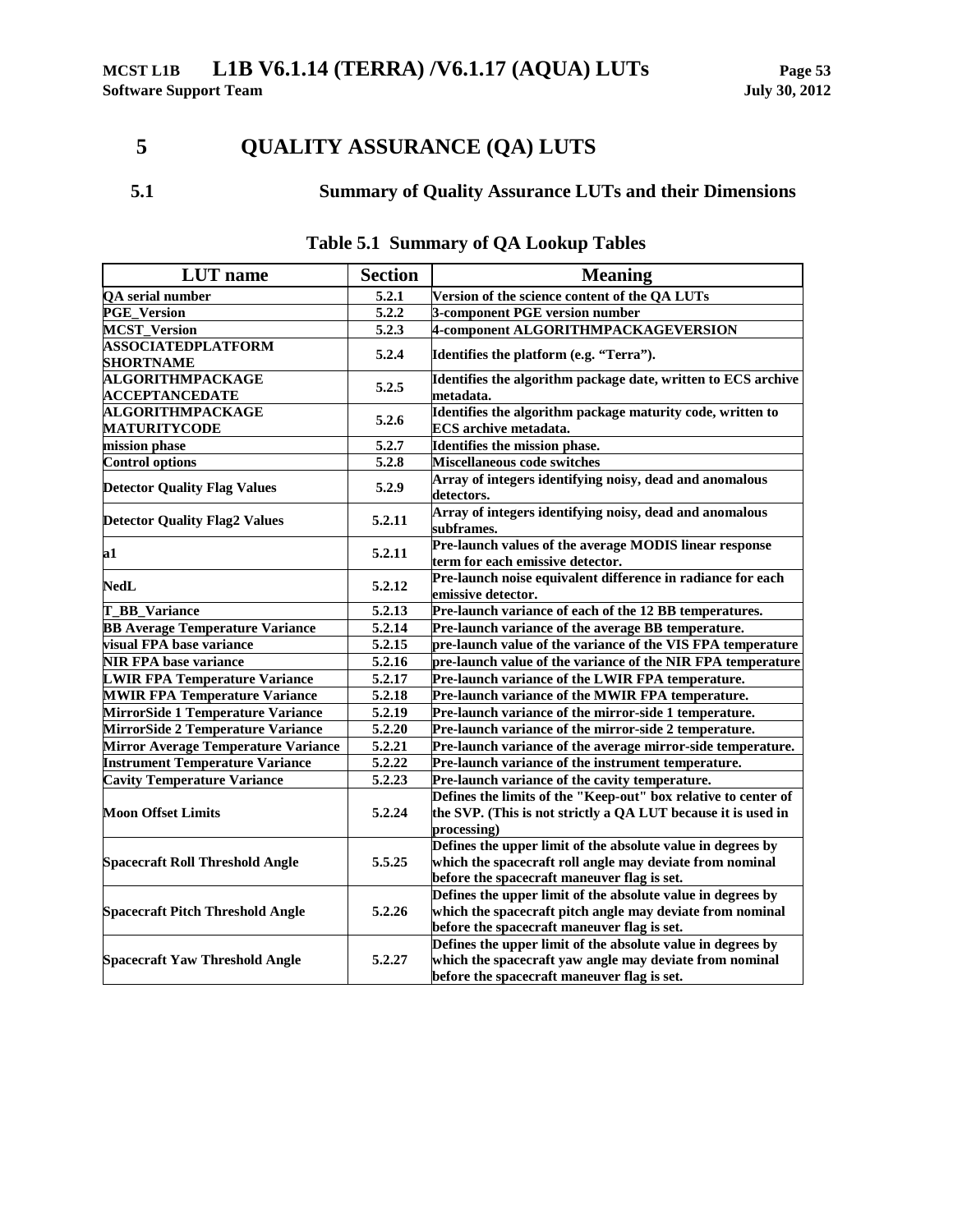# **5 QUALITY ASSURANCE (QA) LUTS**

## **5.1 Summary of Quality Assurance LUTs and their Dimensions**

| <b>LUT</b> name                                  | <b>Section</b>      | <b>Meaning</b>                                                                                                                                                          |
|--------------------------------------------------|---------------------|-------------------------------------------------------------------------------------------------------------------------------------------------------------------------|
| QA serial number                                 | 5.2.1               | Version of the science content of the QA LUTs                                                                                                                           |
| <b>PGE_Version</b>                               | 5.2.2               | 3-component PGE version number                                                                                                                                          |
| <b>MCST_Version</b>                              | 5.2.3               | 4-component ALGORITHMPACKAGEVERSION                                                                                                                                     |
| <b>ASSOCIATEDPLATFORM</b><br><b>SHORTNAME</b>    | 5.2.4               | Identifies the platform (e.g. "Terra").                                                                                                                                 |
| <b>ALGORITHMPACKAGE</b><br><b>ACCEPTANCEDATE</b> | 5.2.5               | Identifies the algorithm package date, written to ECS archive<br>metadata.                                                                                              |
| <b>ALGORITHMPACKAGE</b><br><b>MATURITYCODE</b>   | 5.2.6               | Identifies the algorithm package maturity code, written to<br><b>ECS</b> archive metadata.                                                                              |
| mission phase                                    | 5.2.7               | Identifies the mission phase.                                                                                                                                           |
| <b>Control options</b>                           | 5.2.8               | Miscellaneous code switches                                                                                                                                             |
| <b>Detector Quality Flag Values</b>              | 5.2.9               | Array of integers identifying noisy, dead and anomalous<br>detectors.                                                                                                   |
| <b>Detector Quality Flag2 Values</b>             | 5.2.11              | Array of integers identifying noisy, dead and anomalous<br>subframes.                                                                                                   |
| a1                                               | 5.2.11              | Pre-launch values of the average MODIS linear response<br>term for each emissive detector.                                                                              |
| <b>NedL</b>                                      | 5.2.12              | Pre-launch noise equivalent difference in radiance for each<br>emissive detector.                                                                                       |
| T_BB_Variance                                    | 5.2.13              | Pre-launch variance of each of the 12 BB temperatures.                                                                                                                  |
| <b>BB Average Temperature Variance</b>           | 5.2.14              | Pre-launch variance of the average BB temperature.                                                                                                                      |
| visual FPA base variance                         | 5.2.15              | pre-launch value of the variance of the VIS FPA temperature                                                                                                             |
| <b>NIR FPA base variance</b>                     | 5.2.16              | pre-launch value of the variance of the NIR FPA temperature                                                                                                             |
| <b>LWIR FPA Temperature Variance</b>             | 5.2.17              | Pre-launch variance of the LWIR FPA temperature.                                                                                                                        |
| <b>MWIR FPA Temperature Variance</b>             | 5.2.18              | Pre-launch variance of the MWIR FPA temperature.                                                                                                                        |
| MirrorSide 1 Temperature Variance                | $\overline{5.2.19}$ | Pre-launch variance of the mirror-side 1 temperature.                                                                                                                   |
| MirrorSide 2 Temperature Variance                | 5.2.20              | Pre-launch variance of the mirror-side 2 temperature.                                                                                                                   |
| <b>Mirror Average Temperature Variance</b>       | $\overline{5.2.21}$ | Pre-launch variance of the average mirror-side temperature.                                                                                                             |
| <b>Instrument Temperature Variance</b>           | 5.2.22              | Pre-launch variance of the instrument temperature.                                                                                                                      |
| <b>Cavity Temperature Variance</b>               | $\overline{5.2.23}$ | Pre-launch variance of the cavity temperature.                                                                                                                          |
| <b>Moon Offset Limits</b>                        | 5.2.24              | Defines the limits of the "Keep-out" box relative to center of<br>the SVP. (This is not strictly a QA LUT because it is used in<br>processing)                          |
| <b>Spacecraft Roll Threshold Angle</b>           | 5.5.25              | Defines the upper limit of the absolute value in degrees by<br>which the spacecraft roll angle may deviate from nominal<br>before the spacecraft maneuver flag is set.  |
| <b>Spacecraft Pitch Threshold Angle</b>          | 5.2.26              | Defines the upper limit of the absolute value in degrees by<br>which the spacecraft pitch angle may deviate from nominal<br>before the spacecraft maneuver flag is set. |
| <b>Spacecraft Yaw Threshold Angle</b>            | 5.2.27              | Defines the upper limit of the absolute value in degrees by<br>which the spacecraft yaw angle may deviate from nominal<br>before the spacecraft maneuver flag is set.   |

## **Table 5.1 Summary of QA Lookup Tables**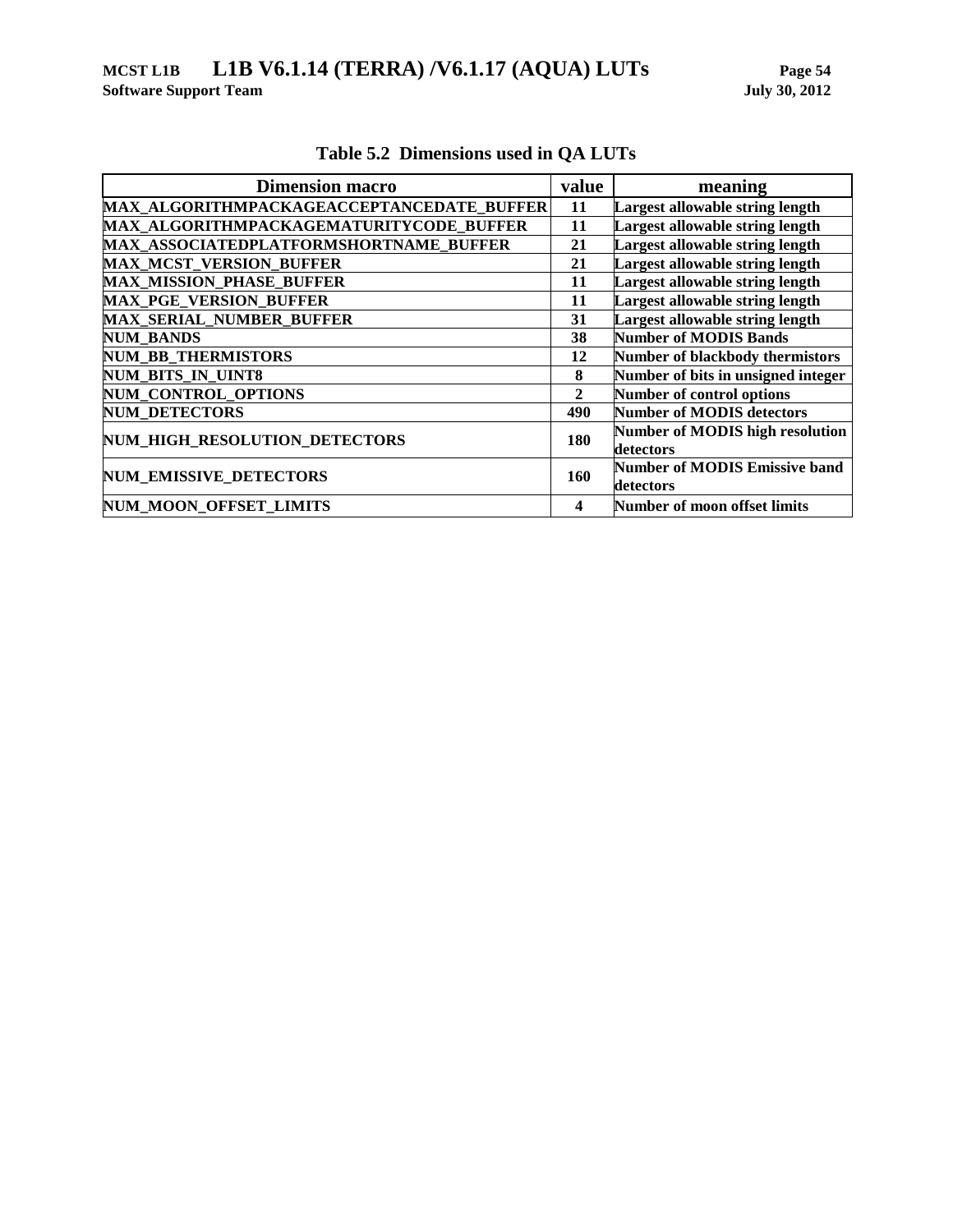| <b>Dimension macro</b>                    | value        | meaning                              |
|-------------------------------------------|--------------|--------------------------------------|
| MAX ALGORITHMPACKAGEACCEPTANCEDATE BUFFER | 11           | Largest allowable string length      |
| MAX ALGORITHMPACKAGEMATURITYCODE BUFFER   | 11           | Largest allowable string length      |
| MAX ASSOCIATEDPLATFORMSHORTNAME BUFFER    | 21           | Largest allowable string length      |
| <b>MAX_MCST_VERSION_BUFFER</b>            | 21           | Largest allowable string length      |
| <b>MAX MISSION PHASE BUFFER</b>           | 11           | Largest allowable string length      |
| <b>MAX PGE VERSION BUFFER</b>             | 11           | Largest allowable string length      |
| MAX_SERIAL_NUMBER_BUFFER                  | 31           | Largest allowable string length      |
| <b>NUM BANDS</b>                          | 38           | <b>Number of MODIS Bands</b>         |
| <b>NUM BB THERMISTORS</b>                 | 12           | Number of blackbody thermistors      |
| NUM_BITS_IN_UINT8                         | 8            | Number of bits in unsigned integer   |
| <b>NUM CONTROL OPTIONS</b>                | $\mathbf{2}$ | Number of control options            |
| <b>NUM_DETECTORS</b>                      | 490          | <b>Number of MODIS detectors</b>     |
| <b>NUM HIGH RESOLUTION DETECTORS</b>      | 180          | Number of MODIS high resolution      |
|                                           |              | detectors                            |
| <b>NUM EMISSIVE DETECTORS</b>             | 160          | <b>Number of MODIS Emissive band</b> |
|                                           |              | detectors                            |
| NUM_MOON_OFFSET_LIMITS                    | 4            | <b>Number of moon offset limits</b>  |

# **Table 5.2 Dimensions used in QA LUTs**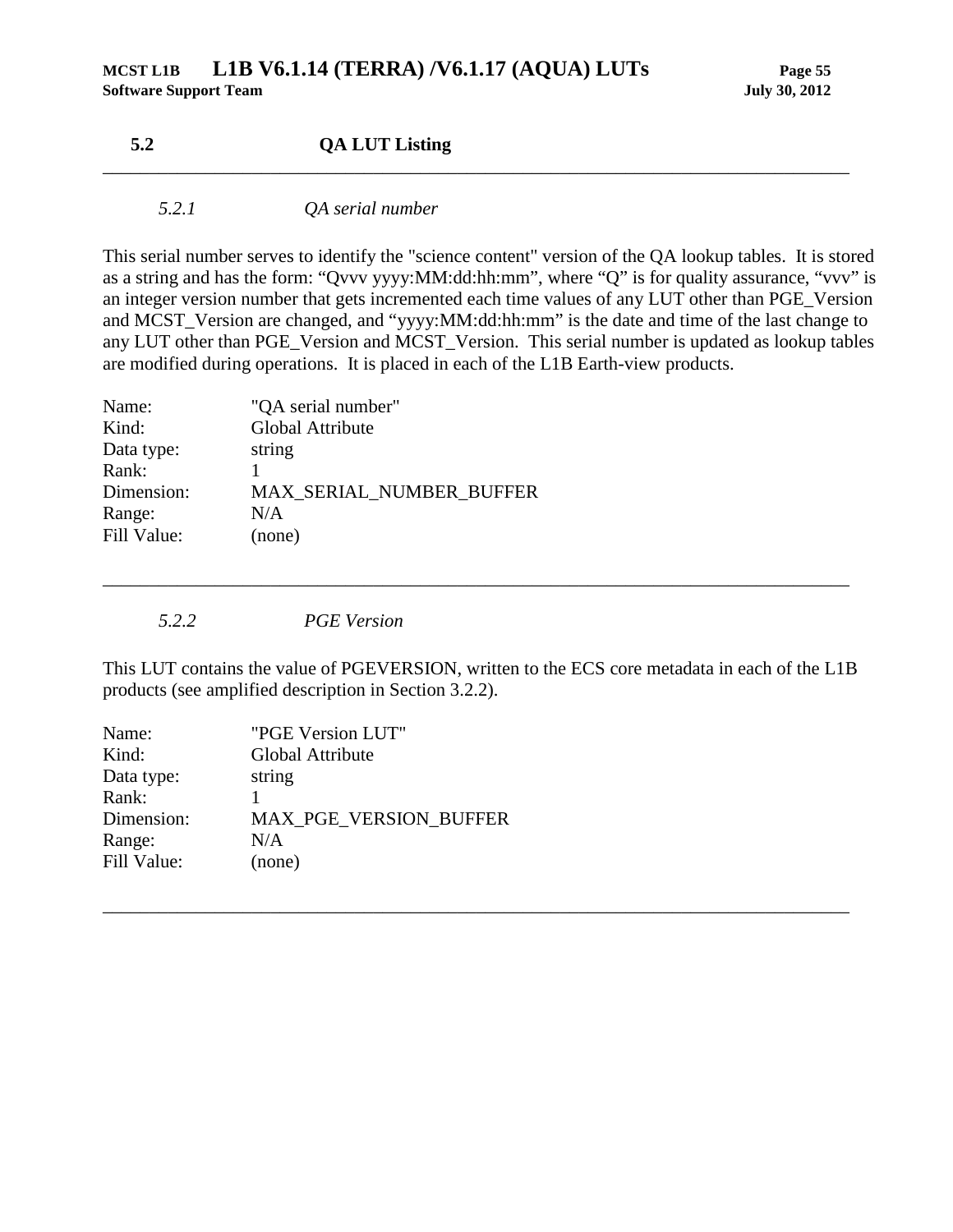## **5.2 QA LUT Listing**

### *5.2.1 QA serial number*

This serial number serves to identify the "science content" version of the QA lookup tables. It is stored as a string and has the form: "Qvvv yyyy:MM:dd:hh:mm", where "Q" is for quality assurance, "vvv" is an integer version number that gets incremented each time values of any LUT other than PGE\_Version and MCST\_Version are changed, and "yyyy:MM:dd:hh:mm" is the date and time of the last change to any LUT other than PGE\_Version and MCST\_Version. This serial number is updated as lookup tables are modified during operations. It is placed in each of the L1B Earth-view products.

<span id="page-60-0"></span>\_\_\_\_\_\_\_\_\_\_\_\_\_\_\_\_\_\_\_\_\_\_\_\_\_\_\_\_\_\_\_\_\_\_\_\_\_\_\_\_\_\_\_\_\_\_\_\_\_\_\_\_\_\_\_\_\_\_\_\_\_\_\_\_\_\_\_\_\_\_\_\_\_\_\_\_\_\_\_\_

| "QA serial number"       |
|--------------------------|
| Global Attribute         |
| string                   |
|                          |
| MAX SERIAL_NUMBER_BUFFER |
| N/A                      |
| (none)                   |
|                          |

*5.2.2 PGE Version*

<span id="page-60-1"></span>This LUT contains the value of PGEVERSION, written to the ECS core metadata in each of the L1B products (see amplified description in Section [3.2.2\)](#page-14-0).

\_\_\_\_\_\_\_\_\_\_\_\_\_\_\_\_\_\_\_\_\_\_\_\_\_\_\_\_\_\_\_\_\_\_\_\_\_\_\_\_\_\_\_\_\_\_\_\_\_\_\_\_\_\_\_\_\_\_\_\_\_\_\_\_\_\_\_\_\_\_\_\_\_\_\_\_\_\_\_\_

| Name:       | "PGE Version LUT"             |
|-------------|-------------------------------|
| Kind:       | Global Attribute              |
| Data type:  | string                        |
| Rank:       |                               |
| Dimension:  | <b>MAX PGE VERSION BUFFER</b> |
| Range:      | N/A                           |
| Fill Value: | (none)                        |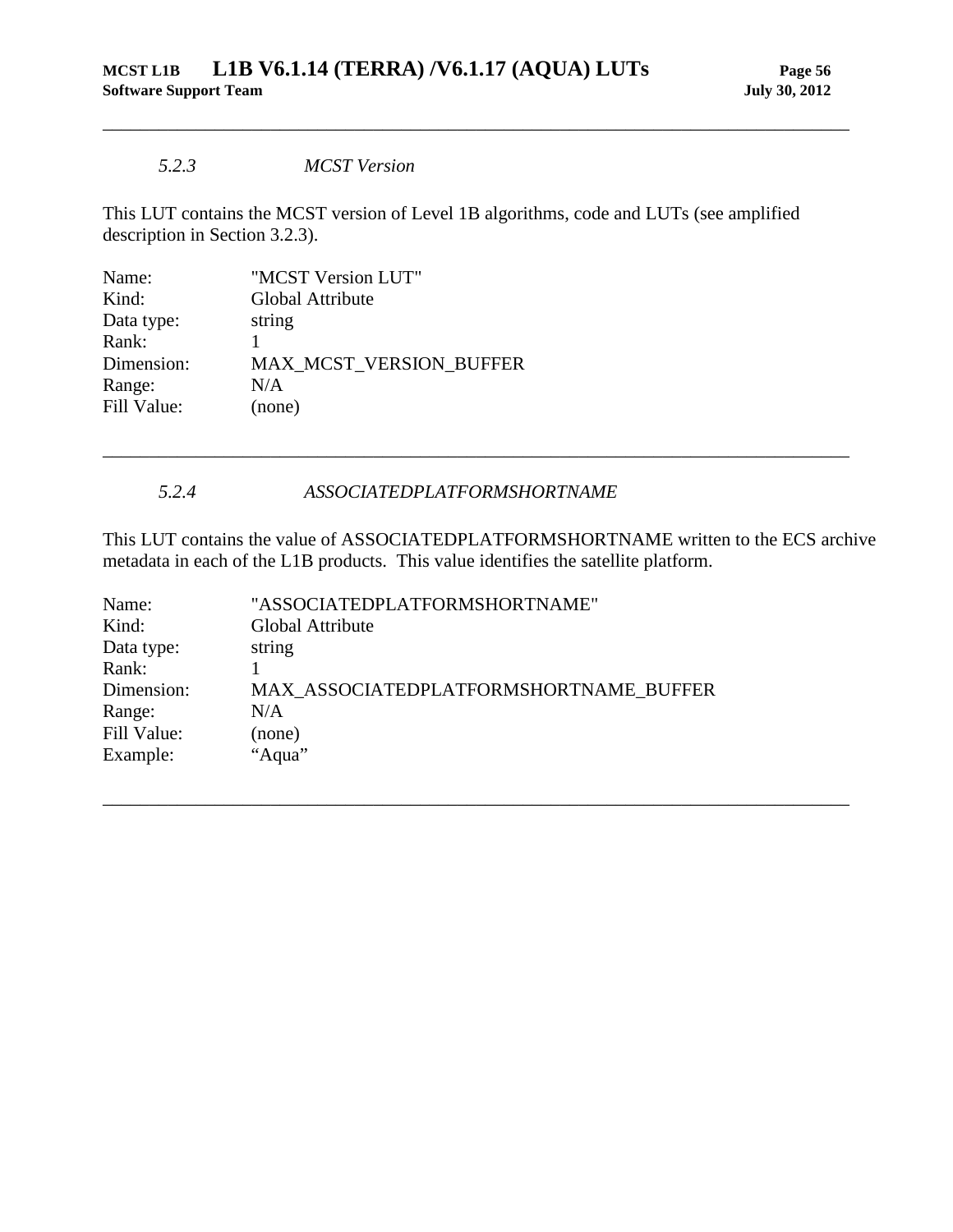#### *5.2.3 MCST Version*

This LUT contains the MCST version of Level 1B algorithms, code and LUTs (see amplified description in Section [3.2.3\)](#page-15-0).

<span id="page-61-0"></span>\_\_\_\_\_\_\_\_\_\_\_\_\_\_\_\_\_\_\_\_\_\_\_\_\_\_\_\_\_\_\_\_\_\_\_\_\_\_\_\_\_\_\_\_\_\_\_\_\_\_\_\_\_\_\_\_\_\_\_\_\_\_\_\_\_\_\_\_\_\_\_\_\_\_\_\_\_\_\_\_

| Name:       | "MCST Version LUT"             |
|-------------|--------------------------------|
| Kind:       | Global Attribute               |
| Data type:  | string                         |
| Rank:       |                                |
| Dimension:  | <b>MAX MCST VERSION BUFFER</b> |
| Range:      | N/A                            |
| Fill Value: | (none)                         |
|             |                                |

### *5.2.4 ASSOCIATEDPLATFORMSHORTNAME*

<span id="page-61-1"></span>This LUT contains the value of ASSOCIATEDPLATFORMSHORTNAME written to the ECS archive metadata in each of the L1B products. This value identifies the satellite platform.

\_\_\_\_\_\_\_\_\_\_\_\_\_\_\_\_\_\_\_\_\_\_\_\_\_\_\_\_\_\_\_\_\_\_\_\_\_\_\_\_\_\_\_\_\_\_\_\_\_\_\_\_\_\_\_\_\_\_\_\_\_\_\_\_\_\_\_\_\_\_\_\_\_\_\_\_\_\_\_\_

| Name:       | "ASSOCIATEDPLATFORMSHORTNAME"          |
|-------------|----------------------------------------|
| Kind:       | Global Attribute                       |
| Data type:  | string                                 |
| Rank:       |                                        |
| Dimension:  | MAX ASSOCIATEDPLATFORMSHORTNAME BUFFER |
| Range:      | N/A                                    |
| Fill Value: | (none)                                 |
| Example:    | "Aqua"                                 |
|             |                                        |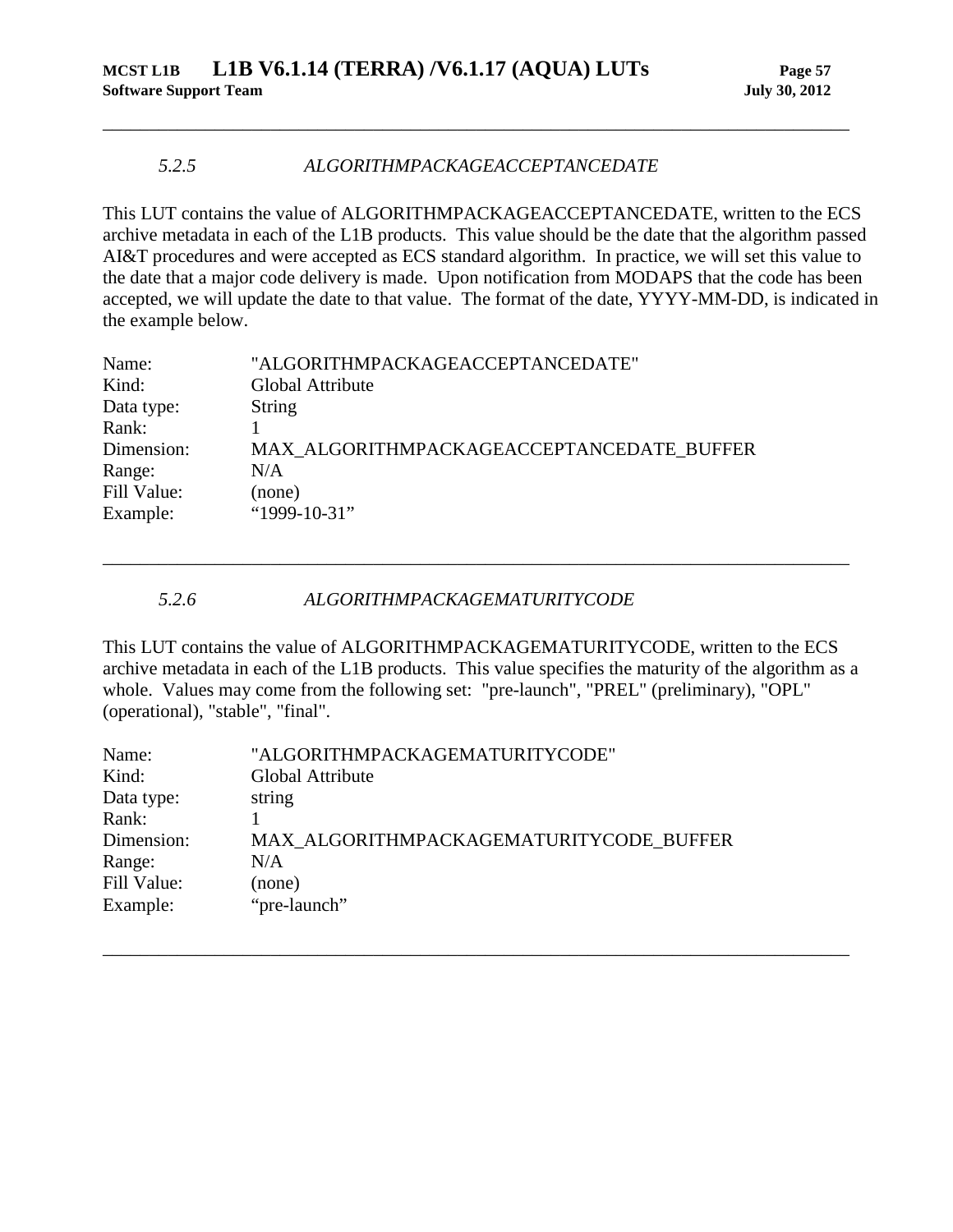### *5.2.5 ALGORITHMPACKAGEACCEPTANCEDATE*

This LUT contains the value of ALGORITHMPACKAGEACCEPTANCEDATE, written to the ECS archive metadata in each of the L1B products. This value should be the date that the algorithm passed AI&T procedures and were accepted as ECS standard algorithm. In practice, we will set this value to the date that a major code delivery is made. Upon notification from MODAPS that the code has been accepted, we will update the date to that value. The format of the date, YYYY-MM-DD, is indicated in the example below.

<span id="page-62-0"></span>\_\_\_\_\_\_\_\_\_\_\_\_\_\_\_\_\_\_\_\_\_\_\_\_\_\_\_\_\_\_\_\_\_\_\_\_\_\_\_\_\_\_\_\_\_\_\_\_\_\_\_\_\_\_\_\_\_\_\_\_\_\_\_\_\_\_\_\_\_\_\_\_\_\_\_\_\_\_\_\_

| Name:       | "ALGORITHMPACKAGEACCEPTANCEDATE"          |
|-------------|-------------------------------------------|
| Kind:       | Global Attribute                          |
| Data type:  | <b>String</b>                             |
| Rank:       |                                           |
| Dimension:  | MAX ALGORITHMPACKAGEACCEPTANCEDATE BUFFER |
| Range:      | N/A                                       |
| Fill Value: | (none)                                    |
| Example:    | "1999-10-31"                              |

### *5.2.6 ALGORITHMPACKAGEMATURITYCODE*

<span id="page-62-1"></span>This LUT contains the value of ALGORITHMPACKAGEMATURITYCODE, written to the ECS archive metadata in each of the L1B products. This value specifies the maturity of the algorithm as a whole. Values may come from the following set: "pre-launch", "PREL" (preliminary), "OPL" (operational), "stable", "final".

\_\_\_\_\_\_\_\_\_\_\_\_\_\_\_\_\_\_\_\_\_\_\_\_\_\_\_\_\_\_\_\_\_\_\_\_\_\_\_\_\_\_\_\_\_\_\_\_\_\_\_\_\_\_\_\_\_\_\_\_\_\_\_\_\_\_\_\_\_\_\_\_\_\_\_\_\_\_\_\_

| Name:       | "ALGORITHMPACKAGEMATURITYCODE"          |
|-------------|-----------------------------------------|
| Kind:       | Global Attribute                        |
| Data type:  | string                                  |
| Rank:       |                                         |
| Dimension:  | MAX ALGORITHMPACKAGEMATURITYCODE BUFFER |
| Range:      | N/A                                     |
| Fill Value: | (none)                                  |
| Example:    | "pre-launch"                            |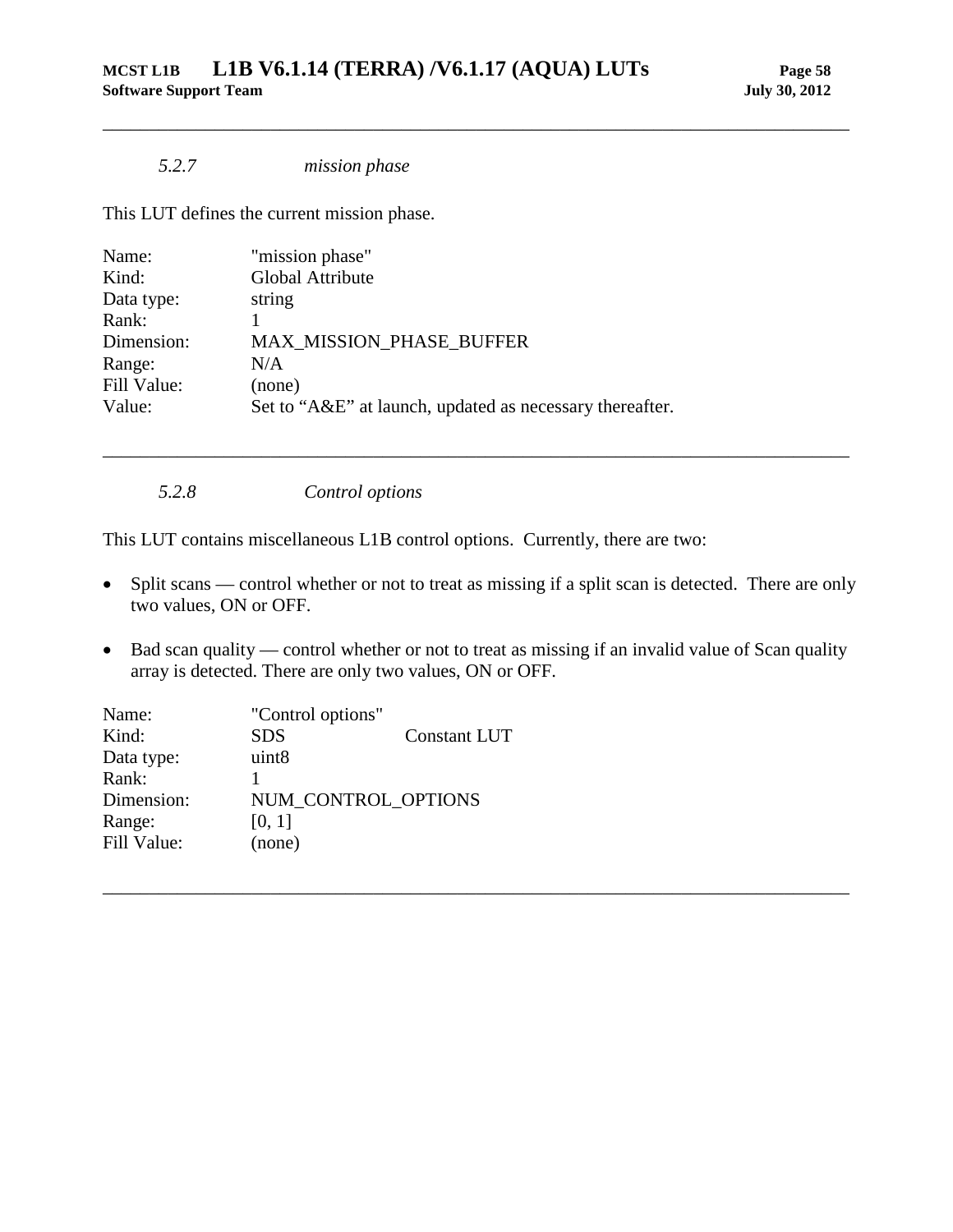### *5.2.7 mission phase*

This LUT defines the current mission phase.

| Name:       | "mission phase"                                          |
|-------------|----------------------------------------------------------|
| Kind:       | Global Attribute                                         |
| Data type:  | string                                                   |
| Rank:       |                                                          |
| Dimension:  | <b>MAX MISSION PHASE BUFFER</b>                          |
| Range:      | N/A                                                      |
| Fill Value: | (none)                                                   |
| Value:      | Set to "A&E" at launch, updated as necessary thereafter. |
|             |                                                          |

*5.2.8 Control options*

This LUT contains miscellaneous L1B control options. Currently, there are two:

• Split scans — control whether or not to treat as missing if a split scan is detected. There are only two values, ON or OFF.

<span id="page-63-1"></span>\_\_\_\_\_\_\_\_\_\_\_\_\_\_\_\_\_\_\_\_\_\_\_\_\_\_\_\_\_\_\_\_\_\_\_\_\_\_\_\_\_\_\_\_\_\_\_\_\_\_\_\_\_\_\_\_\_\_\_\_\_\_\_\_\_\_\_\_\_\_\_\_\_\_\_\_\_\_\_\_

<span id="page-63-0"></span>\_\_\_\_\_\_\_\_\_\_\_\_\_\_\_\_\_\_\_\_\_\_\_\_\_\_\_\_\_\_\_\_\_\_\_\_\_\_\_\_\_\_\_\_\_\_\_\_\_\_\_\_\_\_\_\_\_\_\_\_\_\_\_\_\_\_\_\_\_\_\_\_\_\_\_\_\_\_\_\_

• Bad scan quality — control whether or not to treat as missing if an invalid value of Scan quality array is detected. There are only two values, ON or OFF.

| Name:       | "Control options" |                     |
|-------------|-------------------|---------------------|
| Kind:       | <b>SDS</b>        | Constant LUT        |
| Data type:  | uint <sub>8</sub> |                     |
| Rank:       |                   |                     |
| Dimension:  |                   | NUM CONTROL OPTIONS |
| Range:      | [0, 1]            |                     |
| Fill Value: | (none)            |                     |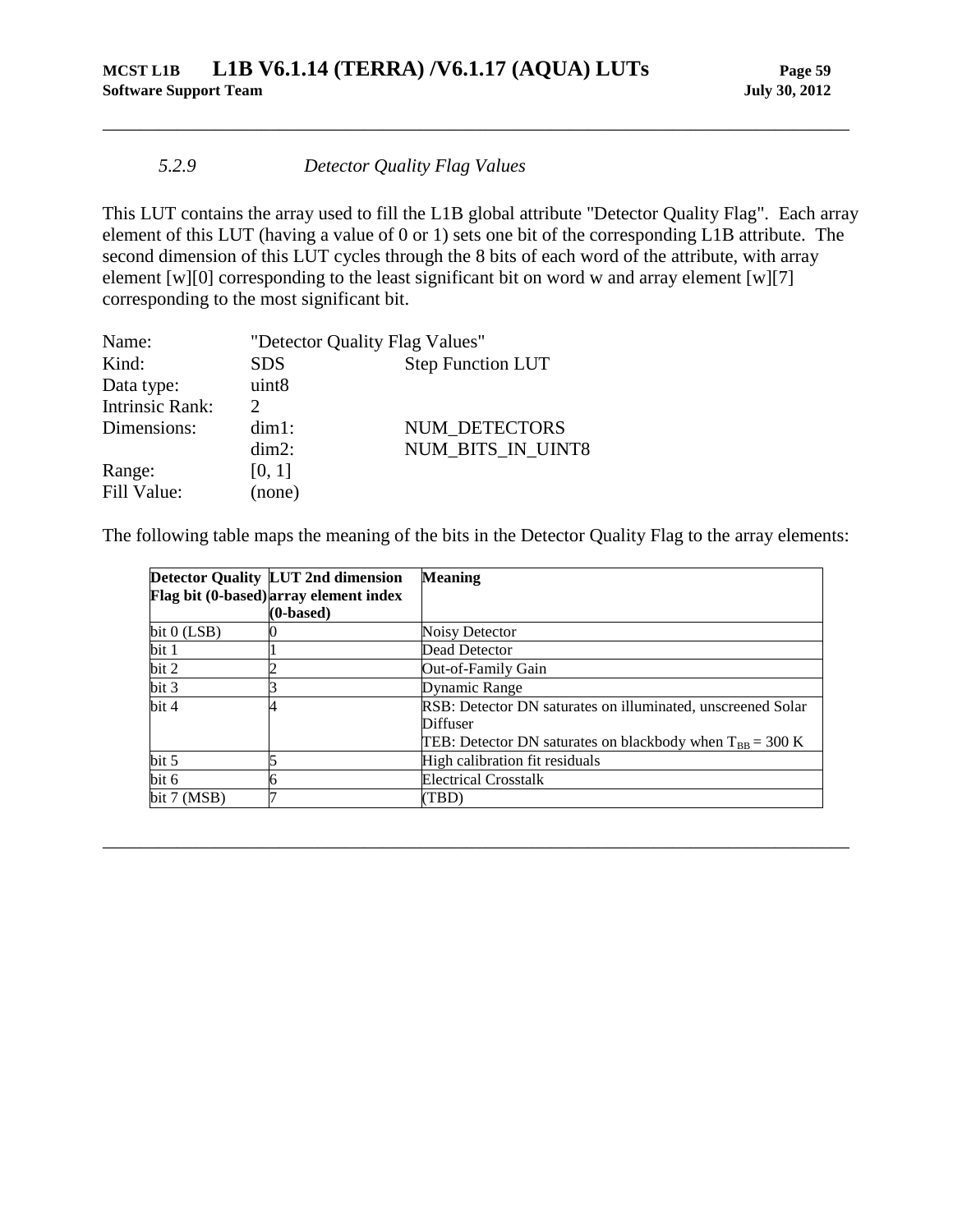### *5.2.9 Detector Quality Flag Values*

This LUT contains the array used to fill the L1B global attribute "Detector Quality Flag". Each array element of this LUT (having a value of 0 or 1) sets one bit of the corresponding L1B attribute. The second dimension of this LUT cycles through the 8 bits of each word of the attribute, with array element [w][0] corresponding to the least significant bit on word w and array element [w][7] corresponding to the most significant bit.

<span id="page-64-0"></span>\_\_\_\_\_\_\_\_\_\_\_\_\_\_\_\_\_\_\_\_\_\_\_\_\_\_\_\_\_\_\_\_\_\_\_\_\_\_\_\_\_\_\_\_\_\_\_\_\_\_\_\_\_\_\_\_\_\_\_\_\_\_\_\_\_\_\_\_\_\_\_\_\_\_\_\_\_\_\_\_

| Name:                  | "Detector Quality Flag Values" |                          |
|------------------------|--------------------------------|--------------------------|
| Kind:                  | <b>SDS</b>                     | <b>Step Function LUT</b> |
| Data type:             | uint8                          |                          |
| <b>Intrinsic Rank:</b> | $\mathcal{D}$                  |                          |
| Dimensions:            | $dim1$ :                       | NUM DETECTORS            |
|                        | $dim2$ :                       | NUM_BITS_IN_UINT8        |
| Range:                 | [0, 1]                         |                          |
| Fill Value:            | (none)                         |                          |

The following table maps the meaning of the bits in the Detector Quality Flag to the array elements:

|                 | <b>Detector Quality LUT 2nd dimension</b> | <b>Meaning</b>                                                        |
|-----------------|-------------------------------------------|-----------------------------------------------------------------------|
|                 | Flag bit (0-based) array element index    |                                                                       |
|                 | (0-based)                                 |                                                                       |
| bit 0 (LSB)     |                                           | Noisy Detector                                                        |
| bit 1           |                                           | Dead Detector                                                         |
| bit 2           |                                           | Out-of-Family Gain                                                    |
| bit 3           |                                           | Dynamic Range                                                         |
| bit 4           |                                           | RSB: Detector DN saturates on illuminated, unscreened Solar           |
|                 |                                           | Diffuser                                                              |
|                 |                                           | TEB: Detector DN saturates on blackbody when $T_{BB} = 300 \text{ K}$ |
| bit 5           |                                           | High calibration fit residuals                                        |
| bit 6           |                                           | <b>Electrical Crosstalk</b>                                           |
| bit $7 \,(MSB)$ |                                           | (TBD)                                                                 |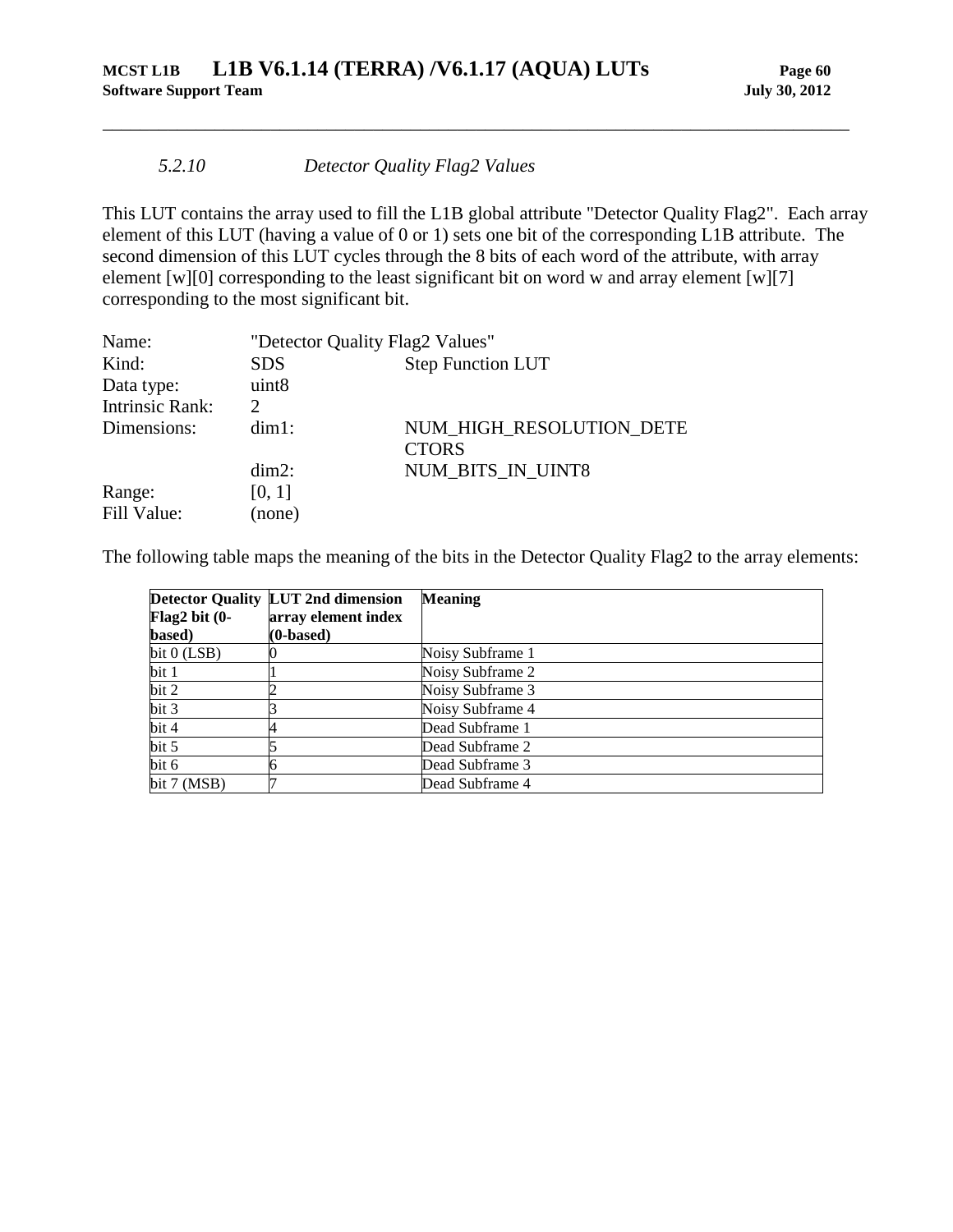### *5.2.10 Detector Quality Flag2 Values*

This LUT contains the array used to fill the L1B global attribute "Detector Quality Flag2". Each array element of this LUT (having a value of 0 or 1) sets one bit of the corresponding L1B attribute. The second dimension of this LUT cycles through the 8 bits of each word of the attribute, with array element [w][0] corresponding to the least significant bit on word w and array element [w][7] corresponding to the most significant bit.

\_\_\_\_\_\_\_\_\_\_\_\_\_\_\_\_\_\_\_\_\_\_\_\_\_\_\_\_\_\_\_\_\_\_\_\_\_\_\_\_\_\_\_\_\_\_\_\_\_\_\_\_\_\_\_\_\_\_\_\_\_\_\_\_\_\_\_\_\_\_\_\_\_\_\_\_\_\_\_\_

| Name:                  | "Detector Quality Flag2 Values"        |                                          |  |
|------------------------|----------------------------------------|------------------------------------------|--|
| Kind:                  | <b>Step Function LUT</b><br><b>SDS</b> |                                          |  |
| Data type:             | uint <sub>8</sub>                      |                                          |  |
| <b>Intrinsic Rank:</b> | $\mathcal{D}$                          |                                          |  |
| Dimensions:            | $dim1$ :                               | NUM HIGH RESOLUTION DETE<br><b>CTORS</b> |  |
|                        | $dim2$ :                               | NUM BITS IN UINT8                        |  |
| Range:                 | [0, 1]                                 |                                          |  |
| Fill Value:            | (none)                                 |                                          |  |

The following table maps the meaning of the bits in the Detector Quality Flag2 to the array elements:

| Flag2 bit $(0-$ | <b>Detector Quality LUT 2nd dimension</b><br>array element index | <b>Meaning</b>   |
|-----------------|------------------------------------------------------------------|------------------|
| based)          | $(0\n-based)$                                                    |                  |
| bit $0$ (LSB)   |                                                                  | Noisy Subframe 1 |
| bit 1           |                                                                  | Noisy Subframe 2 |
| bit 2           |                                                                  | Noisy Subframe 3 |
| bit 3           |                                                                  | Noisy Subframe 4 |
| bit 4           |                                                                  | Dead Subframe 1  |
| bit 5           |                                                                  | Dead Subframe 2  |
| bit 6           |                                                                  | Dead Subframe 3  |
| bit $7 \,(MSB)$ |                                                                  | Dead Subframe 4  |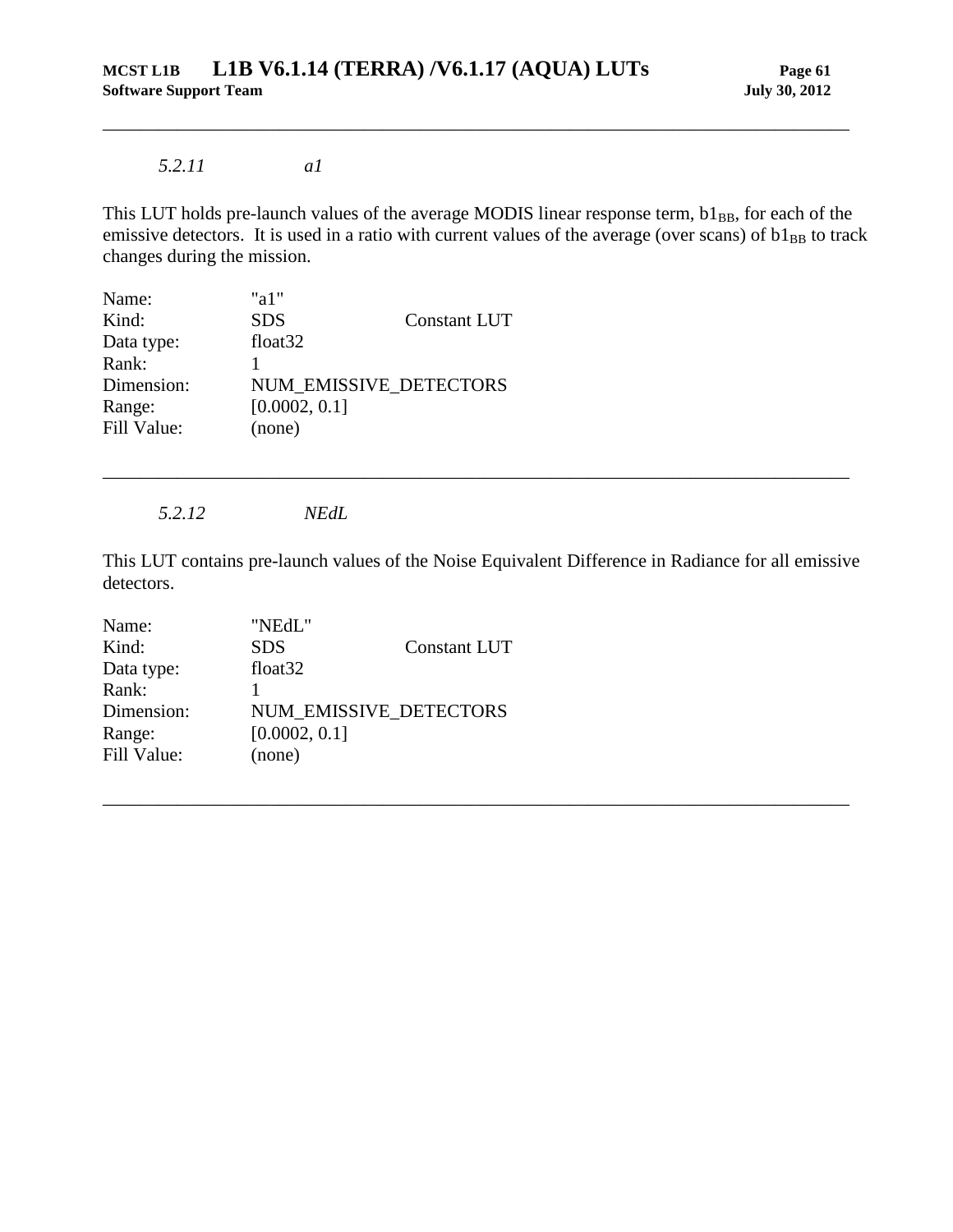### *5.2.11 a1*

This LUT holds pre-launch values of the average MODIS linear response term, b1BB, for each of the emissive detectors. It is used in a ratio with current values of the average (over scans) of  $b1_{BB}$  to track changes during the mission.

<span id="page-66-0"></span>\_\_\_\_\_\_\_\_\_\_\_\_\_\_\_\_\_\_\_\_\_\_\_\_\_\_\_\_\_\_\_\_\_\_\_\_\_\_\_\_\_\_\_\_\_\_\_\_\_\_\_\_\_\_\_\_\_\_\_\_\_\_\_\_\_\_\_\_\_\_\_\_\_\_\_\_\_\_\_\_

| Name:       | "a $1$ "                      |                     |
|-------------|-------------------------------|---------------------|
| Kind:       | <b>SDS</b>                    | <b>Constant LUT</b> |
| Data type:  | float <sub>32</sub>           |                     |
| Rank:       |                               |                     |
| Dimension:  | <b>NUM EMISSIVE DETECTORS</b> |                     |
| Range:      | [0.0002, 0.1]                 |                     |
| Fill Value: | (none)                        |                     |

*5.2.12 NEdL*

<span id="page-66-1"></span>This LUT contains pre-launch values of the Noise Equivalent Difference in Radiance for all emissive detectors.

\_\_\_\_\_\_\_\_\_\_\_\_\_\_\_\_\_\_\_\_\_\_\_\_\_\_\_\_\_\_\_\_\_\_\_\_\_\_\_\_\_\_\_\_\_\_\_\_\_\_\_\_\_\_\_\_\_\_\_\_\_\_\_\_\_\_\_\_\_\_\_\_\_\_\_\_\_\_\_\_

| Name:       | "NEdL"                 |                     |
|-------------|------------------------|---------------------|
| Kind:       | <b>SDS</b>             | <b>Constant LUT</b> |
| Data type:  | float <sub>32</sub>    |                     |
| Rank:       |                        |                     |
| Dimension:  | NUM EMISSIVE DETECTORS |                     |
| Range:      | [0.0002, 0.1]          |                     |
| Fill Value: | (none)                 |                     |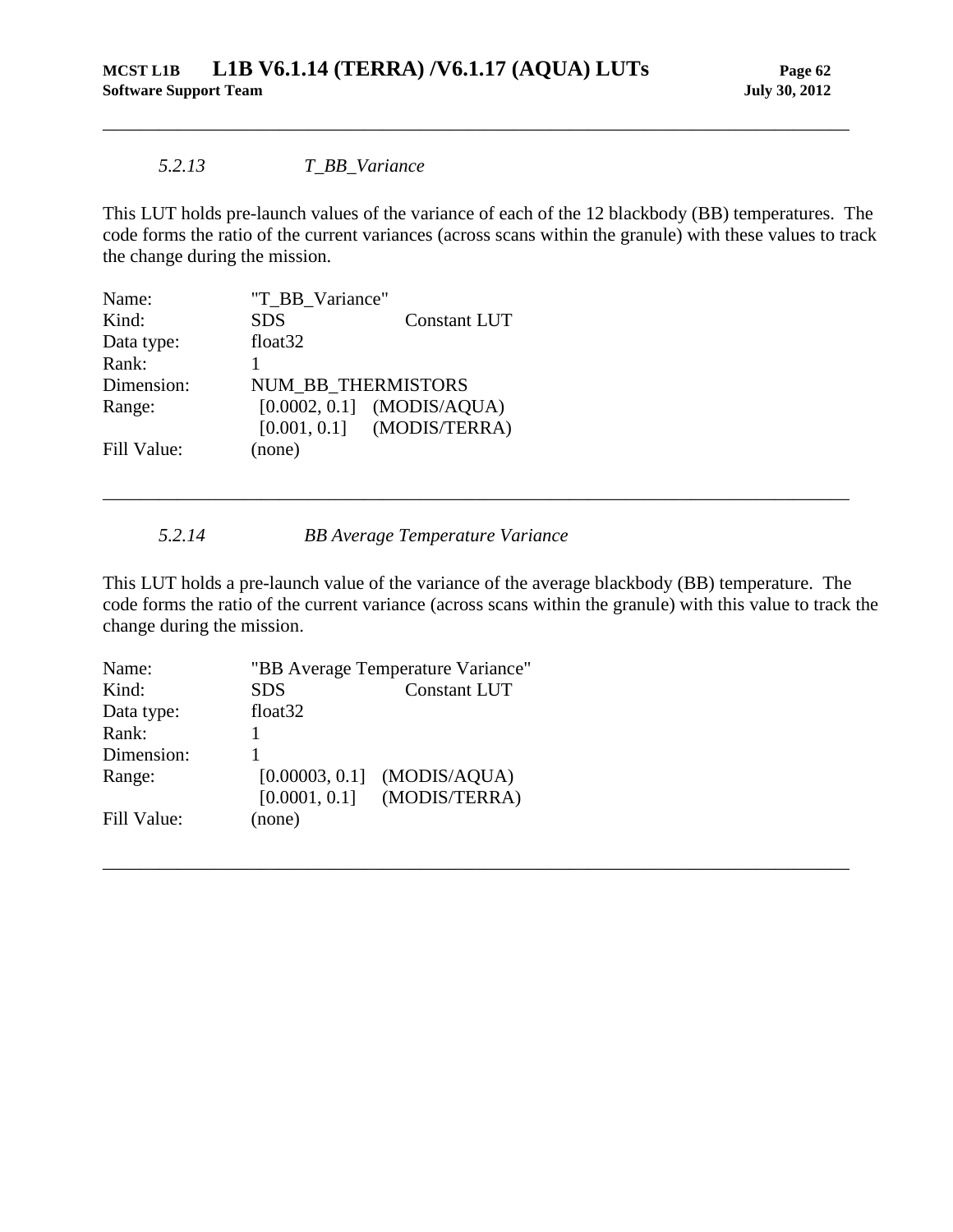### *5.2.13 T\_BB\_Variance*

This LUT holds pre-launch values of the variance of each of the 12 blackbody (BB) temperatures. The code forms the ratio of the current variances (across scans within the granule) with these values to track the change during the mission.

<span id="page-67-0"></span>\_\_\_\_\_\_\_\_\_\_\_\_\_\_\_\_\_\_\_\_\_\_\_\_\_\_\_\_\_\_\_\_\_\_\_\_\_\_\_\_\_\_\_\_\_\_\_\_\_\_\_\_\_\_\_\_\_\_\_\_\_\_\_\_\_\_\_\_\_\_\_\_\_\_\_\_\_\_\_\_

| Name:       | "T_BB_Variance"     |                              |
|-------------|---------------------|------------------------------|
| Kind:       | <b>SDS</b>          | <b>Constant LUT</b>          |
| Data type:  | float <sub>32</sub> |                              |
| Rank:       |                     |                              |
| Dimension:  | NUM BB THERMISTORS  |                              |
| Range:      |                     | $[0.0002, 0.1]$ (MODIS/AQUA) |
|             |                     | $[0.001, 0.1]$ (MODIS/TERRA) |
| Fill Value: | (none)              |                              |

*5.2.14 BB Average Temperature Variance*

<span id="page-67-1"></span>This LUT holds a pre-launch value of the variance of the average blackbody (BB) temperature. The code forms the ratio of the current variance (across scans within the granule) with this value to track the change during the mission.

\_\_\_\_\_\_\_\_\_\_\_\_\_\_\_\_\_\_\_\_\_\_\_\_\_\_\_\_\_\_\_\_\_\_\_\_\_\_\_\_\_\_\_\_\_\_\_\_\_\_\_\_\_\_\_\_\_\_\_\_\_\_\_\_\_\_\_\_\_\_\_\_\_\_\_\_\_\_\_\_

| Name:       | "BB Average Temperature Variance" |                     |
|-------------|-----------------------------------|---------------------|
| Kind:       | <b>SDS</b>                        | <b>Constant LUT</b> |
| Data type:  | float <sub>32</sub>               |                     |
| Rank:       |                                   |                     |
| Dimension:  |                                   |                     |
| Range:      | [0.00003, 0.1]                    | (MODIS/AQUA)        |
|             | [0.0001, 0.1]                     | (MODIS/TERRA)       |
| Fill Value: | (none)                            |                     |
|             |                                   |                     |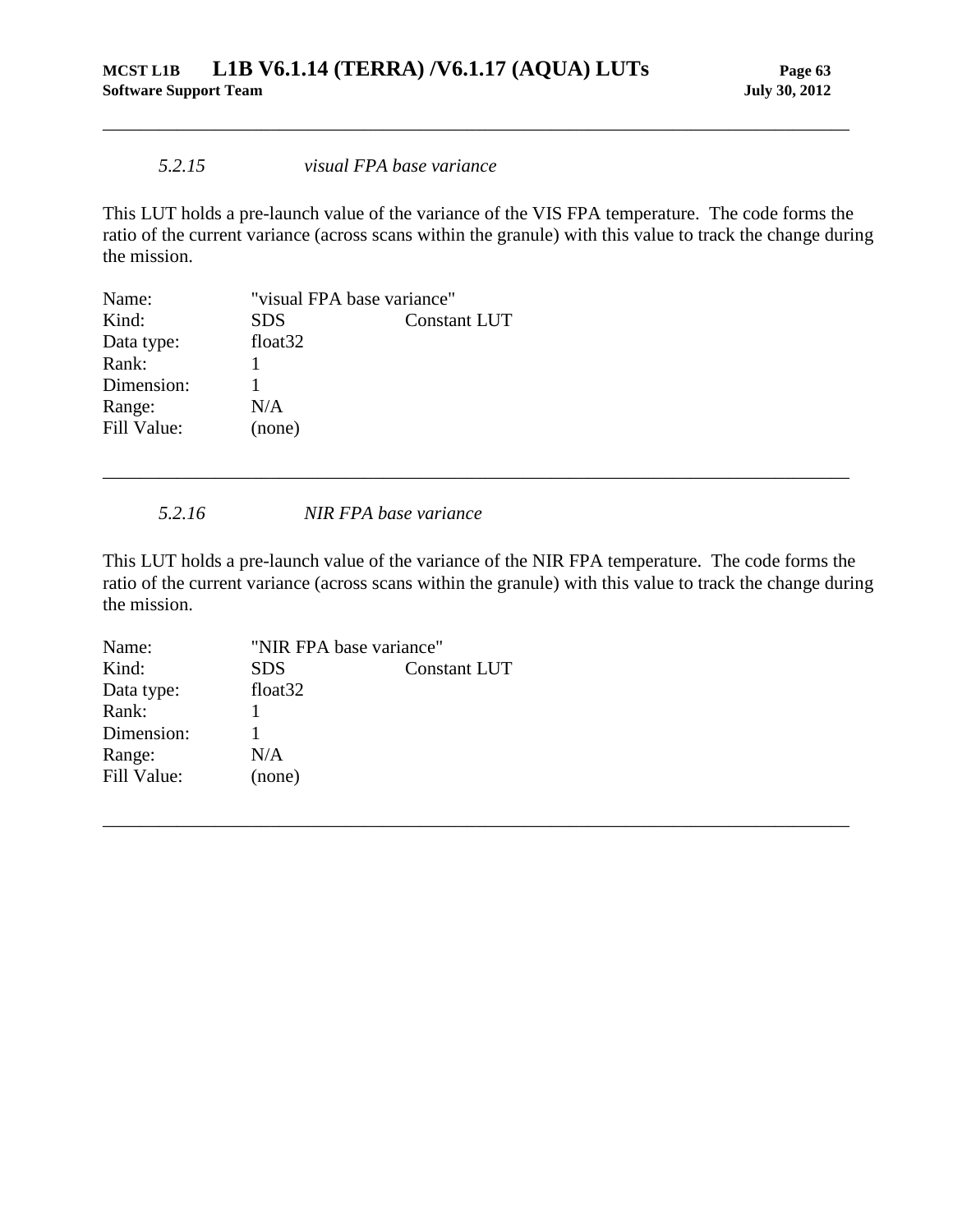### *5.2.15 visual FPA base variance*

This LUT holds a pre-launch value of the variance of the VIS FPA temperature. The code forms the ratio of the current variance (across scans within the granule) with this value to track the change during the mission.

<span id="page-68-0"></span>\_\_\_\_\_\_\_\_\_\_\_\_\_\_\_\_\_\_\_\_\_\_\_\_\_\_\_\_\_\_\_\_\_\_\_\_\_\_\_\_\_\_\_\_\_\_\_\_\_\_\_\_\_\_\_\_\_\_\_\_\_\_\_\_\_\_\_\_\_\_\_\_\_\_\_\_\_\_\_\_

| "visual FPA base variance" |                     |
|----------------------------|---------------------|
| <b>SDS</b>                 | <b>Constant LUT</b> |
| float <sub>32</sub>        |                     |
|                            |                     |
|                            |                     |
| N/A                        |                     |
| (none)                     |                     |
|                            |                     |

*5.2.16 NIR FPA base variance*

<span id="page-68-1"></span>This LUT holds a pre-launch value of the variance of the NIR FPA temperature. The code forms the ratio of the current variance (across scans within the granule) with this value to track the change during the mission.

\_\_\_\_\_\_\_\_\_\_\_\_\_\_\_\_\_\_\_\_\_\_\_\_\_\_\_\_\_\_\_\_\_\_\_\_\_\_\_\_\_\_\_\_\_\_\_\_\_\_\_\_\_\_\_\_\_\_\_\_\_\_\_\_\_\_\_\_\_\_\_\_\_\_\_\_\_\_\_\_

| Name:       | "NIR FPA base variance" |                     |
|-------------|-------------------------|---------------------|
| Kind:       | <b>SDS</b>              | <b>Constant LUT</b> |
| Data type:  | float <sub>32</sub>     |                     |
| Rank:       |                         |                     |
| Dimension:  |                         |                     |
| Range:      | N/A                     |                     |
| Fill Value: | (none)                  |                     |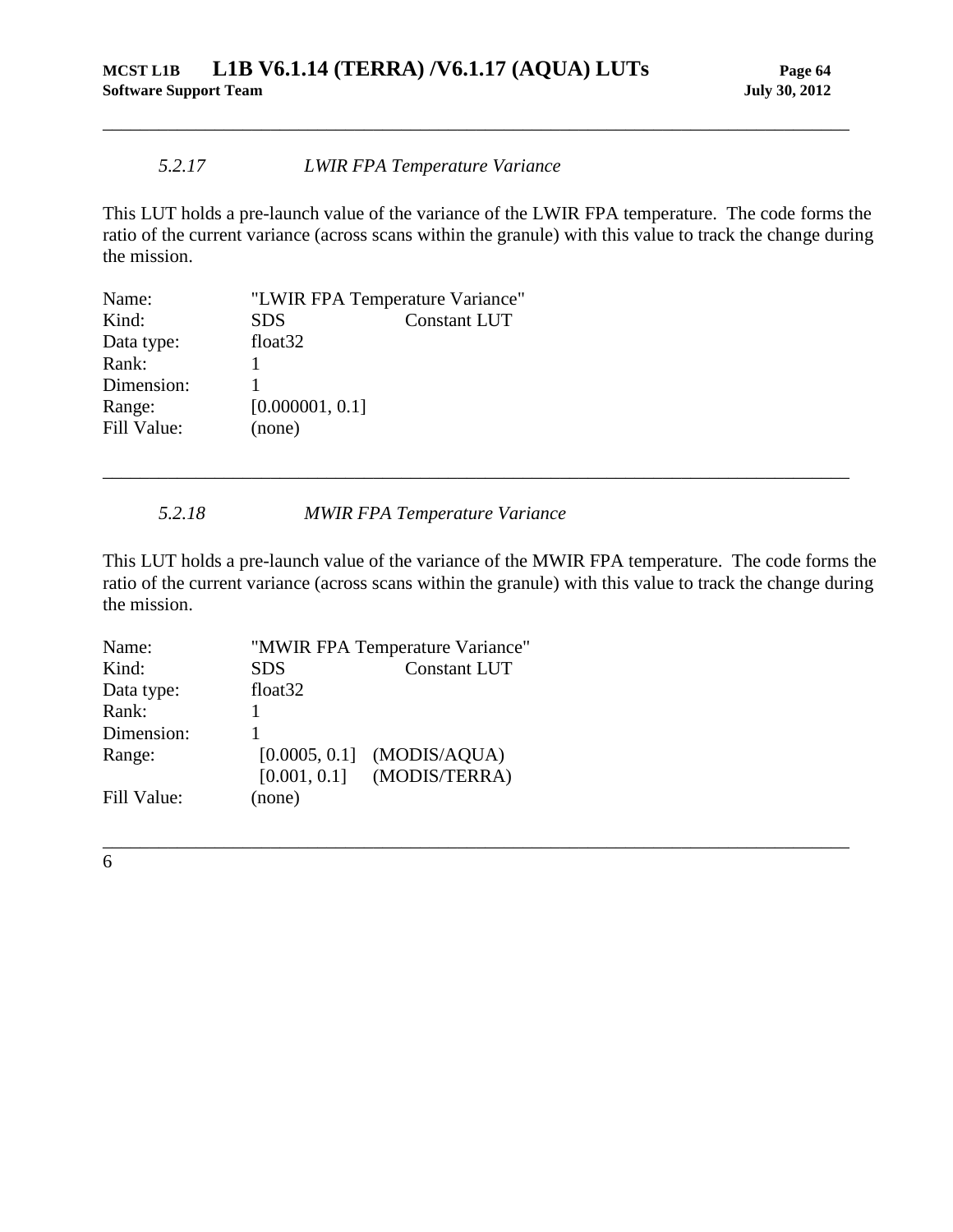### *5.2.17 LWIR FPA Temperature Variance*

This LUT holds a pre-launch value of the variance of the LWIR FPA temperature. The code forms the ratio of the current variance (across scans within the granule) with this value to track the change during the mission.

<span id="page-69-0"></span>\_\_\_\_\_\_\_\_\_\_\_\_\_\_\_\_\_\_\_\_\_\_\_\_\_\_\_\_\_\_\_\_\_\_\_\_\_\_\_\_\_\_\_\_\_\_\_\_\_\_\_\_\_\_\_\_\_\_\_\_\_\_\_\_\_\_\_\_\_\_\_\_\_\_\_\_\_\_\_\_

| "LWIR FPA Temperature Variance" |                     |
|---------------------------------|---------------------|
| <b>SDS</b>                      | <b>Constant LUT</b> |
| float <sub>32</sub>             |                     |
|                                 |                     |
|                                 |                     |
| [0.000001, 0.1]                 |                     |
| (none)                          |                     |
|                                 |                     |

*5.2.18 MWIR FPA Temperature Variance*

This LUT holds a pre-launch value of the variance of the MWIR FPA temperature. The code forms the ratio of the current variance (across scans within the granule) with this value to track the change during the mission.

\_\_\_\_\_\_\_\_\_\_\_\_\_\_\_\_\_\_\_\_\_\_\_\_\_\_\_\_\_\_\_\_\_\_\_\_\_\_\_\_\_\_\_\_\_\_\_\_\_\_\_\_\_\_\_\_\_\_\_\_\_\_\_\_\_\_\_\_\_\_\_\_\_\_\_\_\_\_\_\_

<span id="page-69-1"></span>\_\_\_\_\_\_\_\_\_\_\_\_\_\_\_\_\_\_\_\_\_\_\_\_\_\_\_\_\_\_\_\_\_\_\_\_\_\_\_\_\_\_\_\_\_\_\_\_\_\_\_\_\_\_\_\_\_\_\_\_\_\_\_\_\_\_\_\_\_\_\_\_\_\_\_\_\_\_\_\_

| Name:       |                     | "MWIR FPA Temperature Variance" |  |
|-------------|---------------------|---------------------------------|--|
| Kind:       | <b>SDS</b>          | <b>Constant LUT</b>             |  |
| Data type:  | float <sub>32</sub> |                                 |  |
| Rank:       |                     |                                 |  |
| Dimension:  |                     |                                 |  |
| Range:      |                     | $[0.0005, 0.1]$ (MODIS/AQUA)    |  |
|             |                     | $[0.001, 0.1]$ (MODIS/TERRA)    |  |
| Fill Value: | (none)              |                                 |  |

6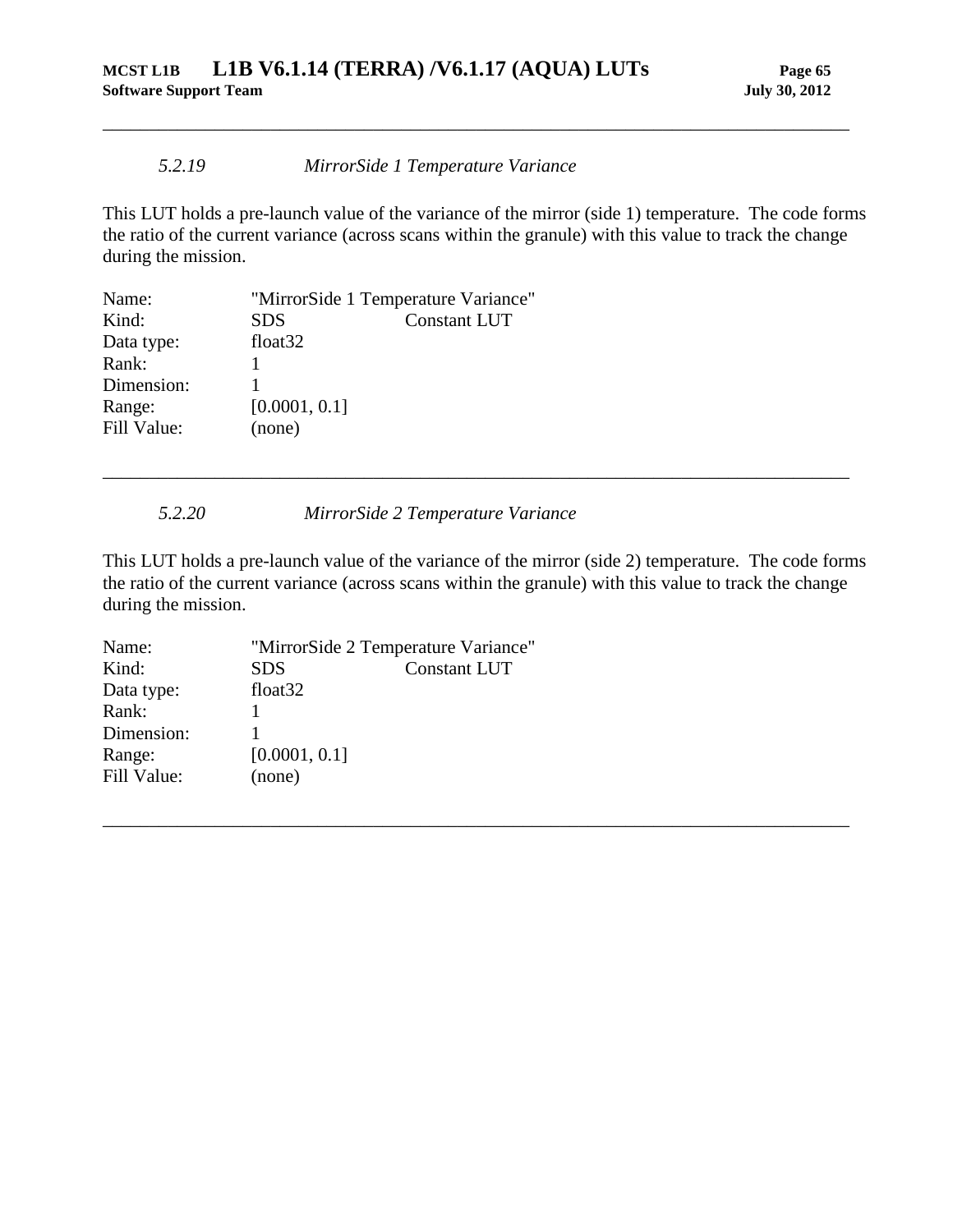### *5.2.19 MirrorSide 1 Temperature Variance*

This LUT holds a pre-launch value of the variance of the mirror (side 1) temperature. The code forms the ratio of the current variance (across scans within the granule) with this value to track the change during the mission.

<span id="page-70-0"></span>\_\_\_\_\_\_\_\_\_\_\_\_\_\_\_\_\_\_\_\_\_\_\_\_\_\_\_\_\_\_\_\_\_\_\_\_\_\_\_\_\_\_\_\_\_\_\_\_\_\_\_\_\_\_\_\_\_\_\_\_\_\_\_\_\_\_\_\_\_\_\_\_\_\_\_\_\_\_\_\_

| Name:       | "MirrorSide 1 Temperature Variance" |                     |
|-------------|-------------------------------------|---------------------|
| Kind:       | <b>SDS</b>                          | <b>Constant LUT</b> |
| Data type:  | float <sub>32</sub>                 |                     |
| Rank:       |                                     |                     |
| Dimension:  |                                     |                     |
| Range:      | [0.0001, 0.1]                       |                     |
| Fill Value: | (none)                              |                     |

*5.2.20 MirrorSide 2 Temperature Variance*

<span id="page-70-1"></span>This LUT holds a pre-launch value of the variance of the mirror (side 2) temperature. The code forms the ratio of the current variance (across scans within the granule) with this value to track the change during the mission.

\_\_\_\_\_\_\_\_\_\_\_\_\_\_\_\_\_\_\_\_\_\_\_\_\_\_\_\_\_\_\_\_\_\_\_\_\_\_\_\_\_\_\_\_\_\_\_\_\_\_\_\_\_\_\_\_\_\_\_\_\_\_\_\_\_\_\_\_\_\_\_\_\_\_\_\_\_\_\_\_

| "MirrorSide 2 Temperature Variance" |                     |
|-------------------------------------|---------------------|
| <b>SDS</b>                          | <b>Constant LUT</b> |
| float <sub>32</sub>                 |                     |
|                                     |                     |
|                                     |                     |
| [0.0001, 0.1]                       |                     |
| (none)                              |                     |
|                                     |                     |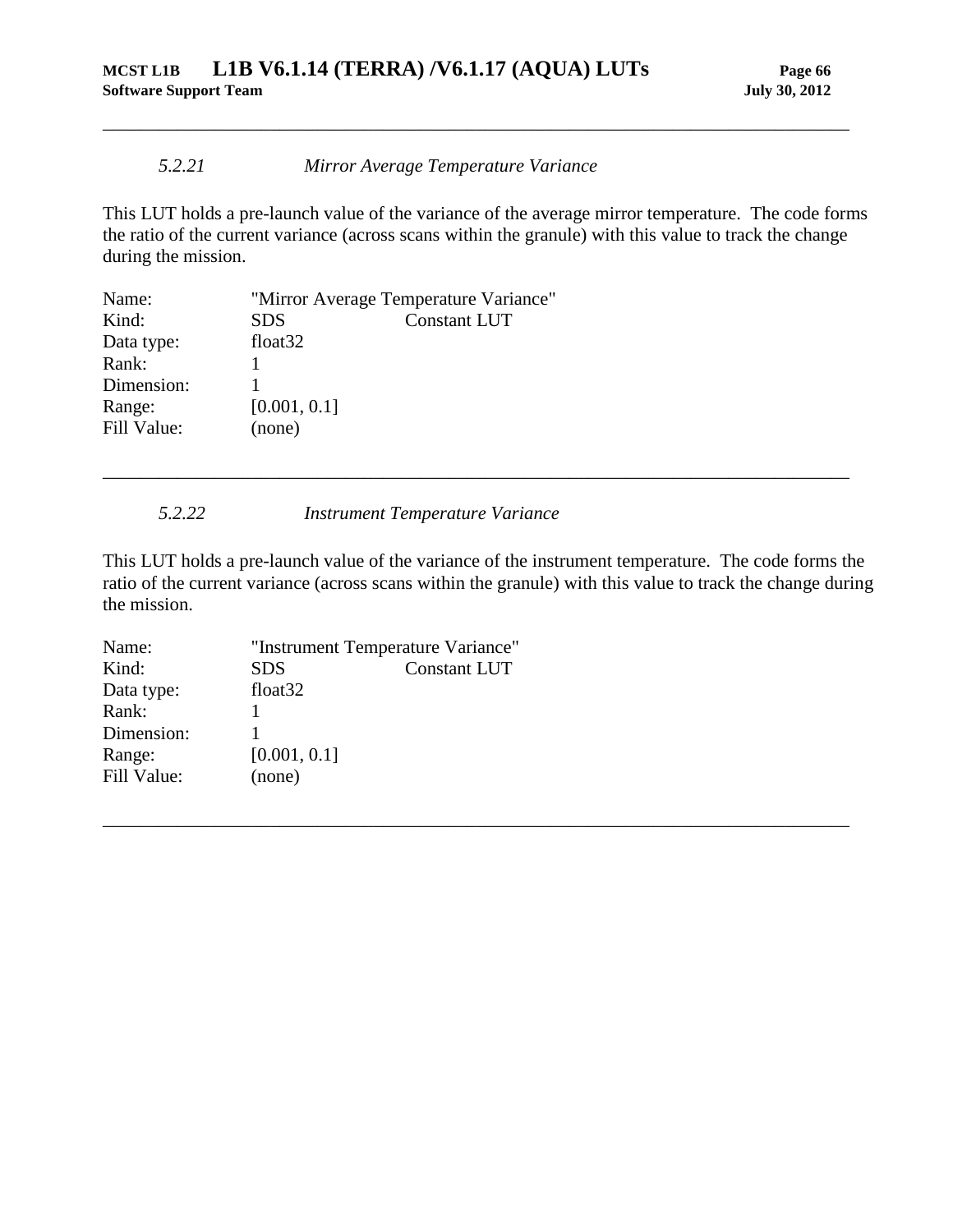### *5.2.21 Mirror Average Temperature Variance*

This LUT holds a pre-launch value of the variance of the average mirror temperature. The code forms the ratio of the current variance (across scans within the granule) with this value to track the change during the mission.

<span id="page-71-0"></span>\_\_\_\_\_\_\_\_\_\_\_\_\_\_\_\_\_\_\_\_\_\_\_\_\_\_\_\_\_\_\_\_\_\_\_\_\_\_\_\_\_\_\_\_\_\_\_\_\_\_\_\_\_\_\_\_\_\_\_\_\_\_\_\_\_\_\_\_\_\_\_\_\_\_\_\_\_\_\_\_

| Name:       |                     | "Mirror Average Temperature Variance" |
|-------------|---------------------|---------------------------------------|
| Kind:       | <b>SDS</b>          | <b>Constant LUT</b>                   |
| Data type:  | float <sub>32</sub> |                                       |
| Rank:       |                     |                                       |
| Dimension:  |                     |                                       |
| Range:      | [0.001, 0.1]        |                                       |
| Fill Value: | (none)              |                                       |

*5.2.22 Instrument Temperature Variance*

<span id="page-71-1"></span>This LUT holds a pre-launch value of the variance of the instrument temperature. The code forms the ratio of the current variance (across scans within the granule) with this value to track the change during the mission.

\_\_\_\_\_\_\_\_\_\_\_\_\_\_\_\_\_\_\_\_\_\_\_\_\_\_\_\_\_\_\_\_\_\_\_\_\_\_\_\_\_\_\_\_\_\_\_\_\_\_\_\_\_\_\_\_\_\_\_\_\_\_\_\_\_\_\_\_\_\_\_\_\_\_\_\_\_\_\_\_

| "Instrument Temperature Variance" |                     |
|-----------------------------------|---------------------|
| <b>SDS</b>                        | <b>Constant LUT</b> |
| float <sub>32</sub>               |                     |
|                                   |                     |
|                                   |                     |
| [0.001, 0.1]                      |                     |
| (none)                            |                     |
|                                   |                     |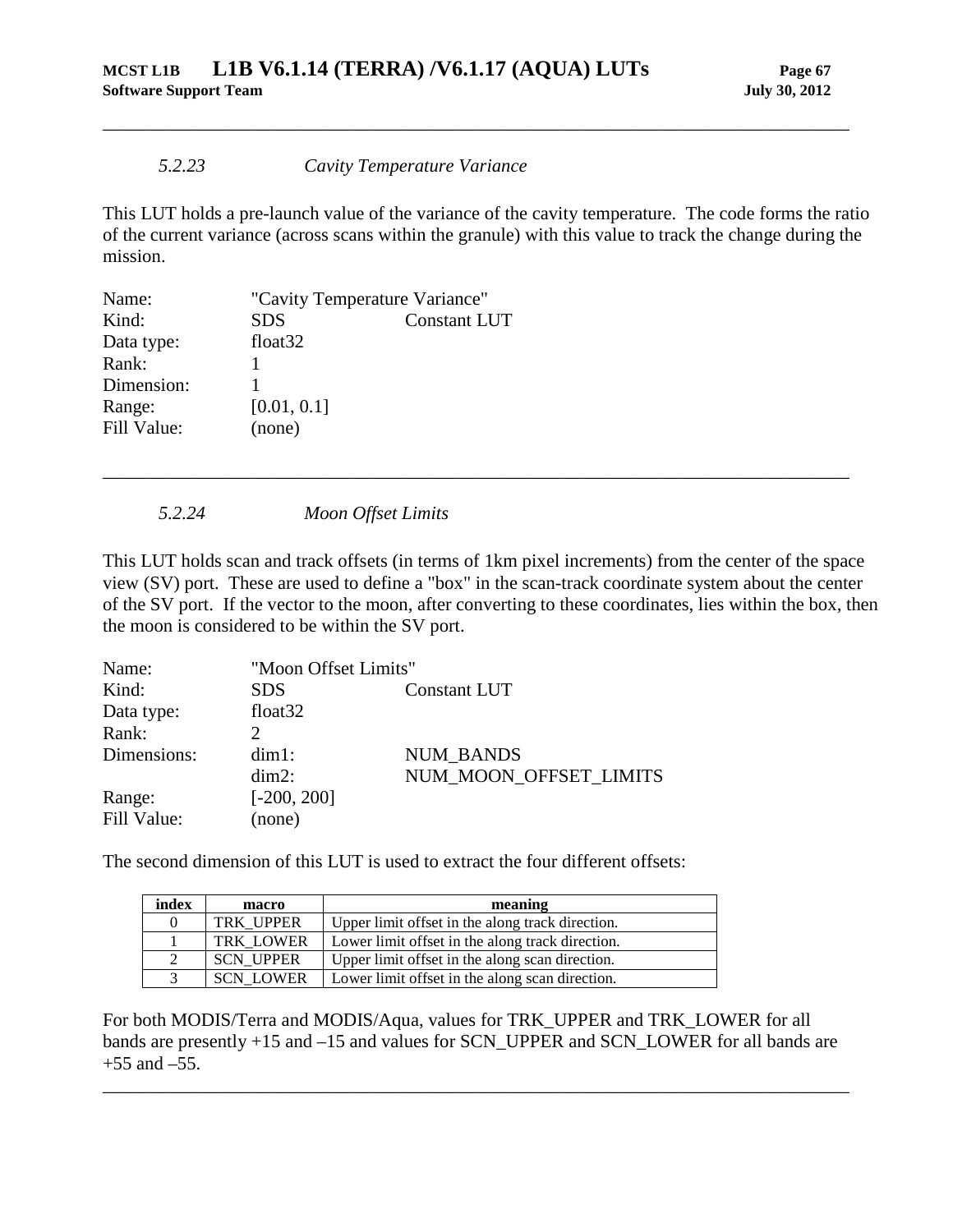## *5.2.23 Cavity Temperature Variance*

This LUT holds a pre-launch value of the variance of the cavity temperature. The code forms the ratio of the current variance (across scans within the granule) with this value to track the change during the mission.

\_\_\_\_\_\_\_\_\_\_\_\_\_\_\_\_\_\_\_\_\_\_\_\_\_\_\_\_\_\_\_\_\_\_\_\_\_\_\_\_\_\_\_\_\_\_\_\_\_\_\_\_\_\_\_\_\_\_\_\_\_\_\_\_\_\_\_\_\_\_\_\_\_\_\_\_\_\_\_\_

| Name:       | "Cavity Temperature Variance" |                     |
|-------------|-------------------------------|---------------------|
| Kind:       | <b>SDS</b>                    | <b>Constant LUT</b> |
| Data type:  | float <sub>32</sub>           |                     |
| Rank:       |                               |                     |
| Dimension:  |                               |                     |
| Range:      | [0.01, 0.1]                   |                     |
| Fill Value: | (none)                        |                     |

*5.2.24 Moon Offset Limits*

This LUT holds scan and track offsets (in terms of 1km pixel increments) from the center of the space view (SV) port. These are used to define a "box" in the scan-track coordinate system about the center of the SV port. If the vector to the moon, after converting to these coordinates, lies within the box, then the moon is considered to be within the SV port.

\_\_\_\_\_\_\_\_\_\_\_\_\_\_\_\_\_\_\_\_\_\_\_\_\_\_\_\_\_\_\_\_\_\_\_\_\_\_\_\_\_\_\_\_\_\_\_\_\_\_\_\_\_\_\_\_\_\_\_\_\_\_\_\_\_\_\_\_\_\_\_\_\_\_\_\_\_\_\_\_

| Name:       |                     | "Moon Offset Limits"   |  |  |
|-------------|---------------------|------------------------|--|--|
| Kind:       | <b>SDS</b>          | <b>Constant LUT</b>    |  |  |
| Data type:  | float <sub>32</sub> |                        |  |  |
| Rank:       |                     |                        |  |  |
| Dimensions: | $dim1$ :            | <b>NUM BANDS</b>       |  |  |
|             | $dim2$ :            | NUM MOON OFFSET LIMITS |  |  |
| Range:      | $[-200, 200]$       |                        |  |  |
| Fill Value: | (none)              |                        |  |  |

The second dimension of this LUT is used to extract the four different offsets:

| index | macro            | meaning                                          |
|-------|------------------|--------------------------------------------------|
| 0     | TRK UPPER        | Upper limit offset in the along track direction. |
|       | <b>TRK LOWER</b> | Lower limit offset in the along track direction. |
| 2     | <b>SCN UPPER</b> | Upper limit offset in the along scan direction.  |
| 3     | <b>SCN LOWER</b> | Lower limit offset in the along scan direction.  |

For both MODIS/Terra and MODIS/Aqua, values for TRK\_UPPER and TRK\_LOWER for all bands are presently +15 and –15 and values for SCN\_UPPER and SCN\_LOWER for all bands are  $+55$  and  $-55$ .

\_\_\_\_\_\_\_\_\_\_\_\_\_\_\_\_\_\_\_\_\_\_\_\_\_\_\_\_\_\_\_\_\_\_\_\_\_\_\_\_\_\_\_\_\_\_\_\_\_\_\_\_\_\_\_\_\_\_\_\_\_\_\_\_\_\_\_\_\_\_\_\_\_\_\_\_\_\_\_\_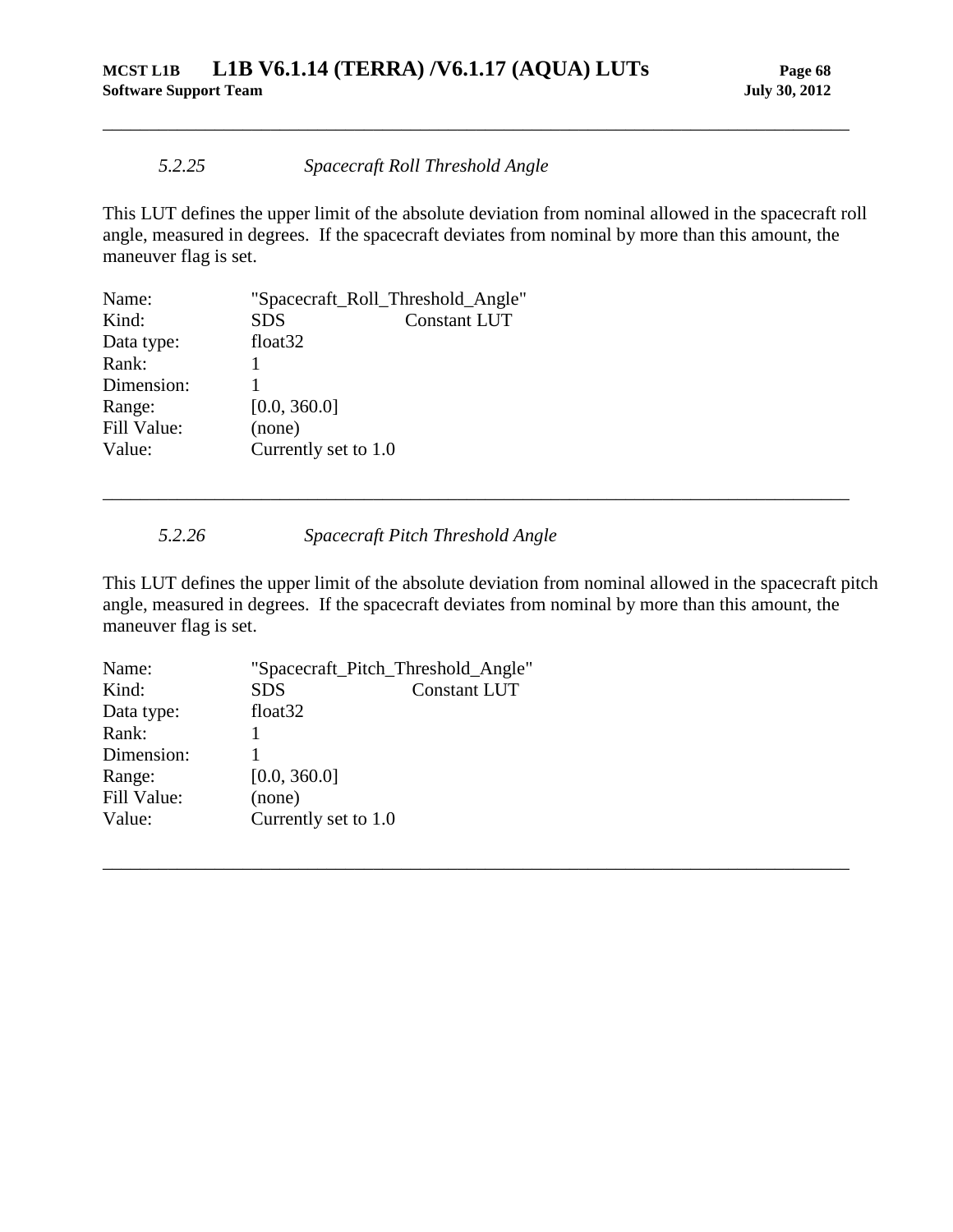## *5.2.25 Spacecraft Roll Threshold Angle*

This LUT defines the upper limit of the absolute deviation from nominal allowed in the spacecraft roll angle, measured in degrees. If the spacecraft deviates from nominal by more than this amount, the maneuver flag is set.

\_\_\_\_\_\_\_\_\_\_\_\_\_\_\_\_\_\_\_\_\_\_\_\_\_\_\_\_\_\_\_\_\_\_\_\_\_\_\_\_\_\_\_\_\_\_\_\_\_\_\_\_\_\_\_\_\_\_\_\_\_\_\_\_\_\_\_\_\_\_\_\_\_\_\_\_\_\_\_\_

| Name:       | "Spacecraft_Roll_Threshold_Angle" |                     |
|-------------|-----------------------------------|---------------------|
| Kind:       | <b>SDS</b>                        | <b>Constant LUT</b> |
| Data type:  | float <sub>32</sub>               |                     |
| Rank:       |                                   |                     |
| Dimension:  |                                   |                     |
| Range:      | [0.0, 360.0]                      |                     |
| Fill Value: | (none)                            |                     |
| Value:      | Currently set to 1.0              |                     |
|             |                                   |                     |

*5.2.26 Spacecraft Pitch Threshold Angle*

This LUT defines the upper limit of the absolute deviation from nominal allowed in the spacecraft pitch angle, measured in degrees. If the spacecraft deviates from nominal by more than this amount, the maneuver flag is set.

\_\_\_\_\_\_\_\_\_\_\_\_\_\_\_\_\_\_\_\_\_\_\_\_\_\_\_\_\_\_\_\_\_\_\_\_\_\_\_\_\_\_\_\_\_\_\_\_\_\_\_\_\_\_\_\_\_\_\_\_\_\_\_\_\_\_\_\_\_\_\_\_\_\_\_\_\_\_\_\_

\_\_\_\_\_\_\_\_\_\_\_\_\_\_\_\_\_\_\_\_\_\_\_\_\_\_\_\_\_\_\_\_\_\_\_\_\_\_\_\_\_\_\_\_\_\_\_\_\_\_\_\_\_\_\_\_\_\_\_\_\_\_\_\_\_\_\_\_\_\_\_\_\_\_\_\_\_\_\_\_

| Name:       |                      | "Spacecraft_Pitch_Threshold_Angle" |
|-------------|----------------------|------------------------------------|
| Kind:       | <b>SDS</b>           | <b>Constant LUT</b>                |
| Data type:  | float <sub>32</sub>  |                                    |
| Rank:       |                      |                                    |
| Dimension:  |                      |                                    |
| Range:      | [0.0, 360.0]         |                                    |
| Fill Value: | (none)               |                                    |
| Value:      | Currently set to 1.0 |                                    |
|             |                      |                                    |